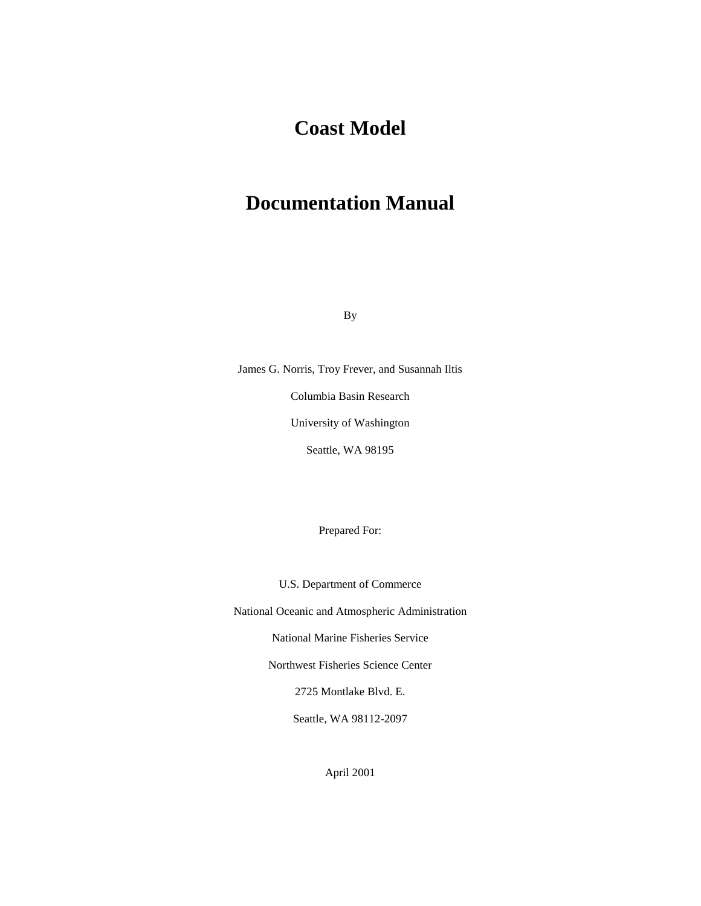# **Coast Model**

# **Documentation Manual**

By

James G. Norris, Troy Frever, and Susannah Iltis Columbia Basin Research University of Washington Seattle, WA 98195

Prepared For:

U.S. Department of Commerce

National Oceanic and Atmospheric Administration

National Marine Fisheries Service

Northwest Fisheries Science Center

2725 Montlake Blvd. E.

Seattle, WA 98112-2097

April 2001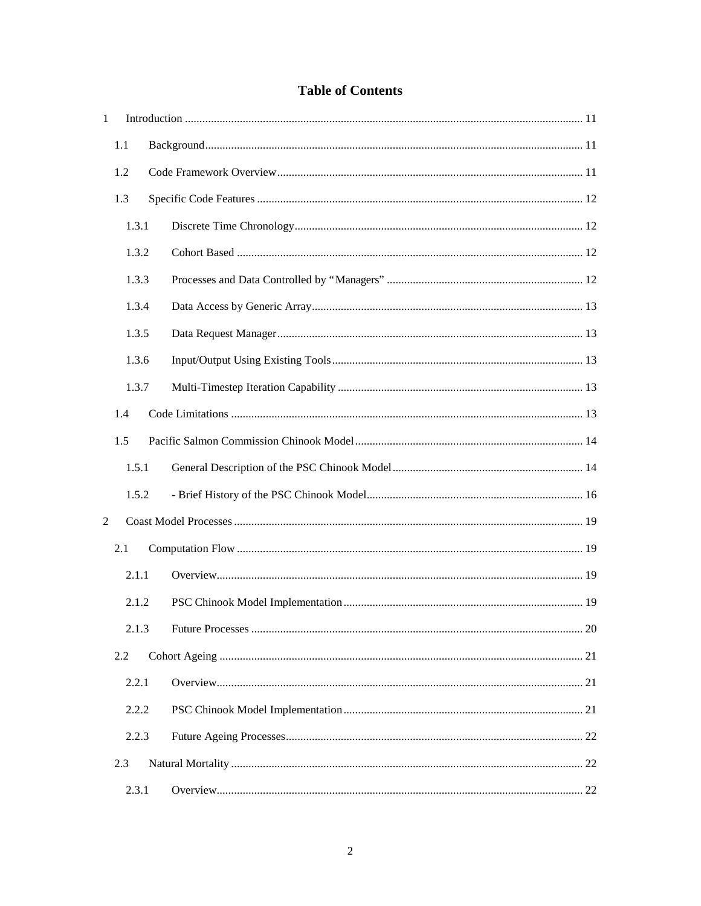## **Table of Contents**

| $\mathbf{1}$   |       |  |  |  |
|----------------|-------|--|--|--|
|                | 1.1   |  |  |  |
|                | 1.2   |  |  |  |
|                | 1.3   |  |  |  |
|                | 1.3.1 |  |  |  |
|                | 1.3.2 |  |  |  |
|                | 1.3.3 |  |  |  |
|                | 1.3.4 |  |  |  |
|                | 1.3.5 |  |  |  |
|                | 1.3.6 |  |  |  |
|                | 1.3.7 |  |  |  |
|                | 1.4   |  |  |  |
|                | 1.5   |  |  |  |
|                | 1.5.1 |  |  |  |
|                | 1.5.2 |  |  |  |
| $\overline{2}$ |       |  |  |  |
|                | 2.1   |  |  |  |
|                | 2.1.1 |  |  |  |
|                | 2.1.2 |  |  |  |
|                |       |  |  |  |
|                | 2.2   |  |  |  |
|                | 2.2.1 |  |  |  |
|                | 2.2.2 |  |  |  |
|                | 2.2.3 |  |  |  |
|                | 2.3   |  |  |  |
|                | 2.3.1 |  |  |  |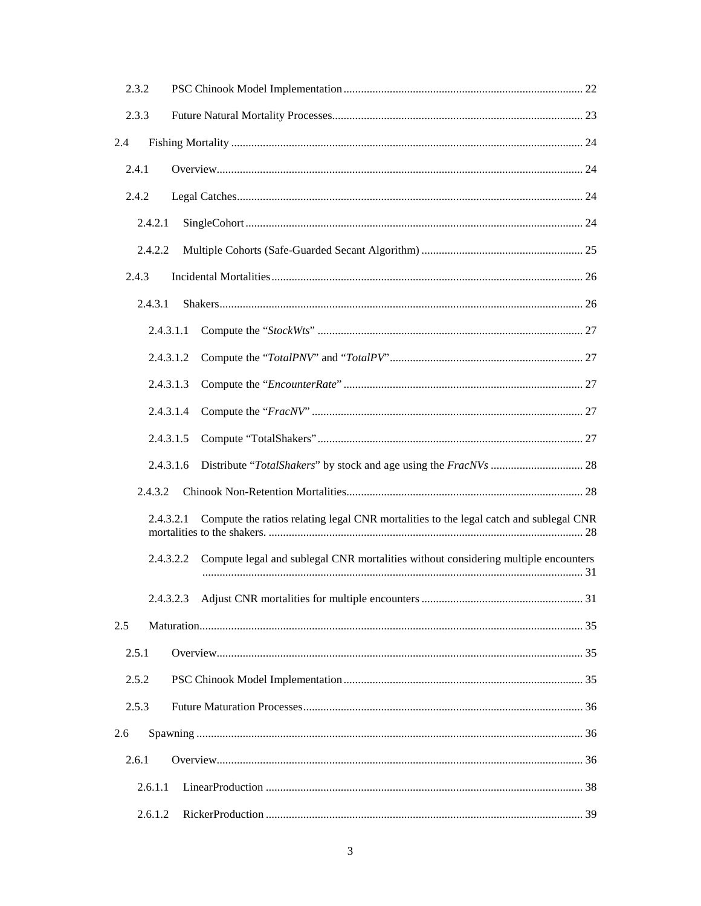| 2.3.2   |                                                                                                    |  |
|---------|----------------------------------------------------------------------------------------------------|--|
| 2.3.3   |                                                                                                    |  |
| 2.4     |                                                                                                    |  |
| 2.4.1   |                                                                                                    |  |
| 2.4.2   |                                                                                                    |  |
| 2.4.2.1 |                                                                                                    |  |
| 2.4.2.2 |                                                                                                    |  |
| 2.4.3   |                                                                                                    |  |
| 2.4.3.1 |                                                                                                    |  |
|         | 2.4.3.1.1                                                                                          |  |
|         | 2.4.3.1.2                                                                                          |  |
|         | 2.4.3.1.3                                                                                          |  |
|         | 2.4.3.1.4                                                                                          |  |
|         | 2.4.3.1.5                                                                                          |  |
|         | 2.4.3.1.6                                                                                          |  |
| 2.4.3.2 |                                                                                                    |  |
|         | Compute the ratios relating legal CNR mortalities to the legal catch and sublegal CNR<br>2.4.3.2.1 |  |
|         | Compute legal and sublegal CNR mortalities without considering multiple encounters<br>2.4.3.2.2    |  |
|         | 2.4.3.2.3                                                                                          |  |
| 2.5     |                                                                                                    |  |
| 2.5.1   |                                                                                                    |  |
| 2.5.2   |                                                                                                    |  |
| 2.5.3   |                                                                                                    |  |
| 2.6     |                                                                                                    |  |
| 2.6.1   |                                                                                                    |  |
| 2.6.1.1 |                                                                                                    |  |
| 2.6.1.2 |                                                                                                    |  |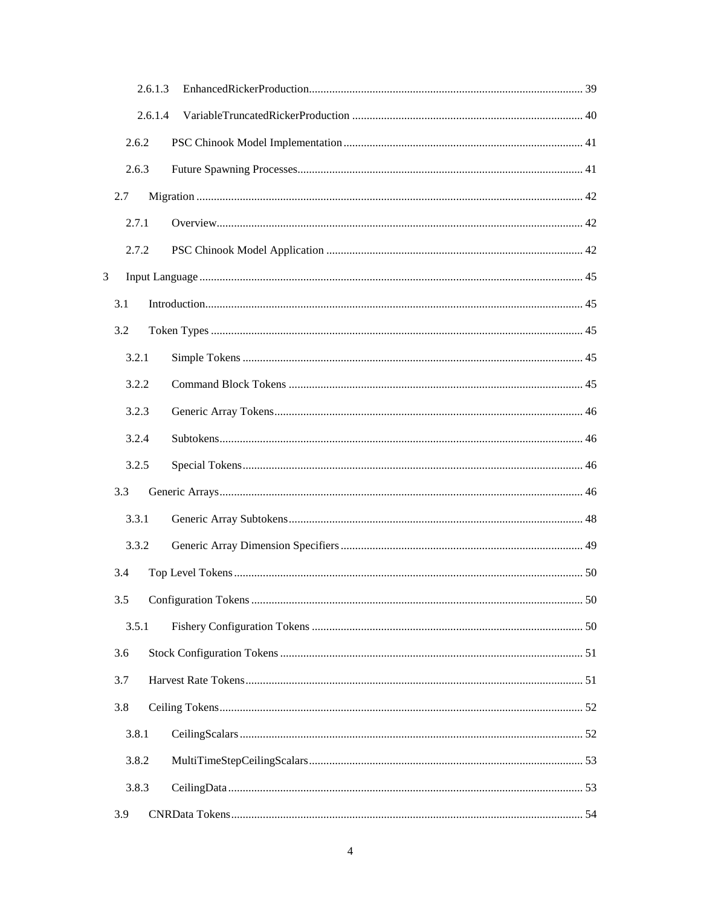|   | 2.6.1.3 |  |
|---|---------|--|
|   | 2.6.1.4 |  |
|   | 2.6.2   |  |
|   | 2.6.3   |  |
|   | 2.7     |  |
|   | 2.7.1   |  |
|   | 2.7.2   |  |
| 3 |         |  |
|   | 3.1     |  |
|   | 3.2     |  |
|   | 3.2.1   |  |
|   | 3.2.2   |  |
|   | 3.2.3   |  |
|   | 3.2.4   |  |
|   | 3.2.5   |  |
|   | 3.3     |  |
|   | 3.3.1   |  |
|   | 3.3.2   |  |
|   | 3.4     |  |
|   | 3.5     |  |
|   | 3.5.1   |  |
|   | 3.6     |  |
|   | 3.7     |  |
|   | 3.8     |  |
|   | 3.8.1   |  |
|   | 3.8.2   |  |
|   | 3.8.3   |  |
|   | 3.9     |  |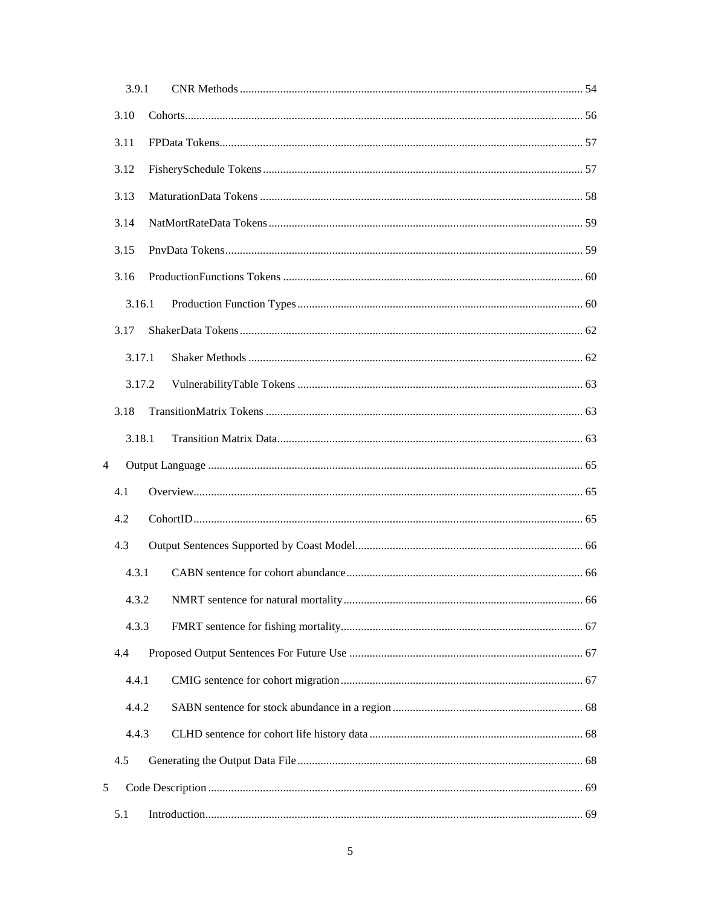| 3.9.1          |  |
|----------------|--|
| 3.10           |  |
| 3.11           |  |
| 3.12           |  |
| 3.13           |  |
| 3.14           |  |
| 3.15           |  |
| 3.16           |  |
| 3.16.1         |  |
| 3.17           |  |
| 3.17.1         |  |
| 3.17.2         |  |
| 3.18           |  |
| 3.18.1         |  |
| $\overline{4}$ |  |
| 4.1            |  |
| 4.2            |  |
| 4.3            |  |
| 4.3.1          |  |
| 4.3.2          |  |
| 4.3.3          |  |
| 4.4            |  |
| 4.4.1          |  |
| 4.4.2          |  |
| 4.4.3          |  |
| 4.5            |  |
| 5              |  |
| 5.1            |  |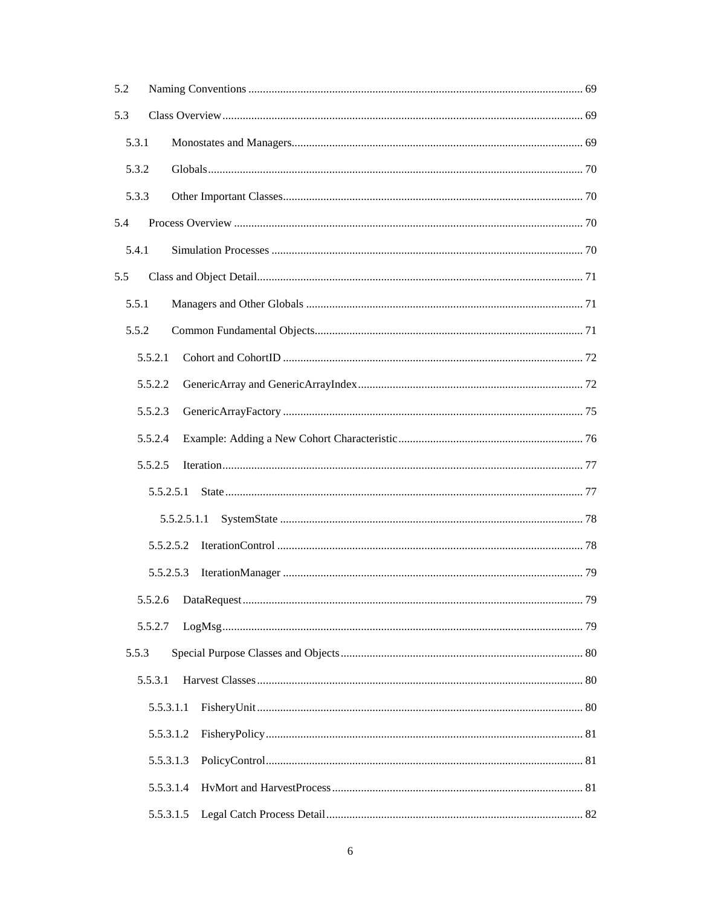| 5.2   |           |             |  |
|-------|-----------|-------------|--|
| 5.3   |           |             |  |
| 5.3.1 |           |             |  |
| 5.3.2 |           |             |  |
| 5.3.3 |           |             |  |
| 5.4   |           |             |  |
| 5.4.1 |           |             |  |
| 5.5   |           |             |  |
| 5.5.1 |           |             |  |
| 5.5.2 |           |             |  |
|       | 5.5.2.1   |             |  |
|       | 5.5.2.2   |             |  |
|       | 5.5.2.3   |             |  |
|       | 5.5.2.4   |             |  |
|       | 5.5.2.5   |             |  |
|       | 5.5.2.5.1 |             |  |
|       |           | 5.5.2.5.1.1 |  |
|       | 5.5.2.5.2 |             |  |
|       |           | 5.5.2.5.3   |  |
|       | 5.5.2.6   |             |  |
|       | 5.5.2.7   |             |  |
| 5.5.3 |           |             |  |
|       | 5.5.3.1   |             |  |
|       | 5.5.3.1.1 |             |  |
|       | 5.5.3.1.2 |             |  |
|       | 5.5.3.1.3 |             |  |
|       | 5.5.3.1.4 |             |  |
|       | 5.5.3.1.5 |             |  |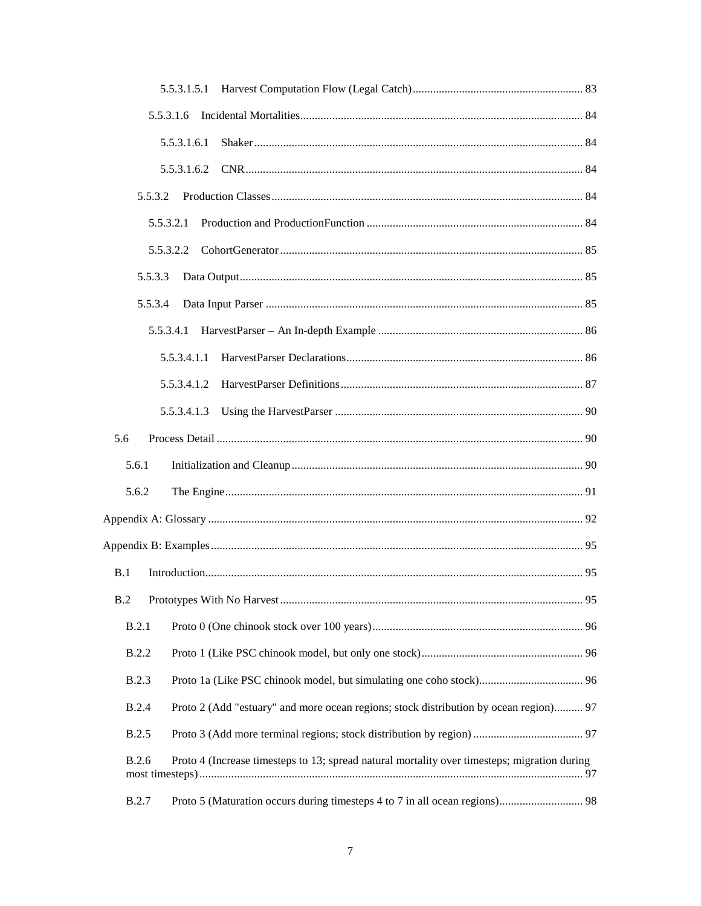| 5.5.3.1.6                                                                                                    |
|--------------------------------------------------------------------------------------------------------------|
| 5.5.3.1.6.1                                                                                                  |
|                                                                                                              |
| 5.5.3.2                                                                                                      |
| 5.5.3.2.1                                                                                                    |
| 5.5.3.2.2                                                                                                    |
| 5.5.3.3                                                                                                      |
| 5.5.3.4                                                                                                      |
| 5.5.3.4.1                                                                                                    |
| 5.5.3.4.1.1                                                                                                  |
| 5.5.3.4.1.2                                                                                                  |
| 5.5.3.4.1.3                                                                                                  |
| 5.6                                                                                                          |
| 5.6.1                                                                                                        |
|                                                                                                              |
| 5.6.2                                                                                                        |
|                                                                                                              |
|                                                                                                              |
| B.1                                                                                                          |
| B.2                                                                                                          |
| B.2.1                                                                                                        |
| <b>B.2.2</b>                                                                                                 |
| <b>B.2.3</b>                                                                                                 |
| <b>B.2.4</b><br>Proto 2 (Add "estuary" and more ocean regions; stock distribution by ocean region) 97        |
| <b>B.2.5</b>                                                                                                 |
| <b>B.2.6</b><br>Proto 4 (Increase timesteps to 13; spread natural mortality over timesteps; migration during |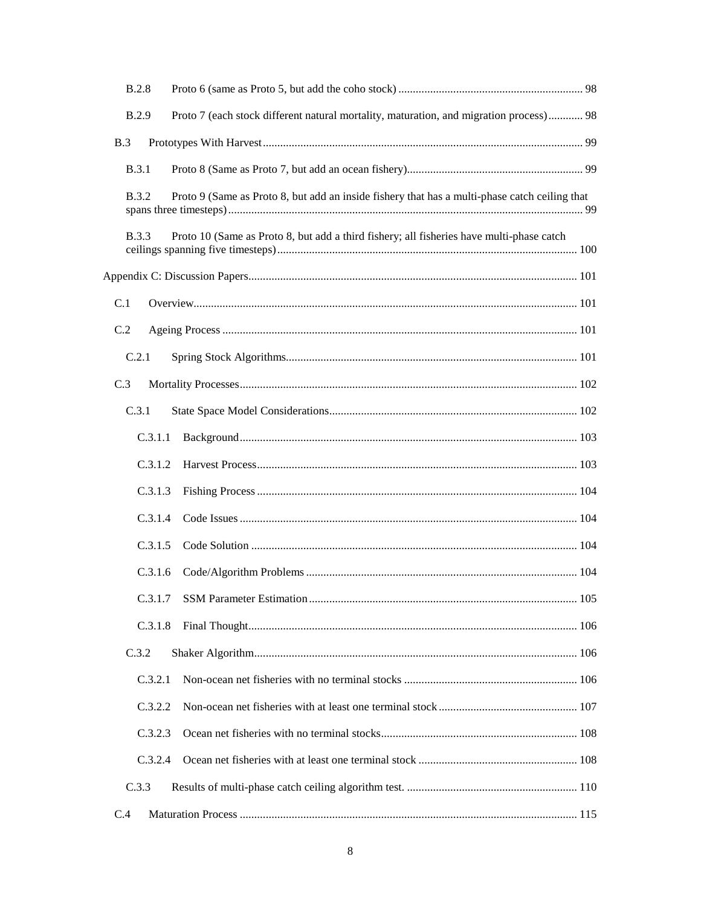| <b>B.2.8</b> |                                                                                               |       |
|--------------|-----------------------------------------------------------------------------------------------|-------|
| <b>B.2.9</b> | Proto 7 (each stock different natural mortality, maturation, and migration process) 98        |       |
| B.3          |                                                                                               |       |
| <b>B.3.1</b> |                                                                                               |       |
| <b>B.3.2</b> | Proto 9 (Same as Proto 8, but add an inside fishery that has a multi-phase catch ceiling that |       |
| <b>B.3.3</b> | Proto 10 (Same as Proto 8, but add a third fishery; all fisheries have multi-phase catch      |       |
|              |                                                                                               |       |
| C.1          |                                                                                               |       |
| C.2          |                                                                                               |       |
| C.2.1        |                                                                                               |       |
| C.3          |                                                                                               |       |
| C.3.1        |                                                                                               |       |
| C.3.1.1      |                                                                                               |       |
| C.3.1.2      |                                                                                               |       |
| C.3.1.3      |                                                                                               |       |
| C.3.1.4      |                                                                                               |       |
| C.3.1.5      |                                                                                               |       |
| C.3.1.6      |                                                                                               |       |
|              |                                                                                               |       |
| C.3.1.8      |                                                                                               |       |
| C.3.2        |                                                                                               |       |
| C.3.2.1      |                                                                                               |       |
| C.3.2.2      |                                                                                               |       |
| C.3.2.3      |                                                                                               |       |
| C.3.2.4      |                                                                                               |       |
| C.3.3        |                                                                                               |       |
| C.4          |                                                                                               | . 115 |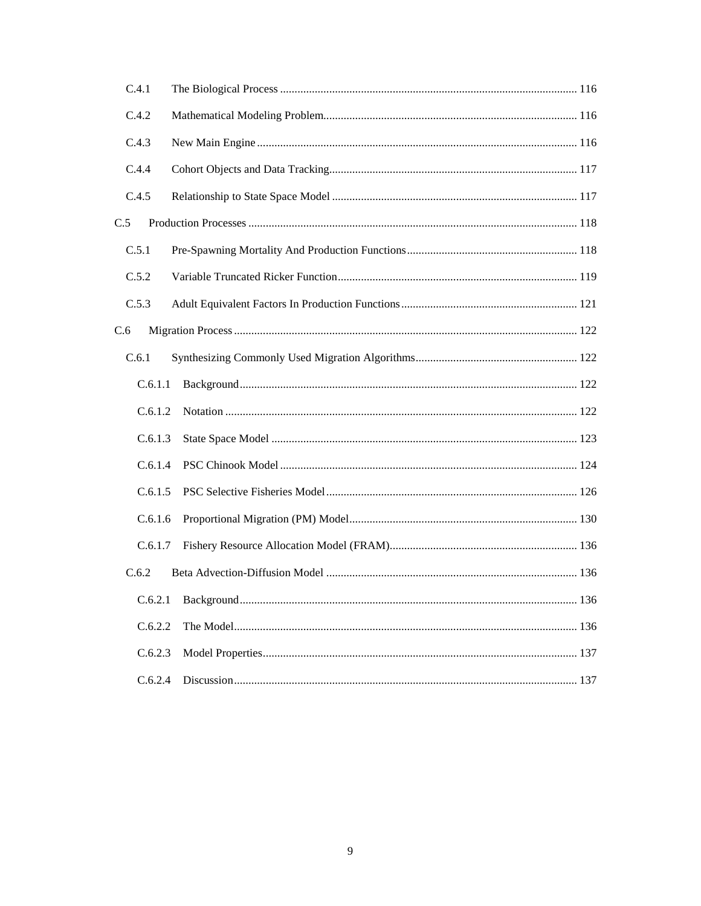| C.4.1   |  |
|---------|--|
| C.4.2   |  |
| C.4.3   |  |
| C.4.4   |  |
| C.4.5   |  |
| C.5     |  |
| C.5.1   |  |
| C.5.2   |  |
| C.5.3   |  |
| C.6     |  |
| C.6.1   |  |
| C.6.1.1 |  |
| C.6.1.2 |  |
| C.6.1.3 |  |
| C.6.1.4 |  |
| C.6.1.5 |  |
| C.6.1.6 |  |
| C.6.1.7 |  |
| C.6.2   |  |
| C.6.2.1 |  |
| C.6.2.2 |  |
| C.6.2.3 |  |
| C.6.2.4 |  |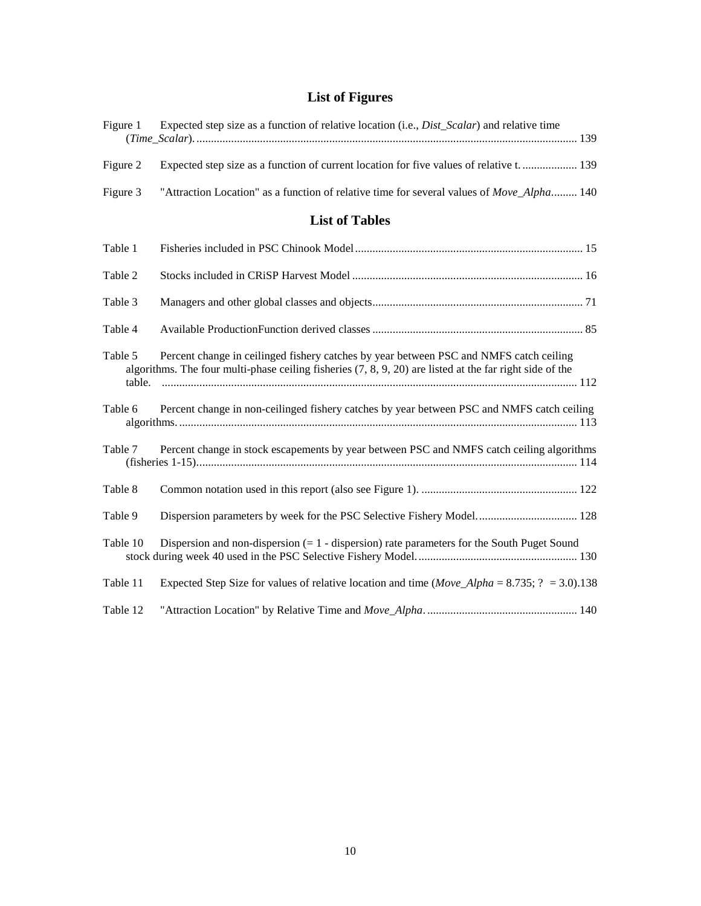# **List of Figures**

| Figure 1          | Expected step size as a function of relative location (i.e., <i>Dist_Scalar</i> ) and relative time                                                                                                  |
|-------------------|------------------------------------------------------------------------------------------------------------------------------------------------------------------------------------------------------|
| Figure 2          | Expected step size as a function of current location for five values of relative t.  139                                                                                                             |
| Figure 3          | "Attraction Location" as a function of relative time for several values of Move_Alpha 140                                                                                                            |
|                   | <b>List of Tables</b>                                                                                                                                                                                |
| Table 1           |                                                                                                                                                                                                      |
| Table 2           |                                                                                                                                                                                                      |
| Table 3           |                                                                                                                                                                                                      |
| Table 4           |                                                                                                                                                                                                      |
| Table 5<br>table. | Percent change in ceilinged fishery catches by year between PSC and NMFS catch ceiling<br>algorithms. The four multi-phase ceiling fisheries $(7, 8, 9, 20)$ are listed at the far right side of the |
| Table 6           | Percent change in non-ceilinged fishery catches by year between PSC and NMFS catch ceiling                                                                                                           |
| Table 7           | Percent change in stock escapements by year between PSC and NMFS catch ceiling algorithms                                                                                                            |
| Table 8           |                                                                                                                                                                                                      |
| Table 9           |                                                                                                                                                                                                      |
| Table 10          | Dispersion and non-dispersion $(= 1 -$ dispersion) rate parameters for the South Puget Sound                                                                                                         |
| Table 11          | Expected Step Size for values of relative location and time ( <i>Move_Alpha</i> = 8.735; $? = 3.0$ ).138                                                                                             |
| Table 12          |                                                                                                                                                                                                      |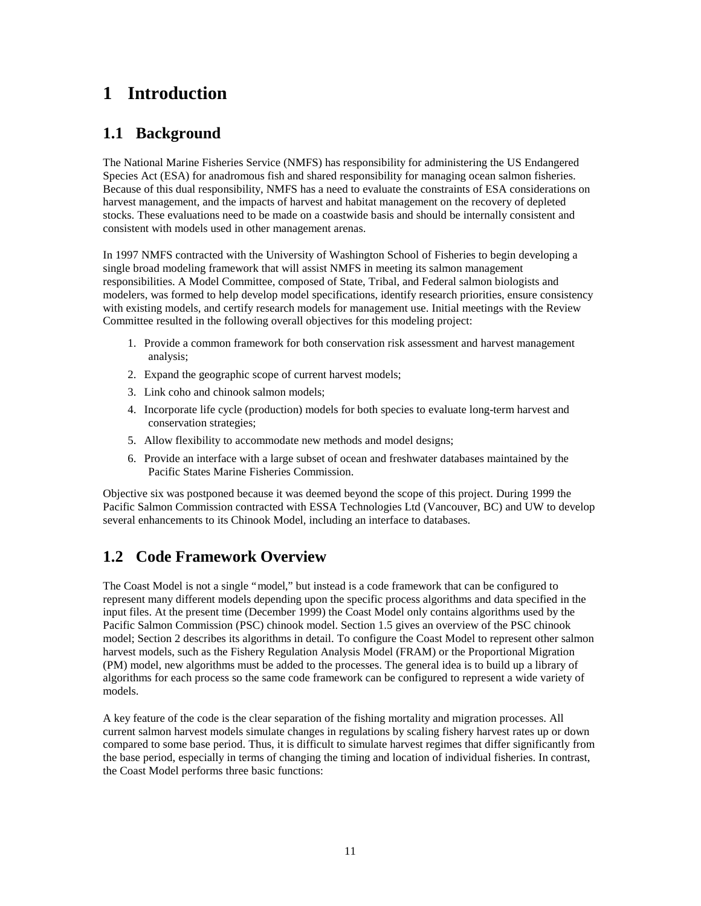# **1 Introduction**

# **1.1 Background**

The National Marine Fisheries Service (NMFS) has responsibility for administering the US Endangered Species Act (ESA) for anadromous fish and shared responsibility for managing ocean salmon fisheries. Because of this dual responsibility, NMFS has a need to evaluate the constraints of ESA considerations on harvest management, and the impacts of harvest and habitat management on the recovery of depleted stocks. These evaluations need to be made on a coastwide basis and should be internally consistent and consistent with models used in other management arenas.

In 1997 NMFS contracted with the University of Washington School of Fisheries to begin developing a single broad modeling framework that will assist NMFS in meeting its salmon management responsibilities. A Model Committee, composed of State, Tribal, and Federal salmon biologists and modelers, was formed to help develop model specifications, identify research priorities, ensure consistency with existing models, and certify research models for management use. Initial meetings with the Review Committee resulted in the following overall objectives for this modeling project:

- 1. Provide a common framework for both conservation risk assessment and harvest management analysis;
- 2. Expand the geographic scope of current harvest models;
- 3. Link coho and chinook salmon models;
- 4. Incorporate life cycle (production) models for both species to evaluate long-term harvest and conservation strategies;
- 5. Allow flexibility to accommodate new methods and model designs;
- 6. Provide an interface with a large subset of ocean and freshwater databases maintained by the Pacific States Marine Fisheries Commission.

Objective six was postponed because it was deemed beyond the scope of this project. During 1999 the Pacific Salmon Commission contracted with ESSA Technologies Ltd (Vancouver, BC) and UW to develop several enhancements to its Chinook Model, including an interface to databases.

# **1.2 Code Framework Overview**

The Coast Model is not a single "model," but instead is a code framework that can be configured to represent many different models depending upon the specific process algorithms and data specified in the input files. At the present time (December 1999) the Coast Model only contains algorithms used by the Pacific Salmon Commission (PSC) chinook model. Section 1.5 gives an overview of the PSC chinook model; Section 2 describes its algorithms in detail. To configure the Coast Model to represent other salmon harvest models, such as the Fishery Regulation Analysis Model (FRAM) or the Proportional Migration (PM) model, new algorithms must be added to the processes. The general idea is to build up a library of algorithms for each process so the same code framework can be configured to represent a wide variety of models.

A key feature of the code is the clear separation of the fishing mortality and migration processes. All current salmon harvest models simulate changes in regulations by scaling fishery harvest rates up or down compared to some base period. Thus, it is difficult to simulate harvest regimes that differ significantly from the base period, especially in terms of changing the timing and location of individual fisheries. In contrast, the Coast Model performs three basic functions: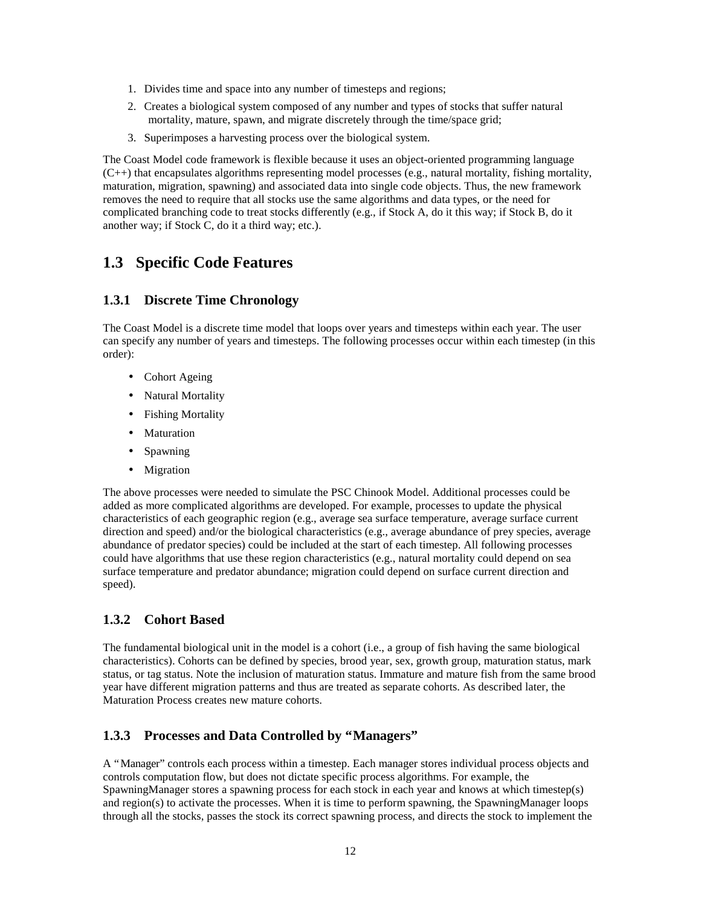- 1. Divides time and space into any number of timesteps and regions;
- 2. Creates a biological system composed of any number and types of stocks that suffer natural mortality, mature, spawn, and migrate discretely through the time/space grid;
- 3. Superimposes a harvesting process over the biological system.

The Coast Model code framework is flexible because it uses an object-oriented programming language  $(C_{++})$  that encapsulates algorithms representing model processes (e.g., natural mortality, fishing mortality, maturation, migration, spawning) and associated data into single code objects. Thus, the new framework removes the need to require that all stocks use the same algorithms and data types, or the need for complicated branching code to treat stocks differently (e.g., if Stock A, do it this way; if Stock B, do it another way; if Stock C, do it a third way; etc.).

# **1.3 Specific Code Features**

### **1.3.1 Discrete Time Chronology**

The Coast Model is a discrete time model that loops over years and timesteps within each year. The user can specify any number of years and timesteps. The following processes occur within each timestep (in this order):

- Cohort Ageing
- Natural Mortality
- Fishing Mortality
- Maturation
- Spawning
- Migration

The above processes were needed to simulate the PSC Chinook Model. Additional processes could be added as more complicated algorithms are developed. For example, processes to update the physical characteristics of each geographic region (e.g., average sea surface temperature, average surface current direction and speed) and/or the biological characteristics (e.g., average abundance of prey species, average abundance of predator species) could be included at the start of each timestep. All following processes could have algorithms that use these region characteristics (e.g., natural mortality could depend on sea surface temperature and predator abundance; migration could depend on surface current direction and speed).

### **1.3.2 Cohort Based**

The fundamental biological unit in the model is a cohort (i.e., a group of fish having the same biological characteristics). Cohorts can be defined by species, brood year, sex, growth group, maturation status, mark status, or tag status. Note the inclusion of maturation status. Immature and mature fish from the same brood year have different migration patterns and thus are treated as separate cohorts. As described later, the Maturation Process creates new mature cohorts.

### **1.3.3 Processes and Data Controlled by "Managers"**

A "Manager" controls each process within a timestep. Each manager stores individual process objects and controls computation flow, but does not dictate specific process algorithms. For example, the SpawningManager stores a spawning process for each stock in each year and knows at which timestep(s) and region(s) to activate the processes. When it is time to perform spawning, the SpawningManager loops through all the stocks, passes the stock its correct spawning process, and directs the stock to implement the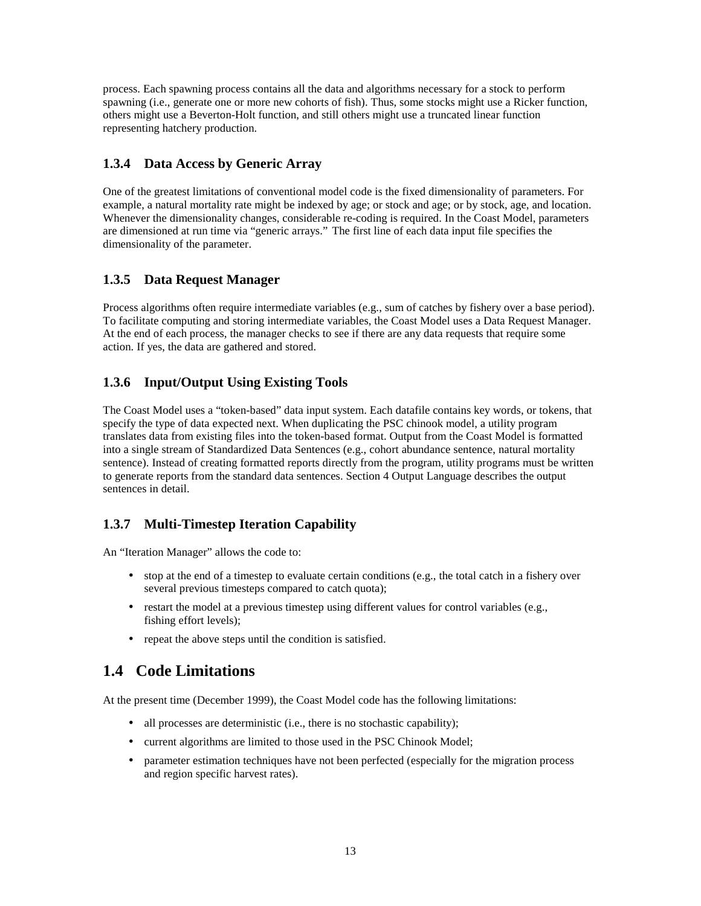process. Each spawning process contains all the data and algorithms necessary for a stock to perform spawning (i.e., generate one or more new cohorts of fish). Thus, some stocks might use a Ricker function, others might use a Beverton-Holt function, and still others might use a truncated linear function representing hatchery production.

### **1.3.4 Data Access by Generic Array**

One of the greatest limitations of conventional model code is the fixed dimensionality of parameters. For example, a natural mortality rate might be indexed by age; or stock and age; or by stock, age, and location. Whenever the dimensionality changes, considerable re-coding is required. In the Coast Model, parameters are dimensioned at run time via "generic arrays." The first line of each data input file specifies the dimensionality of the parameter.

### **1.3.5 Data Request Manager**

Process algorithms often require intermediate variables (e.g., sum of catches by fishery over a base period). To facilitate computing and storing intermediate variables, the Coast Model uses a Data Request Manager. At the end of each process, the manager checks to see if there are any data requests that require some action. If yes, the data are gathered and stored.

### **1.3.6 Input/Output Using Existing Tools**

The Coast Model uses a "token-based" data input system. Each datafile contains key words, or tokens, that specify the type of data expected next. When duplicating the PSC chinook model, a utility program translates data from existing files into the token-based format. Output from the Coast Model is formatted into a single stream of Standardized Data Sentences (e.g., cohort abundance sentence, natural mortality sentence). Instead of creating formatted reports directly from the program, utility programs must be written to generate reports from the standard data sentences. Section 4 Output Language describes the output sentences in detail.

### **1.3.7 Multi-Timestep Iteration Capability**

An "Iteration Manager" allows the code to:

- stop at the end of a timestep to evaluate certain conditions (e.g., the total catch in a fishery over several previous timesteps compared to catch quota);
- restart the model at a previous timestep using different values for control variables (e.g., fishing effort levels);
- repeat the above steps until the condition is satisfied.

## **1.4 Code Limitations**

At the present time (December 1999), the Coast Model code has the following limitations:

- all processes are deterministic (i.e., there is no stochastic capability);
- current algorithms are limited to those used in the PSC Chinook Model;
- parameter estimation techniques have not been perfected (especially for the migration process and region specific harvest rates).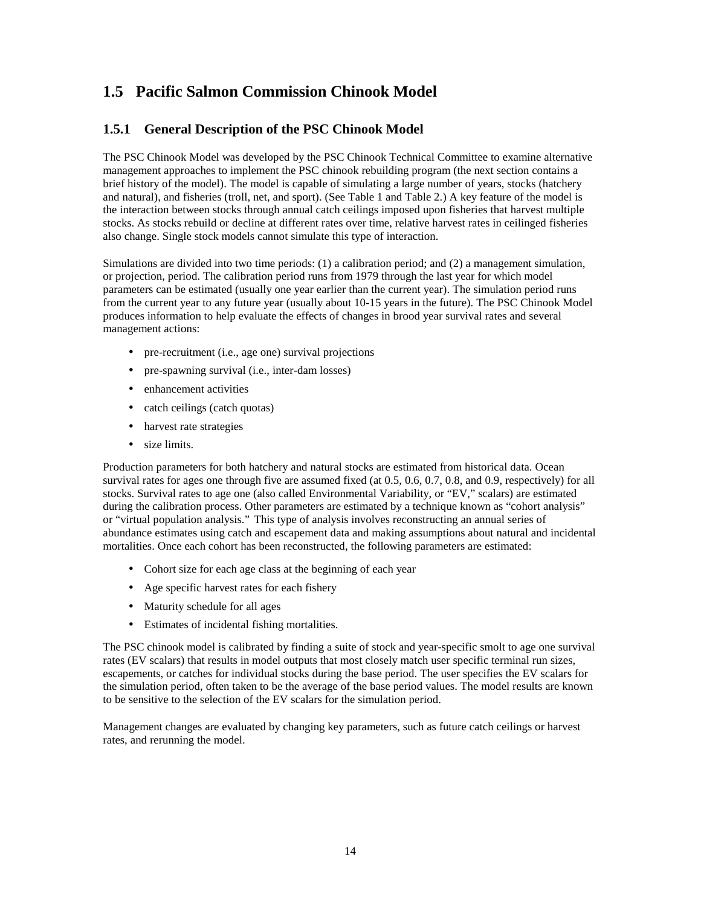# **1.5 Pacific Salmon Commission Chinook Model**

### **1.5.1 General Description of the PSC Chinook Model**

The PSC Chinook Model was developed by the PSC Chinook Technical Committee to examine alternative management approaches to implement the PSC chinook rebuilding program (the next section contains a brief history of the model). The model is capable of simulating a large number of years, stocks (hatchery and natural), and fisheries (troll, net, and sport). (See Table 1 and Table 2.) A key feature of the model is the interaction between stocks through annual catch ceilings imposed upon fisheries that harvest multiple stocks. As stocks rebuild or decline at different rates over time, relative harvest rates in ceilinged fisheries also change. Single stock models cannot simulate this type of interaction.

Simulations are divided into two time periods: (1) a calibration period; and (2) a management simulation, or projection, period. The calibration period runs from 1979 through the last year for which model parameters can be estimated (usually one year earlier than the current year). The simulation period runs from the current year to any future year (usually about 10-15 years in the future). The PSC Chinook Model produces information to help evaluate the effects of changes in brood year survival rates and several management actions:

- pre-recruitment (i.e., age one) survival projections
- pre-spawning survival (i.e., inter-dam losses)
- enhancement activities
- catch ceilings (catch quotas)
- harvest rate strategies
- size limits.

Production parameters for both hatchery and natural stocks are estimated from historical data. Ocean survival rates for ages one through five are assumed fixed (at 0.5, 0.6, 0.7, 0.8, and 0.9, respectively) for all stocks. Survival rates to age one (also called Environmental Variability, or "EV," scalars) are estimated during the calibration process. Other parameters are estimated by a technique known as "cohort analysis" or "virtual population analysis." This type of analysis involves reconstructing an annual series of abundance estimates using catch and escapement data and making assumptions about natural and incidental mortalities. Once each cohort has been reconstructed, the following parameters are estimated:

- Cohort size for each age class at the beginning of each year
- Age specific harvest rates for each fishery
- Maturity schedule for all ages
- Estimates of incidental fishing mortalities.

The PSC chinook model is calibrated by finding a suite of stock and year-specific smolt to age one survival rates (EV scalars) that results in model outputs that most closely match user specific terminal run sizes, escapements, or catches for individual stocks during the base period. The user specifies the EV scalars for the simulation period, often taken to be the average of the base period values. The model results are known to be sensitive to the selection of the EV scalars for the simulation period.

Management changes are evaluated by changing key parameters, such as future catch ceilings or harvest rates, and rerunning the model.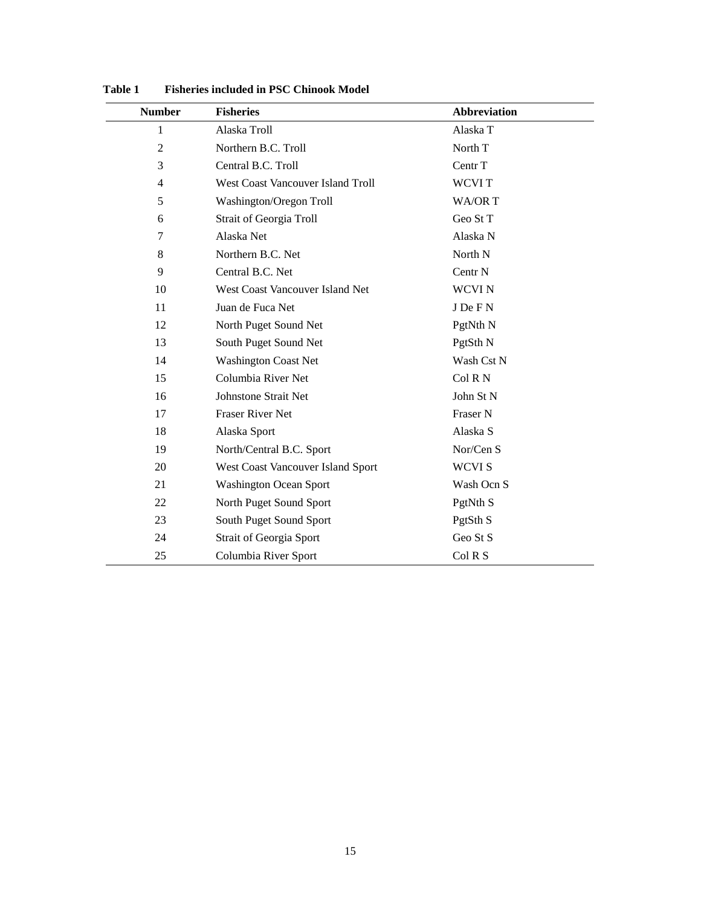| <b>Number</b>  | <b>Fisheries</b>                  | <b>Abbreviation</b> |
|----------------|-----------------------------------|---------------------|
| 1              | Alaska Troll                      | Alaska T            |
| $\overline{2}$ | Northern B.C. Troll               | North T             |
| 3              | Central B.C. Troll                | Centr T             |
| 4              | West Coast Vancouver Island Troll | <b>WCVIT</b>        |
| 5              | Washington/Oregon Troll           | <b>WA/ORT</b>       |
| 6              | <b>Strait of Georgia Troll</b>    | Geo St T            |
| 7              | Alaska Net                        | Alaska N            |
| 8              | Northern B.C. Net                 | North N             |
| 9              | Central B.C. Net                  | Centr <sub>N</sub>  |
| 10             | West Coast Vancouver Island Net   | <b>WCVIN</b>        |
| 11             | Juan de Fuca Net                  | J De F N            |
| 12             | North Puget Sound Net             | PgtNth <sub>N</sub> |
| 13             | South Puget Sound Net             | PgtSth N            |
| 14             | <b>Washington Coast Net</b>       | Wash Cst N          |
| 15             | Columbia River Net                | Col R N             |
| 16             | <b>Johnstone Strait Net</b>       | John St N           |
| 17             | <b>Fraser River Net</b>           | Fraser N            |
| 18             | Alaska Sport                      | Alaska S            |
| 19             | North/Central B.C. Sport          | Nor/Cen S           |
| 20             | West Coast Vancouver Island Sport | <b>WCVIS</b>        |
| 21             | <b>Washington Ocean Sport</b>     | Wash Ocn S          |
| 22             | North Puget Sound Sport           | PgtNth <sub>S</sub> |
| 23             | South Puget Sound Sport           | PgtSth <sub>S</sub> |
| 24             | <b>Strait of Georgia Sport</b>    | Geo St S            |
| 25             | Columbia River Sport              | Col R S             |

**Table 1 Fisheries included in PSC Chinook Model**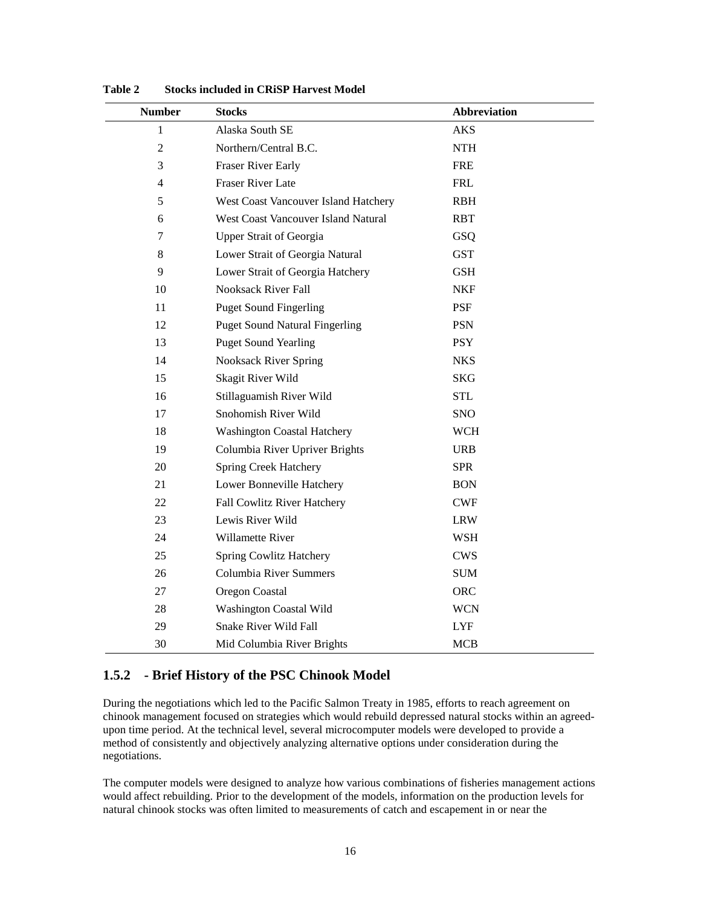| <b>Number</b>  | Stocks                                | <b>Abbreviation</b> |
|----------------|---------------------------------------|---------------------|
| 1              | Alaska South SE                       | <b>AKS</b>          |
| $\overline{2}$ | Northern/Central B.C.                 | <b>NTH</b>          |
| 3              | <b>Fraser River Early</b>             | FRE                 |
| 4              | <b>Fraser River Late</b>              | <b>FRL</b>          |
| 5              | West Coast Vancouver Island Hatchery  | <b>RBH</b>          |
| 6              | West Coast Vancouver Island Natural   | <b>RBT</b>          |
| 7              | <b>Upper Strait of Georgia</b>        | GSQ                 |
| 8              | Lower Strait of Georgia Natural       | <b>GST</b>          |
| 9              | Lower Strait of Georgia Hatchery      | <b>GSH</b>          |
| 10             | <b>Nooksack River Fall</b>            | <b>NKF</b>          |
| 11             | <b>Puget Sound Fingerling</b>         | PSF                 |
| 12             | <b>Puget Sound Natural Fingerling</b> | <b>PSN</b>          |
| 13             | <b>Puget Sound Yearling</b>           | <b>PSY</b>          |
| 14             | <b>Nooksack River Spring</b>          | <b>NKS</b>          |
| 15             | Skagit River Wild                     | <b>SKG</b>          |
| 16             | Stillaguamish River Wild              | <b>STL</b>          |
| 17             | Snohomish River Wild                  | <b>SNO</b>          |
| 18             | <b>Washington Coastal Hatchery</b>    | <b>WCH</b>          |
| 19             | Columbia River Upriver Brights        | <b>URB</b>          |
| 20             | <b>Spring Creek Hatchery</b>          | <b>SPR</b>          |
| 21             | Lower Bonneville Hatchery             | <b>BON</b>          |
| 22             | <b>Fall Cowlitz River Hatchery</b>    | <b>CWF</b>          |
| 23             | Lewis River Wild                      | <b>LRW</b>          |
| 24             | Willamette River                      | <b>WSH</b>          |
| 25             | Spring Cowlitz Hatchery               | <b>CWS</b>          |
| 26             | <b>Columbia River Summers</b>         | <b>SUM</b>          |
| 27             | Oregon Coastal                        | <b>ORC</b>          |
| 28             | <b>Washington Coastal Wild</b>        | <b>WCN</b>          |
| 29             | <b>Snake River Wild Fall</b>          | <b>LYF</b>          |
| 30             | Mid Columbia River Brights            | <b>MCB</b>          |

**Table 2 Stocks included in CRiSP Harvest Model**

### **1.5.2 - Brief History of the PSC Chinook Model**

During the negotiations which led to the Pacific Salmon Treaty in 1985, efforts to reach agreement on chinook management focused on strategies which would rebuild depressed natural stocks within an agreedupon time period. At the technical level, several microcomputer models were developed to provide a method of consistently and objectively analyzing alternative options under consideration during the negotiations.

The computer models were designed to analyze how various combinations of fisheries management actions would affect rebuilding. Prior to the development of the models, information on the production levels for natural chinook stocks was often limited to measurements of catch and escapement in or near the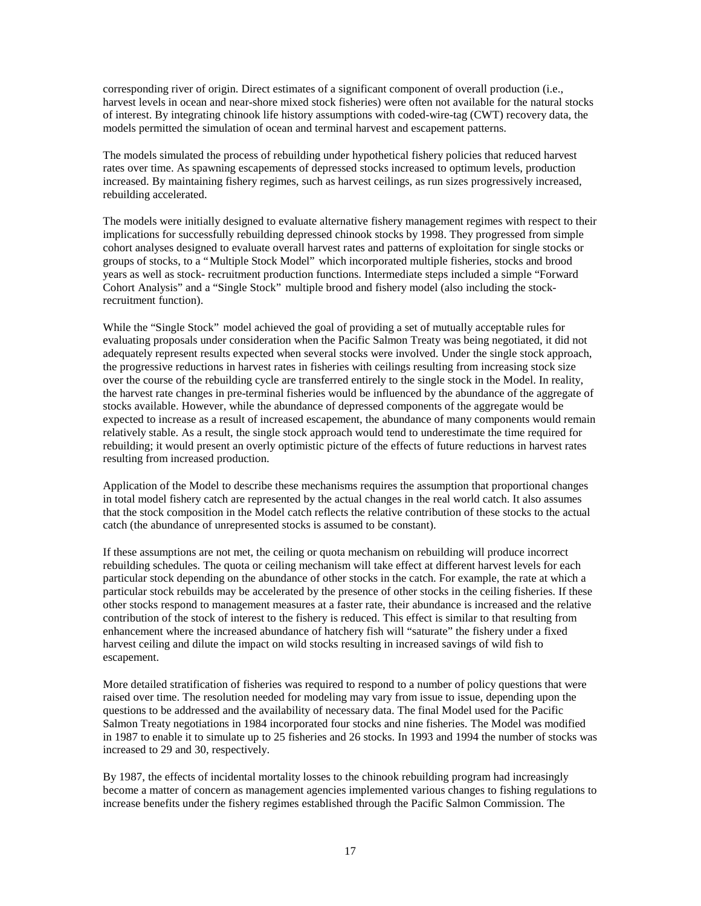corresponding river of origin. Direct estimates of a significant component of overall production (i.e., harvest levels in ocean and near-shore mixed stock fisheries) were often not available for the natural stocks of interest. By integrating chinook life history assumptions with coded-wire-tag (CWT) recovery data, the models permitted the simulation of ocean and terminal harvest and escapement patterns.

The models simulated the process of rebuilding under hypothetical fishery policies that reduced harvest rates over time. As spawning escapements of depressed stocks increased to optimum levels, production increased. By maintaining fishery regimes, such as harvest ceilings, as run sizes progressively increased, rebuilding accelerated.

The models were initially designed to evaluate alternative fishery management regimes with respect to their implications for successfully rebuilding depressed chinook stocks by 1998. They progressed from simple cohort analyses designed to evaluate overall harvest rates and patterns of exploitation for single stocks or groups of stocks, to a "Multiple Stock Model" which incorporated multiple fisheries, stocks and brood years as well as stock- recruitment production functions. Intermediate steps included a simple "Forward Cohort Analysis" and a "Single Stock" multiple brood and fishery model (also including the stockrecruitment function).

While the "Single Stock" model achieved the goal of providing a set of mutually acceptable rules for evaluating proposals under consideration when the Pacific Salmon Treaty was being negotiated, it did not adequately represent results expected when several stocks were involved. Under the single stock approach, the progressive reductions in harvest rates in fisheries with ceilings resulting from increasing stock size over the course of the rebuilding cycle are transferred entirely to the single stock in the Model. In reality, the harvest rate changes in pre-terminal fisheries would be influenced by the abundance of the aggregate of stocks available. However, while the abundance of depressed components of the aggregate would be expected to increase as a result of increased escapement, the abundance of many components would remain relatively stable. As a result, the single stock approach would tend to underestimate the time required for rebuilding; it would present an overly optimistic picture of the effects of future reductions in harvest rates resulting from increased production.

Application of the Model to describe these mechanisms requires the assumption that proportional changes in total model fishery catch are represented by the actual changes in the real world catch. It also assumes that the stock composition in the Model catch reflects the relative contribution of these stocks to the actual catch (the abundance of unrepresented stocks is assumed to be constant).

If these assumptions are not met, the ceiling or quota mechanism on rebuilding will produce incorrect rebuilding schedules. The quota or ceiling mechanism will take effect at different harvest levels for each particular stock depending on the abundance of other stocks in the catch. For example, the rate at which a particular stock rebuilds may be accelerated by the presence of other stocks in the ceiling fisheries. If these other stocks respond to management measures at a faster rate, their abundance is increased and the relative contribution of the stock of interest to the fishery is reduced. This effect is similar to that resulting from enhancement where the increased abundance of hatchery fish will "saturate" the fishery under a fixed harvest ceiling and dilute the impact on wild stocks resulting in increased savings of wild fish to escapement.

More detailed stratification of fisheries was required to respond to a number of policy questions that were raised over time. The resolution needed for modeling may vary from issue to issue, depending upon the questions to be addressed and the availability of necessary data. The final Model used for the Pacific Salmon Treaty negotiations in 1984 incorporated four stocks and nine fisheries. The Model was modified in 1987 to enable it to simulate up to 25 fisheries and 26 stocks. In 1993 and 1994 the number of stocks was increased to 29 and 30, respectively.

By 1987, the effects of incidental mortality losses to the chinook rebuilding program had increasingly become a matter of concern as management agencies implemented various changes to fishing regulations to increase benefits under the fishery regimes established through the Pacific Salmon Commission. The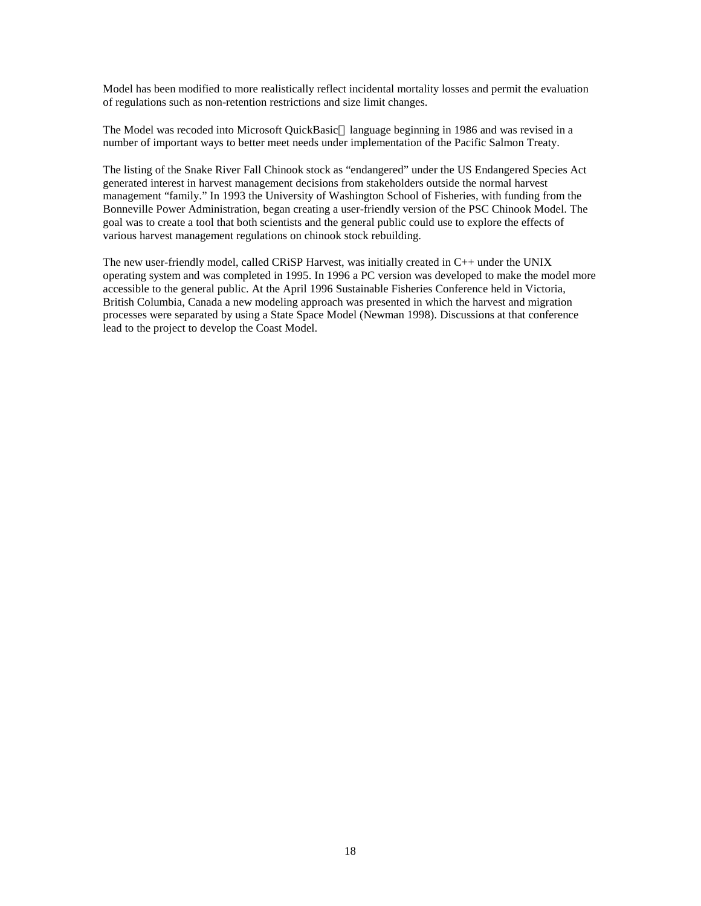Model has been modified to more realistically reflect incidental mortality losses and permit the evaluation of regulations such as non-retention restrictions and size limit changes.

The Model was recoded into Microsoft QuickBasic<sup>™</sup> language beginning in 1986 and was revised in a number of important ways to better meet needs under implementation of the Pacific Salmon Treaty.

The listing of the Snake River Fall Chinook stock as "endangered" under the US Endangered Species Act generated interest in harvest management decisions from stakeholders outside the normal harvest management "family." In 1993 the University of Washington School of Fisheries, with funding from the Bonneville Power Administration, began creating a user-friendly version of the PSC Chinook Model. The goal was to create a tool that both scientists and the general public could use to explore the effects of various harvest management regulations on chinook stock rebuilding.

The new user-friendly model, called CRiSP Harvest, was initially created in C++ under the UNIX operating system and was completed in 1995. In 1996 a PC version was developed to make the model more accessible to the general public. At the April 1996 Sustainable Fisheries Conference held in Victoria, British Columbia, Canada a new modeling approach was presented in which the harvest and migration processes were separated by using a State Space Model (Newman 1998). Discussions at that conference lead to the project to develop the Coast Model.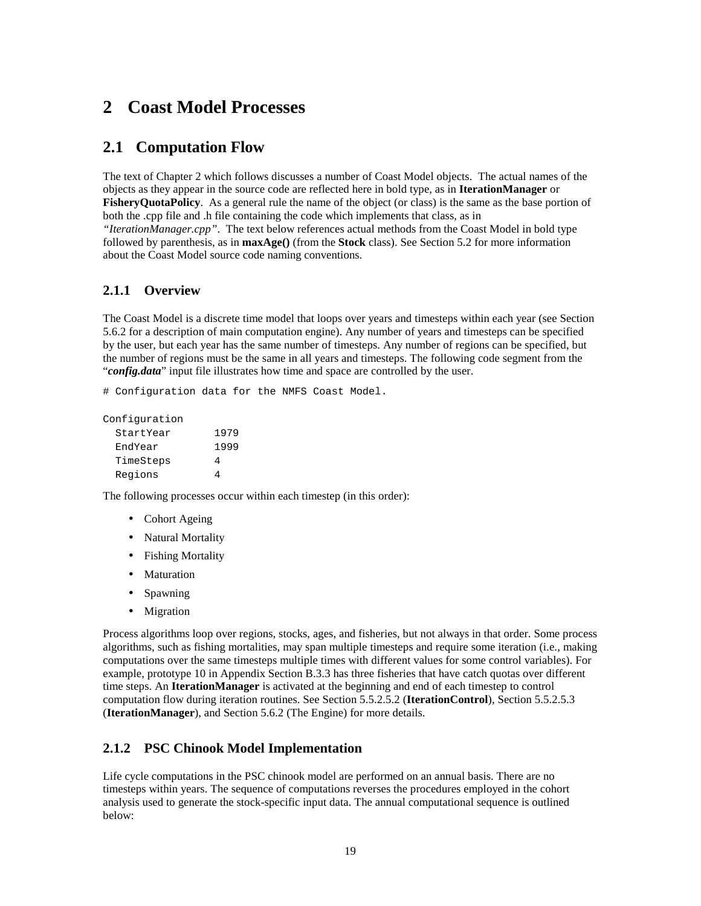# **2 Coast Model Processes**

## **2.1 Computation Flow**

The text of Chapter 2 which follows discusses a number of Coast Model objects. The actual names of the objects as they appear in the source code are reflected here in bold type, as in **IterationManager** or **FisheryQuotaPolicy**. As a general rule the name of the object (or class) is the same as the base portion of both the .cpp file and .h file containing the code which implements that class, as in *"IterationManager.cpp"*. The text below references actual methods from the Coast Model in bold type followed by parenthesis, as in **maxAge()** (from the **Stock** class). See Section 5.2 for more information

### **2.1.1 Overview**

The Coast Model is a discrete time model that loops over years and timesteps within each year (see Section 5.6.2 for a description of main computation engine). Any number of years and timesteps can be specified by the user, but each year has the same number of timesteps. Any number of regions can be specified, but the number of regions must be the same in all years and timesteps. The following code segment from the "*config.data*" input file illustrates how time and space are controlled by the user.

# Configuration data for the NMFS Coast Model.

about the Coast Model source code naming conventions.

Configuration

| StartYear | 1979 |
|-----------|------|
| EndYear   | 1999 |
| TimeSteps | 4    |
| Regions   | Δ    |

The following processes occur within each timestep (in this order):

- Cohort Ageing
- Natural Mortality
- Fishing Mortality
- Maturation
- Spawning
- Migration

Process algorithms loop over regions, stocks, ages, and fisheries, but not always in that order. Some process algorithms, such as fishing mortalities, may span multiple timesteps and require some iteration (i.e., making computations over the same timesteps multiple times with different values for some control variables). For example, prototype 10 in Appendix Section B.3.3 has three fisheries that have catch quotas over different time steps. An **IterationManager** is activated at the beginning and end of each timestep to control computation flow during iteration routines. See Section 5.5.2.5.2 (**IterationControl**), Section 5.5.2.5.3 (**IterationManager**), and Section 5.6.2 (The Engine) for more details.

### **2.1.2 PSC Chinook Model Implementation**

Life cycle computations in the PSC chinook model are performed on an annual basis. There are no timesteps within years. The sequence of computations reverses the procedures employed in the cohort analysis used to generate the stock-specific input data. The annual computational sequence is outlined below: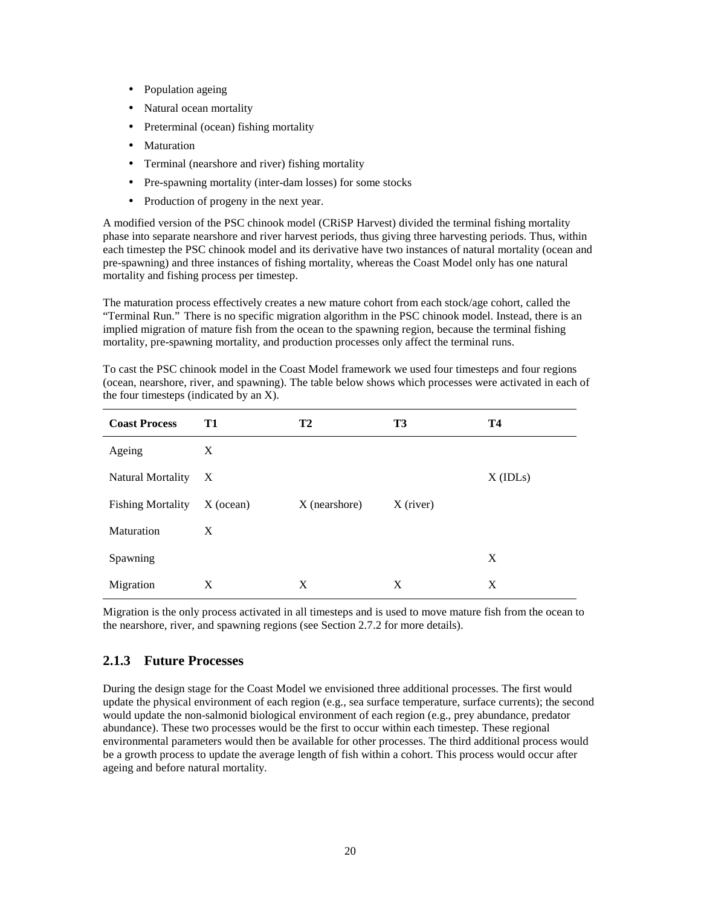- Population ageing
- Natural ocean mortality
- Preterminal (ocean) fishing mortality
- **Maturation**
- Terminal (nearshore and river) fishing mortality
- Pre-spawning mortality (inter-dam losses) for some stocks
- Production of progeny in the next year.

A modified version of the PSC chinook model (CRiSP Harvest) divided the terminal fishing mortality phase into separate nearshore and river harvest periods, thus giving three harvesting periods. Thus, within each timestep the PSC chinook model and its derivative have two instances of natural mortality (ocean and pre-spawning) and three instances of fishing mortality, whereas the Coast Model only has one natural mortality and fishing process per timestep.

The maturation process effectively creates a new mature cohort from each stock/age cohort, called the "Terminal Run." There is no specific migration algorithm in the PSC chinook model. Instead, there is an implied migration of mature fish from the ocean to the spawning region, because the terminal fishing mortality, pre-spawning mortality, and production processes only affect the terminal runs.

| To cast the PSC chinook model in the Coast Model framework we used four timesteps and four regions       |  |
|----------------------------------------------------------------------------------------------------------|--|
| (ocean, nearshore, river, and spawning). The table below shows which processes were activated in each of |  |
| the four timesteps (indicated by an X).                                                                  |  |
|                                                                                                          |  |

| <b>Coast Process</b>     | <b>T1</b>                 | <b>T2</b>     | T <sub>3</sub> | <b>T4</b>  |
|--------------------------|---------------------------|---------------|----------------|------------|
| Ageing                   | X                         |               |                |            |
| <b>Natural Mortality</b> | $\boldsymbol{\mathrm{X}}$ |               |                | $X$ (IDLs) |
| <b>Fishing Mortality</b> | $X$ (ocean)               | X (nearshore) | $X$ (river)    |            |
| Maturation               | X                         |               |                |            |
| Spawning                 |                           |               |                | X          |
| Migration                | X                         | X             | X              | X          |

Migration is the only process activated in all timesteps and is used to move mature fish from the ocean to the nearshore, river, and spawning regions (see Section 2.7.2 for more details).

### **2.1.3 Future Processes**

During the design stage for the Coast Model we envisioned three additional processes. The first would update the physical environment of each region (e.g., sea surface temperature, surface currents); the second would update the non-salmonid biological environment of each region (e.g., prey abundance, predator abundance). These two processes would be the first to occur within each timestep. These regional environmental parameters would then be available for other processes. The third additional process would be a growth process to update the average length of fish within a cohort. This process would occur after ageing and before natural mortality.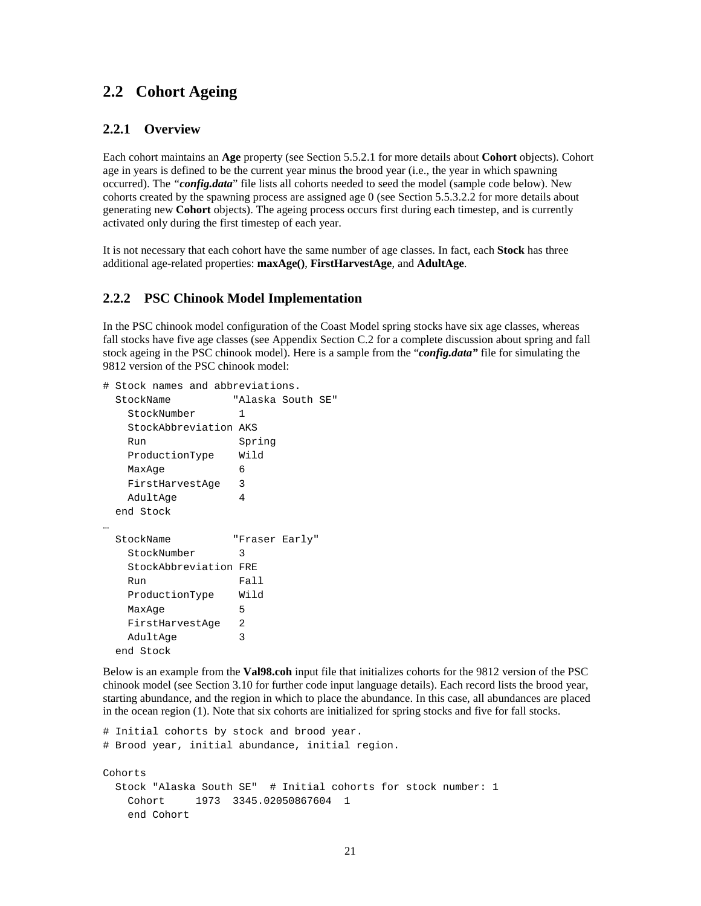### **2.2 Cohort Ageing**

### **2.2.1 Overview**

Each cohort maintains an **Age** property (see Section 5.5.2.1 for more details about **Cohort** objects). Cohort age in years is defined to be the current year minus the brood year (i.e., the year in which spawning occurred). The *"config.data*" file lists all cohorts needed to seed the model (sample code below). New cohorts created by the spawning process are assigned age 0 (see Section 5.5.3.2.2 for more details about generating new **Cohort** objects). The ageing process occurs first during each timestep, and is currently activated only during the first timestep of each year.

It is not necessary that each cohort have the same number of age classes. In fact, each **Stock** has three additional age-related properties: **maxAge()**, **FirstHarvestAge**, and **AdultAge**.

### **2.2.2 PSC Chinook Model Implementation**

In the PSC chinook model configuration of the Coast Model spring stocks have six age classes, whereas fall stocks have five age classes (see Appendix Section C.2 for a complete discussion about spring and fall stock ageing in the PSC chinook model). Here is a sample from the "*config.data"* file for simulating the 9812 version of the PSC chinook model:

```
# Stock names and abbreviations.
  StockName "Alaska South SE"
   StockNumber 1
   StockAbbreviation AKS
   Run Spring
   ProductionType Wild
  MaxAge 6
   FirstHarvestAge 3
  AdultAge 4
  end Stock
…
  StockName "Fraser Early"
   StockNumber 3
   StockAbbreviation FRE
  Run Fall
   ProductionType Wild
  MaxAge 5
   FirstHarvestAge 2
  AdultAge 3
  end Stock
```
Below is an example from the **Val98.coh** input file that initializes cohorts for the 9812 version of the PSC chinook model (see Section 3.10 for further code input language details). Each record lists the brood year, starting abundance, and the region in which to place the abundance. In this case, all abundances are placed in the ocean region (1). Note that six cohorts are initialized for spring stocks and five for fall stocks.

```
# Initial cohorts by stock and brood year.
# Brood year, initial abundance, initial region.
Cohorts
  Stock "Alaska South SE" # Initial cohorts for stock number: 1
    Cohort 1973 3345.02050867604 1
    end Cohort
```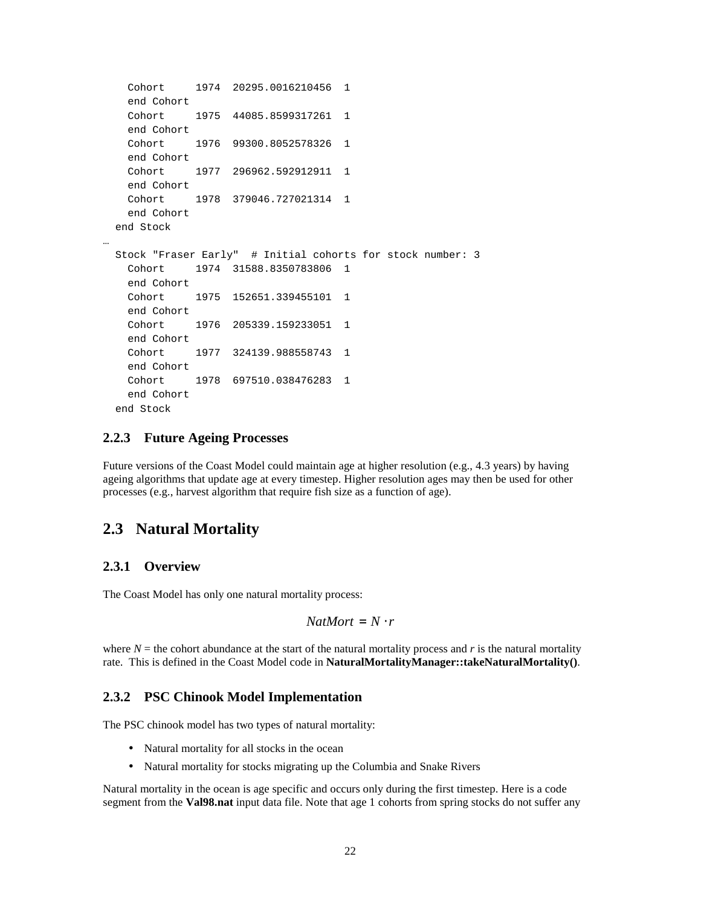```
 Cohort 1974 20295.0016210456 1
    end Cohort
    Cohort 1975 44085.8599317261 1
    end Cohort
    Cohort 1976 99300.8052578326 1
    end Cohort
    Cohort 1977 296962.592912911 1
    end Cohort
    Cohort 1978 379046.727021314 1
    end Cohort
  end Stock
…
  Stock "Fraser Early" # Initial cohorts for stock number: 3
    Cohort 1974 31588.8350783806 1
    end Cohort
    Cohort 1975 152651.339455101 1
    end Cohort
    Cohort 1976 205339.159233051 1
    end Cohort
    Cohort 1977 324139.988558743 1
    end Cohort
    Cohort 1978 697510.038476283 1
    end Cohort
  end Stock
```
#### **2.2.3 Future Ageing Processes**

Future versions of the Coast Model could maintain age at higher resolution (e.g., 4.3 years) by having ageing algorithms that update age at every timestep. Higher resolution ages may then be used for other processes (e.g., harvest algorithm that require fish size as a function of age).

### **2.3 Natural Mortality**

### **2.3.1 Overview**

The Coast Model has only one natural mortality process:

```
NatMort = N \cdot r
```
where  $N =$  the cohort abundance at the start of the natural mortality process and  $r$  is the natural mortality rate. This is defined in the Coast Model code in **NaturalMortalityManager::takeNaturalMortality()**.

### **2.3.2 PSC Chinook Model Implementation**

The PSC chinook model has two types of natural mortality:

- Natural mortality for all stocks in the ocean
- Natural mortality for stocks migrating up the Columbia and Snake Rivers

Natural mortality in the ocean is age specific and occurs only during the first timestep. Here is a code segment from the **Val98.nat** input data file. Note that age 1 cohorts from spring stocks do not suffer any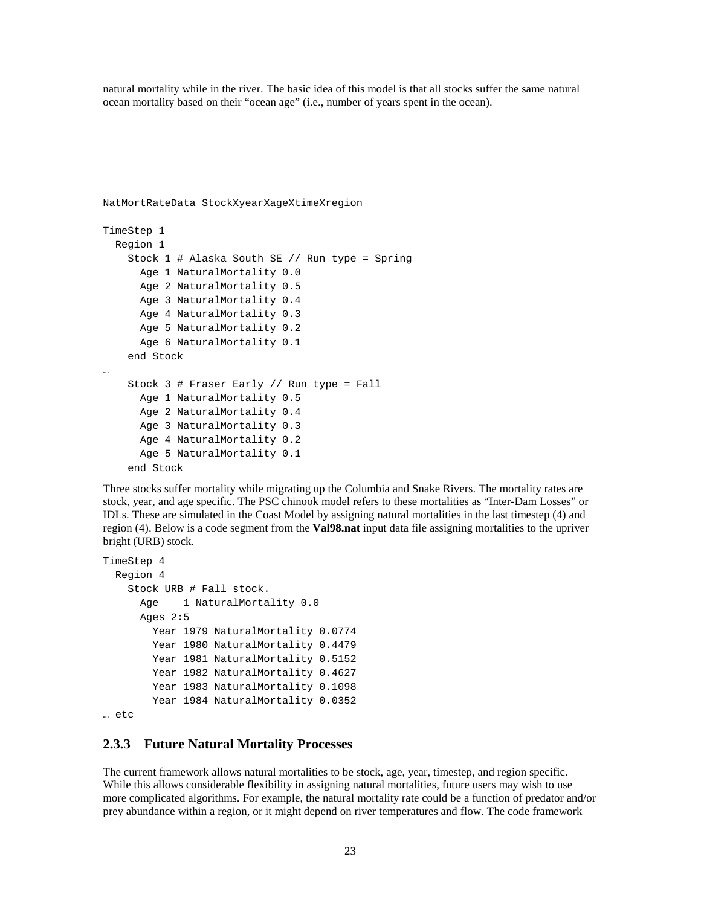natural mortality while in the river. The basic idea of this model is that all stocks suffer the same natural ocean mortality based on their "ocean age" (i.e., number of years spent in the ocean).

```
NatMortRateData StockXyearXageXtimeXregion
TimeStep 1
   Region 1
     Stock 1 # Alaska South SE // Run type = Spring
       Age 1 NaturalMortality 0.0
       Age 2 NaturalMortality 0.5
       Age 3 NaturalMortality 0.4
       Age 4 NaturalMortality 0.3
       Age 5 NaturalMortality 0.2
       Age 6 NaturalMortality 0.1
     end Stock
…
     Stock 3 # Fraser Early // Run type = Fall
       Age 1 NaturalMortality 0.5
       Age 2 NaturalMortality 0.4
       Age 3 NaturalMortality 0.3
       Age 4 NaturalMortality 0.2
       Age 5 NaturalMortality 0.1
     end Stock
```
Three stocks suffer mortality while migrating up the Columbia and Snake Rivers. The mortality rates are stock, year, and age specific. The PSC chinook model refers to these mortalities as "Inter-Dam Losses" or IDLs. These are simulated in the Coast Model by assigning natural mortalities in the last timestep (4) and region (4). Below is a code segment from the **Val98.nat** input data file assigning mortalities to the upriver bright (URB) stock.

```
TimeStep 4
   Region 4
     Stock URB # Fall stock.
       Age 1 NaturalMortality 0.0
       Ages 2:5
         Year 1979 NaturalMortality 0.0774
         Year 1980 NaturalMortality 0.4479
         Year 1981 NaturalMortality 0.5152
         Year 1982 NaturalMortality 0.4627
         Year 1983 NaturalMortality 0.1098
         Year 1984 NaturalMortality 0.0352
```
… etc

### **2.3.3 Future Natural Mortality Processes**

The current framework allows natural mortalities to be stock, age, year, timestep, and region specific. While this allows considerable flexibility in assigning natural mortalities, future users may wish to use more complicated algorithms. For example, the natural mortality rate could be a function of predator and/or prey abundance within a region, or it might depend on river temperatures and flow. The code framework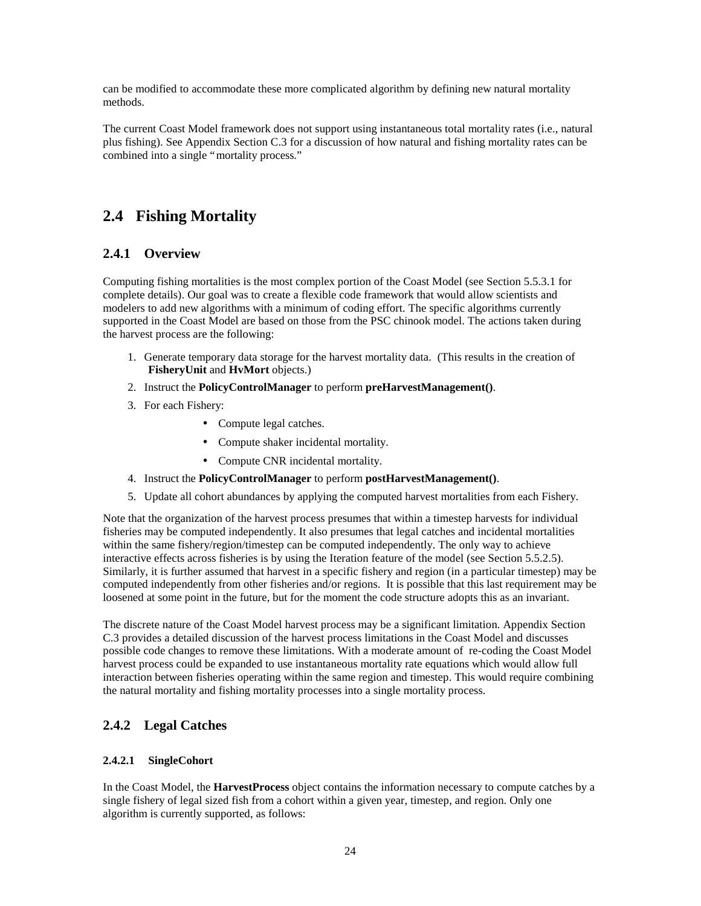can be modified to accommodate these more complicated algorithm by defining new natural mortality methods.

The current Coast Model framework does not support using instantaneous total mortality rates (i.e., natural plus fishing). See Appendix Section C.3 for a discussion of how natural and fishing mortality rates can be combined into a single "mortality process."

# **2.4 Fishing Mortality**

### **2.4.1 Overview**

Computing fishing mortalities is the most complex portion of the Coast Model (see Section 5.5.3.1 for complete details). Our goal was to create a flexible code framework that would allow scientists and modelers to add new algorithms with a minimum of coding effort. The specific algorithms currently supported in the Coast Model are based on those from the PSC chinook model. The actions taken during the harvest process are the following:

- 1. Generate temporary data storage for the harvest mortality data. (This results in the creation of **FisheryUnit** and **HvMort** objects.)
- 2. Instruct the **PolicyControlManager** to perform **preHarvestManagement()**.
- 3. For each Fishery:
	- Compute legal catches.
	- Compute shaker incidental mortality.
	- Compute CNR incidental mortality.
- 4. Instruct the **PolicyControlManager** to perform **postHarvestManagement()**.
- 5. Update all cohort abundances by applying the computed harvest mortalities from each Fishery.

Note that the organization of the harvest process presumes that within a timestep harvests for individual fisheries may be computed independently. It also presumes that legal catches and incidental mortalities within the same fishery/region/timestep can be computed independently. The only way to achieve interactive effects across fisheries is by using the Iteration feature of the model (see Section 5.5.2.5). Similarly, it is further assumed that harvest in a specific fishery and region (in a particular timestep) may be computed independently from other fisheries and/or regions. It is possible that this last requirement may be loosened at some point in the future, but for the moment the code structure adopts this as an invariant.

The discrete nature of the Coast Model harvest process may be a significant limitation. Appendix Section C.3 provides a detailed discussion of the harvest process limitations in the Coast Model and discusses possible code changes to remove these limitations. With a moderate amount of re-coding the Coast Model harvest process could be expanded to use instantaneous mortality rate equations which would allow full interaction between fisheries operating within the same region and timestep. This would require combining the natural mortality and fishing mortality processes into a single mortality process.

### **2.4.2 Legal Catches**

### **2.4.2.1 SingleCohort**

In the Coast Model, the **HarvestProcess** object contains the information necessary to compute catches by a single fishery of legal sized fish from a cohort within a given year, timestep, and region. Only one algorithm is currently supported, as follows: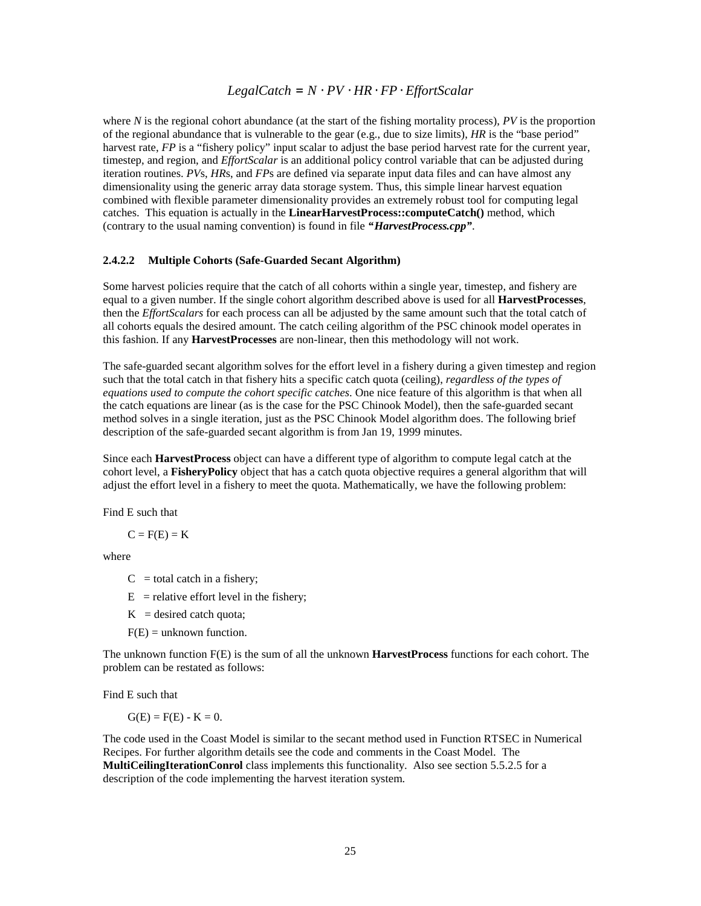### *LegalCatch* = *N* ⋅*PV* ⋅*HR* ⋅*FP* ⋅*EffortScalar*

where *N* is the regional cohort abundance (at the start of the fishing mortality process), *PV* is the proportion of the regional abundance that is vulnerable to the gear (e.g., due to size limits), *HR* is the "base period" harvest rate, *FP* is a "fishery policy" input scalar to adjust the base period harvest rate for the current year, timestep, and region, and *EffortScalar* is an additional policy control variable that can be adjusted during iteration routines. *PV*s, *HR*s, and *FP*s are defined via separate input data files and can have almost any dimensionality using the generic array data storage system. Thus, this simple linear harvest equation combined with flexible parameter dimensionality provides an extremely robust tool for computing legal catches. This equation is actually in the **LinearHarvestProcess::computeCatch()** method, which (contrary to the usual naming convention) is found in file *"HarvestProcess.cpp"*.

#### **2.4.2.2 Multiple Cohorts (Safe-Guarded Secant Algorithm)**

Some harvest policies require that the catch of all cohorts within a single year, timestep, and fishery are equal to a given number. If the single cohort algorithm described above is used for all **HarvestProcesses**, then the *EffortScalars* for each process can all be adjusted by the same amount such that the total catch of all cohorts equals the desired amount. The catch ceiling algorithm of the PSC chinook model operates in this fashion. If any **HarvestProcesses** are non-linear, then this methodology will not work.

The safe-guarded secant algorithm solves for the effort level in a fishery during a given timestep and region such that the total catch in that fishery hits a specific catch quota (ceiling), *regardless of the types of equations used to compute the cohort specific catches*. One nice feature of this algorithm is that when all the catch equations are linear (as is the case for the PSC Chinook Model), then the safe-guarded secant method solves in a single iteration, just as the PSC Chinook Model algorithm does. The following brief description of the safe-guarded secant algorithm is from Jan 19, 1999 minutes.

Since each **HarvestProcess** object can have a different type of algorithm to compute legal catch at the cohort level, a **FisheryPolicy** object that has a catch quota objective requires a general algorithm that will adjust the effort level in a fishery to meet the quota. Mathematically, we have the following problem:

Find E such that

 $C = F(E) = K$ 

where

 $C =$  total catch in a fishery;

- $E$  = relative effort level in the fishery;
- $K =$  desired catch quota;

 $F(E) =$  unknown function.

The unknown function F(E) is the sum of all the unknown **HarvestProcess** functions for each cohort. The problem can be restated as follows:

Find E such that

 $G(E) = F(E) - K = 0.$ 

The code used in the Coast Model is similar to the secant method used in Function RTSEC in Numerical Recipes. For further algorithm details see the code and comments in the Coast Model. The **MultiCeilingIterationConrol** class implements this functionality. Also see section 5.5.2.5 for a description of the code implementing the harvest iteration system.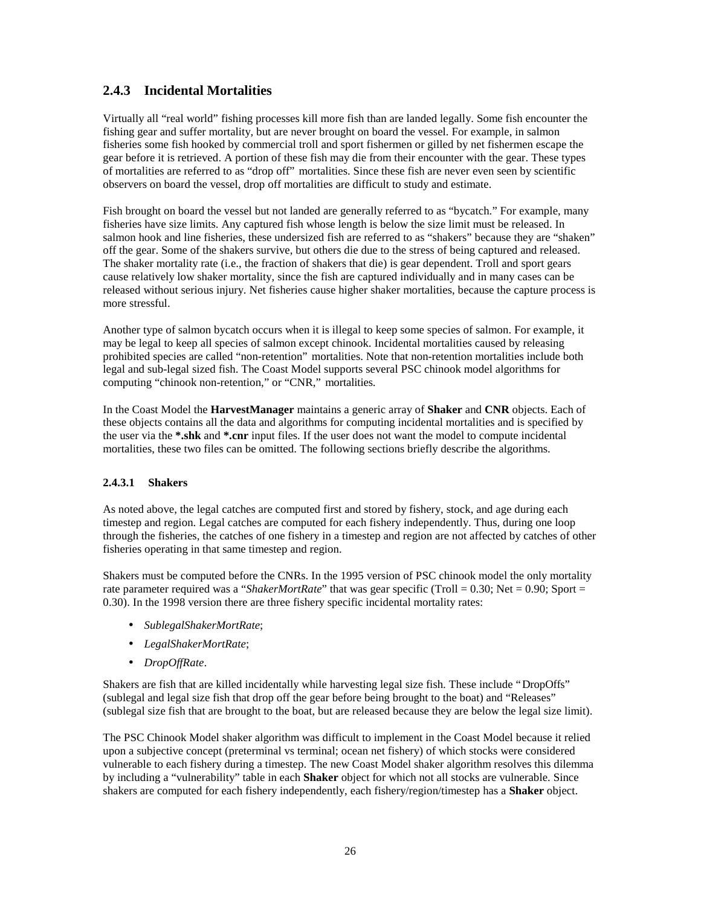### **2.4.3 Incidental Mortalities**

Virtually all "real world" fishing processes kill more fish than are landed legally. Some fish encounter the fishing gear and suffer mortality, but are never brought on board the vessel. For example, in salmon fisheries some fish hooked by commercial troll and sport fishermen or gilled by net fishermen escape the gear before it is retrieved. A portion of these fish may die from their encounter with the gear. These types of mortalities are referred to as "drop off" mortalities. Since these fish are never even seen by scientific observers on board the vessel, drop off mortalities are difficult to study and estimate.

Fish brought on board the vessel but not landed are generally referred to as "bycatch." For example, many fisheries have size limits. Any captured fish whose length is below the size limit must be released. In salmon hook and line fisheries, these undersized fish are referred to as "shakers" because they are "shaken" off the gear. Some of the shakers survive, but others die due to the stress of being captured and released. The shaker mortality rate (i.e., the fraction of shakers that die) is gear dependent. Troll and sport gears cause relatively low shaker mortality, since the fish are captured individually and in many cases can be released without serious injury. Net fisheries cause higher shaker mortalities, because the capture process is more stressful.

Another type of salmon bycatch occurs when it is illegal to keep some species of salmon. For example, it may be legal to keep all species of salmon except chinook. Incidental mortalities caused by releasing prohibited species are called "non-retention" mortalities. Note that non-retention mortalities include both legal and sub-legal sized fish. The Coast Model supports several PSC chinook model algorithms for computing "chinook non-retention," or "CNR," mortalities.

In the Coast Model the **HarvestManager** maintains a generic array of **Shaker** and **CNR** objects. Each of these objects contains all the data and algorithms for computing incidental mortalities and is specified by the user via the **\*.shk** and **\*.cnr** input files. If the user does not want the model to compute incidental mortalities, these two files can be omitted. The following sections briefly describe the algorithms.

### **2.4.3.1 Shakers**

As noted above, the legal catches are computed first and stored by fishery, stock, and age during each timestep and region. Legal catches are computed for each fishery independently. Thus, during one loop through the fisheries, the catches of one fishery in a timestep and region are not affected by catches of other fisheries operating in that same timestep and region.

Shakers must be computed before the CNRs. In the 1995 version of PSC chinook model the only mortality rate parameter required was a "*ShakerMortRate*" that was gear specific (Troll = 0.30; Net = 0.90; Sport = 0.30). In the 1998 version there are three fishery specific incidental mortality rates:

- *SublegalShakerMortRate*;
- *LegalShakerMortRate*;
- *DropOffRate*.

Shakers are fish that are killed incidentally while harvesting legal size fish. These include "DropOffs" (sublegal and legal size fish that drop off the gear before being brought to the boat) and "Releases" (sublegal size fish that are brought to the boat, but are released because they are below the legal size limit).

The PSC Chinook Model shaker algorithm was difficult to implement in the Coast Model because it relied upon a subjective concept (preterminal vs terminal; ocean net fishery) of which stocks were considered vulnerable to each fishery during a timestep. The new Coast Model shaker algorithm resolves this dilemma by including a "vulnerability" table in each **Shaker** object for which not all stocks are vulnerable. Since shakers are computed for each fishery independently, each fishery/region/timestep has a **Shaker** object.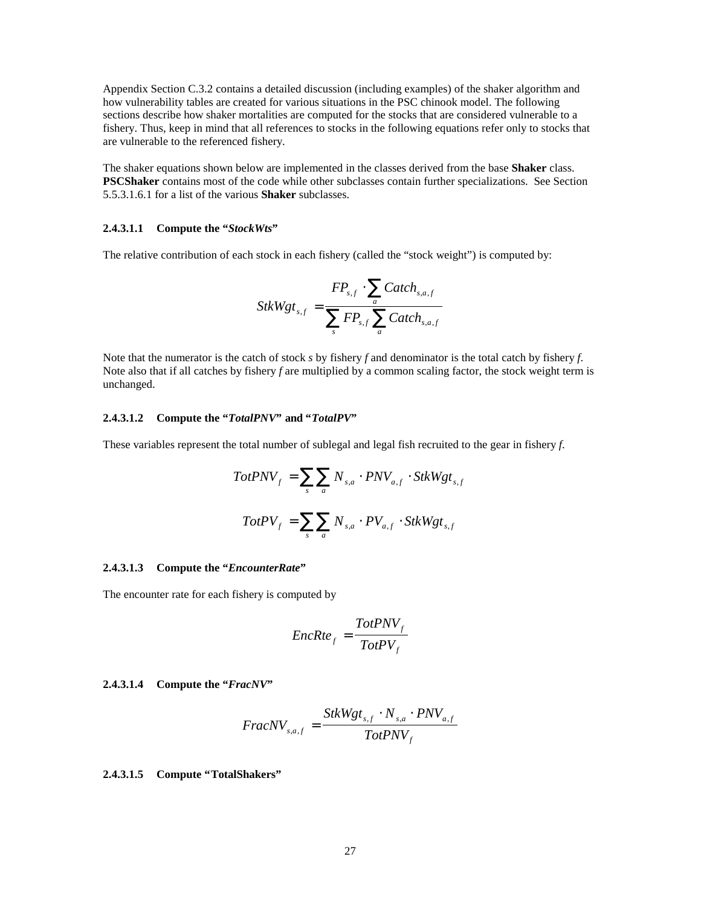Appendix Section C.3.2 contains a detailed discussion (including examples) of the shaker algorithm and how vulnerability tables are created for various situations in the PSC chinook model. The following sections describe how shaker mortalities are computed for the stocks that are considered vulnerable to a fishery. Thus, keep in mind that all references to stocks in the following equations refer only to stocks that are vulnerable to the referenced fishery.

The shaker equations shown below are implemented in the classes derived from the base **Shaker** class. **PSCShaker** contains most of the code while other subclasses contain further specializations. See Section 5.5.3.1.6.1 for a list of the various **Shaker** subclasses.

#### **2.4.3.1.1 Compute the "***StockWts***"**

The relative contribution of each stock in each fishery (called the "stock weight") is computed by:

$$
StkWgt_{s,f} = \frac{FP_{s,f} \cdot \sum_{a} Catch_{s,a,f}}{\sum_{s} FP_{s,f} \sum_{a} Catch_{s,a,f}}
$$

Note that the numerator is the catch of stock *s* by fishery *f* and denominator is the total catch by fishery *f*. Note also that if all catches by fishery *f* are multiplied by a common scaling factor, the stock weight term is unchanged.

#### **2.4.3.1.2 Compute the "***TotalPNV***" and "***TotalPV***"**

These variables represent the total number of sublegal and legal fish recruited to the gear in fishery *f*.

$$
TotPNV_f = \sum_{s} \sum_{a} N_{s,a} \cdot PNV_{a,f} \cdot StkWgt_{s,f}
$$

$$
TotPV_f = \sum_{s} \sum_{a} N_{s,a} \cdot PV_{a,f} \cdot StkWgt_{s,f}
$$

#### **2.4.3.1.3 Compute the "***EncounterRate***"**

The encounter rate for each fishery is computed by

$$
EncRte_f = \frac{TotPNV_f}{TotPV_f}
$$

#### **2.4.3.1.4 Compute the "***FracNV***"**

$$
Frac{NV_{s,a,f}}{Tot PNV_{f}}
$$

**2.4.3.1.5 Compute "TotalShakers"**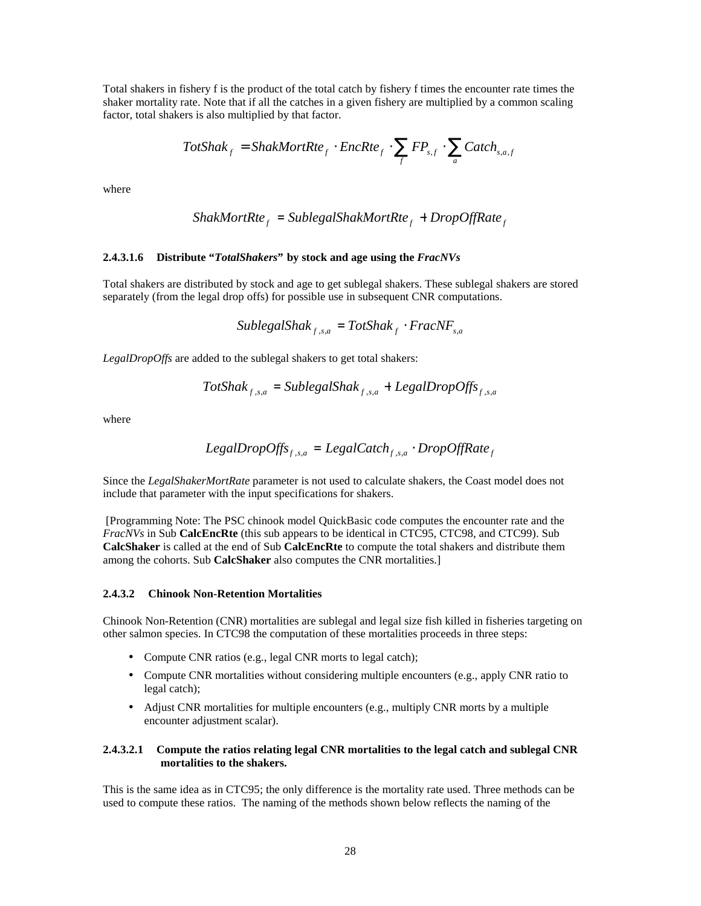Total shakers in fishery f is the product of the total catch by fishery f times the encounter rate times the shaker mortality rate. Note that if all the catches in a given fishery are multiplied by a common scaling factor, total shakers is also multiplied by that factor.

$$
TotShak_f = ShakMortRte_f \cdot EncRte_f \cdot \sum_f FP_{s,f} \cdot \sum_a Catch_{s,a,f}
$$

where

$$
ShakMortRtef = SublegalShakMortRtef + DropOffRatef
$$

#### **2.4.3.1.6 Distribute "***TotalShakers***" by stock and age using the** *FracNVs*

Total shakers are distributed by stock and age to get sublegal shakers. These sublegal shakers are stored separately (from the legal drop offs) for possible use in subsequent CNR computations.

$$
SublegalShak_{f,s,a} = TotShak_{f} \cdot FracNF_{s,a}
$$

*LegalDropOffs* are added to the sublegal shakers to get total shakers:

$$
TotShak_{f,s,a} = SublegalShak_{f,s,a} + LegalDropOffs_{f,s,a}
$$

where

$$
LegalDropOffs_{f,s,a} = Legal Catch_{f,s,a} \cdot DropOffRate_f
$$

Since the *LegalShakerMortRate* parameter is not used to calculate shakers, the Coast model does not include that parameter with the input specifications for shakers.

 [Programming Note: The PSC chinook model QuickBasic code computes the encounter rate and the *FracNVs* in Sub **CalcEncRte** (this sub appears to be identical in CTC95, CTC98, and CTC99). Sub **CalcShaker** is called at the end of Sub **CalcEncRte** to compute the total shakers and distribute them among the cohorts. Sub **CalcShaker** also computes the CNR mortalities.]

#### **2.4.3.2 Chinook Non-Retention Mortalities**

Chinook Non-Retention (CNR) mortalities are sublegal and legal size fish killed in fisheries targeting on other salmon species. In CTC98 the computation of these mortalities proceeds in three steps:

- Compute CNR ratios (e.g., legal CNR morts to legal catch);
- Compute CNR mortalities without considering multiple encounters (e.g., apply CNR ratio to legal catch);
- Adjust CNR mortalities for multiple encounters (e.g., multiply CNR morts by a multiple encounter adjustment scalar).

### **2.4.3.2.1 Compute the ratios relating legal CNR mortalities to the legal catch and sublegal CNR mortalities to the shakers.**

This is the same idea as in CTC95; the only difference is the mortality rate used. Three methods can be used to compute these ratios. The naming of the methods shown below reflects the naming of the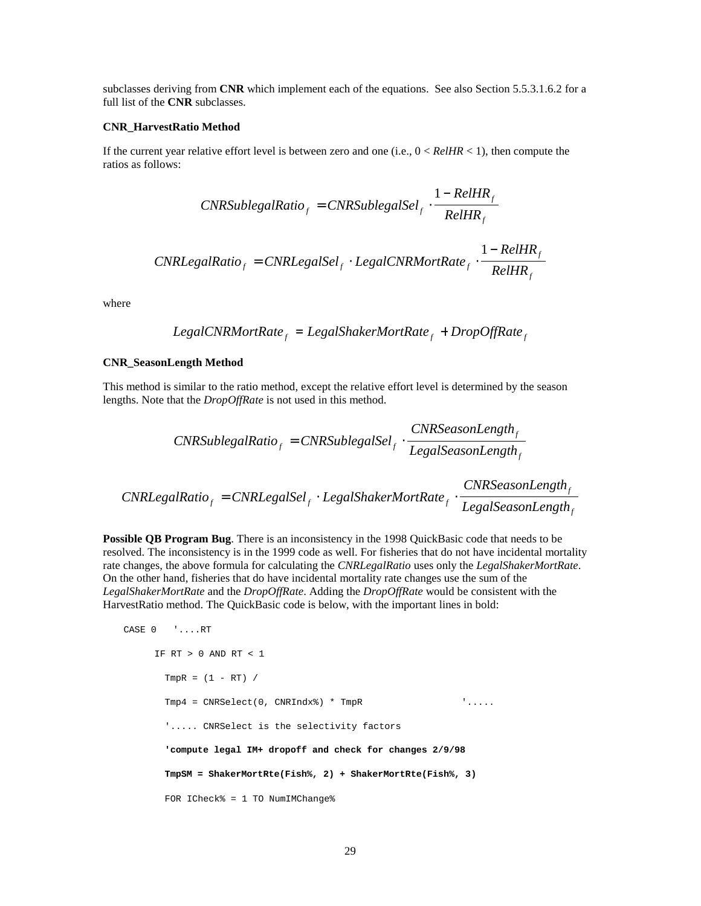subclasses deriving from **CNR** which implement each of the equations. See also Section 5.5.3.1.6.2 for a full list of the **CNR** subclasses.

#### **CNR\_HarvestRatio Method**

If the current year relative effort level is between zero and one (i.e., 0 < *RelHR* < 1), then compute the ratios as follows:

$$
CNRSublegalRatio_f = CNRSuble galSel_f \cdot \frac{1 - RelHR_f}{RelHR_f}
$$

$$
CNRLegalRatio_f = CNRLegalSel_f \cdot LegalCNRMortRate_f \cdot \frac{1-RelHR_f}{RelHR_f}
$$

where

$$
LegalCNRMortRatef = LegalShakerMortRatef + DropOffRatef
$$

#### **CNR\_SeasonLength Method**

This method is similar to the ratio method, except the relative effort level is determined by the season lengths. Note that the *DropOffRate* is not used in this method.

$$
CNRSublegalRatio_f = CNRSublegalSel_f \cdot \frac{CNRSeasonLength_f}{LegalSeasonLength_f}
$$

$$
CNRLegalRatio_f = CNRLegalSel_f \cdot LegalShakerMortRate_f \cdot \frac{CNRSeasonLength_f}{LegalSeasonLength_f}
$$

**Possible QB Program Bug**. There is an inconsistency in the 1998 QuickBasic code that needs to be resolved. The inconsistency is in the 1999 code as well. For fisheries that do not have incidental mortality rate changes, the above formula for calculating the *CNRLegalRatio* uses only the *LegalShakerMortRate*. On the other hand, fisheries that do have incidental mortality rate changes use the sum of the *LegalShakerMortRate* and the *DropOffRate*. Adding the *DropOffRate* would be consistent with the HarvestRatio method. The QuickBasic code is below, with the important lines in bold:

```
CASE 0 '....RT
     IF RT > 0 AND RT < 1
      TmpR = (1 - RT) /
      Tmp4 = CNRSelect(0, CNRIndex*) * TmpR '....
       '..... CNRSelect is the selectivity factors
       'compute legal IM+ dropoff and check for changes 2/9/98
       TmpSM = ShakerMortRte(Fish%, 2) + ShakerMortRte(Fish%, 3)
      FOR ICheck% = 1 TO NumIMChange%
```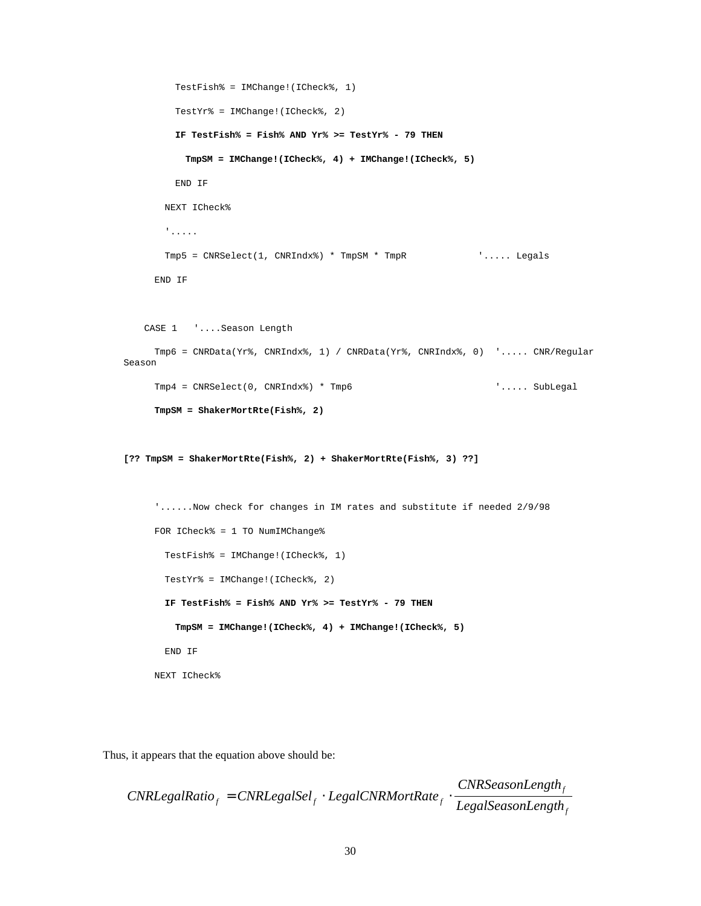```
TestFish% = IMChange!(ICheck%, 1)
        TestYr% = IMChange!(ICheck%, 2)
        IF TestFish% = Fish% AND Yr% >= TestYr% - 79 THEN
          TmpSM = IMChange!(ICheck%, 4) + IMChange!(ICheck%, 5)
        END IF
      NEXT ICheck%
       '.....
       Tmp5 = CNRSelect(1, CNRIndx%) * TmpSM * TmpR '..... Legals
     END IF
   CASE 1 '....Season Length
     Tmp6 = CNRData(Yr%, CNRIndx%, 1) / CNRData(Yr%, CNRIndx%, 0) '..... CNR/Regular
Season
     Tmp4 = CNRSelect(0, CNRIndx%) * Tmp6 '..... SubLegal
     TmpSM = ShakerMortRte(Fish%, 2)
[?? TmpSM = ShakerMortRte(Fish%, 2) + ShakerMortRte(Fish%, 3) ??]
     '......Now check for changes in IM rates and substitute if needed 2/9/98
     FOR ICheck% = 1 TO NumIMChange%
       TestFish% = IMChange!(ICheck%, 1)
       TestYr% = IMChange!(ICheck%, 2)
       IF TestFish% = Fish% AND Yr% >= TestYr% - 79 THEN
        TmpSM = IMChange!(ICheck%, 4) + IMChange!(ICheck%, 5)
       END IF
     NEXT ICheck%
```
Thus, it appears that the equation above should be:

```
CNRLegalRatio_f = CNRLegalSel_f \cdot LegalCNRMortRate_f \cdot \frac{1}{LegalSeasonLength}CNRSeasonLength
                                                                                                 f
                                                                                                  f
                      = CNRLegalSel<sub>f</sub> \cdot LegalCNRMortRate<sub>f</sub> \cdot
```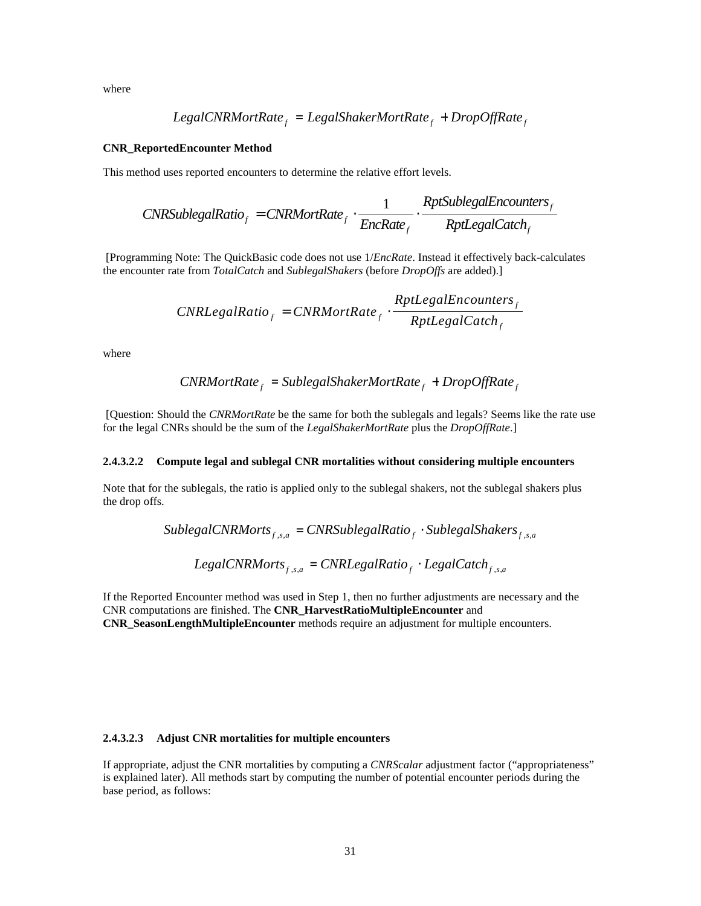where

$$
Legal CNRMortRatef = LegalShakerMortRatef + DropOffRatef
$$

#### **CNR\_ReportedEncounter Method**

This method uses reported encounters to determine the relative effort levels.

$$
CNRSublegalRatio_f = CNRMortRate_f \cdot \frac{1}{EncRate_f} \cdot \frac{RptSublegalEncouters_f}{Rptlegal Catch_f}
$$

 [Programming Note: The QuickBasic code does not use 1/*EncRate*. Instead it effectively back-calculates the encounter rate from *TotalCatch* and *SublegalShakers* (before *DropOffs* are added).]

$$
CNRLegalRatio_f = CNRMortRate_f \cdot \frac{RptLegalEncouters_f}{Rptlegal Catch_f}
$$

where

$$
CNRMortRate_f = SublegalShakerMortRate_f + DropOffRate_f
$$

 [Question: Should the *CNRMortRate* be the same for both the sublegals and legals? Seems like the rate use for the legal CNRs should be the sum of the *LegalShakerMortRate* plus the *DropOffRate*.]

#### **2.4.3.2.2 Compute legal and sublegal CNR mortalities without considering multiple encounters**

Note that for the sublegals, the ratio is applied only to the sublegal shakers, not the sublegal shakers plus the drop offs.

SublegalCNRMorts<sub>f,s,a</sub> = CNRSublegalRatio<sub>f</sub> · SublegalShakers<sub>f,s,a</sub>

*LegalCNRMorts<sup>f</sup>* ,*s*,*<sup>a</sup>* = *CNRLegalRatio<sup>f</sup> LegalCatch<sup>f</sup>* ,*s*,*<sup>a</sup>* ⋅

If the Reported Encounter method was used in Step 1, then no further adjustments are necessary and the CNR computations are finished. The **CNR\_HarvestRatioMultipleEncounter** and **CNR\_SeasonLengthMultipleEncounter** methods require an adjustment for multiple encounters.

#### **2.4.3.2.3 Adjust CNR mortalities for multiple encounters**

If appropriate, adjust the CNR mortalities by computing a *CNRScalar* adjustment factor ("appropriateness" is explained later). All methods start by computing the number of potential encounter periods during the base period, as follows: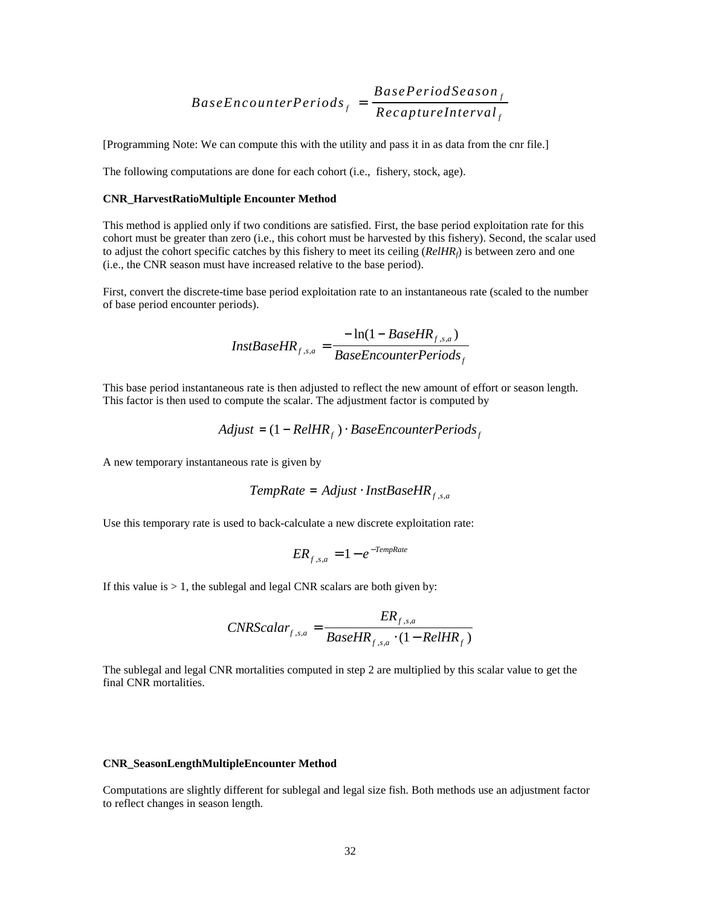$$
BaseEncounterPeriods_f = \frac{BasePeriodSeason_f}{RecaptureInterval_f}
$$

[Programming Note: We can compute this with the utility and pass it in as data from the cnr file.]

The following computations are done for each cohort (i.e., fishery, stock, age).

#### **CNR\_HarvestRatioMultiple Encounter Method**

This method is applied only if two conditions are satisfied. First, the base period exploitation rate for this cohort must be greater than zero (i.e., this cohort must be harvested by this fishery). Second, the scalar used to adjust the cohort specific catches by this fishery to meet its ceiling (*RelHRf*) is between zero and one (i.e., the CNR season must have increased relative to the base period).

First, convert the discrete-time base period exploitation rate to an instantaneous rate (scaled to the number of base period encounter periods).

$$
InstBaseHR_{f,s,a} = \frac{-\ln(1 - BaseHR_{f,s,a})}{BaseEncoderPeriods_f}
$$

This base period instantaneous rate is then adjusted to reflect the new amount of effort or season length. This factor is then used to compute the scalar. The adjustment factor is computed by

$$
Adjust = (1 - RelHR_f) \cdot BaseEncounterPeriods_f
$$

A new temporary instantaneous rate is given by

$$
TempRate = Adjust \cdot InstBaseHR_{f,s,a}
$$

Use this temporary rate is used to back-calculate a new discrete exploitation rate:

$$
ER_{f,s,a} = 1 - e^{-TempRate}
$$

If this value is  $> 1$ , the sublegal and legal CNR scalars are both given by:

$$
CNRScalar_{f,s,a} = \frac{ER_{f,s,a}}{BaseHR_{f,s,a} \cdot (1 - RelHR_f)}
$$

The sublegal and legal CNR mortalities computed in step 2 are multiplied by this scalar value to get the final CNR mortalities.

#### **CNR\_SeasonLengthMultipleEncounter Method**

Computations are slightly different for sublegal and legal size fish. Both methods use an adjustment factor to reflect changes in season length.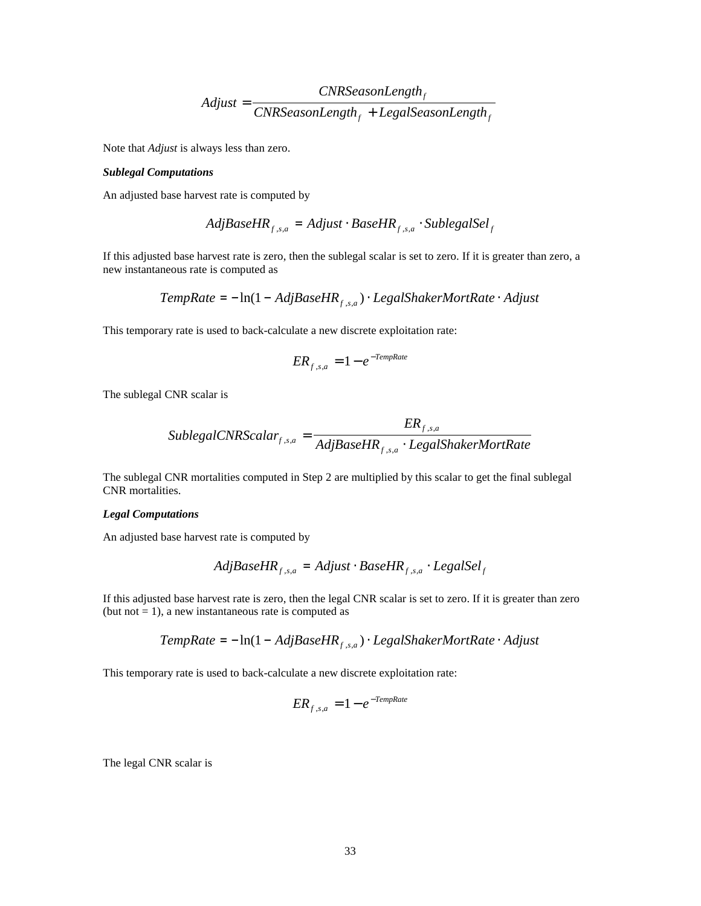$$
Adjust = \frac{CNRSeasonLength_f}{CNRSeasonLength_f + LegalSeasonLength_f}
$$

Note that *Adjust* is always less than zero.

#### *Sublegal Computations*

An adjusted base harvest rate is computed by

$$
AdjBaseHR_{f,s,a} = Adjust \cdot BaseHR_{f,s,a} \cdot SublegalSel_f
$$

If this adjusted base harvest rate is zero, then the sublegal scalar is set to zero. If it is greater than zero, a new instantaneous rate is computed as

$$
TempRate = -\ln(1 - AdjBaseHR_{f,s,a}) \cdot LegalShakerMortRate \cdot Adjust
$$

This temporary rate is used to back-calculate a new discrete exploitation rate:

$$
ER_{f,s,a} = 1 - e^{-TempRate}
$$

The sublegal CNR scalar is

$$
Sublegal CNRScalar_{f,s,a} = \frac{ER_{f,s,a}}{AdjBaseHR_{f,s,a} \cdot LegalShakerMortRate}
$$

The sublegal CNR mortalities computed in Step 2 are multiplied by this scalar to get the final sublegal CNR mortalities.

#### *Legal Computations*

An adjusted base harvest rate is computed by

$$
AdjBaseHR_{f,s,a} = Adjust \cdot BaseHR_{f,s,a} \cdot LegalSel_{f}
$$

If this adjusted base harvest rate is zero, then the legal CNR scalar is set to zero. If it is greater than zero (but not  $= 1$ ), a new instantaneous rate is computed as

$$
TempRate = -\ln(1 - AdjBaseHR_{f,s,a}) \cdot LegalShakerMortRate \cdot Adjust
$$

This temporary rate is used to back-calculate a new discrete exploitation rate:

$$
ER_{f,s,a} = 1 - e^{-TempRate}
$$

The legal CNR scalar is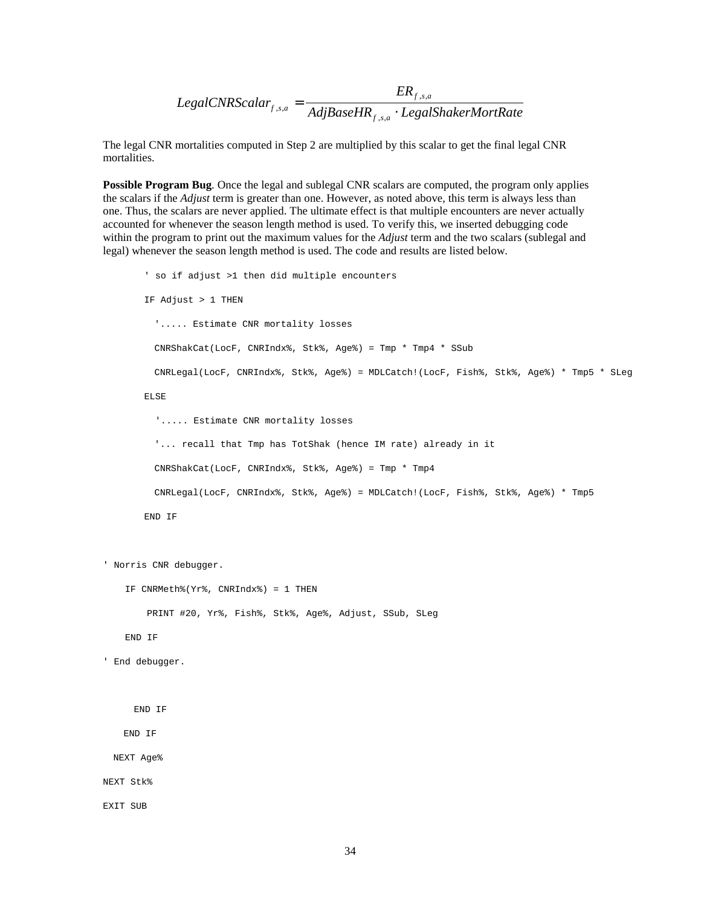$$
LegalCNRScalar_{f,s,a} = \frac{ER_{f,s,a}}{AdjBaseHR_{f,s,a} \cdot LegalShakerMortRate}
$$

The legal CNR mortalities computed in Step 2 are multiplied by this scalar to get the final legal CNR mortalities.

**Possible Program Bug**. Once the legal and sublegal CNR scalars are computed, the program only applies the scalars if the *Adjust* term is greater than one. However, as noted above, this term is always less than one. Thus, the scalars are never applied. The ultimate effect is that multiple encounters are never actually accounted for whenever the season length method is used. To verify this, we inserted debugging code within the program to print out the maximum values for the *Adjust* term and the two scalars (sublegal and legal) whenever the season length method is used. The code and results are listed below.

```
' so if adjust >1 then did multiple encounters
       IF Adjust > 1 THEN
         '..... Estimate CNR mortality losses
         CNRShakCat(LocF, CNRIndx%, Stk%, Age%) = Tmp * Tmp4 * SSub
         CNRLegal(LocF, CNRIndx%, Stk%, Age%) = MDLCatch!(LocF, Fish%, Stk%, Age%) * Tmp5 * SLeg
       ELSE
          '..... Estimate CNR mortality losses
         '... recall that Tmp has TotShak (hence IM rate) already in it
         CNRShakCat(LocF, CNRIndx%, Stk%, Age%) = Tmp * Tmp4
         CNRLegal(LocF, CNRIndx%, Stk%, Age%) = MDLCatch!(LocF, Fish%, Stk%, Age%) * Tmp5
       END IF
' Norris CNR debugger.
    IF CNRMeth%(Yr%, CNRIndx%) = 1 THEN
        PRINT #20, Yr%, Fish%, Stk%, Age%, Adjust, SSub, SLeg
    END IF
' End debugger.
```
END IF

END IF

NEXT Age%

NEXT Stk%

EXIT SUB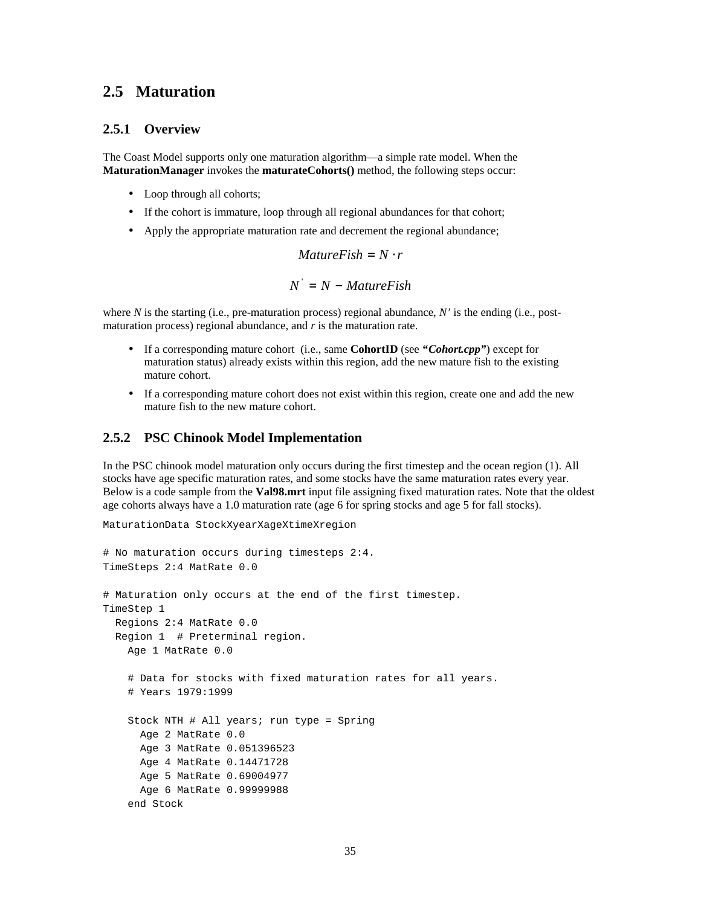### **2.5 Maturation**

### **2.5.1 Overview**

The Coast Model supports only one maturation algorithm— a simple rate model. When the **MaturationManager** invokes the **maturateCohorts()** method, the following steps occur:

- Loop through all cohorts;
- If the cohort is immature, loop through all regional abundances for that cohort;
- Apply the appropriate maturation rate and decrement the regional abundance;

 $MatureFish = N \cdot r$ 

$$
N^{'} = N - \mathit{MatureFish}
$$

where *N* is the starting (i.e., pre-maturation process) regional abundance, *N'* is the ending (i.e., postmaturation process) regional abundance, and *r* is the maturation rate.

- If a corresponding mature cohort (i.e., same **CohortID** (see *"Cohort.cpp"*) except for maturation status) already exists within this region, add the new mature fish to the existing mature cohort.
- If a corresponding mature cohort does not exist within this region, create one and add the new mature fish to the new mature cohort.

### **2.5.2 PSC Chinook Model Implementation**

In the PSC chinook model maturation only occurs during the first timestep and the ocean region (1). All stocks have age specific maturation rates, and some stocks have the same maturation rates every year. Below is a code sample from the **Val98.mrt** input file assigning fixed maturation rates. Note that the oldest age cohorts always have a 1.0 maturation rate (age 6 for spring stocks and age 5 for fall stocks).

```
MaturationData StockXyearXageXtimeXregion
```

```
# No maturation occurs during timesteps 2:4.
TimeSteps 2:4 MatRate 0.0
# Maturation only occurs at the end of the first timestep.
TimeStep 1
  Regions 2:4 MatRate 0.0
  Region 1 # Preterminal region.
    Age 1 MatRate 0.0
     # Data for stocks with fixed maturation rates for all years.
     # Years 1979:1999
    Stock NTH # All years; run type = Spring
      Age 2 MatRate 0.0
      Age 3 MatRate 0.051396523
      Age 4 MatRate 0.14471728
      Age 5 MatRate 0.69004977
      Age 6 MatRate 0.99999988
     end Stock
```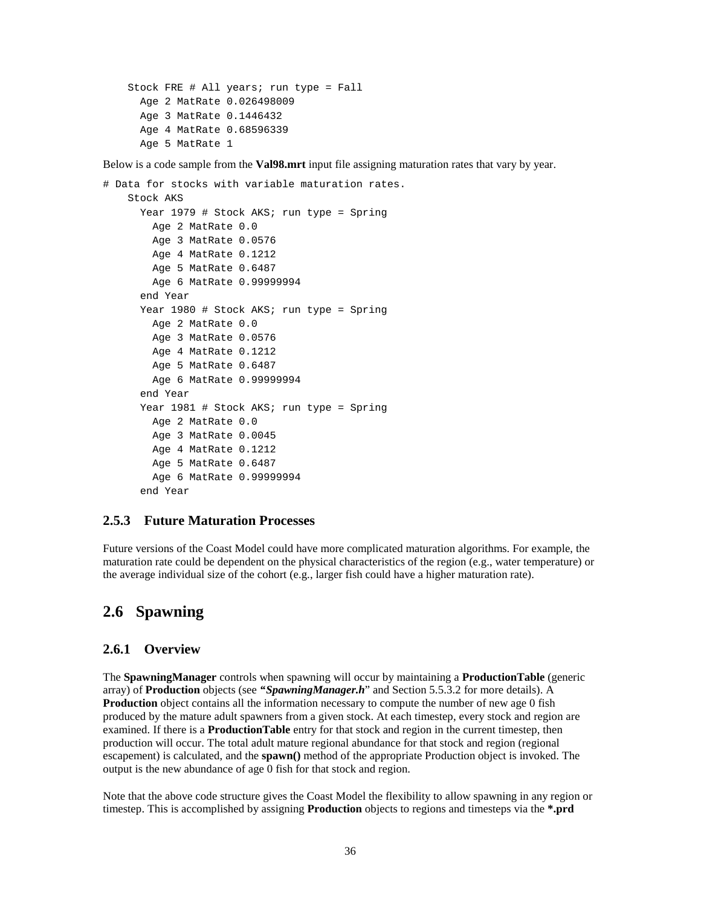```
 Stock FRE # All years; run type = Fall
   Age 2 MatRate 0.026498009
   Age 3 MatRate 0.1446432
   Age 4 MatRate 0.68596339
   Age 5 MatRate 1
```
Below is a code sample from the **Val98.mrt** input file assigning maturation rates that vary by year.

```
# Data for stocks with variable maturation rates.
     Stock AKS
       Year 1979 # Stock AKS; run type = Spring
         Age 2 MatRate 0.0
         Age 3 MatRate 0.0576
         Age 4 MatRate 0.1212
         Age 5 MatRate 0.6487
         Age 6 MatRate 0.99999994
       end Year
       Year 1980 # Stock AKS; run type = Spring
         Age 2 MatRate 0.0
         Age 3 MatRate 0.0576
         Age 4 MatRate 0.1212
         Age 5 MatRate 0.6487
         Age 6 MatRate 0.99999994
       end Year
       Year 1981 # Stock AKS; run type = Spring
         Age 2 MatRate 0.0
         Age 3 MatRate 0.0045
         Age 4 MatRate 0.1212
         Age 5 MatRate 0.6487
         Age 6 MatRate 0.99999994
       end Year
```
### **2.5.3 Future Maturation Processes**

Future versions of the Coast Model could have more complicated maturation algorithms. For example, the maturation rate could be dependent on the physical characteristics of the region (e.g., water temperature) or the average individual size of the cohort (e.g., larger fish could have a higher maturation rate).

### **2.6 Spawning**

#### **2.6.1 Overview**

The **SpawningManager** controls when spawning will occur by maintaining a **ProductionTable** (generic array) of **Production** objects (see *"SpawningManager.h*" and Section 5.5.3.2 for more details). A **Production** object contains all the information necessary to compute the number of new age 0 fish produced by the mature adult spawners from a given stock. At each timestep, every stock and region are examined. If there is a **ProductionTable** entry for that stock and region in the current timestep, then production will occur. The total adult mature regional abundance for that stock and region (regional escapement) is calculated, and the **spawn()** method of the appropriate Production object is invoked. The output is the new abundance of age 0 fish for that stock and region.

Note that the above code structure gives the Coast Model the flexibility to allow spawning in any region or timestep. This is accomplished by assigning **Production** objects to regions and timesteps via the **\*.prd**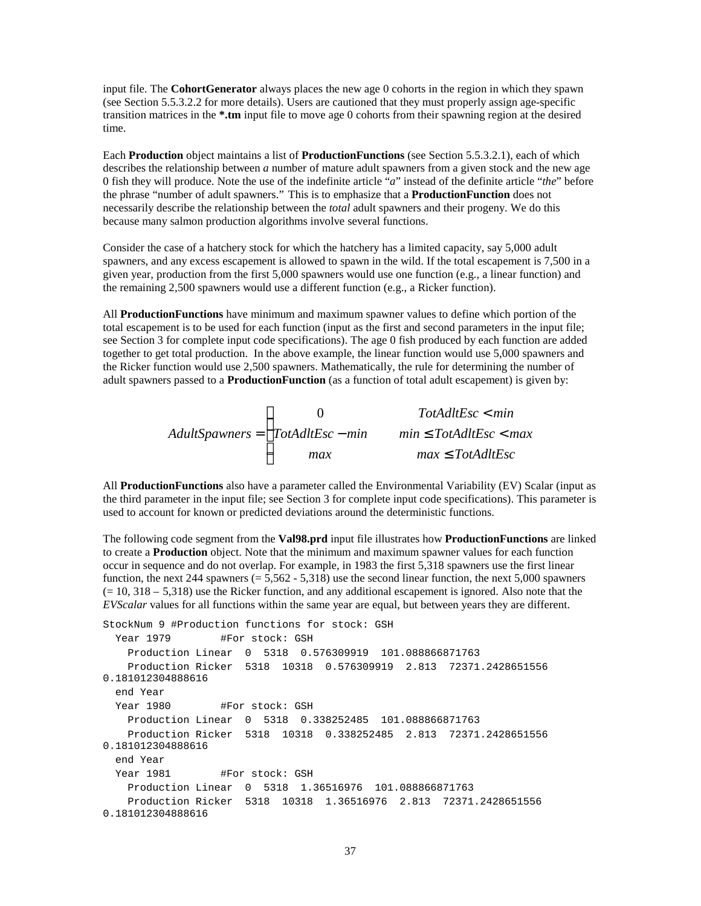input file. The **CohortGenerator** always places the new age 0 cohorts in the region in which they spawn (see Section 5.5.3.2.2 for more details). Users are cautioned that they must properly assign age-specific transition matrices in the **\*.tm** input file to move age 0 cohorts from their spawning region at the desired time.

Each **Production** object maintains a list of **ProductionFunctions** (see Section 5.5.3.2.1), each of which describes the relationship between *a* number of mature adult spawners from a given stock and the new age 0 fish they will produce. Note the use of the indefinite article "*a*" instead of the definite article "*the*" before the phrase "number of adult spawners." This is to emphasize that a **ProductionFunction** does not necessarily describe the relationship between the *total* adult spawners and their progeny. We do this because many salmon production algorithms involve several functions.

Consider the case of a hatchery stock for which the hatchery has a limited capacity, say 5,000 adult spawners, and any excess escapement is allowed to spawn in the wild. If the total escapement is 7,500 in a given year, production from the first 5,000 spawners would use one function (e.g., a linear function) and the remaining 2,500 spawners would use a different function (e.g., a Ricker function).

All **ProductionFunctions** have minimum and maximum spawner values to define which portion of the total escapement is to be used for each function (input as the first and second parameters in the input file; see Section 3 for complete input code specifications). The age 0 fish produced by each function are added together to get total production. In the above example, the linear function would use 5,000 spawners and the Ricker function would use 2,500 spawners. Mathematically, the rule for determining the number of adult spawners passed to a **ProductionFunction** (as a function of total adult escapement) is given by:

> *AdultSpawners TotAdltEsc min TotAdltEsc min min TotAdltEsc max max max TotAdltEsc* =  $\lt$  $-min$   $min \leq TotalltEsc$ ≤  $\overline{1}$ ₹  $\mathbf{I}$  $\mathsf{L}$  $\mathbf{I}$ 0

All **ProductionFunctions** also have a parameter called the Environmental Variability (EV) Scalar (input as the third parameter in the input file; see Section 3 for complete input code specifications). This parameter is used to account for known or predicted deviations around the deterministic functions.

The following code segment from the **Val98.prd** input file illustrates how **ProductionFunctions** are linked to create a **Production** object. Note that the minimum and maximum spawner values for each function occur in sequence and do not overlap. For example, in 1983 the first 5,318 spawners use the first linear function, the next 244 spawners  $(= 5,562 - 5,318)$  use the second linear function, the next 5,000 spawners  $(= 10, 318 - 5,318)$  use the Ricker function, and any additional escapement is ignored. Also note that the *EVScalar* values for all functions within the same year are equal, but between years they are different.

```
StockNum 9 #Production functions for stock: GSH
 Year 1979 #For stock: GSH
    Production Linear 0 5318 0.576309919 101.088866871763
    Production Ricker 5318 10318 0.576309919 2.813 72371.2428651556
0.181012304888616
  end Year
 Year 1980 #For stock: GSH
    Production Linear 0 5318 0.338252485 101.088866871763
    Production Ricker 5318 10318 0.338252485 2.813 72371.2428651556
0.181012304888616
  end Year
 Year 1981 #For stock: GSH
    Production Linear 0 5318 1.36516976 101.088866871763
    Production Ricker 5318 10318 1.36516976 2.813 72371.2428651556
0.181012304888616
```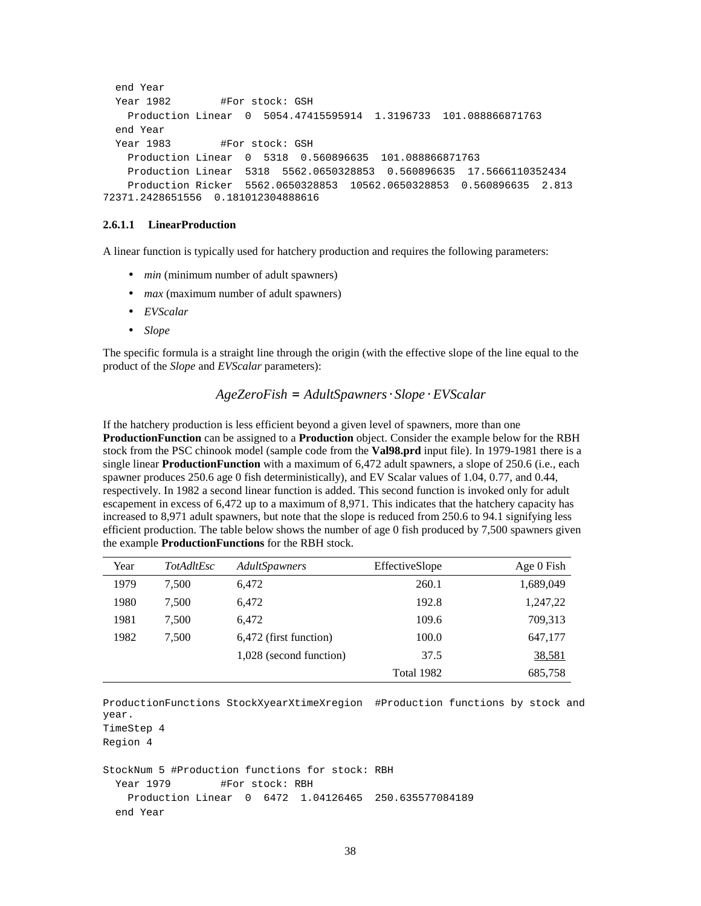```
 end Year
 Year 1982 #For stock: GSH
    Production Linear 0 5054.47415595914 1.3196733 101.088866871763
  end Year
 Year 1983 #For stock: GSH
    Production Linear 0 5318 0.560896635 101.088866871763
    Production Linear 5318 5562.0650328853 0.560896635 17.5666110352434
    Production Ricker 5562.0650328853 10562.0650328853 0.560896635 2.813
72371.2428651556 0.181012304888616
```
#### **2.6.1.1 LinearProduction**

A linear function is typically used for hatchery production and requires the following parameters:

- *min* (minimum number of adult spawners)
- *max* (maximum number of adult spawners)
- *EVScalar*
- *Slope*

The specific formula is a straight line through the origin (with the effective slope of the line equal to the product of the *Slope* and *EVScalar* parameters):

#### *AgeZeroFish* = *AdultSpawners* ⋅*Slope* ⋅*EVScalar*

If the hatchery production is less efficient beyond a given level of spawners, more than one **ProductionFunction** can be assigned to a **Production** object. Consider the example below for the RBH stock from the PSC chinook model (sample code from the **Val98.prd** input file). In 1979-1981 there is a single linear **ProductionFunction** with a maximum of 6,472 adult spawners, a slope of 250.6 (i.e., each spawner produces 250.6 age 0 fish deterministically), and EV Scalar values of 1.04, 0.77, and 0.44, respectively. In 1982 a second linear function is added. This second function is invoked only for adult escapement in excess of 6,472 up to a maximum of 8,971. This indicates that the hatchery capacity has increased to 8,971 adult spawners, but note that the slope is reduced from 250.6 to 94.1 signifying less efficient production. The table below shows the number of age 0 fish produced by 7,500 spawners given the example **ProductionFunctions** for the RBH stock.

| Year | <b>TotAdltEsc</b> | AdultSpawners           | EffectiveSlope | Age 0 Fish |
|------|-------------------|-------------------------|----------------|------------|
| 1979 | 7.500             | 6.472                   | 260.1          | 1,689,049  |
| 1980 | 7.500             | 6.472                   | 192.8          | 1,247,22   |
| 1981 | 7.500             | 6.472                   | 109.6          | 709,313    |
| 1982 | 7.500             | 6,472 (first function)  | 100.0          | 647,177    |
|      |                   | 1,028 (second function) | 37.5           | 38,581     |
|      |                   |                         | Total 1982     | 685,758    |

ProductionFunctions StockXyearXtimeXregion #Production functions by stock and year.

```
TimeStep 4
```
Region 4

```
StockNum 5 #Production functions for stock: RBH
 Year 1979 #For stock: RBH
    Production Linear 0 6472 1.04126465 250.635577084189
  end Year
```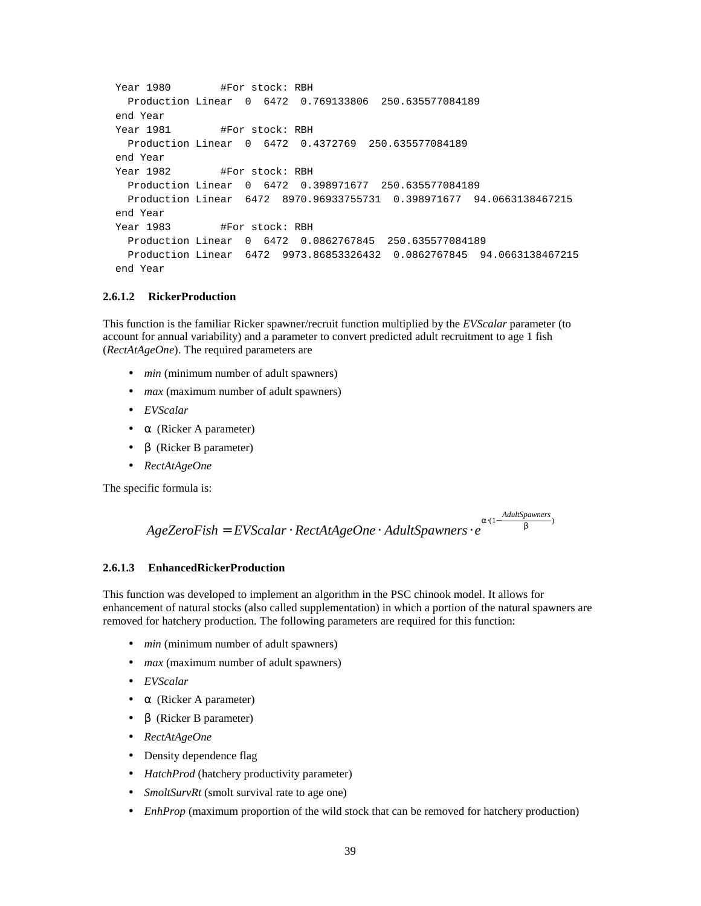```
Year 1980 #For stock: RBH
  Production Linear 0 6472 0.769133806 250.635577084189
 end Year
Year 1981 #For stock: RBH
  Production Linear 0 6472 0.4372769 250.635577084189
 end Year
Year 1982 #For stock: RBH
  Production Linear 0 6472 0.398971677 250.635577084189
  Production Linear 6472 8970.96933755731 0.398971677 94.0663138467215
 end Year
Year 1983 #For stock: RBH
  Production Linear 0 6472 0.0862767845 250.635577084189
  Production Linear 6472 9973.86853326432 0.0862767845 94.0663138467215
 end Year
```
#### **2.6.1.2 RickerProduction**

This function is the familiar Ricker spawner/recruit function multiplied by the *EVScalar* parameter (to account for annual variability) and a parameter to convert predicted adult recruitment to age 1 fish (*RectAtAgeOne*). The required parameters are

- *min* (minimum number of adult spawners)
- *max* (maximum number of adult spawners)
- *EVScalar*
- **a** (Ricker A parameter)
- *b* (Ricker B parameter)
- *RectAtAgeOne*

The specific formula is:

```
AgeZero Fish = EVScalar \cdot RectAtAgeOne \cdot AdultSpawners \cdot e
```
#### $a \cdot (1 - \frac{A dultSpawners}{l})$ *b*

#### **2.6.1.3 EnhancedRi**c**kerProduction**

This function was developed to implement an algorithm in the PSC chinook model. It allows for enhancement of natural stocks (also called supplementation) in which a portion of the natural spawners are removed for hatchery production. The following parameters are required for this function:

- *min* (minimum number of adult spawners)
- *max* (maximum number of adult spawners)
- *EVScalar*
- *a* (Ricker A parameter)
- *b* (Ricker B parameter)
- *RectAtAgeOne*
- Density dependence flag
- *HatchProd* (hatchery productivity parameter)
- *SmoltSurvRt* (smolt survival rate to age one)
- *EnhProp* (maximum proportion of the wild stock that can be removed for hatchery production)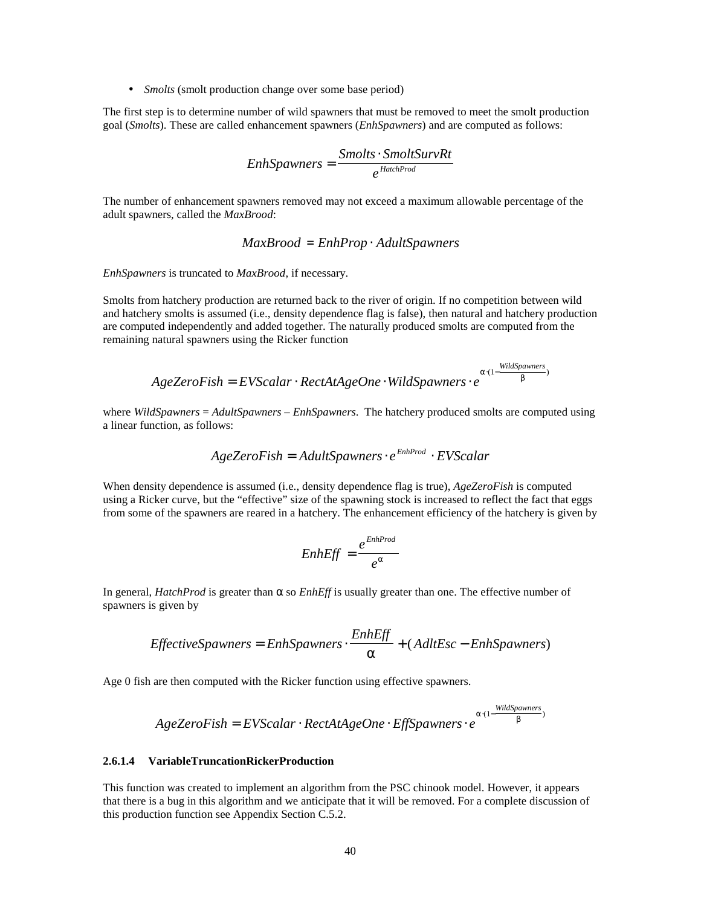• *Smolts* (smolt production change over some base period)

The first step is to determine number of wild spawners that must be removed to meet the smolt production goal (*Smolts*). These are called enhancement spawners (*EnhSpawners*) and are computed as follows:

$$
EnhSpawners = \frac{Smolts \cdot SmoltSurvRt}{e^{HatchProd}}
$$

The number of enhancement spawners removed may not exceed a maximum allowable percentage of the adult spawners, called the *MaxBrood*:

$$
Max Broad = EnhProp \cdot AdultSpawners
$$

*EnhSpawners* is truncated to *MaxBrood*, if necessary.

Smolts from hatchery production are returned back to the river of origin. If no competition between wild and hatchery smolts is assumed (i.e., density dependence flag is false), then natural and hatchery production are computed independently and added together. The naturally produced smolts are computed from the remaining natural spawners using the Ricker function

$$
AgeZero Fish = EVScalar \cdot RectAtAgeOne \cdot WildSpawners \cdot e^{a \cdot (1 - \frac{WildSpawners}{b})}
$$

where *WildSpawners* = *AdultSpawners* – *EnhSpawners*. The hatchery produced smolts are computed using a linear function, as follows:

$$
AgeZero Fish = AdultSpawners \cdot e^{EnhProd} \cdot EVScalar
$$

When density dependence is assumed (i.e., density dependence flag is true), *AgeZeroFish* is computed using a Ricker curve, but the "effective" size of the spawning stock is increased to reflect the fact that eggs from some of the spawners are reared in a hatchery. The enhancement efficiency of the hatchery is given by

$$
EnhEff = \frac{e^{EnhProd}}{e^a}
$$

In general, *HatchProd* is greater than α so *EnhEff* is usually greater than one. The effective number of spawners is given by

$$
EffectiveSpawners = EnhSpawners \cdot \frac{EnhEff}{a} + (AdtEsc - EnhSpawners)
$$

Age 0 fish are then computed with the Ricker function using effective spawners.

$$
AgeZero Fish = EVScalar \cdot RectAtAgeOne \cdot EffSpawners \cdot e^{a \cdot (1 - \frac{WildSpawners}{b})}
$$

#### **2.6.1.4 VariableTruncationRickerProduction**

This function was created to implement an algorithm from the PSC chinook model. However, it appears that there is a bug in this algorithm and we anticipate that it will be removed. For a complete discussion of this production function see Appendix Section C.5.2.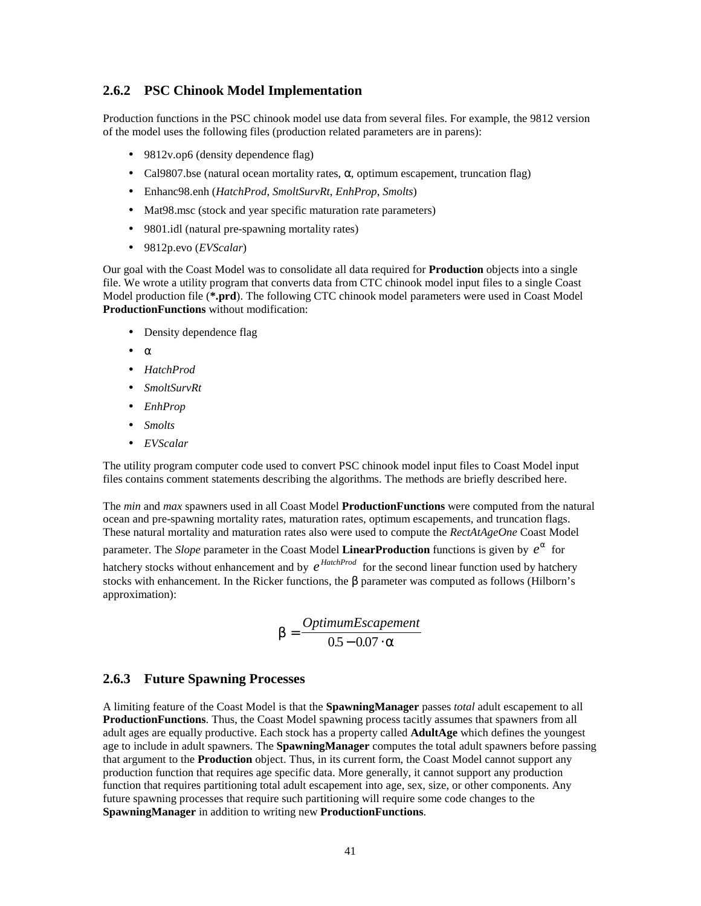### **2.6.2 PSC Chinook Model Implementation**

Production functions in the PSC chinook model use data from several files. For example, the 9812 version of the model uses the following files (production related parameters are in parens):

- 9812v.op6 (density dependence flag)
- Cal9807.bse (natural ocean mortality rates,  $\alpha$ , optimum escapement, truncation flag)
- Enhanc98.enh (*HatchProd*, *SmoltSurvRt*, *EnhProp*, *Smolts*)
- Mat98.msc (stock and year specific maturation rate parameters)
- 9801.idl (natural pre-spawning mortality rates)
- 9812p.evo (*EVScalar*)

Our goal with the Coast Model was to consolidate all data required for **Production** objects into a single file. We wrote a utility program that converts data from CTC chinook model input files to a single Coast Model production file (**\*.prd**). The following CTC chinook model parameters were used in Coast Model **ProductionFunctions** without modification:

- Density dependence flag
- $\alpha$
- *HatchProd*
- *SmoltSurvRt*
- *EnhProp*
- *Smolts*
- *EVScalar*

The utility program computer code used to convert PSC chinook model input files to Coast Model input files contains comment statements describing the algorithms. The methods are briefly described here.

The *min* and *max* spawners used in all Coast Model **ProductionFunctions** were computed from the natural ocean and pre-spawning mortality rates, maturation rates, optimum escapements, and truncation flags. These natural mortality and maturation rates also were used to compute the *RectAtAgeOne* Coast Model parameter. The *Slope* parameter in the Coast Model LinearProduction functions is given by  $e^{a}$  for hatchery stocks without enhancement and by  $e^{HatchProd}$  for the second linear function used by hatchery stocks with enhancement. In the Ricker functions, the *b* parameter was computed as follows (Hilborn's approximation):

$$
b = \frac{OptimumEscapement}{0.5 - 0.07 \cdot a}
$$

### **2.6.3 Future Spawning Processes**

A limiting feature of the Coast Model is that the **SpawningManager** passes *total* adult escapement to all **ProductionFunctions**. Thus, the Coast Model spawning process tacitly assumes that spawners from all adult ages are equally productive. Each stock has a property called **AdultAge** which defines the youngest age to include in adult spawners. The **SpawningManager** computes the total adult spawners before passing that argument to the **Production** object. Thus, in its current form, the Coast Model cannot support any production function that requires age specific data. More generally, it cannot support any production function that requires partitioning total adult escapement into age, sex, size, or other components. Any future spawning processes that require such partitioning will require some code changes to the **SpawningManager** in addition to writing new **ProductionFunctions**.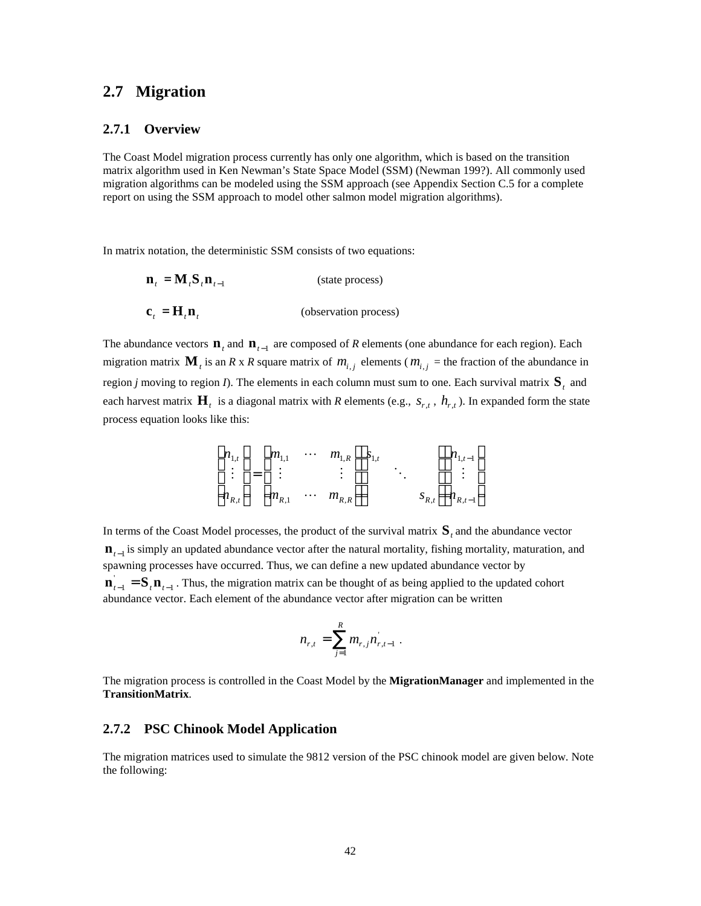### **2.7 Migration**

#### **2.7.1 Overview**

The Coast Model migration process currently has only one algorithm, which is based on the transition matrix algorithm used in Ken Newman's State Space Model (SSM) (Newman 199?). All commonly used migration algorithms can be modeled using the SSM approach (see Appendix Section C.5 for a complete report on using the SSM approach to model other salmon model migration algorithms).

In matrix notation, the deterministic SSM consists of two equations:

$$
\mathbf{n}_{t} = \mathbf{M}_{t} \mathbf{S}_{t} \mathbf{n}_{t-1}
$$
 (state process)  

$$
\mathbf{c}_{t} = \mathbf{H}_{t} \mathbf{n}_{t}
$$
 (observation process)

The abundance vectors  $\mathbf{n}_t$  and  $\mathbf{n}_{t-1}$  are composed of *R* elements (one abundance for each region). Each migration matrix  $\mathbf{M}_t$  is an *R* x *R* square matrix of  $m_{i,j}$  elements ( $m_{i,j}$  = the fraction of the abundance in region *j* moving to region *I*). The elements in each column must sum to one. Each survival matrix  $\mathbf{S}_t$  and each harvest matrix  $H_t$  is a diagonal matrix with *R* elements (e.g.,  $s_{r,t}$ ,  $h_{r,t}$ ). In expanded form the state process equation looks like this:

$$
\begin{bmatrix} n_{1,t} \\ \vdots \\ n_{R,t} \end{bmatrix} = \begin{bmatrix} m_{1,1} & \cdots & m_{1,R} \\ \vdots & & \vdots \\ m_{R,1} & \cdots & m_{R,R} \end{bmatrix} \begin{bmatrix} s_{1,t} \\ \vdots \\ s_{R,t} \end{bmatrix} \begin{bmatrix} n_{1,t-1} \\ \vdots \\ n_{R,t-1} \end{bmatrix}
$$

In terms of the Coast Model processes, the product of the survival matrix  $S_t$  and the abundance vector **n**<sub>*t*−1</sub> is simply an updated abundance vector after the natural mortality, fishing mortality, maturation, and spawning processes have occurred. Thus, we can define a new updated abundance vector by  $\mathbf{n}_{t-1} = \mathbf{S}_t \mathbf{n}_{t-1}$ . Thus, the migration matrix can be thought of as being applied to the updated cohort abundance vector. Each element of the abundance vector after migration can be written

$$
n_{r,t} = \sum_{j=1}^{R} m_{r,j} n_{r,t-1}.
$$

The migration process is controlled in the Coast Model by the **MigrationManager** and implemented in the **TransitionMatrix**.

### **2.7.2 PSC Chinook Model Application**

The migration matrices used to simulate the 9812 version of the PSC chinook model are given below. Note the following: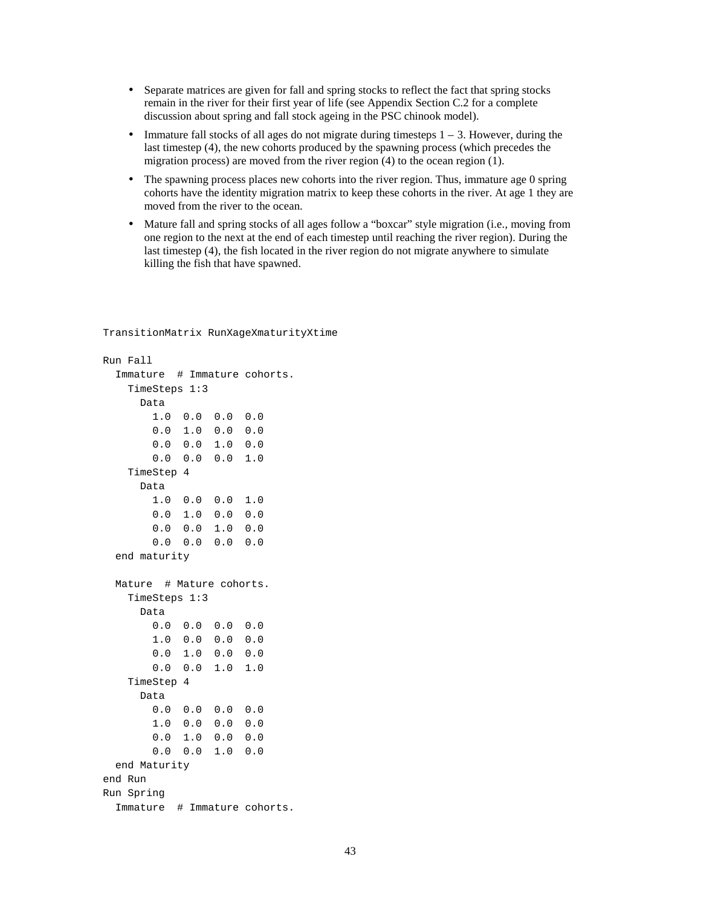- Separate matrices are given for fall and spring stocks to reflect the fact that spring stocks remain in the river for their first year of life (see Appendix Section C.2 for a complete discussion about spring and fall stock ageing in the PSC chinook model).
- Immature fall stocks of all ages do not migrate during timesteps  $1 3$ . However, during the last timestep (4), the new cohorts produced by the spawning process (which precedes the migration process) are moved from the river region (4) to the ocean region (1).
- The spawning process places new cohorts into the river region. Thus, immature age 0 spring cohorts have the identity migration matrix to keep these cohorts in the river. At age 1 they are moved from the river to the ocean.
- Mature fall and spring stocks of all ages follow a "boxcar" style migration (i.e., moving from one region to the next at the end of each timestep until reaching the river region). During the last timestep (4), the fish located in the river region do not migrate anywhere to simulate killing the fish that have spawned.

```
Run Fall
  Immature # Immature cohorts.
    TimeSteps 1:3
      Data
        1.0 0.0 0.0 0.0
        0.0 1.0 0.0 0.0
        0.0 0.0 1.0 0.0
        0.0 0.0 0.0 1.0
    TimeStep 4
      Data
        1.0 0.0 0.0 1.0
        0.0 1.0 0.0 0.0
        0.0 0.0 1.0 0.0
        0.0 0.0 0.0 0.0
  end maturity
 Mature # Mature cohorts.
    TimeSteps 1:3
      Data
        0.0 0.0 0.0 0.0
        1.0 0.0 0.0 0.0
        0.0 1.0 0.0 0.0
        0.0 0.0 1.0 1.0
    TimeStep 4
      Data
        0.0 0.0 0.0 0.0
        1.0 0.0 0.0 0.0
        0.0 1.0 0.0 0.0
        0.0 0.0 1.0 0.0
  end Maturity
end Run
Run Spring
  Immature # Immature cohorts.
```
TransitionMatrix RunXageXmaturityXtime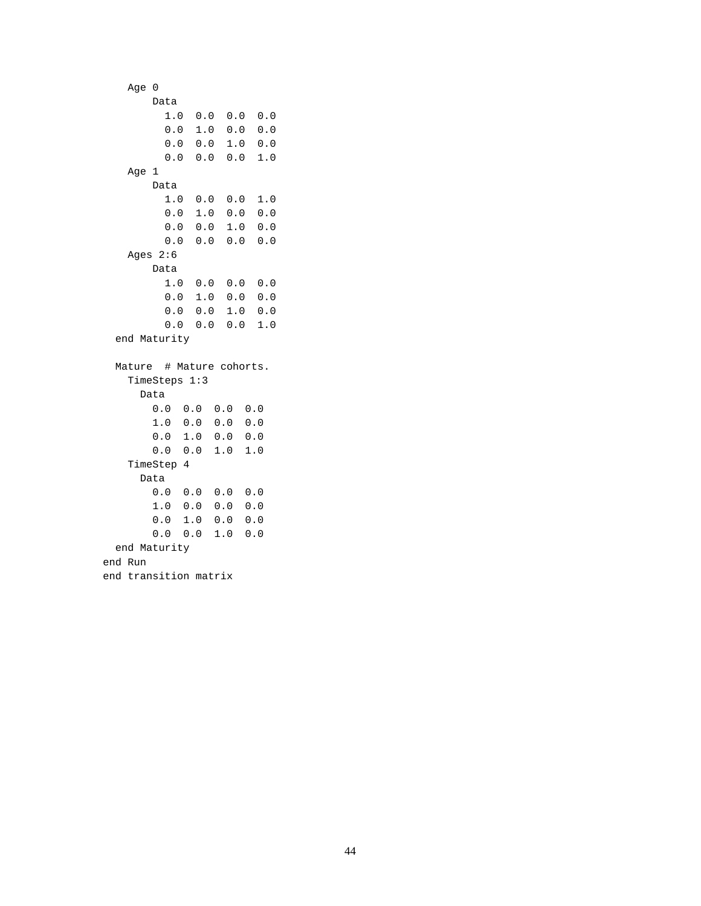```
 Age 0
        Data
          1.0 0.0 0.0 0.0
          0.0 1.0 0.0 0.0
          0.0 0.0 1.0 0.0
          0.0 0.0 0.0 1.0
    Age 1
        Data
          1.0 0.0 0.0 1.0
          0.0 1.0 0.0 0.0
          0.0 0.0 1.0 0.0
          0.0 0.0 0.0 0.0
    Ages 2:6
        Data
          1.0 0.0 0.0 0.0
          0.0 1.0 0.0 0.0
          0.0 0.0 1.0 0.0
          0.0 0.0 0.0 1.0
  end Maturity
  Mature # Mature cohorts.
    TimeSteps 1:3
      Data
        0.0 0.0 0.0 0.0
        1.0 0.0 0.0 0.0
        0.0 1.0 0.0 0.0
        0.0 0.0 1.0 1.0
    TimeStep 4
      Data
        0.0 0.0 0.0 0.0
        1.0 0.0 0.0 0.0
        0.0 1.0 0.0 0.0
        0.0 0.0 1.0 0.0
  end Maturity
end Run
end transition matrix
```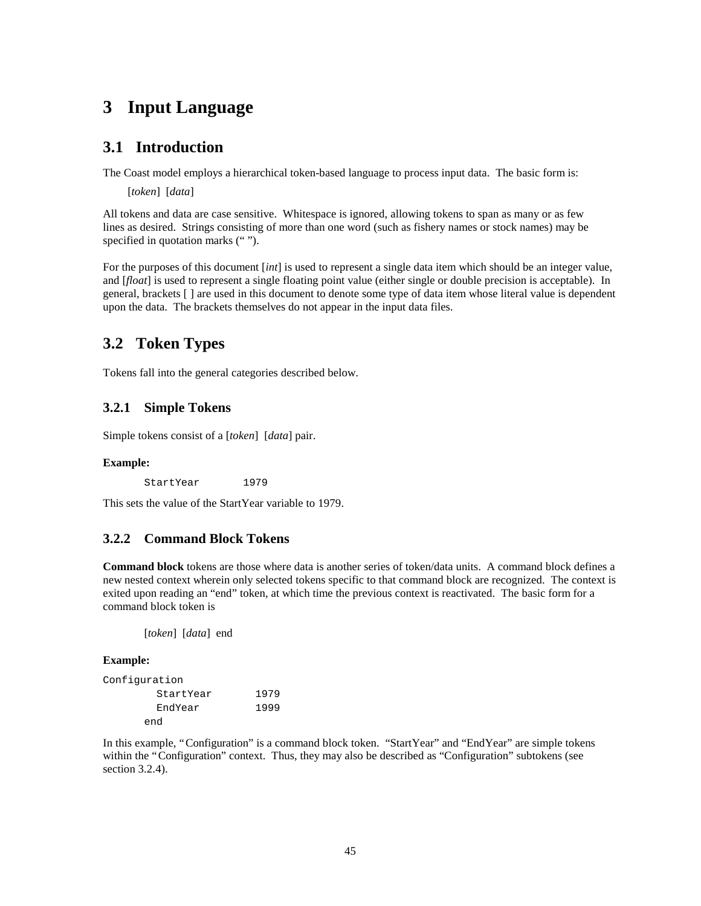# **3 Input Language**

### **3.1 Introduction**

The Coast model employs a hierarchical token-based language to process input data. The basic form is:

[*token*] [*data*]

All tokens and data are case sensitive. Whitespace is ignored, allowing tokens to span as many or as few lines as desired. Strings consisting of more than one word (such as fishery names or stock names) may be specified in quotation marks ("").

For the purposes of this document [*int*] is used to represent a single data item which should be an integer value, and [*float*] is used to represent a single floating point value (either single or double precision is acceptable). In general, brackets [ ] are used in this document to denote some type of data item whose literal value is dependent upon the data. The brackets themselves do not appear in the input data files.

# **3.2 Token Types**

Tokens fall into the general categories described below.

### **3.2.1 Simple Tokens**

Simple tokens consist of a [*token*] [*data*] pair.

### **Example:**

StartYear 1979

This sets the value of the StartYear variable to 1979.

### **3.2.2 Command Block Tokens**

**Command block** tokens are those where data is another series of token/data units. A command block defines a new nested context wherein only selected tokens specific to that command block are recognized. The context is exited upon reading an "end" token, at which time the previous context is reactivated. The basic form for a command block token is

[*token*] [*data*] end

#### **Example:**

| Confiquration |           |      |
|---------------|-----------|------|
|               | StartYear | 1979 |
|               | EndYear   | 1999 |
|               | end       |      |

In this example, "Configuration" is a command block token. "StartYear" and "EndYear" are simple tokens within the "Configuration" context. Thus, they may also be described as "Configuration" subtokens (see section 3.2.4).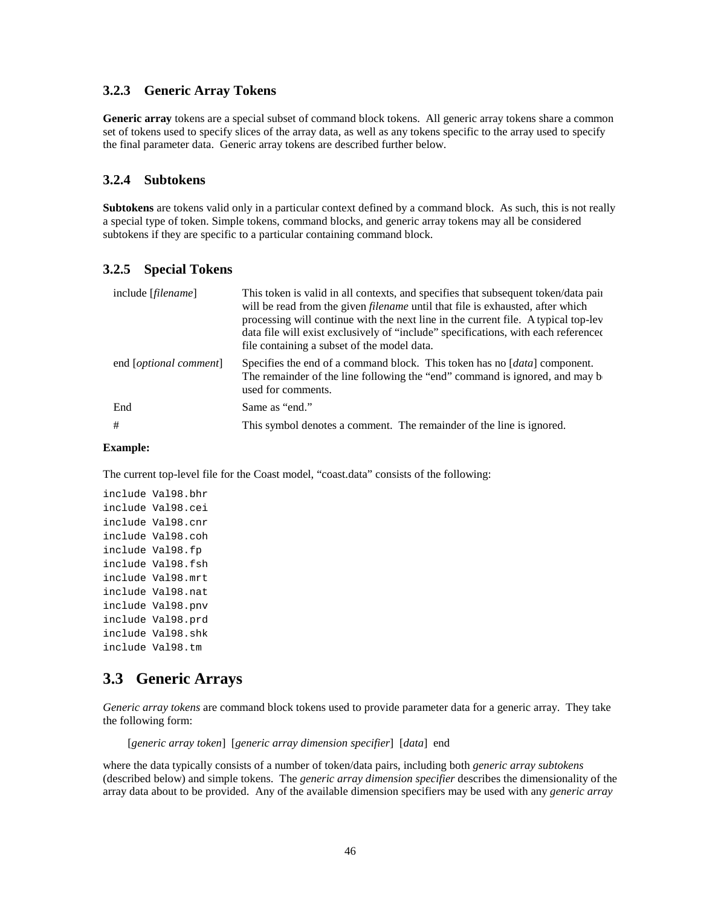### **3.2.3 Generic Array Tokens**

**Generic array** tokens are a special subset of command block tokens. All generic array tokens share a common set of tokens used to specify slices of the array data, as well as any tokens specific to the array used to specify the final parameter data. Generic array tokens are described further below.

### **3.2.4 Subtokens**

**Subtokens** are tokens valid only in a particular context defined by a command block. As such, this is not really a special type of token. Simple tokens, command blocks, and generic array tokens may all be considered subtokens if they are specific to a particular containing command block.

### **3.2.5 Special Tokens**

| include [ <i>filename</i> ]     | This token is valid in all contexts, and specifies that subsequent token/data pair<br>will be read from the given <i>filename</i> until that file is exhausted, after which<br>processing will continue with the next line in the current file. A typical top-lev<br>data file will exist exclusively of "include" specifications, with each referenced<br>file containing a subset of the model data. |
|---------------------------------|--------------------------------------------------------------------------------------------------------------------------------------------------------------------------------------------------------------------------------------------------------------------------------------------------------------------------------------------------------------------------------------------------------|
| end [ <i>optional comment</i> ] | Specifies the end of a command block. This token has no [data] component.<br>The remainder of the line following the "end" command is ignored, and may be<br>used for comments.                                                                                                                                                                                                                        |
| End                             | Same as "end."                                                                                                                                                                                                                                                                                                                                                                                         |
| #                               | This symbol denotes a comment. The remainder of the line is ignored.                                                                                                                                                                                                                                                                                                                                   |

#### **Example:**

The current top-level file for the Coast model, "coast.data" consists of the following:

include Val98.bhr include Val98.cei include Val98.cnr include Val98.coh include Val98.fp include Val98.fsh include Val98.mrt include Val98.nat include Val98.pnv include Val98.prd include Val98.shk include Val98.tm

### **3.3 Generic Arrays**

*Generic array tokens* are command block tokens used to provide parameter data for a generic array. They take the following form:

[*generic array token*] [*generic array dimension specifier*] [*data*] end

where the data typically consists of a number of token/data pairs, including both *generic array subtokens* (described below) and simple tokens. The *generic array dimension specifier* describes the dimensionality of the array data about to be provided. Any of the available dimension specifiers may be used with any *generic array*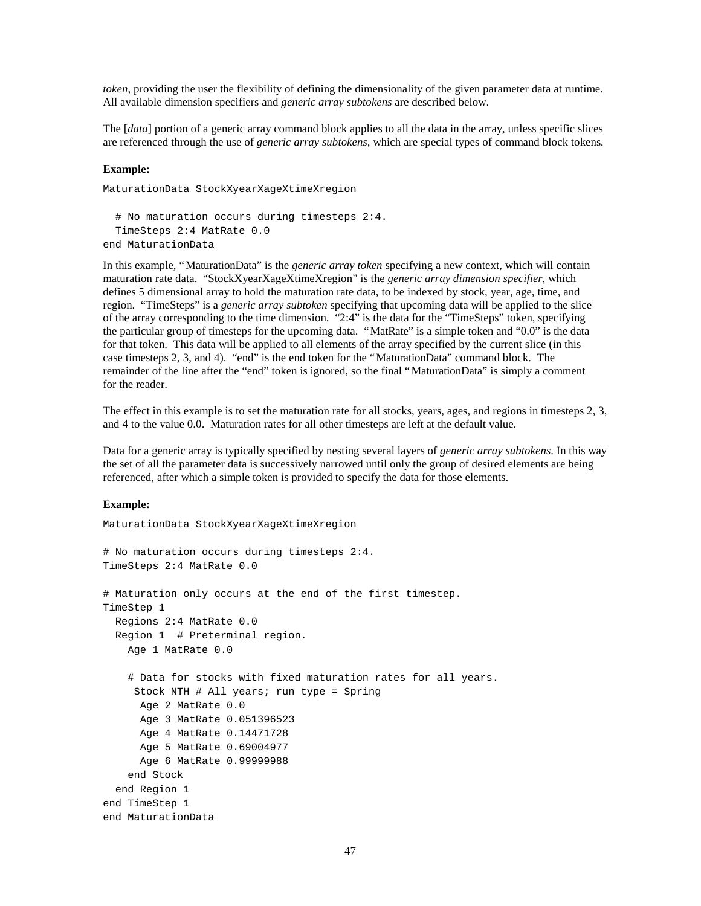*token*, providing the user the flexibility of defining the dimensionality of the given parameter data at runtime. All available dimension specifiers and *generic array subtokens* are described below.

The [*data*] portion of a generic array command block applies to all the data in the array, unless specific slices are referenced through the use of *generic array subtokens,* which are special types of command block tokens*.*

#### **Example:**

```
MaturationData StockXyearXageXtimeXregion
   # No maturation occurs during timesteps 2:4.
   TimeSteps 2:4 MatRate 0.0
```
end MaturationData

In this example, "MaturationData" is the *generic array token* specifying a new context, which will contain maturation rate data. "StockXyearXageXtimeXregion" is the *generic array dimension specifier*, which defines 5 dimensional array to hold the maturation rate data, to be indexed by stock, year, age, time, and region. "TimeSteps" is a *generic array subtoken* specifying that upcoming data will be applied to the slice of the array corresponding to the time dimension. "2:4" is the data for the "TimeSteps" token, specifying the particular group of timesteps for the upcoming data. "MatRate" is a simple token and "0.0" is the data for that token. This data will be applied to all elements of the array specified by the current slice (in this case timesteps 2, 3, and 4). "end" is the end token for the "MaturationData" command block. The remainder of the line after the "end" token is ignored, so the final "MaturationData" is simply a comment for the reader.

The effect in this example is to set the maturation rate for all stocks, years, ages, and regions in timesteps 2, 3, and 4 to the value 0.0. Maturation rates for all other timesteps are left at the default value.

Data for a generic array is typically specified by nesting several layers of *generic array subtokens*. In this way the set of all the parameter data is successively narrowed until only the group of desired elements are being referenced, after which a simple token is provided to specify the data for those elements.

#### **Example:**

```
MaturationData StockXyearXageXtimeXregion
# No maturation occurs during timesteps 2:4.
TimeSteps 2:4 MatRate 0.0
# Maturation only occurs at the end of the first timestep.
TimeStep 1
   Regions 2:4 MatRate 0.0
   Region 1 # Preterminal region.
     Age 1 MatRate 0.0
     # Data for stocks with fixed maturation rates for all years.
      Stock NTH # All years; run type = Spring
       Age 2 MatRate 0.0
      Age 3 MatRate 0.051396523
       Age 4 MatRate 0.14471728
       Age 5 MatRate 0.69004977
       Age 6 MatRate 0.99999988
     end Stock
   end Region 1
end TimeStep 1
end MaturationData
```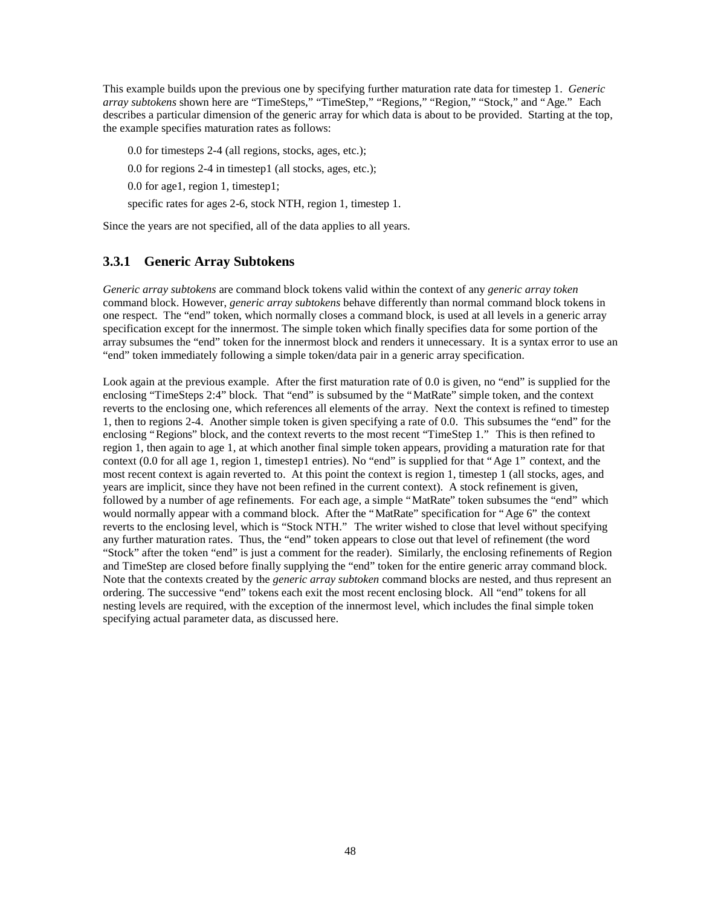This example builds upon the previous one by specifying further maturation rate data for timestep 1. *Generic array subtokens* shown here are "TimeSteps," "TimeStep," "Regions," "Region," "Stock," and "Age." Each describes a particular dimension of the generic array for which data is about to be provided. Starting at the top, the example specifies maturation rates as follows:

0.0 for timesteps 2-4 (all regions, stocks, ages, etc.);

0.0 for regions 2-4 in timestep1 (all stocks, ages, etc.);

0.0 for age1, region 1, timestep1;

specific rates for ages 2-6, stock NTH, region 1, timestep 1.

Since the years are not specified, all of the data applies to all years.

### **3.3.1 Generic Array Subtokens**

*Generic array subtokens* are command block tokens valid within the context of any *generic array token* command block. However, *generic array subtokens* behave differently than normal command block tokens in one respect. The "end" token, which normally closes a command block, is used at all levels in a generic array specification except for the innermost. The simple token which finally specifies data for some portion of the array subsumes the "end" token for the innermost block and renders it unnecessary. It is a syntax error to use an "end" token immediately following a simple token/data pair in a generic array specification.

Look again at the previous example. After the first maturation rate of 0.0 is given, no "end" is supplied for the enclosing "TimeSteps 2:4" block. That "end" is subsumed by the "MatRate" simple token, and the context reverts to the enclosing one, which references all elements of the array. Next the context is refined to timestep 1, then to regions 2-4. Another simple token is given specifying a rate of 0.0. This subsumes the "end" for the enclosing "Regions" block, and the context reverts to the most recent "TimeStep 1." This is then refined to region 1, then again to age 1, at which another final simple token appears, providing a maturation rate for that context (0.0 for all age 1, region 1, timestep1 entries). No "end" is supplied for that "Age 1" context, and the most recent context is again reverted to. At this point the context is region 1, timestep 1 (all stocks, ages, and years are implicit, since they have not been refined in the current context). A stock refinement is given, followed by a number of age refinements. For each age, a simple "MatRate" token subsumes the "end" which would normally appear with a command block. After the "MatRate" specification for "Age 6" the context reverts to the enclosing level, which is "Stock NTH." The writer wished to close that level without specifying any further maturation rates. Thus, the "end" token appears to close out that level of refinement (the word "Stock" after the token "end" is just a comment for the reader). Similarly, the enclosing refinements of Region and TimeStep are closed before finally supplying the "end" token for the entire generic array command block. Note that the contexts created by the *generic array subtoken* command blocks are nested, and thus represent an ordering. The successive "end" tokens each exit the most recent enclosing block. All "end" tokens for all nesting levels are required, with the exception of the innermost level, which includes the final simple token specifying actual parameter data, as discussed here.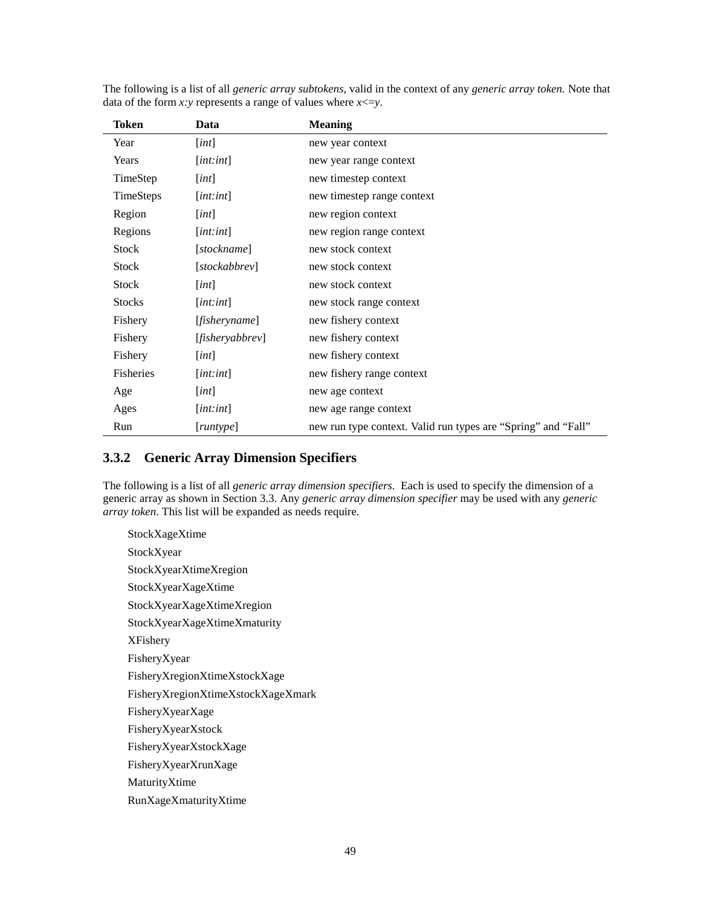| Token            | Data                          | <b>Meaning</b>                                                |
|------------------|-------------------------------|---------------------------------------------------------------|
| Year             | [int]                         | new year context                                              |
| Years            | $[$ <i>int</i> : <i>int</i> ] | new year range context                                        |
| TimeStep         | [int]                         | new timestep context                                          |
| TimeSteps        | $[$ <i>int</i> : <i>int</i> ] | new timestep range context                                    |
| Region           | [int]                         | new region context                                            |
| Regions          | [int:int]                     | new region range context                                      |
| Stock            | [stockname]                   | new stock context                                             |
| <b>Stock</b>     | [stockabbrev]                 | new stock context                                             |
| <b>Stock</b>     | [int]                         | new stock context                                             |
| <b>Stocks</b>    | $[$ <i>int</i> : <i>int</i> ] | new stock range context                                       |
| Fishery          | [fisheryname]                 | new fishery context                                           |
| Fishery          | [fisheryabbrev]               | new fishery context                                           |
| Fishery          | [int]                         | new fishery context                                           |
| <b>Fisheries</b> | $[$ <i>int</i> : <i>int</i> ] | new fishery range context                                     |
| Age              | [int]                         | new age context                                               |
| Ages             | [int:int]                     | new age range context                                         |
| Run              | [number]                      | new run type context. Valid run types are "Spring" and "Fall" |

The following is a list of all *generic array subtokens*, valid in the context of any *generic array token.* Note that data of the form *x*: *y* represents a range of values where  $x \le y$ .

### **3.3.2 Generic Array Dimension Specifiers**

The following is a list of all *generic array dimension specifiers*. Each is used to specify the dimension of a generic array as shown in Section 3.3. Any *generic array dimension specifier* may be used with any *generic array token*. This list will be expanded as needs require.

StockXageXtime StockXyear StockXyearXtimeXregion StockXyearXageXtime StockXyearXageXtimeXregion StockXyearXageXtimeXmaturity XFishery FisheryXyear FisheryXregionXtimeXstockXage FisheryXregionXtimeXstockXageXmark FisheryXyearXage FisheryXyearXstock FisheryXyearXstockXage FisheryXyearXrunXage MaturityXtime RunXageXmaturityXtime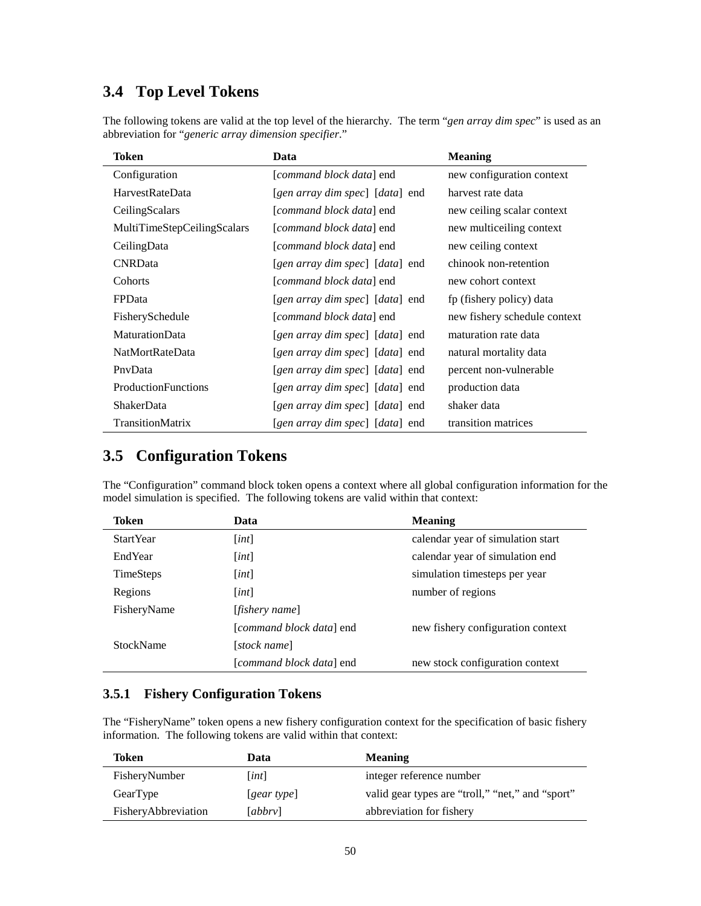# **3.4 Top Level Tokens**

The following tokens are valid at the top level of the hierarchy. The term "*gen array dim spec*" is used as an abbreviation for "*generic array dimension specifier*."

| Token                       | Data                              | <b>Meaning</b>               |
|-----------------------------|-----------------------------------|------------------------------|
| Configuration               | [ <i>command block data</i> ] end | new configuration context    |
| <b>HarvestRateData</b>      | [gen array dim spec] [data] end   | harvest rate data            |
| CeilingScalars              | [command block data] end          | new ceiling scalar context   |
| MultiTimeStepCeilingScalars | [command block data] end          | new multiceiling context     |
| CeilingData                 | [command block data] end          | new ceiling context          |
| <b>CNRD</b> ata             | [gen array dim spec] [data] end   | chinook non-retention        |
| Cohorts                     | [ <i>command block data</i> ] end | new cohort context           |
| <b>FPD</b> ata              | [gen array dim spec] [data] end   | fp (fishery policy) data     |
| FisherySchedule             | [command block data] end          | new fishery schedule context |
| <b>MaturationData</b>       | [gen array dim spec] [data] end   | maturation rate data         |
| <b>NatMortRateData</b>      | [gen array dim spec] [data] end   | natural mortality data       |
| PnyData                     | [gen array dim spec] [data] end   | percent non-vulnerable       |
| ProductionFunctions         | [gen array dim spec] [data] end   | production data              |
| <b>ShakerData</b>           | [gen array dim spec] [data] end   | shaker data                  |
| <b>TransitionMatrix</b>     | [gen array dim spec] [data] end   | transition matrices          |

# **3.5 Configuration Tokens**

The "Configuration" command block token opens a context where all global configuration information for the model simulation is specified. The following tokens are valid within that context:

| Token            | Data                     | <b>Meaning</b>                    |
|------------------|--------------------------|-----------------------------------|
| <b>StartYear</b> | [int]                    | calendar year of simulation start |
| EndYear          | [int]                    | calendar year of simulation end   |
| <b>TimeSteps</b> | [int]                    | simulation timesteps per year     |
| Regions          | [int]                    | number of regions                 |
| FisheryName      | [ <i>fishery name</i> ]  |                                   |
|                  | [command block data] end | new fishery configuration context |
| StockName        | [stock name]             |                                   |
|                  | [command block data] end | new stock configuration context   |

### **3.5.1 Fishery Configuration Tokens**

The "FisheryName" token opens a new fishery configuration context for the specification of basic fishery information. The following tokens are valid within that context:

| Token               | Data                         | <b>Meaning</b>                                   |
|---------------------|------------------------------|--------------------------------------------------|
| FisheryNumber       | int                          | integer reference number                         |
| GearType            | [ <i>gear type</i> ] <i></i> | valid gear types are "troll," "net," and "sport" |
| FisheryAbbreviation | [abbrv]                      | abbreviation for fishery                         |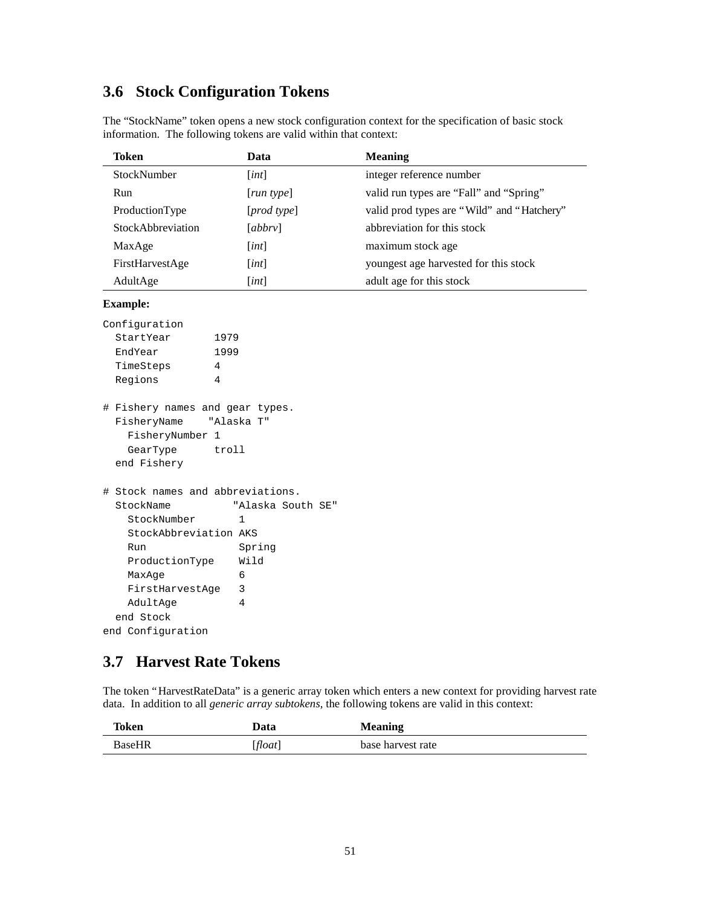# **3.6 Stock Configuration Tokens**

| Token             | Data        | <b>Meaning</b>                             |
|-------------------|-------------|--------------------------------------------|
| StockNumber       | [int]       | integer reference number                   |
| Run               | [run type]  | valid run types are "Fall" and "Spring"    |
| ProductionType    | [prod type] | valid prod types are "Wild" and "Hatchery" |
| StockAbbreviation | [abbrv]     | abbreviation for this stock                |
| MaxAge            | [int]       | maximum stock age                          |
| FirstHarvestAge   | [int]       | youngest age harvested for this stock      |
| AdultAge          | [int]       | adult age for this stock                   |

The "StockName" token opens a new stock configuration context for the specification of basic stock information. The following tokens are valid within that context:

#### **Example:**

| Confiquration |      |
|---------------|------|
| StartYear     | 1979 |
| EndYear       | 1999 |
| TimeSteps     | 4    |
| Regions       |      |

| # Fishery names and gear types. |                 |            |  |
|---------------------------------|-----------------|------------|--|
| FisheryName                     |                 | "Alaska T" |  |
|                                 | FisheryNumber 1 |            |  |
| GearType                        |                 | troll      |  |
| end Fishery                     |                 |            |  |

```
# Stock names and abbreviations.
  StockName "Alaska South SE"
   StockNumber 1
    StockAbbreviation AKS
    Run Spring
    ProductionType Wild
   MaxAge 6
    FirstHarvestAge 3
    AdultAge 4
  end Stock
end Configuration
```
# **3.7 Harvest Rate Tokens**

The token "HarvestRateData" is a generic array token which enters a new context for providing harvest rate data. In addition to all *generic array subtokens,* the following tokens are valid in this context:

| Token         | Data    | <b>Meaning</b>    |
|---------------|---------|-------------------|
| <b>BaseHR</b> | [float] | base harvest rate |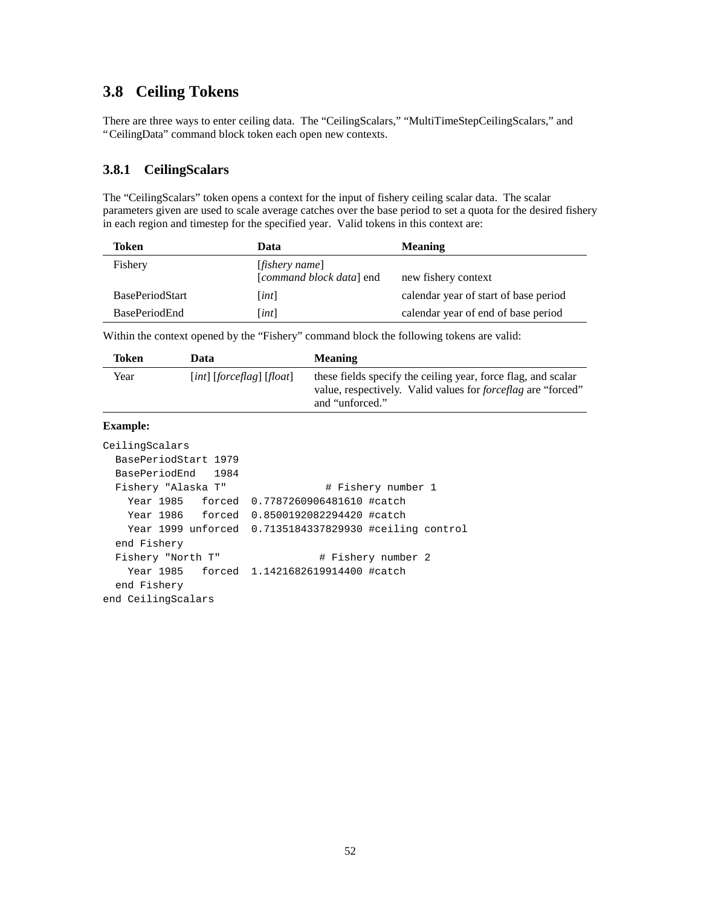# **3.8 Ceiling Tokens**

There are three ways to enter ceiling data. The "CeilingScalars," "MultiTimeStepCeilingScalars," and "CeilingData" command block token each open new contexts.

### **3.8.1 CeilingScalars**

The "CeilingScalars" token opens a context for the input of fishery ceiling scalar data. The scalar parameters given are used to scale average catches over the base period to set a quota for the desired fishery in each region and timestep for the specified year. Valid tokens in this context are:

| Token                  | Data                                                | <b>Meaning</b>                        |
|------------------------|-----------------------------------------------------|---------------------------------------|
| Fishery                | [ <i>fishery name</i> ]<br>[command block data] end | new fishery context                   |
| <b>BasePeriodStart</b> | [int]                                               | calendar year of start of base period |
| <b>BasePeriodEnd</b>   | [int]                                               | calendar year of end of base period   |

Within the context opened by the "Fishery" command block the following tokens are valid:

| Token | Data                                    | <b>Meaning</b>                                                                                                                                          |
|-------|-----------------------------------------|---------------------------------------------------------------------------------------------------------------------------------------------------------|
| Year  | $\lceil int \rceil$ [forceflag] [float] | these fields specify the ceiling year, force flag, and scalar<br>value, respectively. Valid values for <i>forceflag</i> are "forced"<br>and "unforced." |

#### **Example:**

```
CeilingScalars
  BasePeriodStart 1979
  BasePeriodEnd 1984
 Fishery "Alaska T" # Fishery number 1
    Year 1985 forced 0.7787260906481610 #catch
    Year 1986 forced 0.8500192082294420 #catch
    Year 1999 unforced 0.7135184337829930 #ceiling control
  end Fishery
 Fishery "North T" # Fishery number 2
    Year 1985 forced 1.1421682619914400 #catch
  end Fishery
end CeilingScalars
```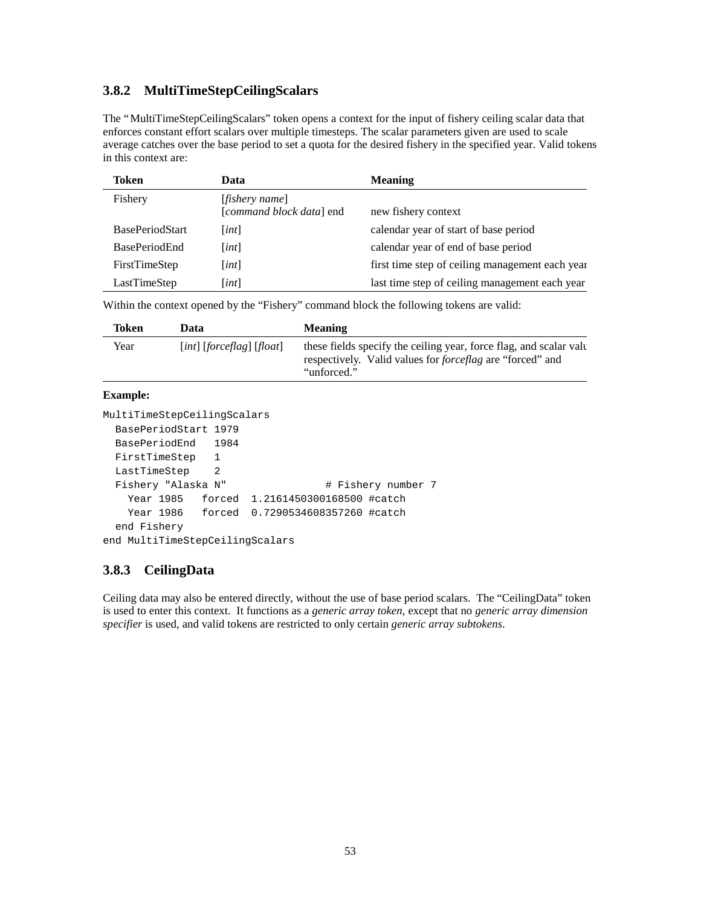### **3.8.2 MultiTimeStepCeilingScalars**

The "MultiTimeStepCeilingScalars" token opens a context for the input of fishery ceiling scalar data that enforces constant effort scalars over multiple timesteps. The scalar parameters given are used to scale average catches over the base period to set a quota for the desired fishery in the specified year. Valid tokens in this context are:

| Token                  | Data                                                | <b>Meaning</b>                                  |
|------------------------|-----------------------------------------------------|-------------------------------------------------|
| Fishery                | [ <i>fishery name</i> ]<br>[command block data] end | new fishery context                             |
| <b>BasePeriodStart</b> | [int]                                               | calendar year of start of base period           |
| <b>BasePeriodEnd</b>   | [int]                                               | calendar year of end of base period             |
| FirstTimeStep          | [int]                                               | first time step of ceiling management each year |
| LastTimeStep           | [int]                                               | last time step of ceiling management each year  |

Within the context opened by the "Fishery" command block the following tokens are valid:

| Token | Data                          | <b>Meaning</b>                                                                                                                                         |
|-------|-------------------------------|--------------------------------------------------------------------------------------------------------------------------------------------------------|
| Year  | $[int]$ [forceflag] $[float]$ | these fields specify the ceiling year, force flag, and scalar value<br>respectively. Valid values for <i>forceflag</i> are "forced" and<br>"unforced." |
|       |                               |                                                                                                                                                        |

### **Example:**

```
MultiTimeStepCeilingScalars
  BasePeriodStart 1979
  BasePeriodEnd 1984
  FirstTimeStep 1
  LastTimeStep 2
 Fishery "Alaska N" # Fishery number 7
    Year 1985 forced 1.2161450300168500 #catch
    Year 1986 forced 0.7290534608357260 #catch
  end Fishery
end MultiTimeStepCeilingScalars
```
### **3.8.3 CeilingData**

Ceiling data may also be entered directly, without the use of base period scalars. The "CeilingData" token is used to enter this context. It functions as a *generic array token*, except that no *generic array dimension specifier* is used, and valid tokens are restricted to only certain *generic array subtokens*.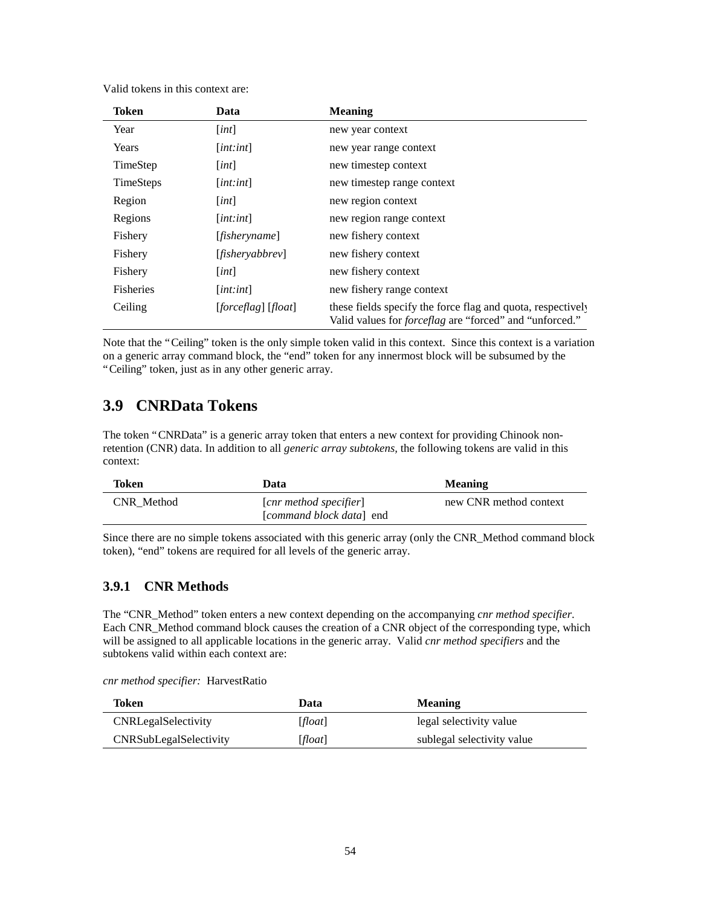| <b>Token</b>     | Data                | <b>Meaning</b>                                                                                                                |
|------------------|---------------------|-------------------------------------------------------------------------------------------------------------------------------|
| Year             | [int]               | new year context                                                                                                              |
| Years            | [int:int]           | new year range context                                                                                                        |
| TimeStep         | [int]               | new timestep context                                                                                                          |
| <b>TimeSteps</b> | [int:int]           | new timestep range context                                                                                                    |
| Region           | [int]               | new region context                                                                                                            |
| Regions          | [int:int]           | new region range context                                                                                                      |
| Fishery          | [fisheryname]       | new fishery context                                                                                                           |
| Fishery          | [fishery abbrev     | new fishery context                                                                                                           |
| Fishery          | [int]               | new fishery context                                                                                                           |
| <b>Fisheries</b> | [int:int]           | new fishery range context                                                                                                     |
| Ceiling          | [forceflag] [float] | these fields specify the force flag and quota, respectively<br>Valid values for <i>forceflag</i> are "forced" and "unforced." |

Valid tokens in this context are:

Note that the "Ceiling" token is the only simple token valid in this context. Since this context is a variation on a generic array command block, the "end" token for any innermost block will be subsumed by the "Ceiling" token, just as in any other generic array.

# **3.9 CNRData Tokens**

The token "CNRData" is a generic array token that enters a new context for providing Chinook nonretention (CNR) data. In addition to all *generic array subtokens,* the following tokens are valid in this context:

| Token      | Data                                                               | <b>Meaning</b>         |
|------------|--------------------------------------------------------------------|------------------------|
| CNR Method | $\lceil$ cnr method specifier $\rceil$<br>[command block data] end | new CNR method context |

Since there are no simple tokens associated with this generic array (only the CNR\_Method command block token), "end" tokens are required for all levels of the generic array.

### **3.9.1 CNR Methods**

The "CNR\_Method" token enters a new context depending on the accompanying *cnr method specifier*. Each CNR Method command block causes the creation of a CNR object of the corresponding type, which will be assigned to all applicable locations in the generic array. Valid *cnr method specifiers* and the subtokens valid within each context are:

*cnr method specifier:* HarvestRatio

| Token                         | Data    | <b>Meaning</b>             |
|-------------------------------|---------|----------------------------|
| <b>CNRLegalSelectivity</b>    | [float] | legal selectivity value    |
| <b>CNRSubLegalSelectivity</b> | [float] | sublegal selectivity value |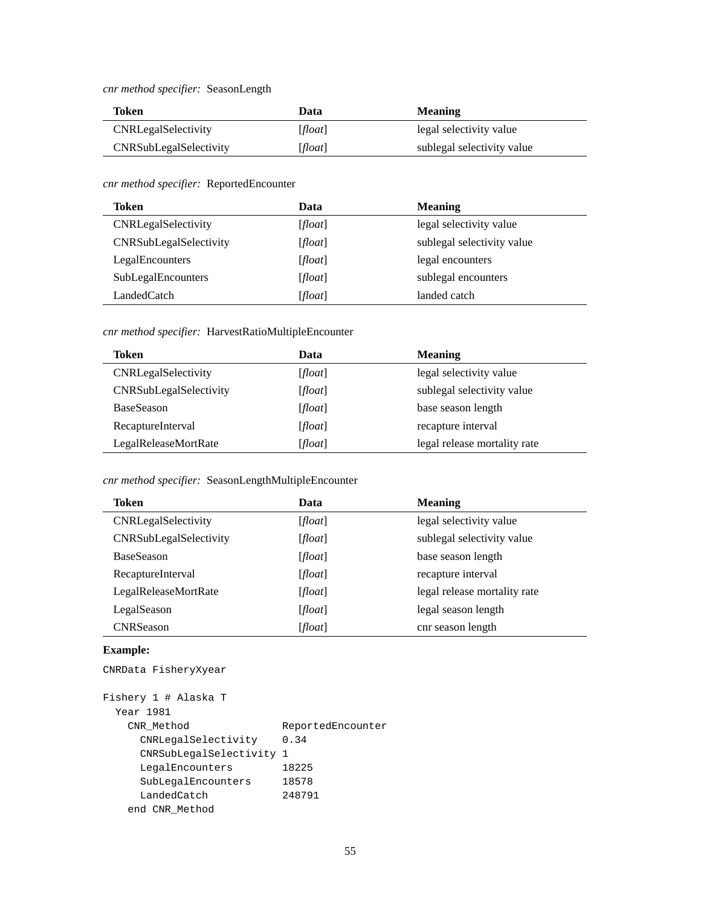*cnr method specifier:* SeasonLength

| Token                         | Data    | <b>Meaning</b>             |
|-------------------------------|---------|----------------------------|
| <b>CNRLegalSelectivity</b>    | [float] | legal selectivity value    |
| <b>CNRSubLegalSelectivity</b> | [float] | sublegal selectivity value |

*cnr method specifier:* ReportedEncounter

| Token                  | Data    | <b>Meaning</b>             |
|------------------------|---------|----------------------------|
| CNRLegalSelectivity    | [float] | legal selectivity value    |
| CNRSubLegalSelectivity | [float] | sublegal selectivity value |
| LegalEncounters        | [float] | legal encounters           |
| SubLegalEncounters     | [float] | sublegal encounters        |
| LandedCatch            | [float] | landed catch               |

#### *cnr method specifier:* HarvestRatioMultipleEncounter

| Token                  | Data    | <b>Meaning</b>               |
|------------------------|---------|------------------------------|
| CNRLegalSelectivity    | [float] | legal selectivity value      |
| CNRSubLegalSelectivity | [float] | sublegal selectivity value   |
| BaseSeason             | [float] | base season length           |
| RecaptureInterval      | [float] | recapture interval           |
| LegalReleaseMortRate   | [float] | legal release mortality rate |

#### *cnr method specifier:* SeasonLengthMultipleEncounter

| Token                  | Data    | <b>Meaning</b>               |
|------------------------|---------|------------------------------|
| CNRLegalSelectivity    | [float] | legal selectivity value      |
| CNRSubLegalSelectivity | [float] | sublegal selectivity value   |
| <b>BaseSeason</b>      | [float] | base season length           |
| RecaptureInterval      | [float] | recapture interval           |
| LegalReleaseMortRate   | [float] | legal release mortality rate |
| LegalSeason            | [float] | legal season length          |
| <b>CNRSeason</b>       | [float] | cnr season length            |

#### **Example:**

```
CNRData FisheryXyear
```

```
Fishery 1 # Alaska T
  Year 1981
    CNR_Method ReportedEncounter
     CNRLegalSelectivity 0.34
     CNRSubLegalSelectivity 1
     LegalEncounters 18225
 SubLegalEncounters 18578
 LandedCatch 248791
    end CNR_Method
```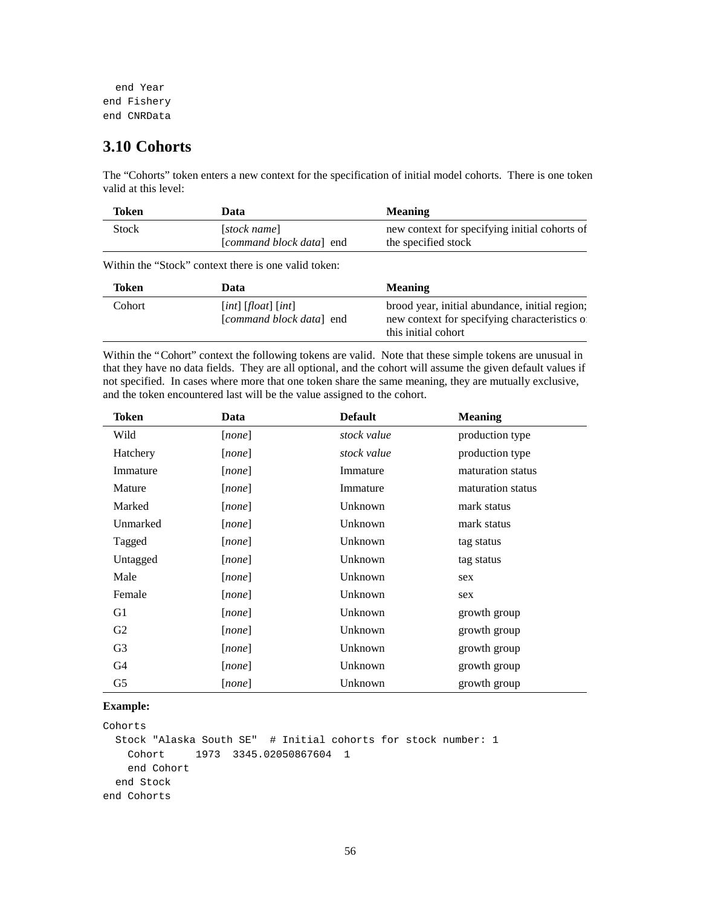```
 end Year
end Fishery
end CNRData
```
# **3.10 Cohorts**

The "Cohorts" token enters a new context for the specification of initial model cohorts. There is one token valid at this level:

| Token        | Data                                     | <b>Meaning</b>                                                       |
|--------------|------------------------------------------|----------------------------------------------------------------------|
| <b>Stock</b> | [stock name]<br>[command block data] end | new context for specifying initial cohorts of<br>the specified stock |

Within the "Stock" context there is one valid token:

| Token  | Data                                                  | <b>Meaning</b>                                                                                                         |
|--------|-------------------------------------------------------|------------------------------------------------------------------------------------------------------------------------|
| Cohort | $[int]$ $[float]$ $[int]$<br>[command block data] end | brood year, initial abundance, initial region;<br>new context for specifying characteristics of<br>this initial cohort |

Within the "Cohort" context the following tokens are valid. Note that these simple tokens are unusual in that they have no data fields. They are all optional, and the cohort will assume the given default values if not specified. In cases where more that one token share the same meaning, they are mutually exclusive, and the token encountered last will be the value assigned to the cohort.

| Token          | Data   | <b>Default</b> | <b>Meaning</b>    |
|----------------|--------|----------------|-------------------|
| Wild           | [none] | stock value    | production type   |
| Hatchery       | [none] | stock value    | production type   |
| Immature       | [none] | Immature       | maturation status |
| Mature         | [none] | Immature       | maturation status |
| Marked         | [none] | Unknown        | mark status       |
| Unmarked       | [none] | Unknown        | mark status       |
| Tagged         | [none] | Unknown        | tag status        |
| Untagged       | [none] | Unknown        | tag status        |
| Male           | [none] | Unknown        | sex               |
| Female         | [none] | Unknown        | sex               |
| G1             | [none] | Unknown        | growth group      |
| G <sub>2</sub> | [none] | Unknown        | growth group      |
| G3             | [none] | Unknown        | growth group      |
| G4             | [none] | Unknown        | growth group      |
| G5             | [none] | Unknown        | growth group      |

#### **Example:**

Cohorts Stock "Alaska South SE" # Initial cohorts for stock number: 1 Cohort 1973 3345.02050867604 1 end Cohort end Stock end Cohorts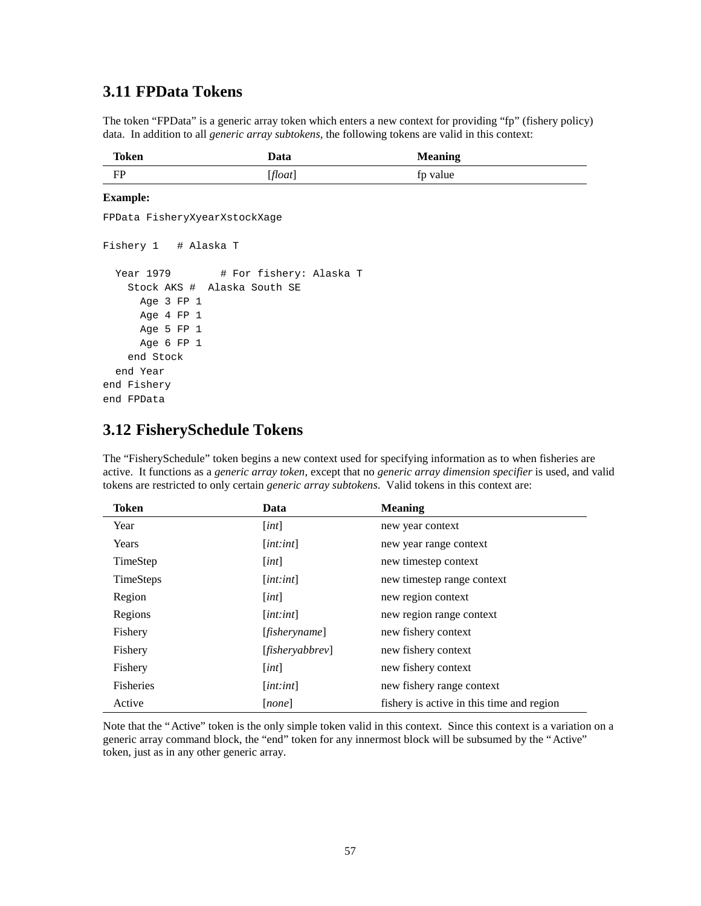## **3.11 FPData Tokens**

The token "FPData" is a generic array token which enters a new context for providing "fp" (fishery policy) data. In addition to all *generic array subtokens,* the following tokens are valid in this context:

| Token | Data    | <b>Meaning</b> |
|-------|---------|----------------|
| FP    | [float] | fp value       |

#### **Example:**

FPData FisheryXyearXstockXage Fishery 1 # Alaska T Year 1979 # For fishery: Alaska T Stock AKS # Alaska South SE Age 3 FP 1 Age 4 FP 1 Age 5 FP 1 Age 6 FP 1 end Stock end Year end Fishery end FPData

## **3.12 FisherySchedule Tokens**

The "FisherySchedule" token begins a new context used for specifying information as to when fisheries are active. It functions as a *generic array token*, except that no *generic array dimension specifier* is used, and valid tokens are restricted to only certain *generic array subtokens*. Valid tokens in this context are:

| Token            | Data                          | <b>Meaning</b>                            |
|------------------|-------------------------------|-------------------------------------------|
| Year             | [int]                         | new year context                          |
| Years            | $[$ <i>int</i> : <i>int</i> ] | new year range context                    |
| TimeStep         | [int]                         | new timestep context                      |
| <b>TimeSteps</b> | [int:int]                     | new timestep range context                |
| Region           | [int]                         | new region context                        |
| Regions          | [int:int]                     | new region range context                  |
| Fishery          | [ <i>fisheryname</i> ]        | new fishery context                       |
| Fishery          | [fishery abbrev               | new fishery context                       |
| Fishery          | [int]                         | new fishery context                       |
| <b>Fisheries</b> | $[$ <i>int</i> : <i>int</i> ] | new fishery range context                 |
| Active           | [none]                        | fishery is active in this time and region |

Note that the "Active" token is the only simple token valid in this context. Since this context is a variation on a generic array command block, the "end" token for any innermost block will be subsumed by the "Active" token, just as in any other generic array.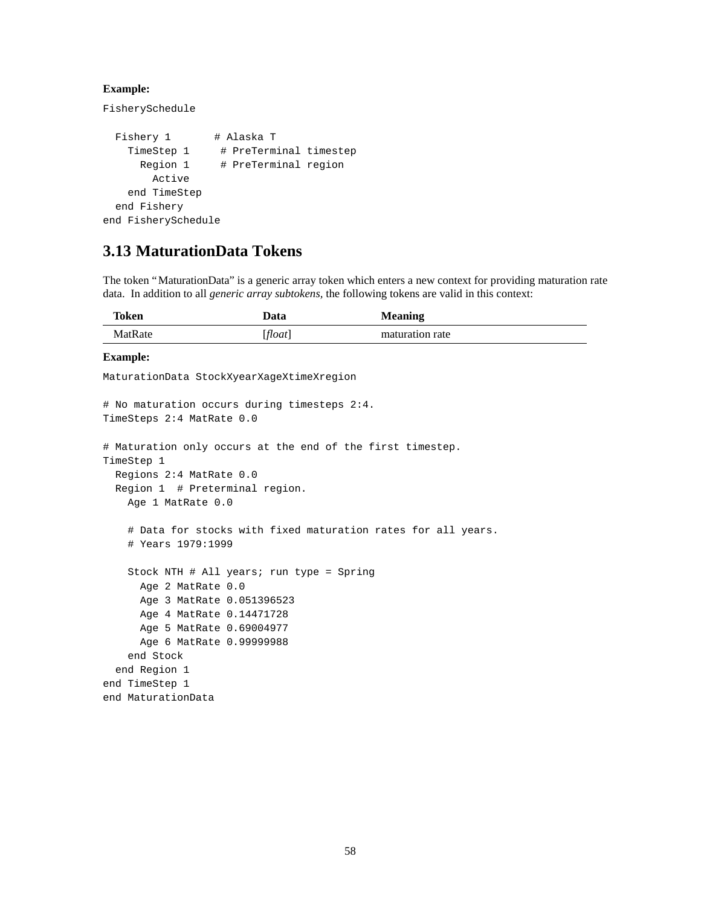### **Example:**

FisherySchedule

```
Fishery 1 # Alaska T
   TimeStep 1 # PreTerminal timestep
      Region 1 # PreTerminal region
        Active
    end TimeStep
  end Fishery
end FisherySchedule
```
# **3.13 MaturationData Tokens**

The token "MaturationData" is a generic array token which enters a new context for providing maturation rate data. In addition to all *generic array subtokens,* the following tokens are valid in this context:

| Token   | Data   | <b>Meaning</b>  |
|---------|--------|-----------------|
| MatRate | float] | maturation rate |

#### **Example:**

MaturationData StockXyearXageXtimeXregion

```
# No maturation occurs during timesteps 2:4.
TimeSteps 2:4 MatRate 0.0
# Maturation only occurs at the end of the first timestep.
TimeStep 1
  Regions 2:4 MatRate 0.0
  Region 1 # Preterminal region.
     Age 1 MatRate 0.0
     # Data for stocks with fixed maturation rates for all years.
     # Years 1979:1999
     Stock NTH # All years; run type = Spring
      Age 2 MatRate 0.0
      Age 3 MatRate 0.051396523
      Age 4 MatRate 0.14471728
       Age 5 MatRate 0.69004977
      Age 6 MatRate 0.99999988
     end Stock
   end Region 1
end TimeStep 1
end MaturationData
```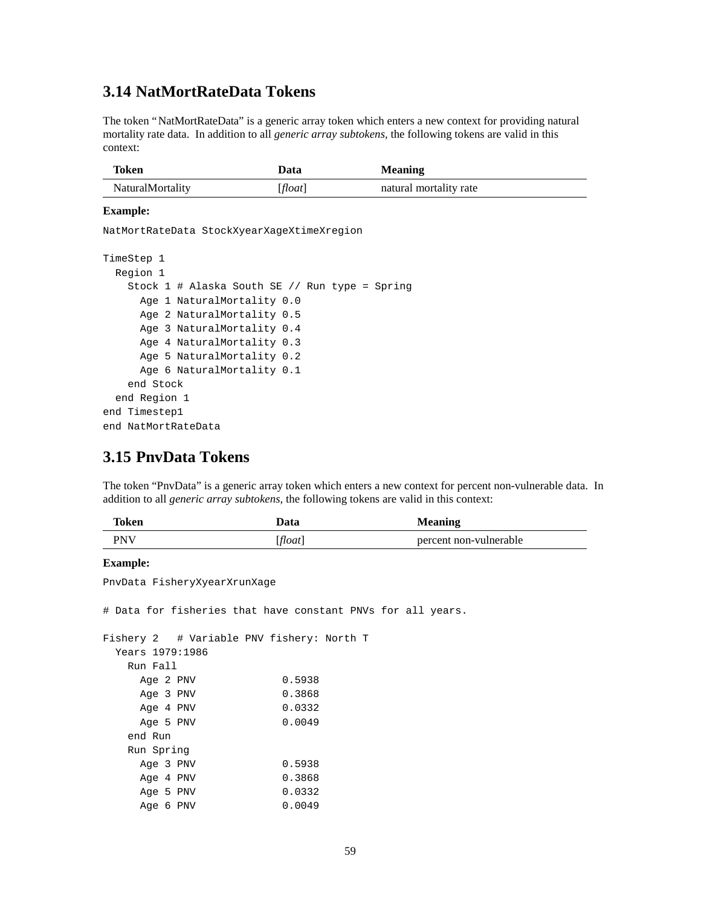### **3.14 NatMortRateData Tokens**

The token "NatMortRateData" is a generic array token which enters a new context for providing natural mortality rate data. In addition to all *generic array subtokens,* the following tokens are valid in this context:

| Token                   | Data    | <b>Meaning</b>         |
|-------------------------|---------|------------------------|
| <b>NaturalMortality</b> | [float] | natural mortality rate |

#### **Example:**

NatMortRateData StockXyearXageXtimeXregion

```
TimeStep 1
  Region 1
     Stock 1 # Alaska South SE // Run type = Spring
       Age 1 NaturalMortality 0.0
       Age 2 NaturalMortality 0.5
       Age 3 NaturalMortality 0.4
       Age 4 NaturalMortality 0.3
       Age 5 NaturalMortality 0.2
       Age 6 NaturalMortality 0.1
     end Stock
   end Region 1
end Timestep1
end NatMortRateData
```
### **3.15 PnvData Tokens**

The token "PnvData" is a generic array token which enters a new context for percent non-vulnerable data. In addition to all *generic array subtokens,* the following tokens are valid in this context:

| Token      | Data  | <b>Meaning</b>         |
|------------|-------|------------------------|
| <b>PNV</b> | float | percent non-vulnerable |

### **Example:**

PnvData FisheryXyearXrunXage

# Data for fisheries that have constant PNVs for all years.

```
Fishery 2 # Variable PNV fishery: North T
  Years 1979:1986
   Run Fall
   Age 2 PNV 0.5938
   Age 3 PNV 0.3868
   Age 4 PNV 0.0332
   Age 5 PNV 0.0049
   end Run
   Run Spring
   Age 3 PNV 0.5938
   Age 4 PNV 0.3868
   Age 5 PNV 0.0332
    Age 6 PNV 0.0049
```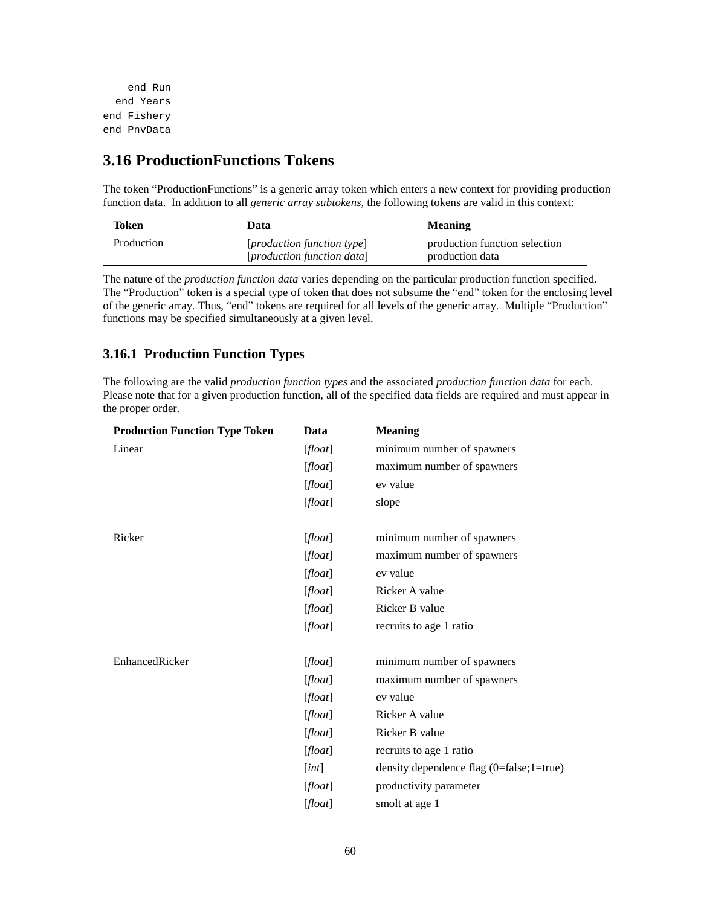```
 end Run
   end Years
end Fishery
end PnvData
```
# **3.16 ProductionFunctions Tokens**

The token "ProductionFunctions" is a generic array token which enters a new context for providing production function data. In addition to all *generic array subtokens,* the following tokens are valid in this context:

| Token      | Data                                                                       | <b>Meaning</b>                                   |
|------------|----------------------------------------------------------------------------|--------------------------------------------------|
| Production | [ <i>production function type</i> ]<br>[ <i>production function data</i> ] | production function selection<br>production data |

The nature of the *production function data* varies depending on the particular production function specified. The "Production" token is a special type of token that does not subsume the "end" token for the enclosing level of the generic array. Thus, "end" tokens are required for all levels of the generic array. Multiple "Production" functions may be specified simultaneously at a given level.

### **3.16.1 Production Function Types**

The following are the valid *production function types* and the associated *production function data* for each. Please note that for a given production function, all of the specified data fields are required and must appear in the proper order.

| <b>Production Function Type Token</b> | Data    | <b>Meaning</b>                                  |
|---------------------------------------|---------|-------------------------------------------------|
| Linear                                | [float] | minimum number of spawners                      |
|                                       | [float] | maximum number of spawners                      |
|                                       | [float] | ev value                                        |
|                                       | [float] | slope                                           |
|                                       |         |                                                 |
| Ricker                                | [float] | minimum number of spawners                      |
|                                       | [float] | maximum number of spawners                      |
|                                       | [float] | ev value                                        |
|                                       | [float] | Ricker A value                                  |
|                                       | [float] | Ricker B value                                  |
|                                       | [float] | recruits to age 1 ratio                         |
|                                       |         |                                                 |
| EnhancedRicker                        | [float] | minimum number of spawners                      |
|                                       | [float] | maximum number of spawners                      |
|                                       | [float] | ev value                                        |
|                                       | [float] | Ricker A value                                  |
|                                       | [float] | Ricker B value                                  |
|                                       | [float] | recruits to age 1 ratio                         |
|                                       | [int]   | density dependence flag $(0 = false; 1 = true)$ |
|                                       | [float] | productivity parameter                          |
|                                       | [float] | smolt at age 1                                  |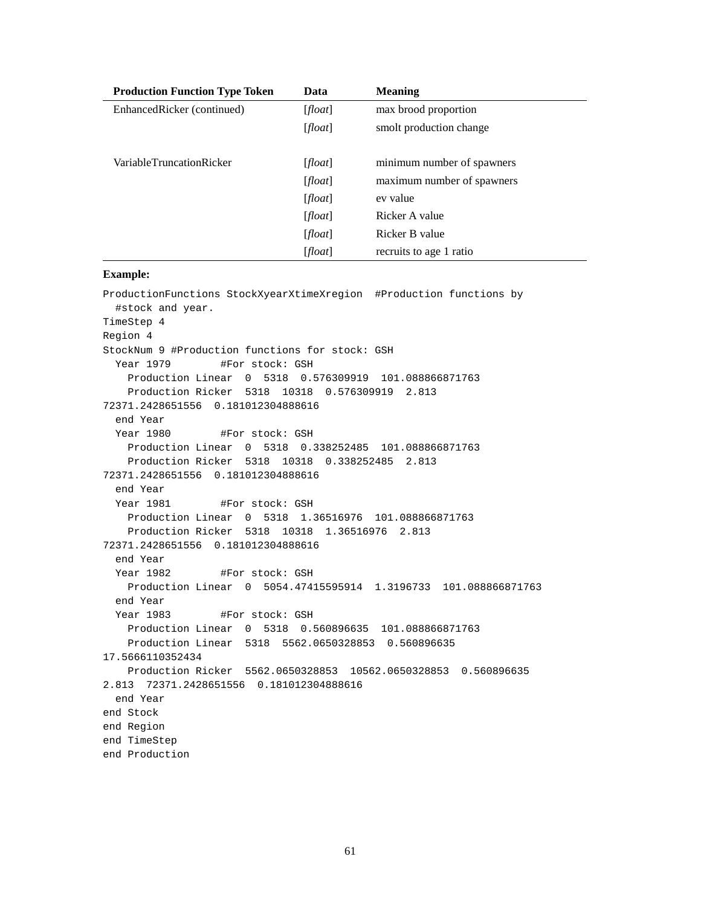| <b>Production Function Type Token</b> | Data    | <b>Meaning</b>             |
|---------------------------------------|---------|----------------------------|
| EnhancedRicker (continued)            | [float] | max brood proportion       |
|                                       | [float] | smolt production change    |
|                                       |         |                            |
| VariableTruncationRicker              | [float] | minimum number of spawners |
|                                       | [float] | maximum number of spawners |
|                                       | [float] | ev value                   |
|                                       | [float] | Ricker A value             |
|                                       | [float] | Ricker B value             |
|                                       | [float] | recruits to age 1 ratio    |

#### **Example:**

ProductionFunctions StockXyearXtimeXregion #Production functions by #stock and year. TimeStep 4 Region 4 StockNum 9 #Production functions for stock: GSH Year 1979 #For stock: GSH Production Linear 0 5318 0.576309919 101.088866871763 Production Ricker 5318 10318 0.576309919 2.813 72371.2428651556 0.181012304888616 end Year Year 1980 #For stock: GSH Production Linear 0 5318 0.338252485 101.088866871763 Production Ricker 5318 10318 0.338252485 2.813 72371.2428651556 0.181012304888616 end Year Year 1981 #For stock: GSH Production Linear 0 5318 1.36516976 101.088866871763 Production Ricker 5318 10318 1.36516976 2.813 72371.2428651556 0.181012304888616 end Year Year 1982 #For stock: GSH Production Linear 0 5054.47415595914 1.3196733 101.088866871763 end Year Year 1983 #For stock: GSH Production Linear 0 5318 0.560896635 101.088866871763 Production Linear 5318 5562.0650328853 0.560896635 17.5666110352434 Production Ricker 5562.0650328853 10562.0650328853 0.560896635 2.813 72371.2428651556 0.181012304888616 end Year end Stock end Region end TimeStep end Production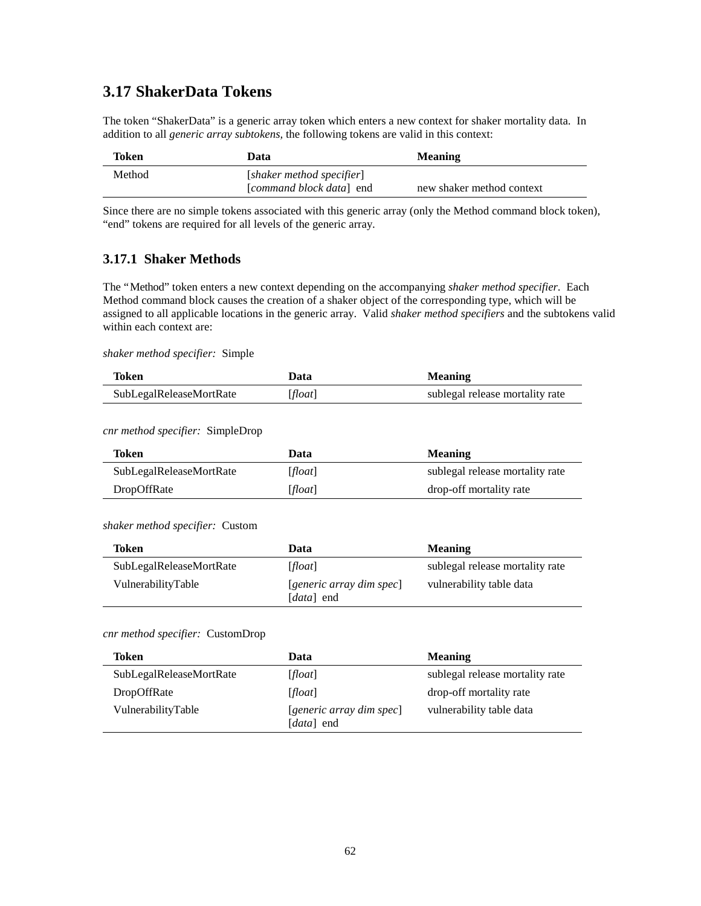# **3.17 ShakerData Tokens**

The token "ShakerData" is a generic array token which enters a new context for shaker mortality data. In addition to all *generic array subtokens,* the following tokens are valid in this context:

| Token  | Data                      | <b>Meaning</b>            |
|--------|---------------------------|---------------------------|
| Method | [shaker method specifier] |                           |
|        | [command block data] end  | new shaker method context |

Since there are no simple tokens associated with this generic array (only the Method command block token), "end" tokens are required for all levels of the generic array.

### **3.17.1 Shaker Methods**

The "Method" token enters a new context depending on the accompanying *shaker method specifier*. Each Method command block causes the creation of a shaker object of the corresponding type, which will be assigned to all applicable locations in the generic array. Valid *shaker method specifiers* and the subtokens valid within each context are:

#### *shaker method specifier:* Simple

| Token                   | Data    | <b>Meaning</b>                  |
|-------------------------|---------|---------------------------------|
| SubLegalReleaseMortRate | [float] | sublegal release mortality rate |

#### *cnr method specifier:* SimpleDrop

| Token                   | Data    | <b>Meaning</b>                  |
|-------------------------|---------|---------------------------------|
| SubLegalReleaseMortRate | [float] | sublegal release mortality rate |
| DropOffRate             | [float] | drop-off mortality rate         |

#### *shaker method specifier:* Custom

| Token                   | Data                                            | <b>Meaning</b>                  |
|-------------------------|-------------------------------------------------|---------------------------------|
| SubLegalReleaseMortRate | [float]                                         | sublegal release mortality rate |
| VulnerabilityTable      | [generic array dim spec]<br>[ <i>data</i> ] end | vulnerability table data        |

#### *cnr method specifier:* CustomDrop

| Token                   | Data                                                 | <b>Meaning</b>                  |
|-------------------------|------------------------------------------------------|---------------------------------|
| SubLegalReleaseMortRate | [float]                                              | sublegal release mortality rate |
| DropOffRate             | [float]                                              | drop-off mortality rate         |
| VulnerabilityTable      | $[generic\ array\ dim\ spec]$<br>[ <i>data</i> ] end | vulnerability table data        |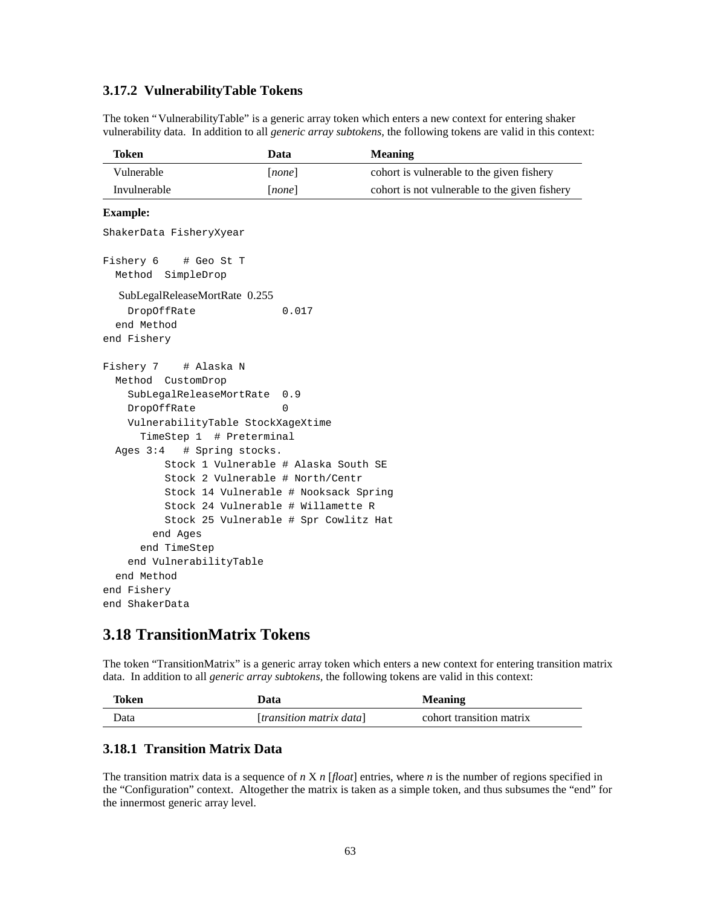### **3.17.2 VulnerabilityTable Tokens**

The token "VulnerabilityTable" is a generic array token which enters a new context for entering shaker vulnerability data. In addition to all *generic array subtokens,* the following tokens are valid in this context:

| Token        | Data   | <b>Meaning</b>                                |
|--------------|--------|-----------------------------------------------|
| Vulnerable   | [none] | cohort is vulnerable to the given fishery     |
| Invulnerable | none   | cohort is not vulnerable to the given fishery |

#### **Example:**

```
ShakerData FisheryXyear
Fishery 6 # Geo St T
  Method SimpleDrop
   SubLegalReleaseMortRate 0.255
   DropOffRate 0.017
   end Method
end Fishery
Fishery 7 # Alaska N
  Method CustomDrop
    SubLegalReleaseMortRate 0.9
   DropOffRate 0
    VulnerabilityTable StockXageXtime
      TimeStep 1 # Preterminal
  Ages 3:4 # Spring stocks.
          Stock 1 Vulnerable # Alaska South SE
          Stock 2 Vulnerable # North/Centr
          Stock 14 Vulnerable # Nooksack Spring
          Stock 24 Vulnerable # Willamette R
          Stock 25 Vulnerable # Spr Cowlitz Hat
        end Ages
      end TimeStep
    end VulnerabilityTable
  end Method
end Fishery
end ShakerData
```
## **3.18 TransitionMatrix Tokens**

The token "TransitionMatrix" is a generic array token which enters a new context for entering transition matrix data. In addition to all *generic array subtokens,* the following tokens are valid in this context:

| Token | Data                     | <b>Meaning</b>           |
|-------|--------------------------|--------------------------|
| Data  | [transition matrix data] | cohort transition matrix |

### **3.18.1 Transition Matrix Data**

The transition matrix data is a sequence of *n* X *n* [*float*] entries, where *n* is the number of regions specified in the "Configuration" context. Altogether the matrix is taken as a simple token, and thus subsumes the "end" for the innermost generic array level.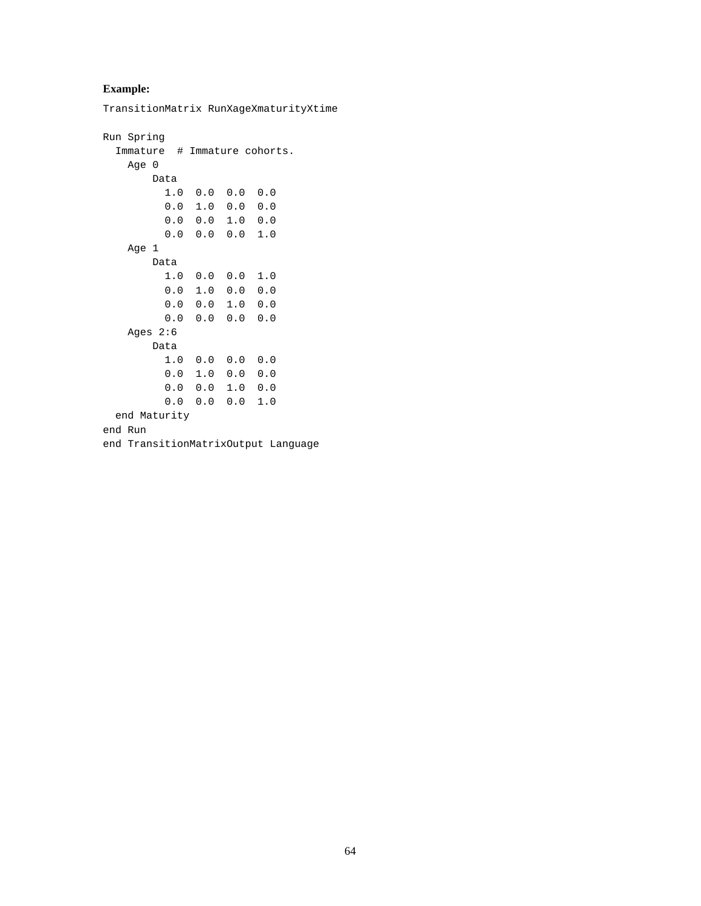### **Example:**

TransitionMatrix RunXageXmaturityXtime

```
Run Spring
   Immature # Immature cohorts.
    Age 0
        Data
          1.0 0.0 0.0 0.0
          0.0 1.0 0.0 0.0
          0.0 0.0 1.0 0.0
          0.0 0.0 0.0 1.0
    Age 1
        Data
          1.0 0.0 0.0 1.0
          0.0 1.0 0.0 0.0
          0.0 0.0 1.0 0.0
          0.0 0.0 0.0 0.0
    Ages 2:6
        Data
          1.0 0.0 0.0 0.0
          0.0 1.0 0.0 0.0
          0.0 0.0 1.0 0.0
          0.0 0.0 0.0 1.0
   end Maturity
end Run
end TransitionMatrixOutput Language
```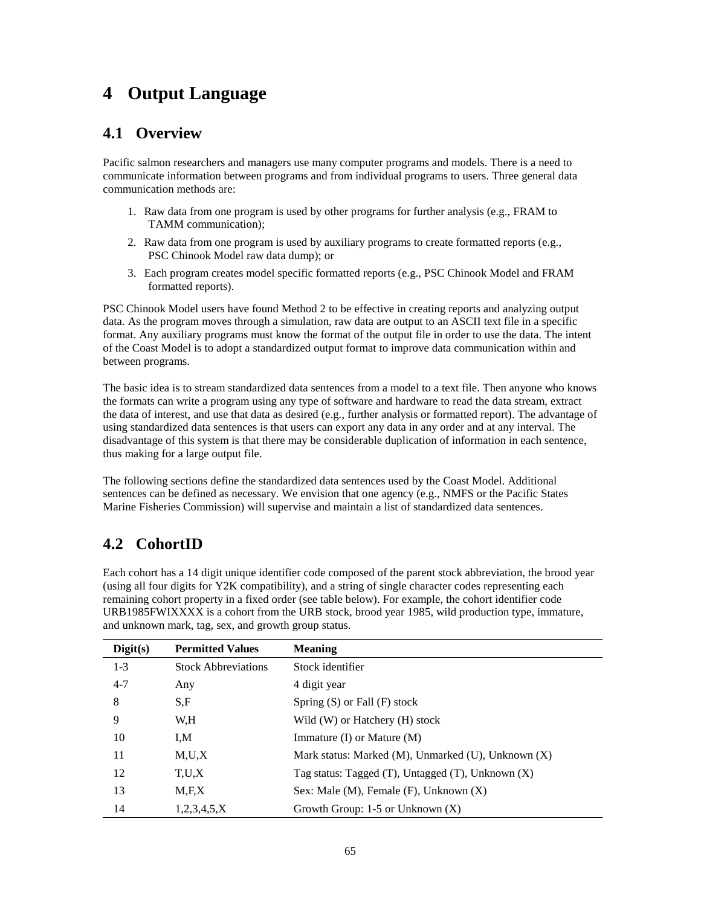# **4 Output Language**

# **4.1 Overview**

Pacific salmon researchers and managers use many computer programs and models. There is a need to communicate information between programs and from individual programs to users. Three general data communication methods are:

- 1. Raw data from one program is used by other programs for further analysis (e.g., FRAM to TAMM communication);
- 2. Raw data from one program is used by auxiliary programs to create formatted reports (e.g., PSC Chinook Model raw data dump); or
- 3. Each program creates model specific formatted reports (e.g., PSC Chinook Model and FRAM formatted reports).

PSC Chinook Model users have found Method 2 to be effective in creating reports and analyzing output data. As the program moves through a simulation, raw data are output to an ASCII text file in a specific format. Any auxiliary programs must know the format of the output file in order to use the data. The intent of the Coast Model is to adopt a standardized output format to improve data communication within and between programs.

The basic idea is to stream standardized data sentences from a model to a text file. Then anyone who knows the formats can write a program using any type of software and hardware to read the data stream, extract the data of interest, and use that data as desired (e.g., further analysis or formatted report). The advantage of using standardized data sentences is that users can export any data in any order and at any interval. The disadvantage of this system is that there may be considerable duplication of information in each sentence, thus making for a large output file.

The following sections define the standardized data sentences used by the Coast Model. Additional sentences can be defined as necessary. We envision that one agency (e.g., NMFS or the Pacific States Marine Fisheries Commission) will supervise and maintain a list of standardized data sentences.

# **4.2 CohortID**

Each cohort has a 14 digit unique identifier code composed of the parent stock abbreviation, the brood year (using all four digits for Y2K compatibility), and a string of single character codes representing each remaining cohort property in a fixed order (see table below). For example, the cohort identifier code URB1985FWIXXXX is a cohort from the URB stock, brood year 1985, wild production type, immature, and unknown mark, tag, sex, and growth group status.

| Digit(s) | <b>Permitted Values</b>    | <b>Meaning</b>                                            |
|----------|----------------------------|-----------------------------------------------------------|
| $1 - 3$  | <b>Stock Abbreviations</b> | Stock identifier                                          |
| $4 - 7$  | Any                        | 4 digit year                                              |
| 8        | S,F                        | Spring $(S)$ or Fall $(F)$ stock                          |
| 9        | W.H                        | Wild (W) or Hatchery (H) stock                            |
| 10       | I,M                        | Immature $(I)$ or Mature $(M)$                            |
| 11       | M,U,X                      | Mark status: Marked (M), Unmarked (U), Unknown $(X)$      |
| 12       | T,U,X                      | Tag status: Tagged $(T)$ , Untagged $(T)$ , Unknown $(X)$ |
| 13       | M.F.X                      | Sex: Male $(M)$ , Female $(F)$ , Unknown $(X)$            |
| 14       | 1,2,3,4,5,X                | Growth Group: $1-5$ or Unknown $(X)$                      |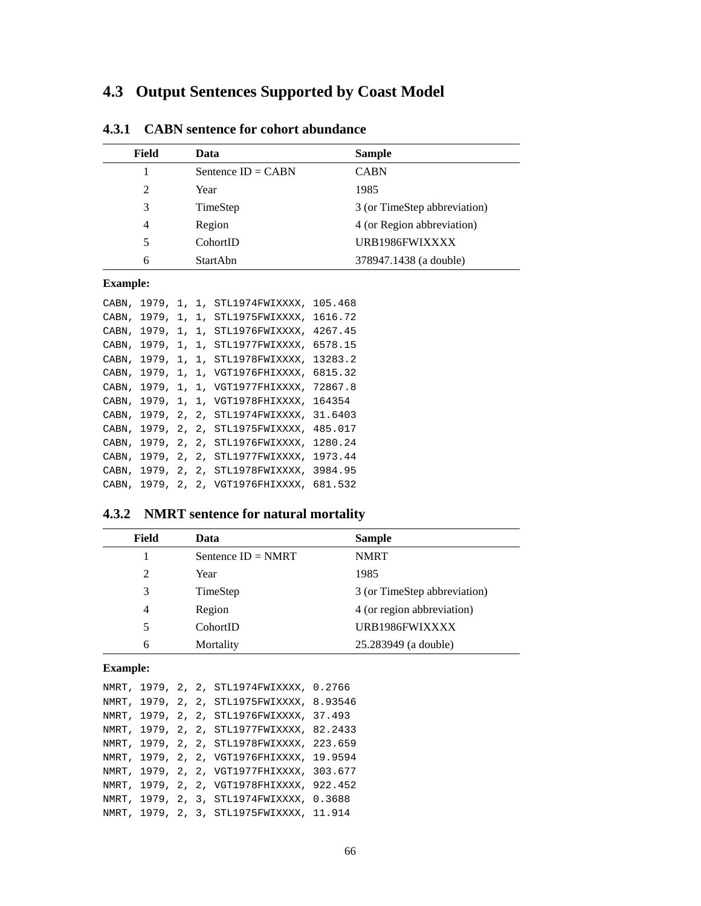# **4.3 Output Sentences Supported by Coast Model**

| Field          | Data                 | <b>Sample</b>                |
|----------------|----------------------|------------------------------|
|                | Sentence $ID = CABN$ | <b>CABN</b>                  |
| 2              | Year                 | 1985                         |
| 3              | TimeStep             | 3 (or TimeStep abbreviation) |
| $\overline{4}$ | Region               | 4 (or Region abbreviation)   |
| 5              | CohortID             | URB1986FWIXXXX               |
| 6              | <b>StartAbn</b>      | 378947.1438 (a double)       |

## **4.3.1 CABN sentence for cohort abundance**

### **Example:**

| CABN, | 1979,     |       |       | 1, 1, STL1974FWIXXXX, | 105.468 |
|-------|-----------|-------|-------|-----------------------|---------|
| CABN, | 1979,     |       | 1, 1, | STL1975FWIXXXX,       | 1616.72 |
| CABN. | 1979.     |       |       | 1, 1, STL1976FWIXXXX, | 4267.45 |
| CABN, | 1979,     |       |       | 1, 1, STL1977FWIXXXX, | 6578.15 |
| CABN, | 1979.     |       |       | 1, 1, STL1978FWIXXXX, | 13283.2 |
| CABN, | 1979,     |       |       | 1, 1, VGT1976FHIXXXX, | 6815.32 |
| CABN, | 1979.     |       |       | 1, 1, VGT1977FHIXXXX, | 72867.8 |
| CABN. | 1979,     |       |       | 1, 1, VGT1978FHIXXXX, | 164354  |
| CABN, | 1979.     |       |       | 2, 2, STL1974FWIXXXX, | 31.6403 |
| CABN, | 1979.     | 2, 2. |       | STL1975FWIXXXX,       | 485.017 |
| CABN. | 1979.     | 2, 2, |       | STL1976FWIXXXX,       | 1280.24 |
| CABN, | 1979.     | 2, 2, |       | STL1977FWIXXXX,       | 1973.44 |
| CABN, | 1979.     | 2. 2. |       | STL1978FWIXXXX.       | 3984.95 |
| CABN, | 1979.2.2. |       |       | VGT1976FHIXXXX,       | 681.532 |

# **4.3.2 NMRT sentence for natural mortality**

| Field | Data                 | <b>Sample</b>                |
|-------|----------------------|------------------------------|
|       | Sentence $ID = NMRT$ | <b>NMRT</b>                  |
| 2     | Year                 | 1985                         |
| 3     | TimeStep             | 3 (or TimeStep abbreviation) |
| 4     | Region               | 4 (or region abbreviation)   |
| 5     | CohortID             | URB1986FWIXXXX               |
| 6     | Mortality            | 25.283949 (a double)         |

### **Example:**

|  |  | NMRT, 1979, 2, 2, STL1974FWIXXXX, 0.2766  |  |
|--|--|-------------------------------------------|--|
|  |  | NMRT, 1979, 2, 2, STL1975FWIXXXX, 8.93546 |  |
|  |  | NMRT, 1979, 2, 2, STL1976FWIXXXX, 37.493  |  |
|  |  | NMRT, 1979, 2, 2, STL1977FWIXXXX, 82.2433 |  |
|  |  | NMRT, 1979, 2, 2, STL1978FWIXXXX, 223.659 |  |
|  |  | NMRT, 1979, 2, 2, VGT1976FHIXXXX, 19.9594 |  |
|  |  | NMRT, 1979, 2, 2, VGT1977FHIXXXX, 303.677 |  |
|  |  | NMRT, 1979, 2, 2, VGT1978FHIXXXX, 922.452 |  |
|  |  | NMRT, 1979, 2, 3, STL1974FWIXXXX, 0.3688  |  |
|  |  | NMRT, 1979, 2, 3, STL1975FWIXXXX, 11.914  |  |
|  |  |                                           |  |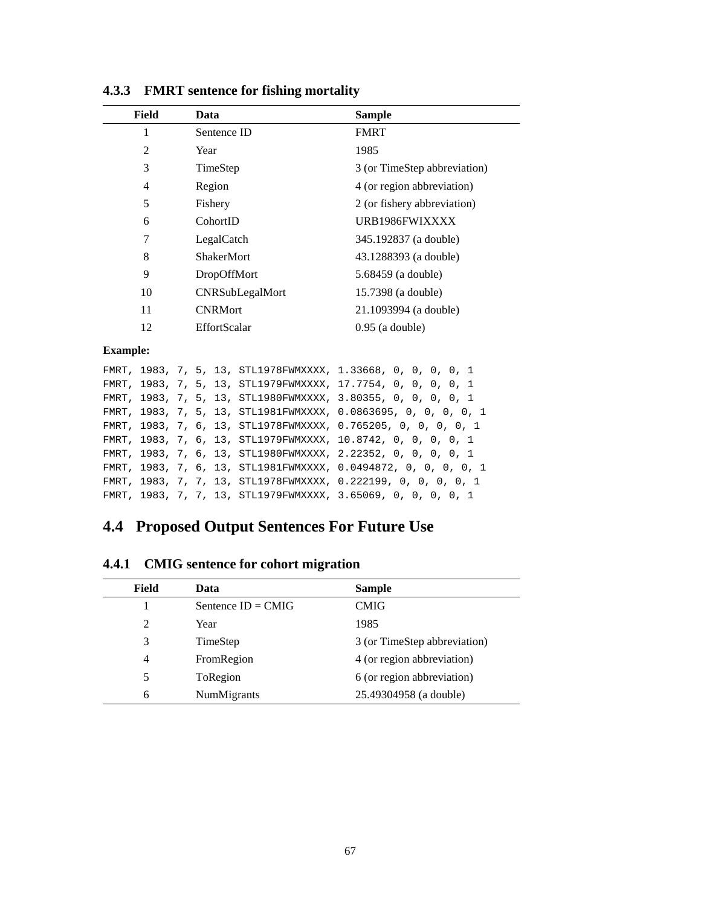| Field | Data                | <b>Sample</b>                |
|-------|---------------------|------------------------------|
|       | Sentence ID         | <b>FMRT</b>                  |
| 2     | Year                | 1985                         |
| 3     | TimeStep            | 3 (or TimeStep abbreviation) |
| 4     | Region              | 4 (or region abbreviation)   |
| 5     | Fishery             | 2 (or fishery abbreviation)  |
| 6     | CohortID            | URB1986FWIXXXX               |
| 7     | LegalCatch          | 345.192837 (a double)        |
| 8     | <b>ShakerMort</b>   | 43.1288393 (a double)        |
| 9     | <b>DropOffMort</b>  | 5.68459 (a double)           |
| 10    | CNRSubLegalMort     | 15.7398 (a double)           |
| 11    | <b>CNRMort</b>      | 21.1093994 (a double)        |
| 12    | <b>EffortScalar</b> | $0.95$ (a double)            |

**4.3.3 FMRT sentence for fishing mortality**

### **Example:**

|  |  |  | FMRT, 1983, 7, 5, 13, STL1978FWMXXXX, 1.33668, 0, 0, 0, 0, 1   |
|--|--|--|----------------------------------------------------------------|
|  |  |  | FMRT, 1983, 7, 5, 13, STL1979FWMXXXX, 17.7754, 0, 0, 0, 0, 1   |
|  |  |  | FMRT, 1983, 7, 5, 13, STL1980FWMXXXX, 3.80355, 0, 0, 0, 0, 1   |
|  |  |  | FMRT, 1983, 7, 5, 13, STL1981FWMXXXX, 0.0863695, 0, 0, 0, 0, 1 |
|  |  |  | FMRT, 1983, 7, 6, 13, STL1978FWMXXXX, 0.765205, 0, 0, 0, 0, 1  |
|  |  |  | FMRT, 1983, 7, 6, 13, STL1979FWMXXXX, 10.8742, 0, 0, 0, 0, 1   |
|  |  |  | FMRT, 1983, 7, 6, 13, STL1980FWMXXXX, 2.22352, 0, 0, 0, 0, 1   |
|  |  |  | FMRT, 1983, 7, 6, 13, STL1981FWMXXXX, 0.0494872, 0, 0, 0, 0, 1 |
|  |  |  | FMRT, 1983, 7, 7, 13, STL1978FWMXXXX, 0.222199, 0, 0, 0, 0, 1  |
|  |  |  | FMRT, 1983, 7, 7, 13, STL1979FWMXXXX, 3.65069, 0, 0, 0, 0, 1   |

# **4.4 Proposed Output Sentences For Future Use**

| 7.7.1<br>CIVITY SCHLENCE TOT CONOTT HIPST ALION |                      |                              |  |  |  |
|-------------------------------------------------|----------------------|------------------------------|--|--|--|
| Field                                           | Data                 | <b>Sample</b>                |  |  |  |
|                                                 | Sentence $ID = CMIG$ | <b>CMIG</b>                  |  |  |  |
| 2                                               | Year                 | 1985                         |  |  |  |
| 3                                               | TimeStep             | 3 (or TimeStep abbreviation) |  |  |  |
| 4                                               | FromRegion           | 4 (or region abbreviation)   |  |  |  |
| 5                                               | ToRegion             | 6 (or region abbreviation)   |  |  |  |
| 6                                               | NumMigrants          | 25.49304958 (a double)       |  |  |  |

**4.4.1 CMIG sentence for cohort migration**

 $\overline{a}$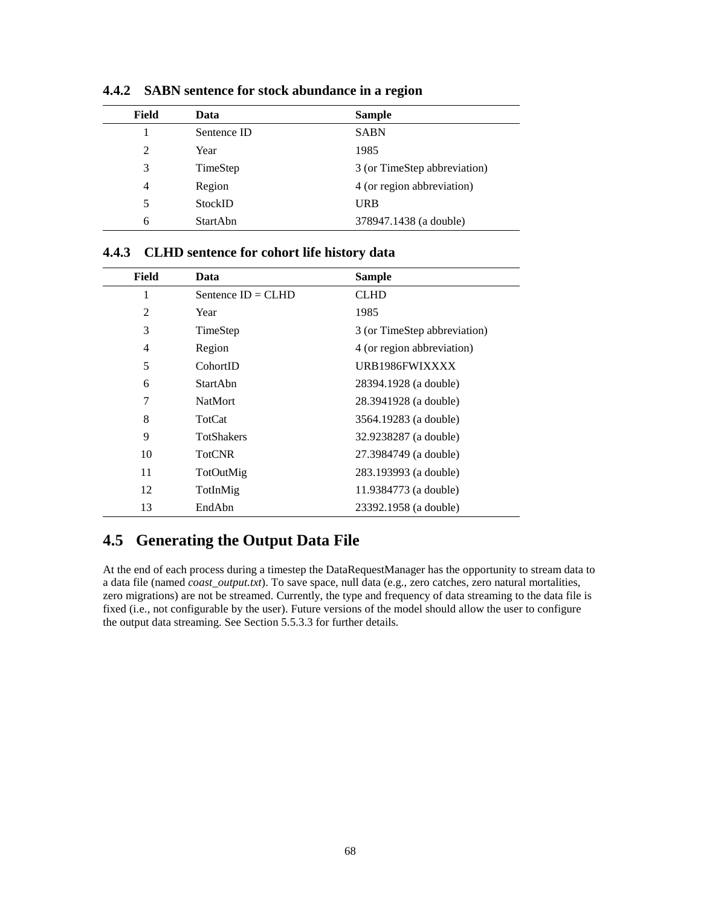| Field | Data        | <b>Sample</b>                |
|-------|-------------|------------------------------|
|       | Sentence ID | <b>SABN</b>                  |
| 2     | Year        | 1985                         |
| 3     | TimeStep    | 3 (or TimeStep abbreviation) |
| 4     | Region      | 4 (or region abbreviation)   |
| 5     | StockID     | <b>URB</b>                   |
| 6     | StartAbn    | 378947.1438 (a double)       |

**4.4.2 SABN sentence for stock abundance in a region**

|  |  | 4.4.3 CLHD sentence for cohort life history data |
|--|--|--------------------------------------------------|
|--|--|--------------------------------------------------|

| Field | Data                 | <b>Sample</b>                |
|-------|----------------------|------------------------------|
| 1     | Sentence $ID = CLHD$ | <b>CLHD</b>                  |
| 2     | Year                 | 1985                         |
| 3     | TimeStep             | 3 (or TimeStep abbreviation) |
| 4     | Region               | 4 (or region abbreviation)   |
| 5     | CohortID             | URB1986FWIXXXX               |
| 6     | <b>StartAbn</b>      | 28394.1928 (a double)        |
| 7     | <b>NatMort</b>       | 28.3941928 (a double)        |
| 8     | TotCat               | 3564.19283 (a double)        |
| 9     | <b>TotShakers</b>    | 32.9238287 (a double)        |
| 10    | <b>TotCNR</b>        | 27.3984749 (a double)        |
| 11    | TotOutMig            | 283.193993 (a double)        |
| 12    | TotInMig             | 11.9384773 (a double)        |
| 13    | EndAbn               | 23392.1958 (a double)        |

# **4.5 Generating the Output Data File**

At the end of each process during a timestep the DataRequestManager has the opportunity to stream data to a data file (named *coast\_output.txt*). To save space, null data (e.g., zero catches, zero natural mortalities, zero migrations) are not be streamed. Currently, the type and frequency of data streaming to the data file is fixed (i.e., not configurable by the user). Future versions of the model should allow the user to configure the output data streaming. See Section 5.5.3.3 for further details.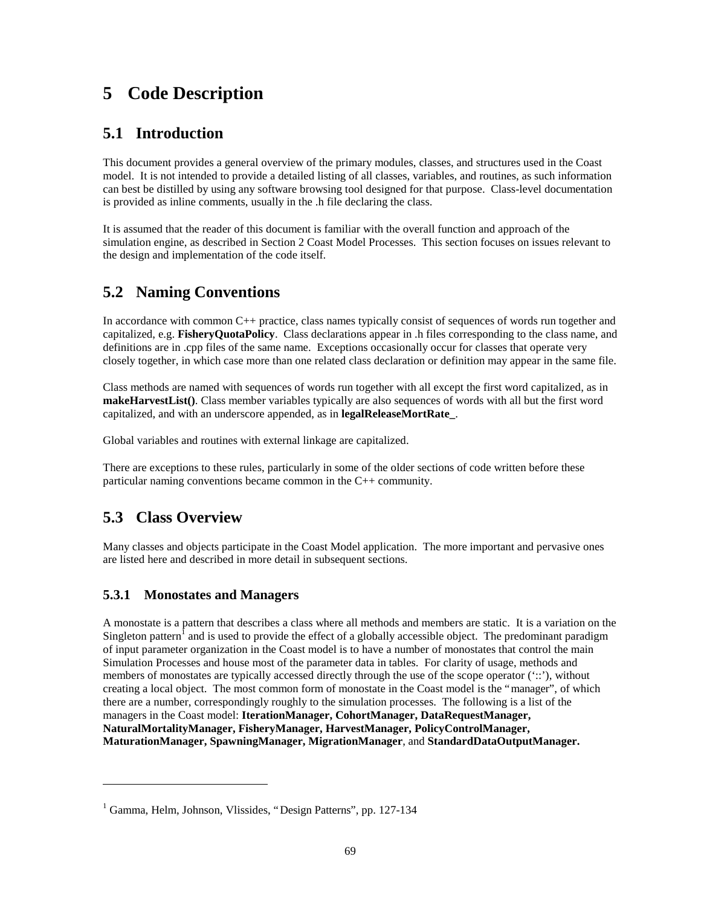# **5 Code Description**

# **5.1 Introduction**

This document provides a general overview of the primary modules, classes, and structures used in the Coast model. It is not intended to provide a detailed listing of all classes, variables, and routines, as such information can best be distilled by using any software browsing tool designed for that purpose. Class-level documentation is provided as inline comments, usually in the .h file declaring the class.

It is assumed that the reader of this document is familiar with the overall function and approach of the simulation engine, as described in Section 2 Coast Model Processes. This section focuses on issues relevant to the design and implementation of the code itself.

# **5.2 Naming Conventions**

In accordance with common C++ practice, class names typically consist of sequences of words run together and capitalized, e.g. **FisheryQuotaPolicy**. Class declarations appear in .h files corresponding to the class name, and definitions are in .cpp files of the same name. Exceptions occasionally occur for classes that operate very closely together, in which case more than one related class declaration or definition may appear in the same file.

Class methods are named with sequences of words run together with all except the first word capitalized, as in **makeHarvestList()**. Class member variables typically are also sequences of words with all but the first word capitalized, and with an underscore appended, as in **legalReleaseMortRate\_**.

Global variables and routines with external linkage are capitalized.

There are exceptions to these rules, particularly in some of the older sections of code written before these particular naming conventions became common in the C++ community.

# **5.3 Class Overview**

 $\overline{a}$ 

Many classes and objects participate in the Coast Model application. The more important and pervasive ones are listed here and described in more detail in subsequent sections.

### **5.3.1 Monostates and Managers**

A monostate is a pattern that describes a class where all methods and members are static. It is a variation on the Singleton pattern<sup>1</sup> and is used to provide the effect of a globally accessible object. The predominant paradigm of input parameter organization in the Coast model is to have a number of monostates that control the main Simulation Processes and house most of the parameter data in tables. For clarity of usage, methods and members of monostates are typically accessed directly through the use of the scope operator ('::'), without creating a local object. The most common form of monostate in the Coast model is the "manager", of which there are a number, correspondingly roughly to the simulation processes. The following is a list of the managers in the Coast model: **IterationManager, CohortManager, DataRequestManager, NaturalMortalityManager, FisheryManager, HarvestManager, PolicyControlManager, MaturationManager, SpawningManager, MigrationManager**, and **StandardDataOutputManager.**

<sup>&</sup>lt;sup>1</sup> Gamma, Helm, Johnson, Vlissides, "Design Patterns", pp. 127-134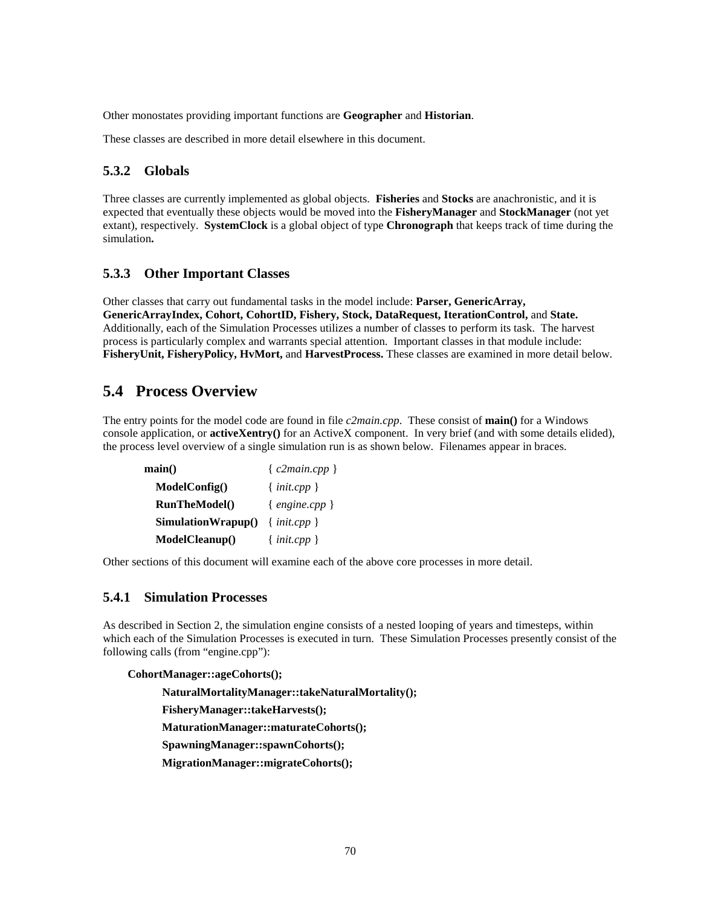Other monostates providing important functions are **Geographer** and **Historian**.

These classes are described in more detail elsewhere in this document.

### **5.3.2 Globals**

Three classes are currently implemented as global objects. **Fisheries** and **Stocks** are anachronistic, and it is expected that eventually these objects would be moved into the **FisheryManager** and **StockManager** (not yet extant), respectively. **SystemClock** is a global object of type **Chronograph** that keeps track of time during the simulation**.**

### **5.3.3 Other Important Classes**

Other classes that carry out fundamental tasks in the model include: **Parser, GenericArray, GenericArrayIndex, Cohort, CohortID, Fishery, Stock, DataRequest, IterationControl,** and **State.** Additionally, each of the Simulation Processes utilizes a number of classes to perform its task. The harvest process is particularly complex and warrants special attention. Important classes in that module include: **FisheryUnit, FisheryPolicy, HvMort,** and **HarvestProcess.** These classes are examined in more detail below.

### **5.4 Process Overview**

The entry points for the model code are found in file *c2main.cpp*. These consist of **main()** for a Windows console application, or **activeXentry()** for an ActiveX component. In very brief (and with some details elided), the process level overview of a single simulation run is as shown below. Filenames appear in braces.

| $\mathbf{main}()$    | ${clmain.cpp}$   |  |
|----------------------|------------------|--|
| ModelConfig()        | $\{init.cpp\}$   |  |
| <b>RunTheModel()</b> | { $engine.cpp$ } |  |
| SimulationWrapup()   | $\{init.cpp\}$   |  |
| ModelCleanup()       | $\{init.cpp\}$   |  |

Other sections of this document will examine each of the above core processes in more detail.

### **5.4.1 Simulation Processes**

As described in Section 2, the simulation engine consists of a nested looping of years and timesteps, within which each of the Simulation Processes is executed in turn. These Simulation Processes presently consist of the following calls (from "engine.cpp"):

#### **CohortManager::ageCohorts();**

 **NaturalMortalityManager::takeNaturalMortality(); FisheryManager::takeHarvests(); MaturationManager::maturateCohorts(); SpawningManager::spawnCohorts(); MigrationManager::migrateCohorts();**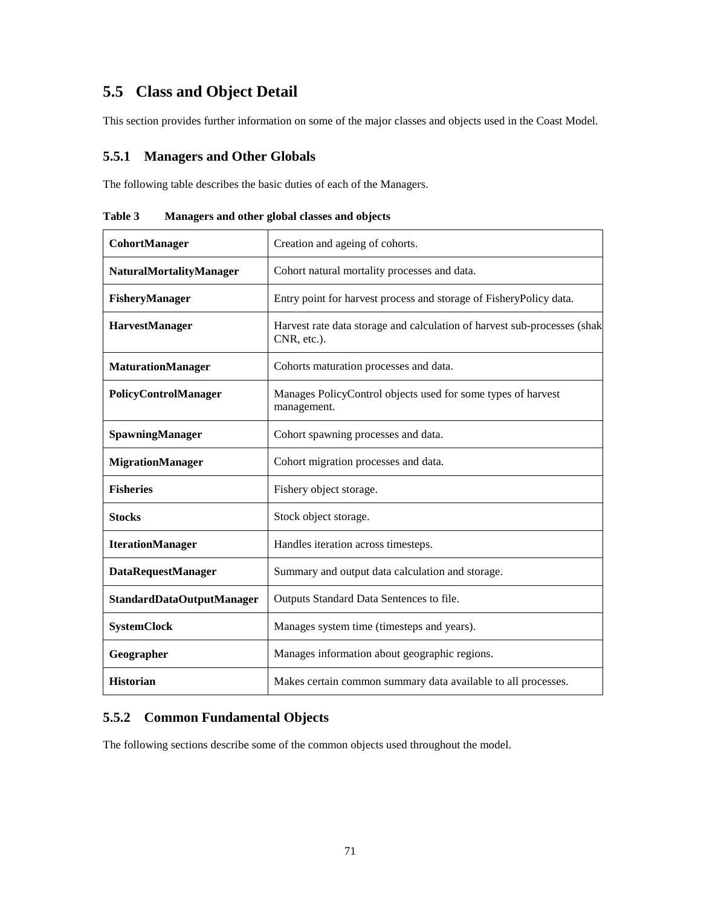# **5.5 Class and Object Detail**

This section provides further information on some of the major classes and objects used in the Coast Model.

### **5.5.1 Managers and Other Globals**

The following table describes the basic duties of each of the Managers.

| CohortManager             | Creation and ageing of cohorts.                                                         |
|---------------------------|-----------------------------------------------------------------------------------------|
| NaturalMortalityManager   | Cohort natural mortality processes and data.                                            |
| FisheryManager            | Entry point for harvest process and storage of FisheryPolicy data.                      |
| HarvestManager            | Harvest rate data storage and calculation of harvest sub-processes (shak<br>CNR, etc.). |
| <b>MaturationManager</b>  | Cohorts maturation processes and data.                                                  |
| PolicyControlManager      | Manages PolicyControl objects used for some types of harvest<br>management.             |
| SpawningManager           | Cohort spawning processes and data.                                                     |
| <b>MigrationManager</b>   | Cohort migration processes and data.                                                    |
| <b>Fisheries</b>          | Fishery object storage.                                                                 |
| <b>Stocks</b>             | Stock object storage.                                                                   |
| <b>IterationManager</b>   | Handles iteration across timesteps.                                                     |
| <b>DataRequestManager</b> | Summary and output data calculation and storage.                                        |
| StandardDataOutputManager | Outputs Standard Data Sentences to file.                                                |
| <b>SystemClock</b>        | Manages system time (timesteps and years).                                              |
| Geographer                | Manages information about geographic regions.                                           |
| <b>Historian</b>          | Makes certain common summary data available to all processes.                           |

**Table 3 Managers and other global classes and objects**

### **5.5.2 Common Fundamental Objects**

The following sections describe some of the common objects used throughout the model.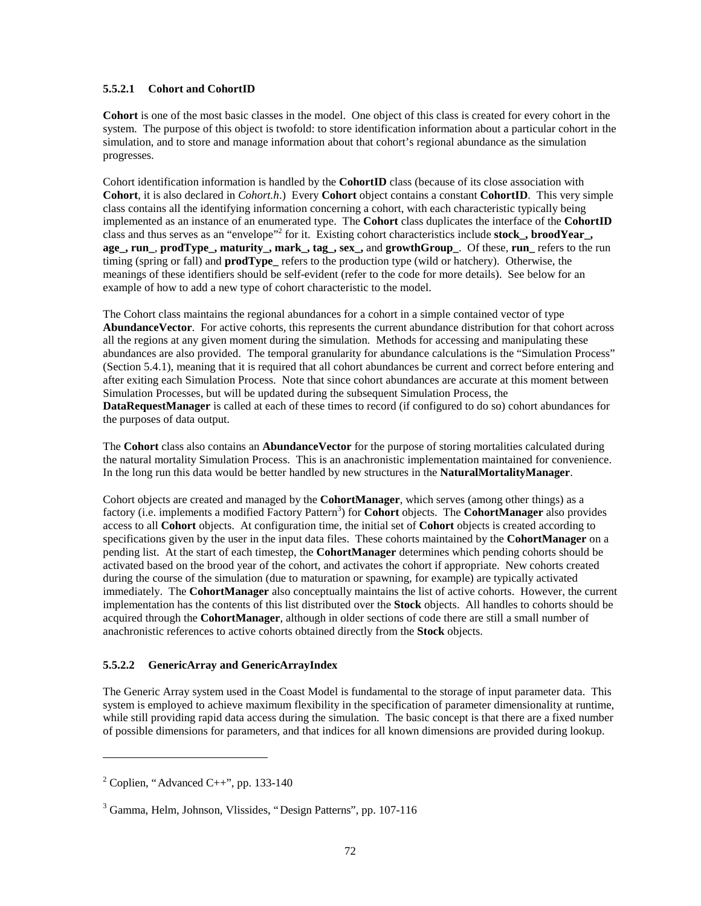#### **5.5.2.1 Cohort and CohortID**

**Cohort** is one of the most basic classes in the model. One object of this class is created for every cohort in the system. The purpose of this object is twofold: to store identification information about a particular cohort in the simulation, and to store and manage information about that cohort's regional abundance as the simulation progresses.

Cohort identification information is handled by the **CohortID** class (because of its close association with **Cohort**, it is also declared in *Cohort.h*.) Every **Cohort** object contains a constant **CohortID**. This very simple class contains all the identifying information concerning a cohort, with each characteristic typically being implemented as an instance of an enumerated type. The **Cohort** class duplicates the interface of the **CohortID** class and thus serves as an "envelope" 2 for it. Existing cohort characteristics include **stock\_, broodYear\_, age\_, run\_**, **prodType\_, maturity\_, mark\_, tag\_, sex\_,** and **growthGroup\_**. Of these, **run\_** refers to the run timing (spring or fall) and **prodType\_** refers to the production type (wild or hatchery). Otherwise, the meanings of these identifiers should be self-evident (refer to the code for more details). See below for an example of how to add a new type of cohort characteristic to the model.

The Cohort class maintains the regional abundances for a cohort in a simple contained vector of type **AbundanceVector**. For active cohorts, this represents the current abundance distribution for that cohort across all the regions at any given moment during the simulation. Methods for accessing and manipulating these abundances are also provided. The temporal granularity for abundance calculations is the "Simulation Process" (Section 5.4.1), meaning that it is required that all cohort abundances be current and correct before entering and after exiting each Simulation Process. Note that since cohort abundances are accurate at this moment between Simulation Processes, but will be updated during the subsequent Simulation Process, the **DataRequestManager** is called at each of these times to record (if configured to do so) cohort abundances for the purposes of data output.

The **Cohort** class also contains an **AbundanceVector** for the purpose of storing mortalities calculated during the natural mortality Simulation Process. This is an anachronistic implementation maintained for convenience. In the long run this data would be better handled by new structures in the **NaturalMortalityManager**.

Cohort objects are created and managed by the **CohortManager**, which serves (among other things) as a factory (i.e. implements a modified Factory Pattern<sup>3</sup>) for **Cohort** objects. The **CohortManager** also provides access to all **Cohort** objects. At configuration time, the initial set of **Cohort** objects is created according to specifications given by the user in the input data files. These cohorts maintained by the **CohortManager** on a pending list. At the start of each timestep, the **CohortManager** determines which pending cohorts should be activated based on the brood year of the cohort, and activates the cohort if appropriate. New cohorts created during the course of the simulation (due to maturation or spawning, for example) are typically activated immediately. The **CohortManager** also conceptually maintains the list of active cohorts. However, the current implementation has the contents of this list distributed over the **Stock** objects. All handles to cohorts should be acquired through the **CohortManager**, although in older sections of code there are still a small number of anachronistic references to active cohorts obtained directly from the **Stock** objects.

### **5.5.2.2 GenericArray and GenericArrayIndex**

The Generic Array system used in the Coast Model is fundamental to the storage of input parameter data. This system is employed to achieve maximum flexibility in the specification of parameter dimensionality at runtime, while still providing rapid data access during the simulation. The basic concept is that there are a fixed number of possible dimensions for parameters, and that indices for all known dimensions are provided during lookup.

-

 $2^2$  Coplien, "Advanced C++", pp. 133-140

<sup>3</sup> Gamma, Helm, Johnson, Vlissides, "Design Patterns", pp. 107-116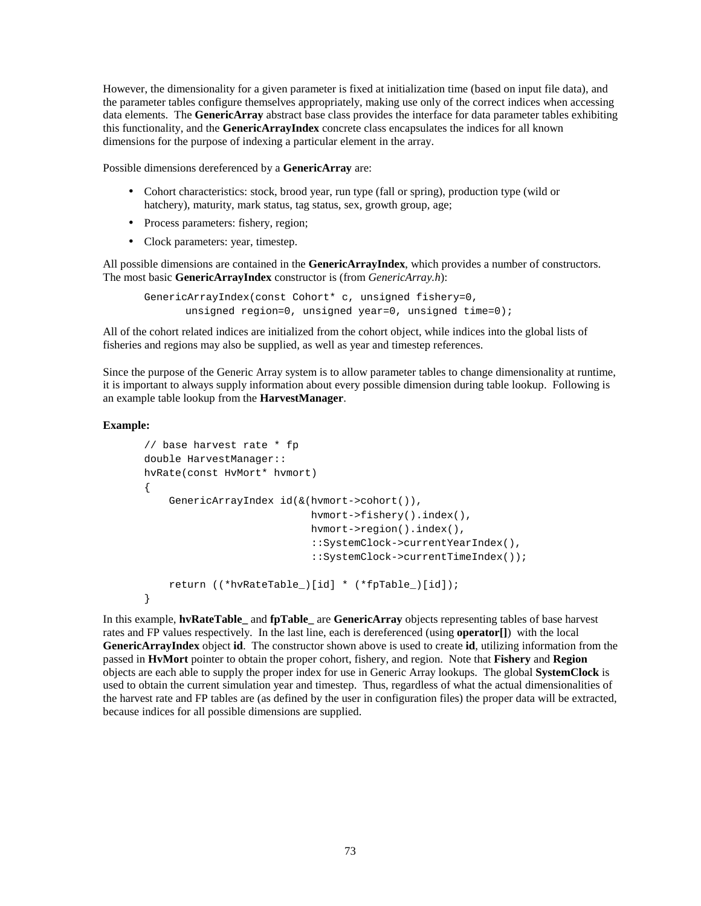However, the dimensionality for a given parameter is fixed at initialization time (based on input file data), and the parameter tables configure themselves appropriately, making use only of the correct indices when accessing data elements. The **GenericArray** abstract base class provides the interface for data parameter tables exhibiting this functionality, and the **GenericArrayIndex** concrete class encapsulates the indices for all known dimensions for the purpose of indexing a particular element in the array.

Possible dimensions dereferenced by a **GenericArray** are:

- Cohort characteristics: stock, brood year, run type (fall or spring), production type (wild or hatchery), maturity, mark status, tag status, sex, growth group, age;
- Process parameters: fishery, region;
- Clock parameters: year, timestep.

All possible dimensions are contained in the **GenericArrayIndex**, which provides a number of constructors. The most basic **GenericArrayIndex** constructor is (from *GenericArray.h*):

GenericArrayIndex(const Cohort\* c, unsigned fishery=0, unsigned region=0, unsigned year=0, unsigned time=0);

All of the cohort related indices are initialized from the cohort object, while indices into the global lists of fisheries and regions may also be supplied, as well as year and timestep references.

Since the purpose of the Generic Array system is to allow parameter tables to change dimensionality at runtime, it is important to always supply information about every possible dimension during table lookup. Following is an example table lookup from the **HarvestManager**.

#### **Example:**

```
// base harvest rate * fp
double HarvestManager::
hvRate(const HvMort* hvmort)
{
     GenericArrayIndex id(&(hvmort->cohort()),
                             hvmort->fishery().index(),
                             hvmort->region().index(),
                             ::SystemClock->currentYearIndex(),
                             ::SystemClock->currentTimeIndex());
     return ((*hvRateTable_)[id] * (*fpTable_)[id]);
}
```
In this example, **hvRateTable\_** and **fpTable\_** are **GenericArray** objects representing tables of base harvest rates and FP values respectively. In the last line, each is dereferenced (using **operator[]**) with the local **GenericArrayIndex** object **id**. The constructor shown above is used to create **id**, utilizing information from the passed in **HvMort** pointer to obtain the proper cohort, fishery, and region. Note that **Fishery** and **Region** objects are each able to supply the proper index for use in Generic Array lookups. The global **SystemClock** is used to obtain the current simulation year and timestep. Thus, regardless of what the actual dimensionalities of the harvest rate and FP tables are (as defined by the user in configuration files) the proper data will be extracted, because indices for all possible dimensions are supplied.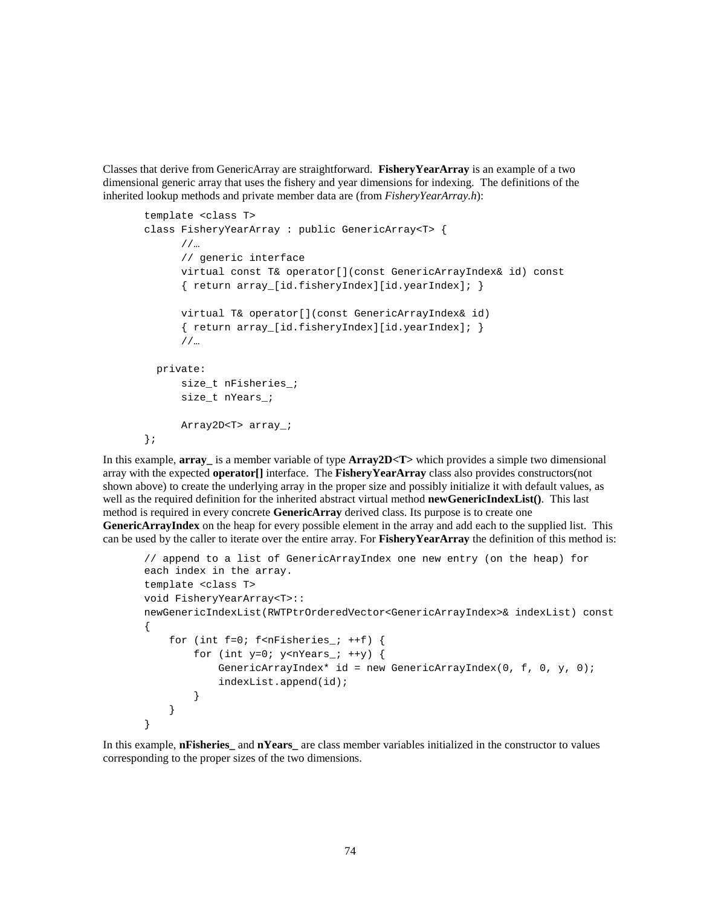Classes that derive from GenericArray are straightforward. **FisheryYearArray** is an example of a two dimensional generic array that uses the fishery and year dimensions for indexing. The definitions of the inherited lookup methods and private member data are (from *FisheryYearArray.h*):

```
template <class T>
class FisheryYearArray : public GenericArray<T> {
       //…
       // generic interface
       virtual const T& operator[](const GenericArrayIndex& id) const
      \{ return array [id.fisheryIndex][id.yearIndex]; \} virtual T& operator[](const GenericArrayIndex& id)
       { return array_[id.fisheryIndex][id.yearIndex]; }
       //…
  private:
       size_t nFisheries_;
       size_t nYears_;
       Array2D<T> array_;
};
```
In this example, **array\_** is a member variable of type **Array2D<T>** which provides a simple two dimensional array with the expected **operator[]** interface. The **FisheryYearArray** class also provides constructors(not shown above) to create the underlying array in the proper size and possibly initialize it with default values, as well as the required definition for the inherited abstract virtual method **newGenericIndexList()**. This last method is required in every concrete **GenericArray** derived class. Its purpose is to create one **GenericArrayIndex** on the heap for every possible element in the array and add each to the supplied list. This can be used by the caller to iterate over the entire array. For **FisheryYearArray** the definition of this method is:

```
// append to a list of GenericArrayIndex one new entry (on the heap) for
each index in the array.
template <class T>
void FisheryYearArray<T>::
newGenericIndexList(RWTPtrOrderedVector<GenericArrayIndex>& indexList) const
{
    for (int f=0; f\leq nFisheries_; ++f) {
         for (int y=0; y<sub>on</sub> Years<sub>i</sub> +y) {
              GenericArrayIndex* id = new GenericArrayIndex(0, f, 0, y, 0);
              indexList.append(id);
          }
     }
}
```
In this example, **nFisheries\_** and **nYears\_** are class member variables initialized in the constructor to values corresponding to the proper sizes of the two dimensions.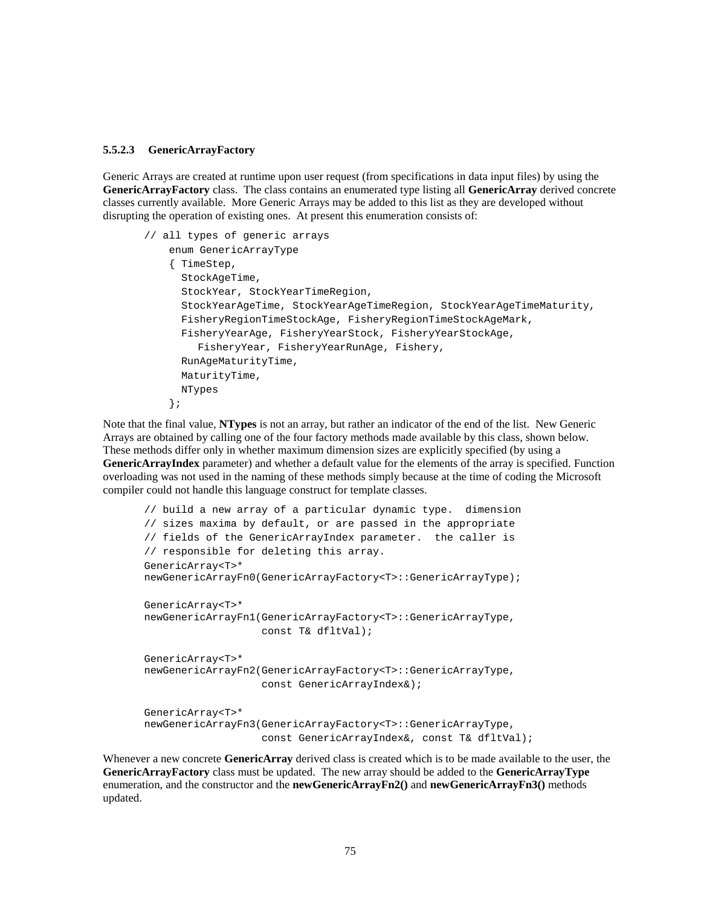#### **5.5.2.3 GenericArrayFactory**

Generic Arrays are created at runtime upon user request (from specifications in data input files) by using the **GenericArrayFactory** class. The class contains an enumerated type listing all **GenericArray** derived concrete classes currently available. More Generic Arrays may be added to this list as they are developed without disrupting the operation of existing ones. At present this enumeration consists of:

```
// all types of generic arrays
     enum GenericArrayType
     { TimeStep,
       StockAgeTime,
       StockYear, StockYearTimeRegion,
       StockYearAgeTime, StockYearAgeTimeRegion, StockYearAgeTimeMaturity,
       FisheryRegionTimeStockAge, FisheryRegionTimeStockAgeMark,
       FisheryYearAge, FisheryYearStock, FisheryYearStockAge,
         FisheryYear, FisheryYearRunAge, Fishery,
       RunAgeMaturityTime,
       MaturityTime,
       NTypes
     };
```
Note that the final value, **NTypes** is not an array, but rather an indicator of the end of the list. New Generic Arrays are obtained by calling one of the four factory methods made available by this class, shown below. These methods differ only in whether maximum dimension sizes are explicitly specified (by using a **GenericArrayIndex** parameter) and whether a default value for the elements of the array is specified. Function overloading was not used in the naming of these methods simply because at the time of coding the Microsoft compiler could not handle this language construct for template classes.

```
// build a new array of a particular dynamic type. dimension
// sizes maxima by default, or are passed in the appropriate
// fields of the GenericArrayIndex parameter. the caller is
// responsible for deleting this array.
GenericArray<T>*
newGenericArrayFn0(GenericArrayFactory<T>::GenericArrayType);
GenericArray<T>*
newGenericArrayFn1(GenericArrayFactory<T>::GenericArrayType,
                    const T& dfltVal);
GenericArray<T>*
newGenericArrayFn2(GenericArrayFactory<T>::GenericArrayType,
                    const GenericArrayIndex&);
GenericArray<T>*
newGenericArrayFn3(GenericArrayFactory<T>::GenericArrayType,
                    const GenericArrayIndex&, const T& dfltVal);
```
Whenever a new concrete **GenericArray** derived class is created which is to be made available to the user, the **GenericArrayFactory** class must be updated. The new array should be added to the **GenericArrayType** enumeration, and the constructor and the **newGenericArrayFn2()** and **newGenericArrayFn3()** methods updated.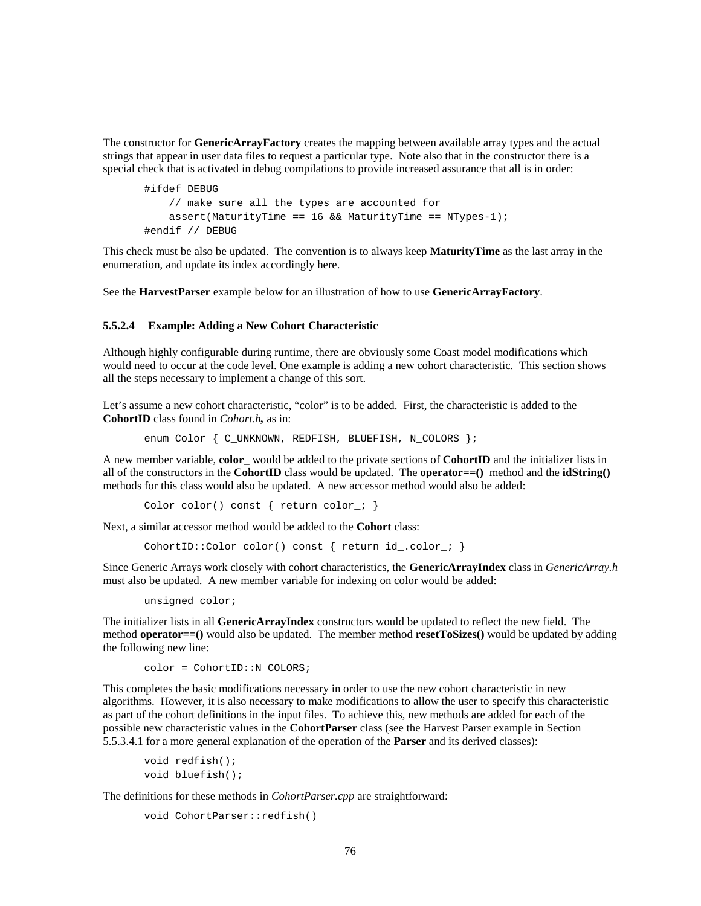The constructor for **GenericArrayFactory** creates the mapping between available array types and the actual strings that appear in user data files to request a particular type. Note also that in the constructor there is a special check that is activated in debug compilations to provide increased assurance that all is in order:

```
#ifdef DEBUG
    // make sure all the types are accounted for
   assert(MaturityTime == 16 && MaturityTime == NTypes-1);
#endif // DEBUG
```
This check must be also be updated. The convention is to always keep **MaturityTime** as the last array in the enumeration, and update its index accordingly here.

See the **HarvestParser** example below for an illustration of how to use **GenericArrayFactory**.

#### **5.5.2.4 Example: Adding a New Cohort Characteristic**

Although highly configurable during runtime, there are obviously some Coast model modifications which would need to occur at the code level. One example is adding a new cohort characteristic. This section shows all the steps necessary to implement a change of this sort.

Let's assume a new cohort characteristic, "color" is to be added. First, the characteristic is added to the **CohortID** class found in *Cohort.h,* as in:

enum Color { C\_UNKNOWN, REDFISH, BLUEFISH, N\_COLORS };

A new member variable, **color\_** would be added to the private sections of **CohortID** and the initializer lists in all of the constructors in the **CohortID** class would be updated. The **operator==()** method and the **idString()** methods for this class would also be updated. A new accessor method would also be added:

Color color() const { return color\_; }

Next, a similar accessor method would be added to the **Cohort** class:

CohortID::Color color() const { return id\_.color\_; }

Since Generic Arrays work closely with cohort characteristics, the **GenericArrayIndex** class in *GenericArray.h* must also be updated. A new member variable for indexing on color would be added:

unsigned color;

The initializer lists in all **GenericArrayIndex** constructors would be updated to reflect the new field. The method **operator==()** would also be updated. The member method **resetToSizes()** would be updated by adding the following new line:

color = CohortID::N\_COLORS;

This completes the basic modifications necessary in order to use the new cohort characteristic in new algorithms. However, it is also necessary to make modifications to allow the user to specify this characteristic as part of the cohort definitions in the input files. To achieve this, new methods are added for each of the possible new characteristic values in the **CohortParser** class (see the Harvest Parser example in Section 5.5.3.4.1 for a more general explanation of the operation of the **Parser** and its derived classes):

```
void redfish();
void bluefish();
```
The definitions for these methods in *CohortParser.cpp* are straightforward:

```
void CohortParser::redfish()
```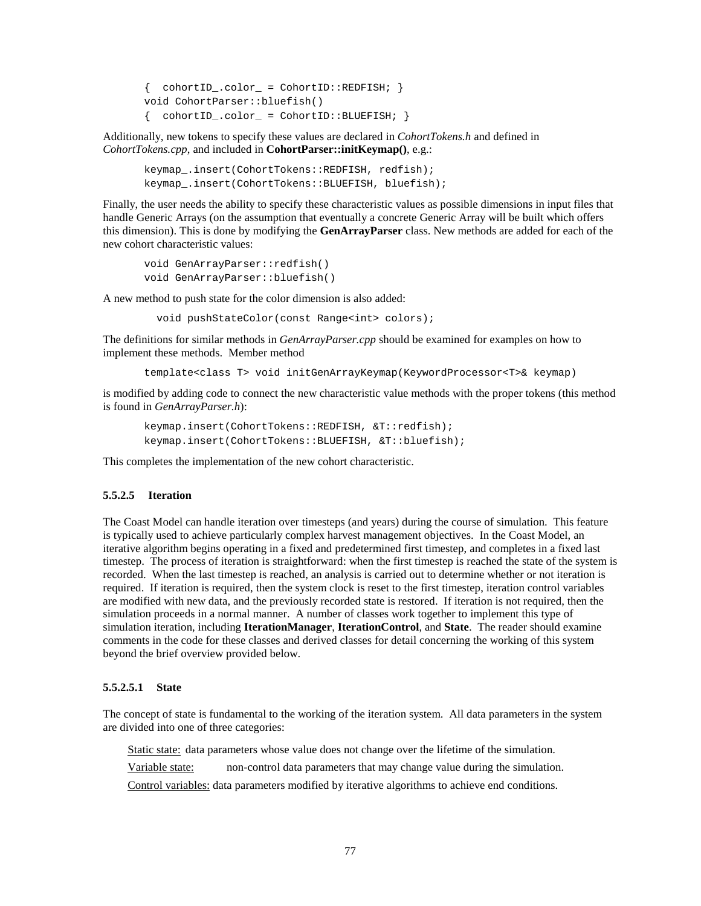```
\{ \text{cohortID\_color\_ = Cohorth::REDFISH}; \}void CohortParser::bluefish()
\{ \text{cohortID\_color\_ = Cohorth::BLETSH: } \}
```
Additionally, new tokens to specify these values are declared in *CohortTokens.h* and defined in *CohortTokens.cpp*, and included in **CohortParser::initKeymap()**, e.g.:

```
keymap_.insert(CohortTokens::REDFISH, redfish);
keymap_.insert(CohortTokens::BLUEFISH, bluefish);
```
Finally, the user needs the ability to specify these characteristic values as possible dimensions in input files that handle Generic Arrays (on the assumption that eventually a concrete Generic Array will be built which offers this dimension). This is done by modifying the **GenArrayParser** class. New methods are added for each of the new cohort characteristic values:

```
void GenArrayParser::redfish()
void GenArrayParser::bluefish()
```
A new method to push state for the color dimension is also added:

void pushStateColor(const Range<int> colors);

The definitions for similar methods in *GenArrayParser.cpp* should be examined for examples on how to implement these methods. Member method

template<class T> void initGenArrayKeymap(KeywordProcessor<T>& keymap)

is modified by adding code to connect the new characteristic value methods with the proper tokens (this method is found in *GenArrayParser.h*):

```
keymap.insert(CohortTokens::REDFISH, &T::redfish);
keymap.insert(CohortTokens::BLUEFISH, &T::bluefish);
```
This completes the implementation of the new cohort characteristic.

#### **5.5.2.5 Iteration**

The Coast Model can handle iteration over timesteps (and years) during the course of simulation. This feature is typically used to achieve particularly complex harvest management objectives. In the Coast Model, an iterative algorithm begins operating in a fixed and predetermined first timestep, and completes in a fixed last timestep. The process of iteration is straightforward: when the first timestep is reached the state of the system is recorded. When the last timestep is reached, an analysis is carried out to determine whether or not iteration is required. If iteration is required, then the system clock is reset to the first timestep, iteration control variables are modified with new data, and the previously recorded state is restored. If iteration is not required, then the simulation proceeds in a normal manner. A number of classes work together to implement this type of simulation iteration, including **IterationManager**, **IterationControl**, and **State**. The reader should examine comments in the code for these classes and derived classes for detail concerning the working of this system beyond the brief overview provided below.

#### **5.5.2.5.1 State**

The concept of state is fundamental to the working of the iteration system. All data parameters in the system are divided into one of three categories:

Static state: data parameters whose value does not change over the lifetime of the simulation.

Variable state: non-control data parameters that may change value during the simulation.

Control variables: data parameters modified by iterative algorithms to achieve end conditions.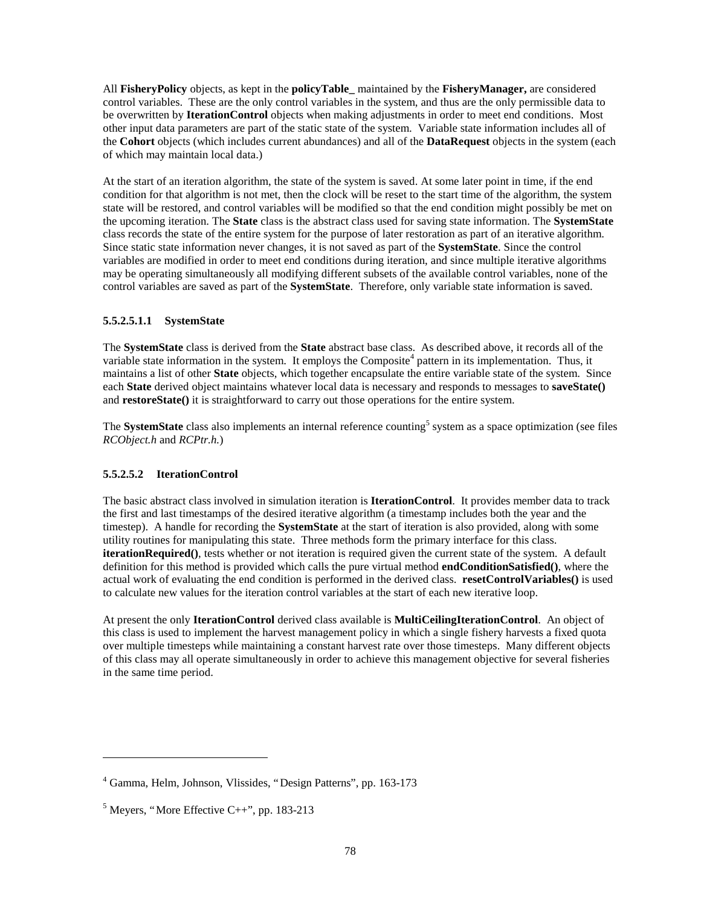All **FisheryPolicy** objects, as kept in the **policyTable\_** maintained by the **FisheryManager,** are considered control variables. These are the only control variables in the system, and thus are the only permissible data to be overwritten by **IterationControl** objects when making adjustments in order to meet end conditions. Most other input data parameters are part of the static state of the system. Variable state information includes all of the **Cohort** objects (which includes current abundances) and all of the **DataRequest** objects in the system (each of which may maintain local data.)

At the start of an iteration algorithm, the state of the system is saved. At some later point in time, if the end condition for that algorithm is not met, then the clock will be reset to the start time of the algorithm, the system state will be restored, and control variables will be modified so that the end condition might possibly be met on the upcoming iteration. The **State** class is the abstract class used for saving state information. The **SystemState** class records the state of the entire system for the purpose of later restoration as part of an iterative algorithm. Since static state information never changes, it is not saved as part of the **SystemState**. Since the control variables are modified in order to meet end conditions during iteration, and since multiple iterative algorithms may be operating simultaneously all modifying different subsets of the available control variables, none of the control variables are saved as part of the **SystemState**. Therefore, only variable state information is saved.

## **5.5.2.5.1.1 SystemState**

The **SystemState** class is derived from the **State** abstract base class. As described above, it records all of the variable state information in the system. It employs the Composite<sup>4</sup> pattern in its implementation. Thus, it maintains a list of other **State** objects, which together encapsulate the entire variable state of the system. Since each **State** derived object maintains whatever local data is necessary and responds to messages to **saveState()** and **restoreState()** it is straightforward to carry out those operations for the entire system.

The **SystemState** class also implements an internal reference counting<sup>5</sup> system as a space optimization (see files *RCObject.h* and *RCPtr.h.*)

## **5.5.2.5.2 IterationControl**

The basic abstract class involved in simulation iteration is **IterationControl**. It provides member data to track the first and last timestamps of the desired iterative algorithm (a timestamp includes both the year and the timestep). A handle for recording the **SystemState** at the start of iteration is also provided, along with some utility routines for manipulating this state. Three methods form the primary interface for this class. **iterationRequired()**, tests whether or not iteration is required given the current state of the system. A default definition for this method is provided which calls the pure virtual method **endConditionSatisfied()**, where the actual work of evaluating the end condition is performed in the derived class. **resetControlVariables()** is used to calculate new values for the iteration control variables at the start of each new iterative loop.

At present the only **IterationControl** derived class available is **MultiCeilingIterationControl**. An object of this class is used to implement the harvest management policy in which a single fishery harvests a fixed quota over multiple timesteps while maintaining a constant harvest rate over those timesteps. Many different objects of this class may all operate simultaneously in order to achieve this management objective for several fisheries in the same time period.

 $\overline{a}$ 

<sup>4</sup> Gamma, Helm, Johnson, Vlissides, "Design Patterns", pp. 163-173

 $<sup>5</sup>$  Meyers, "More Effective C++", pp. 183-213</sup>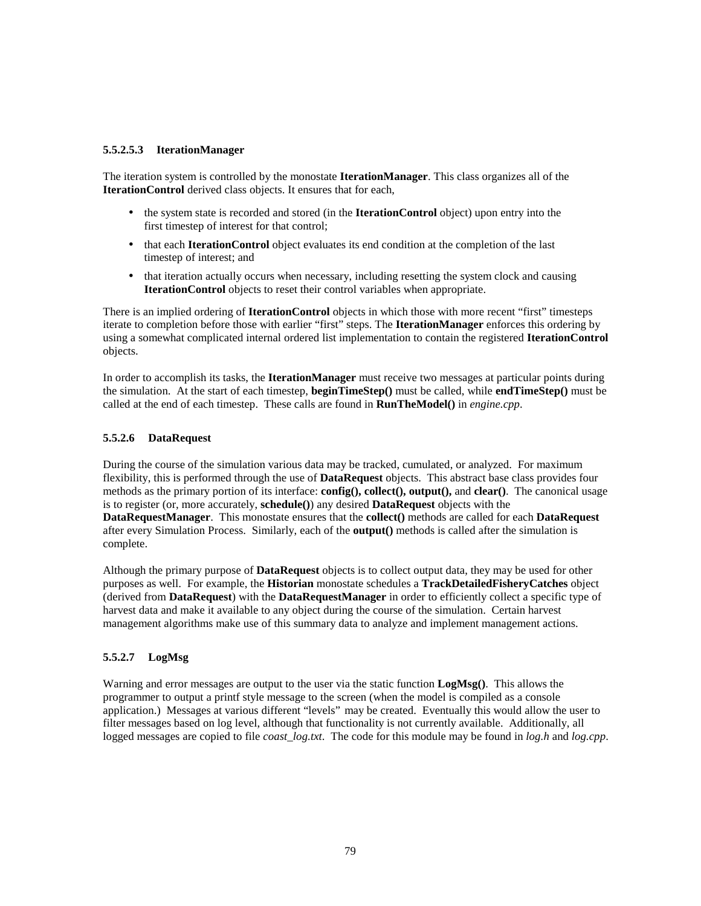#### **5.5.2.5.3 IterationManager**

The iteration system is controlled by the monostate **IterationManager**. This class organizes all of the **IterationControl** derived class objects. It ensures that for each,

- the system state is recorded and stored (in the **IterationControl** object) upon entry into the first timestep of interest for that control;
- that each **IterationControl** object evaluates its end condition at the completion of the last timestep of interest; and
- that iteration actually occurs when necessary, including resetting the system clock and causing **IterationControl** objects to reset their control variables when appropriate.

There is an implied ordering of **IterationControl** objects in which those with more recent "first" timesteps iterate to completion before those with earlier "first" steps. The **IterationManager** enforces this ordering by using a somewhat complicated internal ordered list implementation to contain the registered **IterationControl** objects.

In order to accomplish its tasks, the **IterationManager** must receive two messages at particular points during the simulation. At the start of each timestep, **beginTimeStep()** must be called, while **endTimeStep()** must be called at the end of each timestep. These calls are found in **RunTheModel()** in *engine.cpp*.

## **5.5.2.6 DataRequest**

During the course of the simulation various data may be tracked, cumulated, or analyzed. For maximum flexibility, this is performed through the use of **DataRequest** objects. This abstract base class provides four methods as the primary portion of its interface: **config(), collect(), output(),** and **clear()**. The canonical usage is to register (or, more accurately, **schedule()**) any desired **DataRequest** objects with the **DataRequestManager**. This monostate ensures that the **collect()** methods are called for each **DataRequest** after every Simulation Process. Similarly, each of the **output()** methods is called after the simulation is complete.

Although the primary purpose of **DataRequest** objects is to collect output data, they may be used for other purposes as well. For example, the **Historian** monostate schedules a **TrackDetailedFisheryCatches** object (derived from **DataRequest**) with the **DataRequestManager** in order to efficiently collect a specific type of harvest data and make it available to any object during the course of the simulation. Certain harvest management algorithms make use of this summary data to analyze and implement management actions.

## **5.5.2.7 LogMsg**

Warning and error messages are output to the user via the static function **LogMsg()**. This allows the programmer to output a printf style message to the screen (when the model is compiled as a console application.) Messages at various different "levels" may be created. Eventually this would allow the user to filter messages based on log level, although that functionality is not currently available. Additionally, all logged messages are copied to file *coast\_log.txt*. The code for this module may be found in *log.h* and *log.cpp*.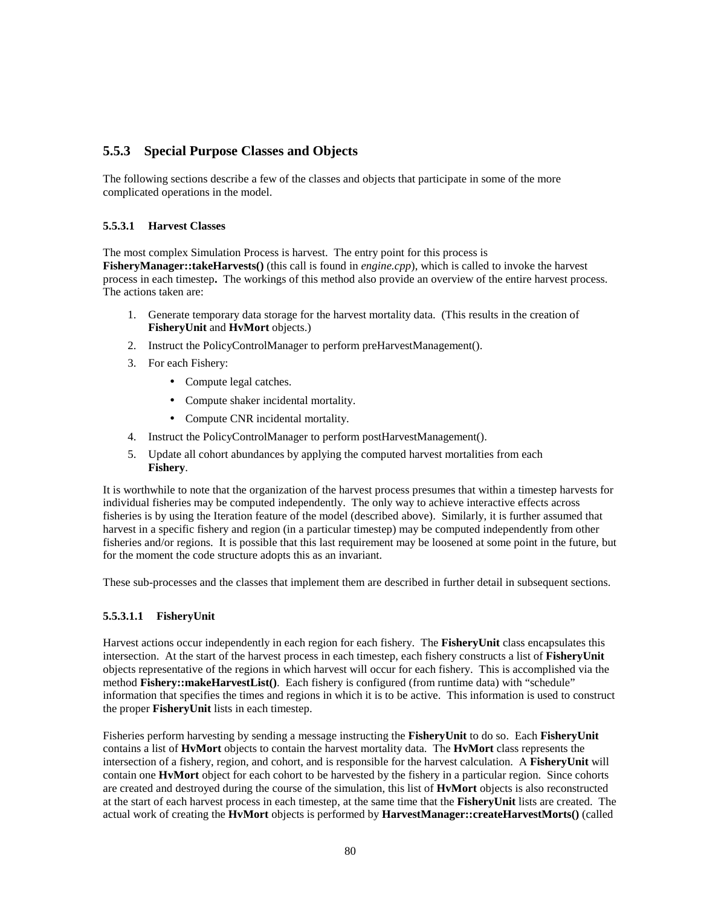## **5.5.3 Special Purpose Classes and Objects**

The following sections describe a few of the classes and objects that participate in some of the more complicated operations in the model.

## **5.5.3.1 Harvest Classes**

The most complex Simulation Process is harvest. The entry point for this process is

**FisheryManager::takeHarvests()** (this call is found in *engine.cpp*), which is called to invoke the harvest process in each timestep**.** The workings of this method also provide an overview of the entire harvest process. The actions taken are:

- 1. Generate temporary data storage for the harvest mortality data. (This results in the creation of **FisheryUnit** and **HvMort** objects.)
- 2. Instruct the PolicyControlManager to perform preHarvestManagement().
- 3. For each Fishery:
	- Compute legal catches.
	- Compute shaker incidental mortality.
	- Compute CNR incidental mortality.
- 4. Instruct the PolicyControlManager to perform postHarvestManagement().
- 5. Update all cohort abundances by applying the computed harvest mortalities from each **Fishery**.

It is worthwhile to note that the organization of the harvest process presumes that within a timestep harvests for individual fisheries may be computed independently. The only way to achieve interactive effects across fisheries is by using the Iteration feature of the model (described above). Similarly, it is further assumed that harvest in a specific fishery and region (in a particular timestep) may be computed independently from other fisheries and/or regions. It is possible that this last requirement may be loosened at some point in the future, but for the moment the code structure adopts this as an invariant.

These sub-processes and the classes that implement them are described in further detail in subsequent sections.

## **5.5.3.1.1 FisheryUnit**

Harvest actions occur independently in each region for each fishery. The **FisheryUnit** class encapsulates this intersection. At the start of the harvest process in each timestep, each fishery constructs a list of **FisheryUnit** objects representative of the regions in which harvest will occur for each fishery. This is accomplished via the method **Fishery::makeHarvestList()**. Each fishery is configured (from runtime data) with "schedule" information that specifies the times and regions in which it is to be active. This information is used to construct the proper **FisheryUnit** lists in each timestep.

Fisheries perform harvesting by sending a message instructing the **FisheryUnit** to do so. Each **FisheryUnit** contains a list of **HvMort** objects to contain the harvest mortality data. The **HvMort** class represents the intersection of a fishery, region, and cohort, and is responsible for the harvest calculation. A **FisheryUnit** will contain one **HvMort** object for each cohort to be harvested by the fishery in a particular region. Since cohorts are created and destroyed during the course of the simulation, this list of **HvMort** objects is also reconstructed at the start of each harvest process in each timestep, at the same time that the **FisheryUnit** lists are created. The actual work of creating the **HvMort** objects is performed by **HarvestManager::createHarvestMorts()** (called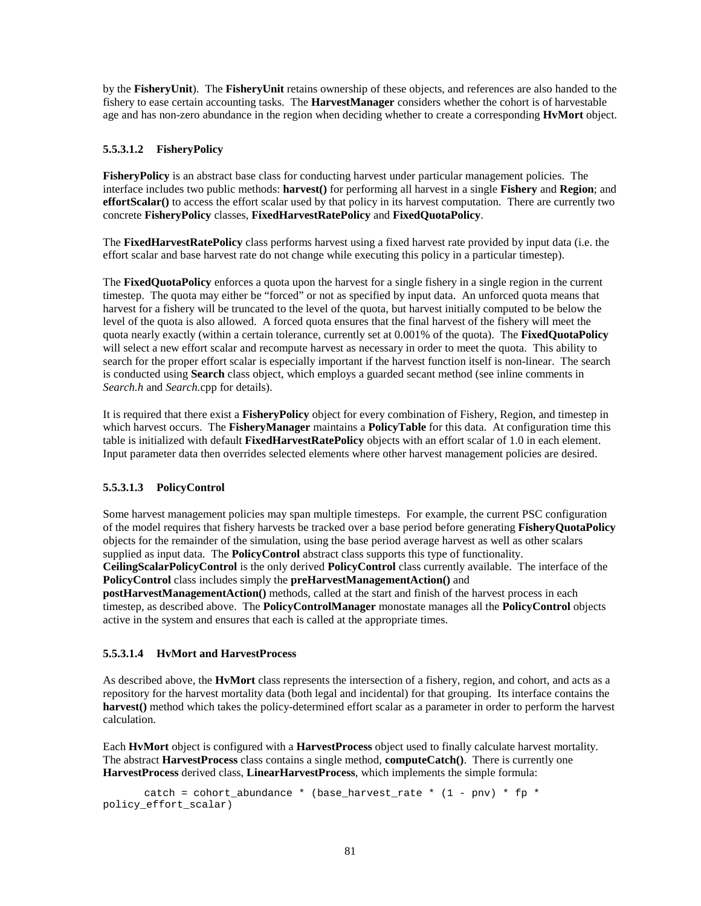by the **FisheryUnit**). The **FisheryUnit** retains ownership of these objects, and references are also handed to the fishery to ease certain accounting tasks. The **HarvestManager** considers whether the cohort is of harvestable age and has non-zero abundance in the region when deciding whether to create a corresponding **HvMort** object.

## **5.5.3.1.2 FisheryPolicy**

**FisheryPolicy** is an abstract base class for conducting harvest under particular management policies. The interface includes two public methods: **harvest()** for performing all harvest in a single **Fishery** and **Region**; and **effortScalar**() to access the effort scalar used by that policy in its harvest computation. There are currently two concrete **FisheryPolicy** classes, **FixedHarvestRatePolicy** and **FixedQuotaPolicy**.

The **FixedHarvestRatePolicy** class performs harvest using a fixed harvest rate provided by input data (i.e. the effort scalar and base harvest rate do not change while executing this policy in a particular timestep).

The **FixedQuotaPolicy** enforces a quota upon the harvest for a single fishery in a single region in the current timestep. The quota may either be "forced" or not as specified by input data. An unforced quota means that harvest for a fishery will be truncated to the level of the quota, but harvest initially computed to be below the level of the quota is also allowed. A forced quota ensures that the final harvest of the fishery will meet the quota nearly exactly (within a certain tolerance, currently set at 0.001% of the quota). The **FixedQuotaPolicy** will select a new effort scalar and recompute harvest as necessary in order to meet the quota. This ability to search for the proper effort scalar is especially important if the harvest function itself is non-linear. The search is conducted using **Search** class object, which employs a guarded secant method (see inline comments in *Search.h* and *Search.*cpp for details).

It is required that there exist a **FisheryPolicy** object for every combination of Fishery, Region, and timestep in which harvest occurs. The **FisheryManager** maintains a **PolicyTable** for this data. At configuration time this table is initialized with default **FixedHarvestRatePolicy** objects with an effort scalar of 1.0 in each element. Input parameter data then overrides selected elements where other harvest management policies are desired.

## **5.5.3.1.3 PolicyControl**

Some harvest management policies may span multiple timesteps. For example, the current PSC configuration of the model requires that fishery harvests be tracked over a base period before generating **FisheryQuotaPolicy** objects for the remainder of the simulation, using the base period average harvest as well as other scalars supplied as input data. The **PolicyControl** abstract class supports this type of functionality. **CeilingScalarPolicyControl** is the only derived **PolicyControl** class currently available. The interface of the

**PolicyControl** class includes simply the **preHarvestManagementAction()** and **postHarvestManagementAction()** methods, called at the start and finish of the harvest process in each timestep, as described above. The **PolicyControlManager** monostate manages all the **PolicyControl** objects active in the system and ensures that each is called at the appropriate times.

## **5.5.3.1.4 HvMort and HarvestProcess**

As described above, the **HvMort** class represents the intersection of a fishery, region, and cohort, and acts as a repository for the harvest mortality data (both legal and incidental) for that grouping. Its interface contains the **harvest()** method which takes the policy-determined effort scalar as a parameter in order to perform the harvest calculation.

Each **HvMort** object is configured with a **HarvestProcess** object used to finally calculate harvest mortality. The abstract **HarvestProcess** class contains a single method, **computeCatch()**. There is currently one **HarvestProcess** derived class, **LinearHarvestProcess**, which implements the simple formula:

catch = cohort\_abundance \* (base\_harvest\_rate \*  $(1 - pnv)$  \* fp \* policy\_effort\_scalar)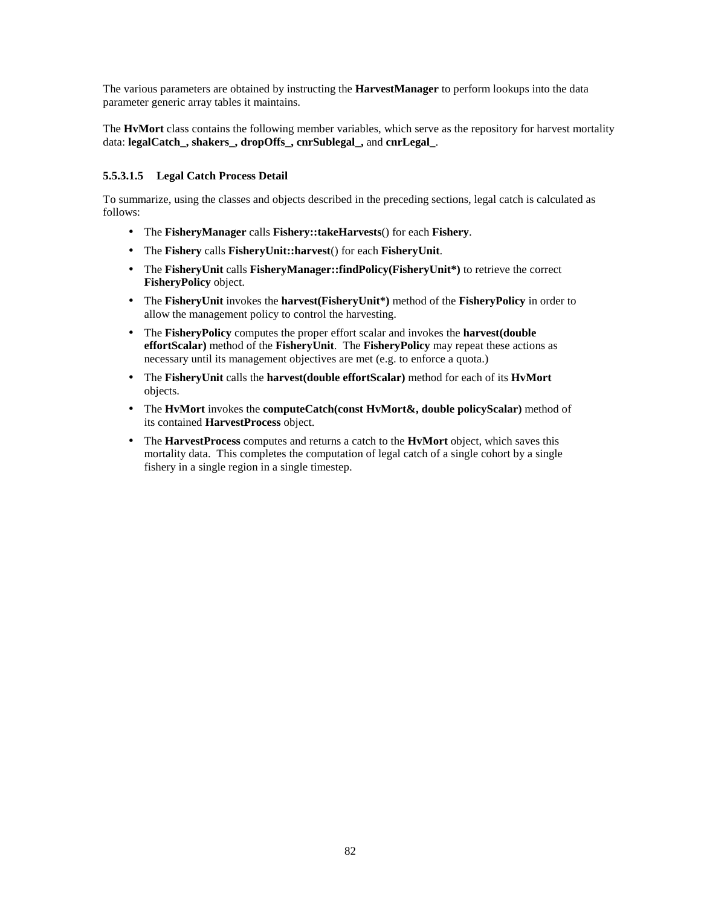The various parameters are obtained by instructing the **HarvestManager** to perform lookups into the data parameter generic array tables it maintains.

The **HvMort** class contains the following member variables, which serve as the repository for harvest mortality data: **legalCatch\_, shakers\_, dropOffs\_, cnrSublegal\_,** and **cnrLegal\_**.

## **5.5.3.1.5 Legal Catch Process Detail**

To summarize, using the classes and objects described in the preceding sections, legal catch is calculated as follows:

- The **FisheryManager** calls **Fishery::takeHarvests**() for each **Fishery**.
- The **Fishery** calls **FisheryUnit::harvest**() for each **FisheryUnit**.
- The **FisheryUnit** calls **FisheryManager::findPolicy(FisheryUnit\*)** to retrieve the correct **FisheryPolicy** object.
- The **FisheryUnit** invokes the **harvest(FisheryUnit\*)** method of the **FisheryPolicy** in order to allow the management policy to control the harvesting.
- The **FisheryPolicy** computes the proper effort scalar and invokes the **harvest(double effortScalar)** method of the **FisheryUnit**. The **FisheryPolicy** may repeat these actions as necessary until its management objectives are met (e.g. to enforce a quota.)
- The **FisheryUnit** calls the **harvest(double effortScalar)** method for each of its **HvMort** objects.
- The **HvMort** invokes the **computeCatch(const HvMort&, double policyScalar)** method of its contained **HarvestProcess** object.
- The **HarvestProcess** computes and returns a catch to the **HvMort** object, which saves this mortality data. This completes the computation of legal catch of a single cohort by a single fishery in a single region in a single timestep.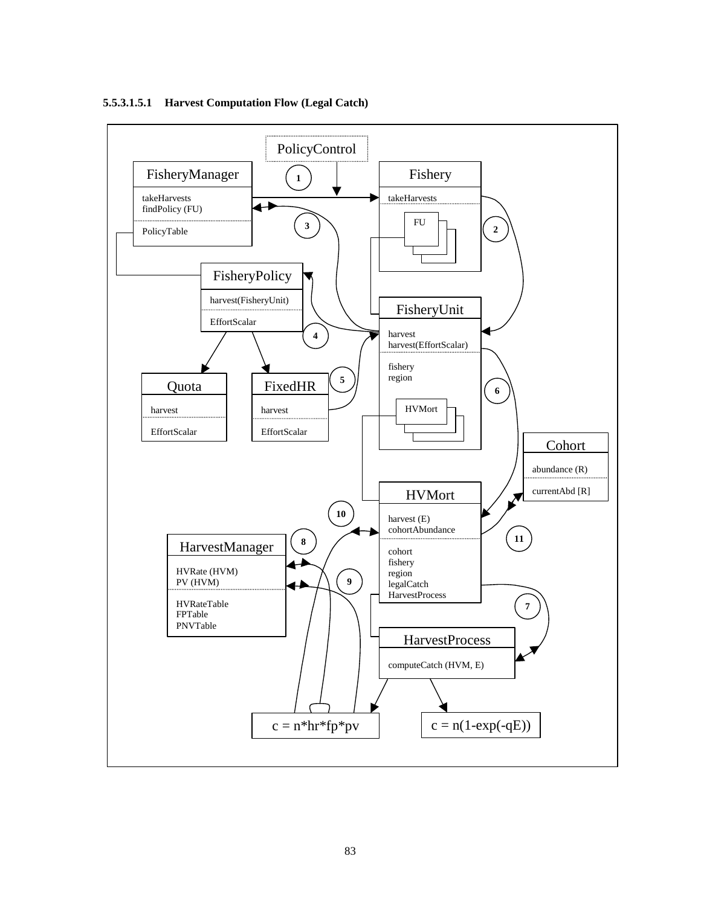

#### **5.5.3.1.5.1 Harvest Computation Flow (Legal Catch)**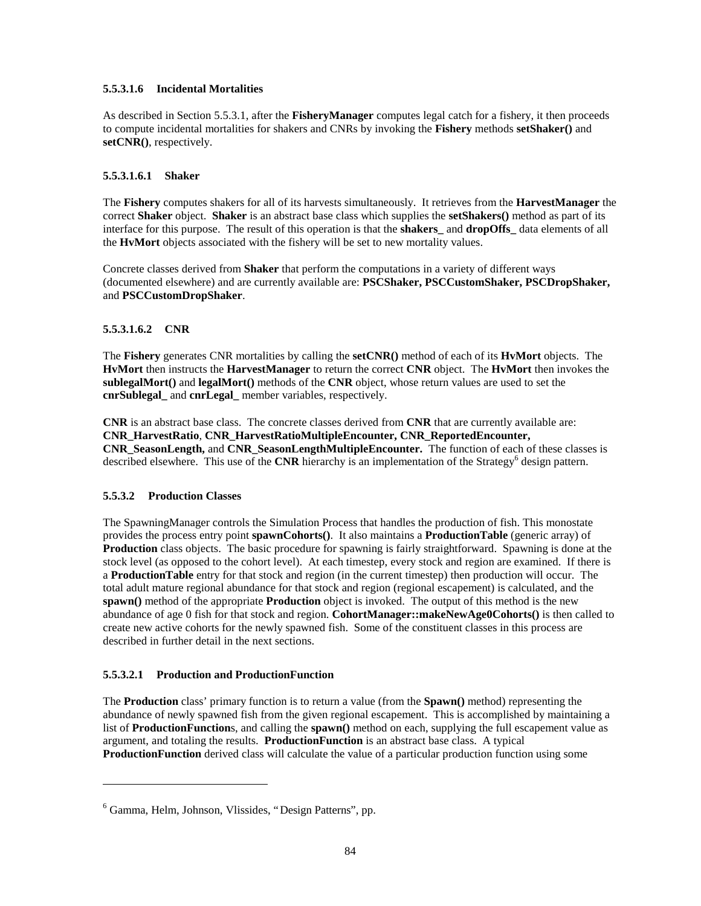#### **5.5.3.1.6 Incidental Mortalities**

As described in Section 5.5.3.1, after the **FisheryManager** computes legal catch for a fishery, it then proceeds to compute incidental mortalities for shakers and CNRs by invoking the **Fishery** methods **setShaker()** and **setCNR()**, respectively.

#### **5.5.3.1.6.1 Shaker**

The **Fishery** computes shakers for all of its harvests simultaneously. It retrieves from the **HarvestManager** the correct **Shaker** object. **Shaker** is an abstract base class which supplies the **setShakers()** method as part of its interface for this purpose. The result of this operation is that the **shakers\_** and **dropOffs\_** data elements of all the **HvMort** objects associated with the fishery will be set to new mortality values.

Concrete classes derived from **Shaker** that perform the computations in a variety of different ways (documented elsewhere) and are currently available are: **PSCShaker, PSCCustomShaker, PSCDropShaker,** and **PSCCustomDropShaker**.

## **5.5.3.1.6.2 CNR**

The **Fishery** generates CNR mortalities by calling the **setCNR()** method of each of its **HvMort** objects. The **HvMort** then instructs the **HarvestManager** to return the correct **CNR** object. The **HvMort** then invokes the **sublegalMort()** and **legalMort()** methods of the **CNR** object, whose return values are used to set the **cnrSublegal\_** and **cnrLegal\_** member variables, respectively.

**CNR** is an abstract base class. The concrete classes derived from **CNR** that are currently available are: **CNR\_HarvestRatio**, **CNR\_HarvestRatioMultipleEncounter, CNR\_ReportedEncounter, CNR\_SeasonLength,** and **CNR\_SeasonLengthMultipleEncounter.** The function of each of these classes is described elsewhere. This use of the CNR hierarchy is an implementation of the Strategy<sup>6</sup> design pattern.

## **5.5.3.2 Production Classes**

 $\overline{a}$ 

The SpawningManager controls the Simulation Process that handles the production of fish. This monostate provides the process entry point **spawnCohorts()**. It also maintains a **ProductionTable** (generic array) of **Production** class objects. The basic procedure for spawning is fairly straightforward. Spawning is done at the stock level (as opposed to the cohort level). At each timestep, every stock and region are examined. If there is a **ProductionTable** entry for that stock and region (in the current timestep) then production will occur. The total adult mature regional abundance for that stock and region (regional escapement) is calculated, and the **spawn()** method of the appropriate **Production** object is invoked. The output of this method is the new abundance of age 0 fish for that stock and region. **CohortManager::makeNewAge0Cohorts()** is then called to create new active cohorts for the newly spawned fish. Some of the constituent classes in this process are described in further detail in the next sections.

## **5.5.3.2.1 Production and ProductionFunction**

The **Production** class' primary function is to return a value (from the **Spawn()** method) representing the abundance of newly spawned fish from the given regional escapement. This is accomplished by maintaining a list of **ProductionFunction**s, and calling the **spawn()** method on each, supplying the full escapement value as argument, and totaling the results. **ProductionFunction** is an abstract base class. A typical **ProductionFunction** derived class will calculate the value of a particular production function using some

<sup>6</sup> Gamma, Helm, Johnson, Vlissides, "Design Patterns", pp.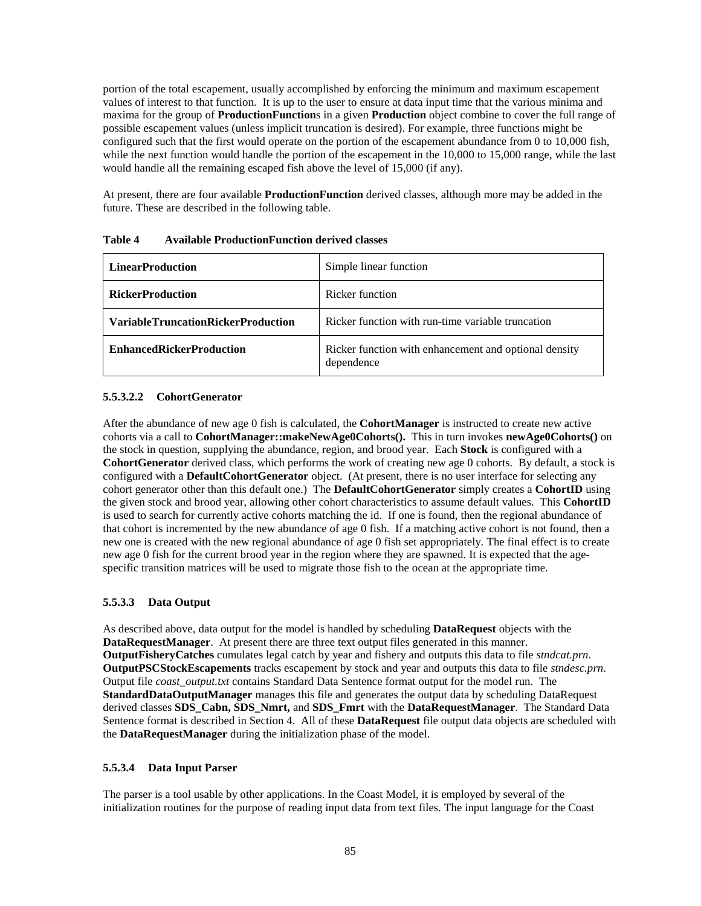portion of the total escapement, usually accomplished by enforcing the minimum and maximum escapement values of interest to that function. It is up to the user to ensure at data input time that the various minima and maxima for the group of **ProductionFunction**s in a given **Production** object combine to cover the full range of possible escapement values (unless implicit truncation is desired). For example, three functions might be configured such that the first would operate on the portion of the escapement abundance from 0 to 10,000 fish, while the next function would handle the portion of the escapement in the 10,000 to 15,000 range, while the last would handle all the remaining escaped fish above the level of 15,000 (if any).

At present, there are four available **ProductionFunction** derived classes, although more may be added in the future. These are described in the following table.

| <b>LinearProduction</b>                   | Simple linear function                                              |
|-------------------------------------------|---------------------------------------------------------------------|
| <b>RickerProduction</b>                   | Ricker function                                                     |
| <b>VariableTruncationRickerProduction</b> | Ricker function with run-time variable truncation                   |
| <b>EnhancedRickerProduction</b>           | Ricker function with enhancement and optional density<br>dependence |

**Table 4 Available ProductionFunction derived classes**

## **5.5.3.2.2 CohortGenerator**

After the abundance of new age 0 fish is calculated, the **CohortManager** is instructed to create new active cohorts via a call to **CohortManager::makeNewAge0Cohorts().** This in turn invokes **newAge0Cohorts()** on the stock in question, supplying the abundance, region, and brood year. Each **Stock** is configured with a **CohortGenerator** derived class, which performs the work of creating new age 0 cohorts. By default, a stock is configured with a **DefaultCohortGenerator** object. (At present, there is no user interface for selecting any cohort generator other than this default one.) The **DefaultCohortGenerator** simply creates a **CohortID** using the given stock and brood year, allowing other cohort characteristics to assume default values. This **CohortID** is used to search for currently active cohorts matching the id. If one is found, then the regional abundance of that cohort is incremented by the new abundance of age 0 fish. If a matching active cohort is not found, then a new one is created with the new regional abundance of age 0 fish set appropriately. The final effect is to create new age 0 fish for the current brood year in the region where they are spawned. It is expected that the agespecific transition matrices will be used to migrate those fish to the ocean at the appropriate time.

## **5.5.3.3 Data Output**

As described above, data output for the model is handled by scheduling **DataRequest** objects with the **DataRequestManager**. At present there are three text output files generated in this manner. **OutputFisheryCatches** cumulates legal catch by year and fishery and outputs this data to file *stndcat.prn*. **OutputPSCStockEscapements** tracks escapement by stock and year and outputs this data to file *stndesc.prn*. Output file *coast\_output.txt* contains Standard Data Sentence format output for the model run. The **StandardDataOutputManager** manages this file and generates the output data by scheduling DataRequest derived classes **SDS\_Cabn, SDS\_Nmrt,** and **SDS\_Fmrt** with the **DataRequestManager**. The Standard Data Sentence format is described in Section 4. All of these **DataRequest** file output data objects are scheduled with the **DataRequestManager** during the initialization phase of the model.

## **5.5.3.4 Data Input Parser**

The parser is a tool usable by other applications. In the Coast Model, it is employed by several of the initialization routines for the purpose of reading input data from text files. The input language for the Coast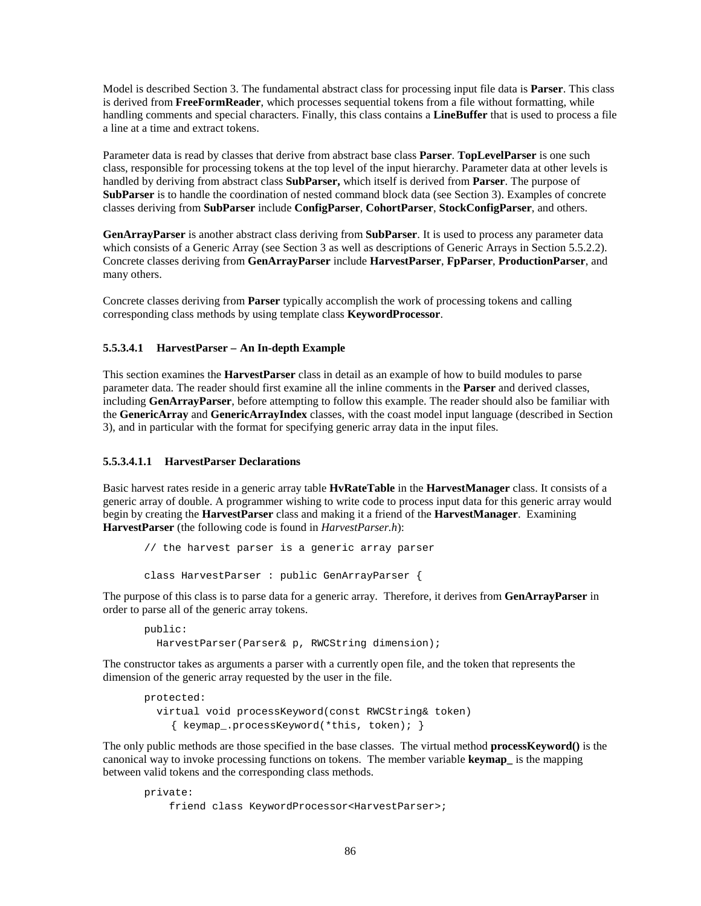Model is described Section 3. The fundamental abstract class for processing input file data is **Parser**. This class is derived from **FreeFormReader**, which processes sequential tokens from a file without formatting, while handling comments and special characters. Finally, this class contains a **LineBuffer** that is used to process a file a line at a time and extract tokens.

Parameter data is read by classes that derive from abstract base class **Parser**. **TopLevelParser** is one such class, responsible for processing tokens at the top level of the input hierarchy. Parameter data at other levels is handled by deriving from abstract class **SubParser,** which itself is derived from **Parser**. The purpose of **SubParser** is to handle the coordination of nested command block data (see Section 3). Examples of concrete classes deriving from **SubParser** include **ConfigParser**, **CohortParser**, **StockConfigParser**, and others.

**GenArrayParser** is another abstract class deriving from **SubParser**. It is used to process any parameter data which consists of a Generic Array (see Section 3 as well as descriptions of Generic Arrays in Section 5.5.2.2). Concrete classes deriving from **GenArrayParser** include **HarvestParser**, **FpParser**, **ProductionParser**, and many others.

Concrete classes deriving from **Parser** typically accomplish the work of processing tokens and calling corresponding class methods by using template class **KeywordProcessor**.

#### **5.5.3.4.1 HarvestParser – An In-depth Example**

This section examines the **HarvestParser** class in detail as an example of how to build modules to parse parameter data. The reader should first examine all the inline comments in the **Parser** and derived classes, including **GenArrayParser**, before attempting to follow this example. The reader should also be familiar with the **GenericArray** and **GenericArrayIndex** classes, with the coast model input language (described in Section 3), and in particular with the format for specifying generic array data in the input files.

#### **5.5.3.4.1.1 HarvestParser Declarations**

Basic harvest rates reside in a generic array table **HvRateTable** in the **HarvestManager** class. It consists of a generic array of double. A programmer wishing to write code to process input data for this generic array would begin by creating the **HarvestParser** class and making it a friend of the **HarvestManager**. Examining **HarvestParser** (the following code is found in *HarvestParser.h*):

```
// the harvest parser is a generic array parser
class HarvestParser : public GenArrayParser {
```
The purpose of this class is to parse data for a generic array. Therefore, it derives from **GenArrayParser** in order to parse all of the generic array tokens.

```
public:
   HarvestParser(Parser& p, RWCString dimension);
```
The constructor takes as arguments a parser with a currently open file, and the token that represents the dimension of the generic array requested by the user in the file.

```
protected:
   virtual void processKeyword(const RWCString& token)
     { keymap_.processKeyword(*this, token); }
```
The only public methods are those specified in the base classes. The virtual method **processKeyword()** is the canonical way to invoke processing functions on tokens. The member variable **keymap\_** is the mapping between valid tokens and the corresponding class methods.

```
private:
     friend class KeywordProcessor<HarvestParser>;
```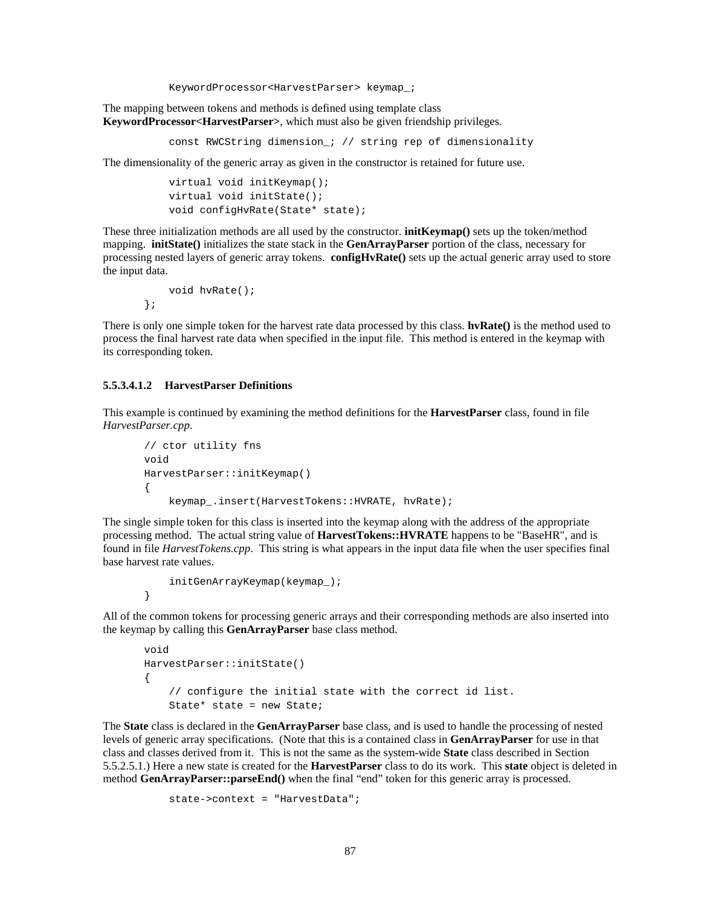KeywordProcessor<HarvestParser> keymap\_;

The mapping between tokens and methods is defined using template class **KeywordProcessor<HarvestParser>**, which must also be given friendship privileges.

const RWCString dimension\_; // string rep of dimensionality

The dimensionality of the generic array as given in the constructor is retained for future use.

```
 virtual void initKeymap();
 virtual void initState();
 void configHvRate(State* state);
```
These three initialization methods are all used by the constructor. **initKeymap()** sets up the token/method mapping. **initState()** initializes the state stack in the **GenArrayParser** portion of the class, necessary for processing nested layers of generic array tokens. **configHvRate()** sets up the actual generic array used to store the input data.

```
 void hvRate();
};
```
There is only one simple token for the harvest rate data processed by this class. **hvRate()** is the method used to process the final harvest rate data when specified in the input file. This method is entered in the keymap with its corresponding token.

#### **5.5.3.4.1.2 HarvestParser Definitions**

This example is continued by examining the method definitions for the **HarvestParser** class, found in file *HarvestParser.cpp*.

```
// ctor utility fns
void
HarvestParser::initKeymap()
{
    keymap .insert(HarvestTokens::HVRATE, hvRate);
```
The single simple token for this class is inserted into the keymap along with the address of the appropriate processing method. The actual string value of **HarvestTokens::HVRATE** happens to be "BaseHR", and is found in file *HarvestTokens.cpp*. This string is what appears in the input data file when the user specifies final base harvest rate values.

```
 initGenArrayKeymap(keymap_);
}
```
All of the common tokens for processing generic arrays and their corresponding methods are also inserted into the keymap by calling this **GenArrayParser** base class method.

```
void
HarvestParser::initState()
{
     // configure the initial state with the correct id list.
     State* state = new State;
```
The **State** class is declared in the **GenArrayParser** base class, and is used to handle the processing of nested levels of generic array specifications. (Note that this is a contained class in **GenArrayParser** for use in that class and classes derived from it. This is not the same as the system-wide **State** class described in Section 5.5.2.5.1.) Here a new state is created for the **HarvestParser** class to do its work. This **state** object is deleted in method **GenArrayParser::parseEnd()** when the final "end" token for this generic array is processed.

```
 state->context = "HarvestData";
```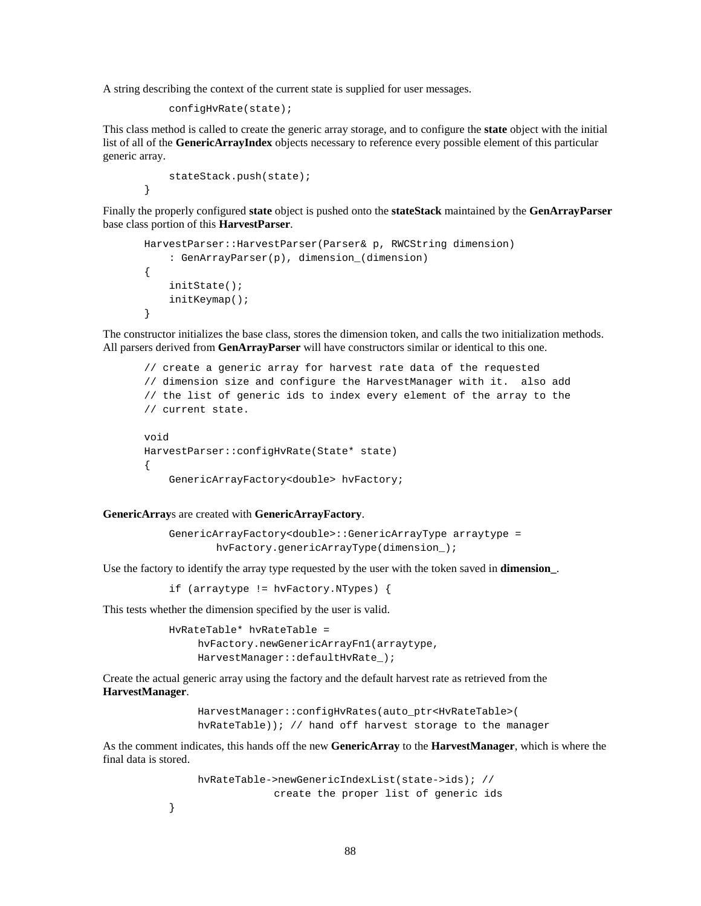A string describing the context of the current state is supplied for user messages.

```
 configHvRate(state);
```
This class method is called to create the generic array storage, and to configure the **state** object with the initial list of all of the **GenericArrayIndex** objects necessary to reference every possible element of this particular generic array.

```
 stateStack.push(state);
}
```
Finally the properly configured **state** object is pushed onto the **stateStack** maintained by the **GenArrayParser** base class portion of this **HarvestParser**.

```
HarvestParser::HarvestParser(Parser& p, RWCString dimension)
     : GenArrayParser(p), dimension_(dimension)
{
     initState();
     initKeymap();
}
```
The constructor initializes the base class, stores the dimension token, and calls the two initialization methods. All parsers derived from **GenArrayParser** will have constructors similar or identical to this one.

```
// create a generic array for harvest rate data of the requested
// dimension size and configure the HarvestManager with it. also add
// the list of generic ids to index every element of the array to the
// current state.
void
HarvestParser::configHvRate(State* state)
{
     GenericArrayFactory<double> hvFactory;
```
#### **GenericArray**s are created with **GenericArrayFactory**.

 GenericArrayFactory<double>::GenericArrayType arraytype = hvFactory.genericArrayType(dimension\_);

Use the factory to identify the array type requested by the user with the token saved in **dimension\_**.

if (arraytype != hvFactory.NTypes) {

This tests whether the dimension specified by the user is valid.

}

 HvRateTable\* hvRateTable = hvFactory.newGenericArrayFn1(arraytype, HarvestManager::defaultHvRate\_);

Create the actual generic array using the factory and the default harvest rate as retrieved from the **HarvestManager**.

> HarvestManager::configHvRates(auto\_ptr<HvRateTable>( hvRateTable)); // hand off harvest storage to the manager

As the comment indicates, this hands off the new **GenericArray** to the **HarvestManager**, which is where the final data is stored.

```
 hvRateTable->newGenericIndexList(state->ids); //
             create the proper list of generic ids
```

```
88
```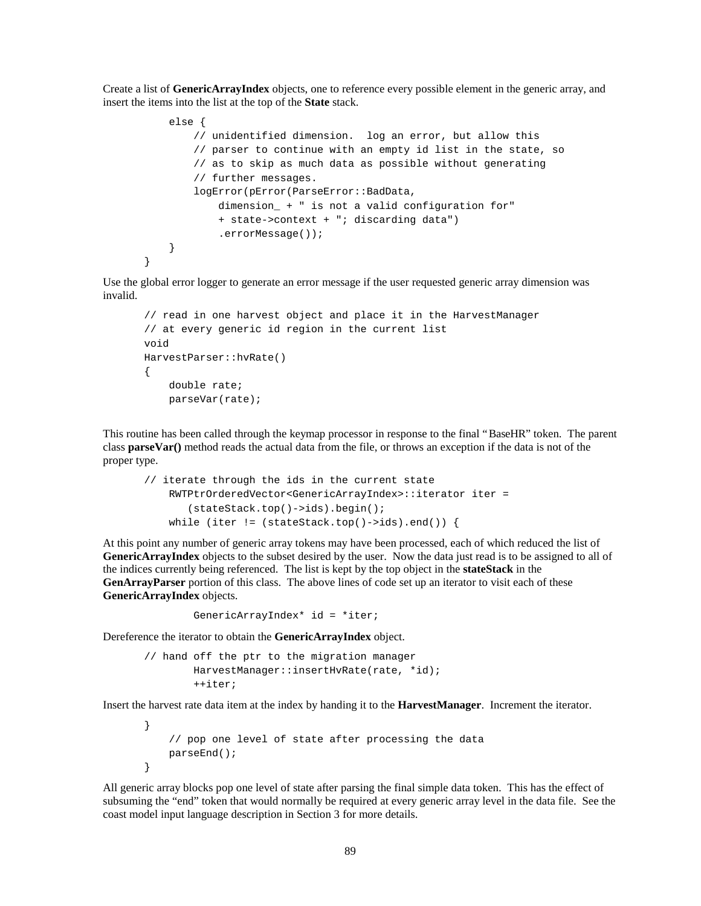Create a list of **GenericArrayIndex** objects, one to reference every possible element in the generic array, and insert the items into the list at the top of the **State** stack.

```
 else {
         // unidentified dimension. log an error, but allow this
         // parser to continue with an empty id list in the state, so
         // as to skip as much data as possible without generating
         // further messages.
         logError(pError(ParseError::BadData,
             dimension_ + " is not a valid configuration for"
             + state->context + "; discarding data")
             .errorMessage());
     }
}
```
Use the global error logger to generate an error message if the user requested generic array dimension was invalid.

```
// read in one harvest object and place it in the HarvestManager
// at every generic id region in the current list
void
HarvestParser::hvRate()
{
     double rate;
     parseVar(rate);
```
This routine has been called through the keymap processor in response to the final "BaseHR" token. The parent class **parseVar()** method reads the actual data from the file, or throws an exception if the data is not of the proper type.

```
// iterate through the ids in the current state
    RWTPtrOrderedVector<GenericArrayIndex>::iterator iter =
        (stateStack.top()->ids).begin();
   while (iter != (stateStack.top()->ids).end()) {
```
At this point any number of generic array tokens may have been processed, each of which reduced the list of **GenericArrayIndex** objects to the subset desired by the user. Now the data just read is to be assigned to all of the indices currently being referenced. The list is kept by the top object in the **stateStack** in the **GenArrayParser** portion of this class. The above lines of code set up an iterator to visit each of these **GenericArrayIndex** objects.

```
 GenericArrayIndex* id = *iter;
```
Dereference the iterator to obtain the **GenericArrayIndex** object.

```
// hand off the ptr to the migration manager
         HarvestManager::insertHvRate(rate, *id);
         ++iter;
```
Insert the harvest rate data item at the index by handing it to the **HarvestManager**. Increment the iterator.

```
}
     // pop one level of state after processing the data
     parseEnd();
}
```
All generic array blocks pop one level of state after parsing the final simple data token. This has the effect of subsuming the "end" token that would normally be required at every generic array level in the data file. See the coast model input language description in Section 3 for more details.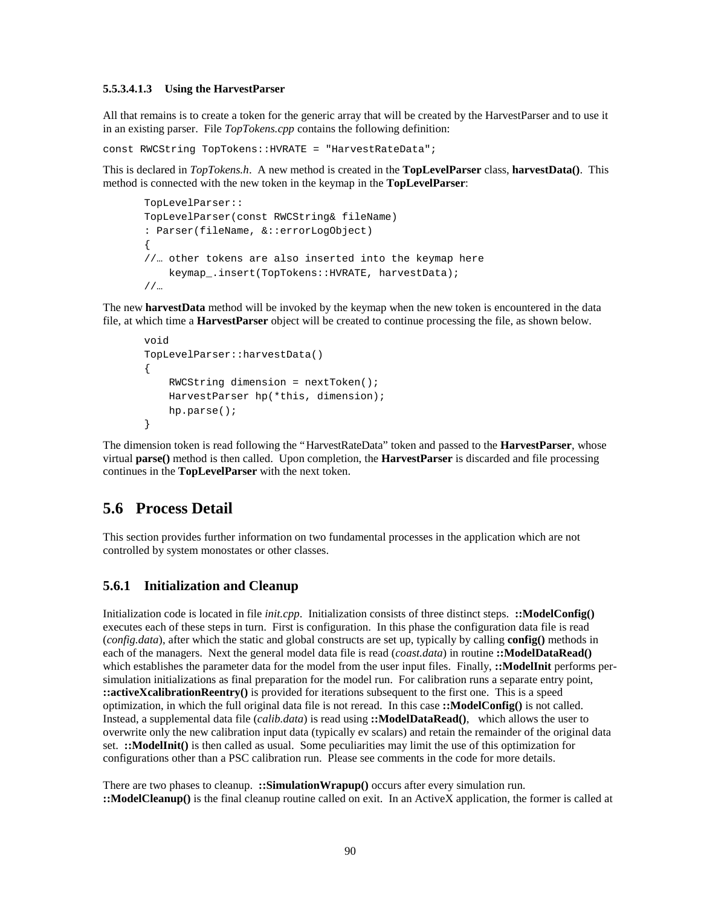#### **5.5.3.4.1.3 Using the HarvestParser**

All that remains is to create a token for the generic array that will be created by the HarvestParser and to use it in an existing parser. File *TopTokens.cpp* contains the following definition:

const RWCString TopTokens::HVRATE = "HarvestRateData";

This is declared in *TopTokens.h*. A new method is created in the **TopLevelParser** class, **harvestData()**. This method is connected with the new token in the keymap in the **TopLevelParser**:

```
TopLevelParser::
TopLevelParser(const RWCString& fileName)
: Parser(fileName, &::errorLogObject)
{
//… other tokens are also inserted into the keymap here
     keymap_.insert(TopTokens::HVRATE, harvestData);
//…
```
The new **harvestData** method will be invoked by the keymap when the new token is encountered in the data file, at which time a **HarvestParser** object will be created to continue processing the file, as shown below.

```
void
TopLevelParser::harvestData()
{
     RWCString dimension = nextToken();
     HarvestParser hp(*this, dimension);
     hp.parse();
}
```
The dimension token is read following the "HarvestRateData" token and passed to the **HarvestParser**, whose virtual **parse()** method is then called. Upon completion, the **HarvestParser** is discarded and file processing continues in the **TopLevelParser** with the next token.

## **5.6 Process Detail**

This section provides further information on two fundamental processes in the application which are not controlled by system monostates or other classes.

## **5.6.1 Initialization and Cleanup**

Initialization code is located in file *init.cpp*. Initialization consists of three distinct steps. **::ModelConfig()** executes each of these steps in turn. First is configuration. In this phase the configuration data file is read (*config.data*), after which the static and global constructs are set up, typically by calling **config()** methods in each of the managers. Next the general model data file is read (*coast.data*) in routine **::ModelDataRead()** which establishes the parameter data for the model from the user input files. Finally, ::**ModelInit** performs persimulation initializations as final preparation for the model run. For calibration runs a separate entry point, **::activeXcalibrationReentry()** is provided for iterations subsequent to the first one. This is a speed optimization, in which the full original data file is not reread. In this case **::ModelConfig()** is not called. Instead, a supplemental data file (*calib.data*) is read using **::ModelDataRead()**, which allows the user to overwrite only the new calibration input data (typically ev scalars) and retain the remainder of the original data set. **::ModelInit()** is then called as usual. Some peculiarities may limit the use of this optimization for configurations other than a PSC calibration run. Please see comments in the code for more details.

There are two phases to cleanup. **::SimulationWrapup()** occurs after every simulation run. **::ModelCleanup()** is the final cleanup routine called on exit. In an ActiveX application, the former is called at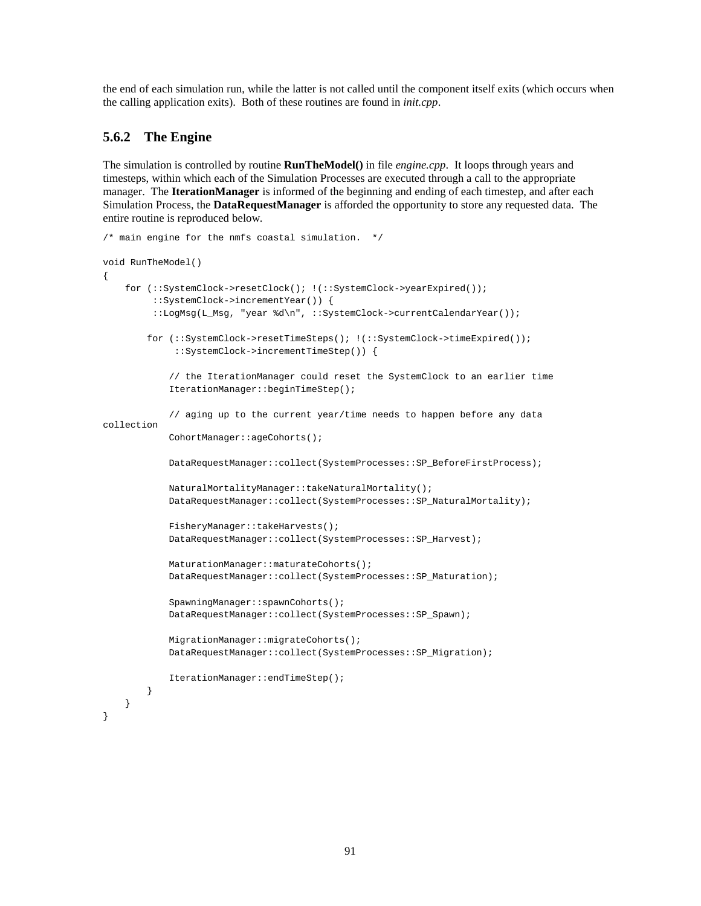the end of each simulation run, while the latter is not called until the component itself exits (which occurs when the calling application exits). Both of these routines are found in *init.cpp*.

## **5.6.2 The Engine**

The simulation is controlled by routine **RunTheModel()** in file *engine.cpp*. It loops through years and timesteps, within which each of the Simulation Processes are executed through a call to the appropriate manager. The **IterationManager** is informed of the beginning and ending of each timestep, and after each Simulation Process, the **DataRequestManager** is afforded the opportunity to store any requested data. The entire routine is reproduced below.

```
/* main engine for the nmfs coastal simulation. */
void RunTheModel()
{
    for (::SystemClock->resetClock(); !(::SystemClock->yearExpired());
          ::SystemClock->incrementYear()) {
          ::LogMsg(L_Msg, "year %d\n", ::SystemClock->currentCalendarYear());
         for (::SystemClock->resetTimeSteps(); !(::SystemClock->timeExpired());
              ::SystemClock->incrementTimeStep()) {
             // the IterationManager could reset the SystemClock to an earlier time
             IterationManager::beginTimeStep();
             // aging up to the current year/time needs to happen before any data
collection
             CohortManager::ageCohorts();
             DataRequestManager::collect(SystemProcesses::SP_BeforeFirstProcess);
             NaturalMortalityManager::takeNaturalMortality();
             DataRequestManager::collect(SystemProcesses::SP_NaturalMortality);
             FisheryManager::takeHarvests();
             DataRequestManager::collect(SystemProcesses::SP_Harvest);
             MaturationManager::maturateCohorts();
             DataRequestManager::collect(SystemProcesses::SP_Maturation);
             SpawningManager::spawnCohorts();
             DataRequestManager::collect(SystemProcesses::SP_Spawn);
             MigrationManager::migrateCohorts();
             DataRequestManager::collect(SystemProcesses::SP_Migration);
             IterationManager::endTimeStep();
 }
     }
}
```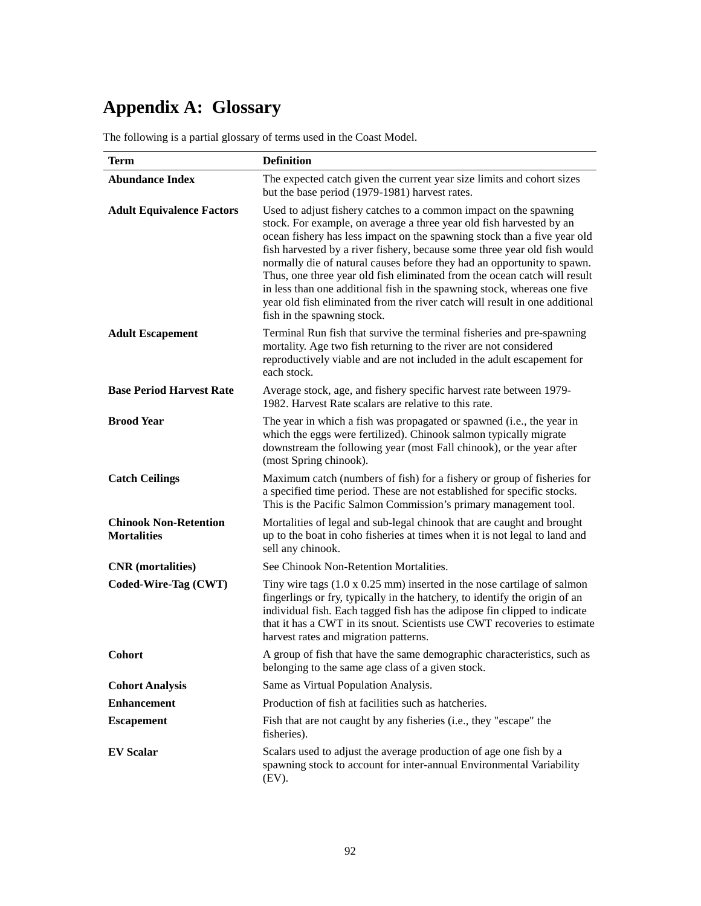# **Appendix A: Glossary**

The following is a partial glossary of terms used in the Coast Model.

| <b>Term</b>                                        | <b>Definition</b>                                                                                                                                                                                                                                                                                                                                                                                                                                                                                                                                                                                                                                    |
|----------------------------------------------------|------------------------------------------------------------------------------------------------------------------------------------------------------------------------------------------------------------------------------------------------------------------------------------------------------------------------------------------------------------------------------------------------------------------------------------------------------------------------------------------------------------------------------------------------------------------------------------------------------------------------------------------------------|
| <b>Abundance Index</b>                             | The expected catch given the current year size limits and cohort sizes<br>but the base period (1979-1981) harvest rates.                                                                                                                                                                                                                                                                                                                                                                                                                                                                                                                             |
| <b>Adult Equivalence Factors</b>                   | Used to adjust fishery catches to a common impact on the spawning<br>stock. For example, on average a three year old fish harvested by an<br>ocean fishery has less impact on the spawning stock than a five year old<br>fish harvested by a river fishery, because some three year old fish would<br>normally die of natural causes before they had an opportunity to spawn.<br>Thus, one three year old fish eliminated from the ocean catch will result<br>in less than one additional fish in the spawning stock, whereas one five<br>year old fish eliminated from the river catch will result in one additional<br>fish in the spawning stock. |
| <b>Adult Escapement</b>                            | Terminal Run fish that survive the terminal fisheries and pre-spawning<br>mortality. Age two fish returning to the river are not considered<br>reproductively viable and are not included in the adult escapement for<br>each stock.                                                                                                                                                                                                                                                                                                                                                                                                                 |
| <b>Base Period Harvest Rate</b>                    | Average stock, age, and fishery specific harvest rate between 1979-<br>1982. Harvest Rate scalars are relative to this rate.                                                                                                                                                                                                                                                                                                                                                                                                                                                                                                                         |
| <b>Brood Year</b>                                  | The year in which a fish was propagated or spawned (i.e., the year in<br>which the eggs were fertilized). Chinook salmon typically migrate<br>downstream the following year (most Fall chinook), or the year after<br>(most Spring chinook).                                                                                                                                                                                                                                                                                                                                                                                                         |
| <b>Catch Ceilings</b>                              | Maximum catch (numbers of fish) for a fishery or group of fisheries for<br>a specified time period. These are not established for specific stocks.<br>This is the Pacific Salmon Commission's primary management tool.                                                                                                                                                                                                                                                                                                                                                                                                                               |
| <b>Chinook Non-Retention</b><br><b>Mortalities</b> | Mortalities of legal and sub-legal chinook that are caught and brought<br>up to the boat in coho fisheries at times when it is not legal to land and<br>sell any chinook.                                                                                                                                                                                                                                                                                                                                                                                                                                                                            |
| <b>CNR</b> (mortalities)                           | See Chinook Non-Retention Mortalities.                                                                                                                                                                                                                                                                                                                                                                                                                                                                                                                                                                                                               |
| Coded-Wire-Tag (CWT)                               | Tiny wire tags $(1.0 \times 0.25 \text{ mm})$ inserted in the nose cartilage of salmon<br>fingerlings or fry, typically in the hatchery, to identify the origin of an<br>individual fish. Each tagged fish has the adipose fin clipped to indicate<br>that it has a CWT in its snout. Scientists use CWT recoveries to estimate<br>harvest rates and migration patterns.                                                                                                                                                                                                                                                                             |
| <b>Cohort</b>                                      | A group of fish that have the same demographic characteristics, such as<br>belonging to the same age class of a given stock.                                                                                                                                                                                                                                                                                                                                                                                                                                                                                                                         |
| <b>Cohort Analysis</b>                             | Same as Virtual Population Analysis.                                                                                                                                                                                                                                                                                                                                                                                                                                                                                                                                                                                                                 |
| <b>Enhancement</b>                                 | Production of fish at facilities such as hatcheries.                                                                                                                                                                                                                                                                                                                                                                                                                                                                                                                                                                                                 |
| <b>Escapement</b>                                  | Fish that are not caught by any fisheries (i.e., they "escape" the<br>fisheries).                                                                                                                                                                                                                                                                                                                                                                                                                                                                                                                                                                    |
| <b>EV Scalar</b>                                   | Scalars used to adjust the average production of age one fish by a<br>spawning stock to account for inter-annual Environmental Variability<br>$(EV)$ .                                                                                                                                                                                                                                                                                                                                                                                                                                                                                               |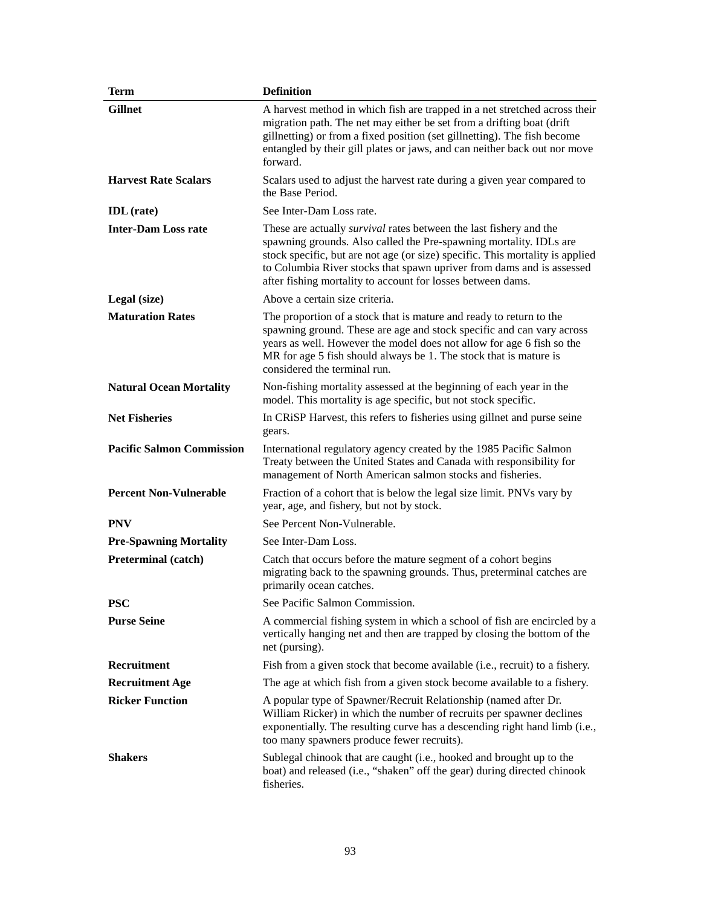| <b>Term</b>                      | <b>Definition</b>                                                                                                                                                                                                                                                                                                                                                        |
|----------------------------------|--------------------------------------------------------------------------------------------------------------------------------------------------------------------------------------------------------------------------------------------------------------------------------------------------------------------------------------------------------------------------|
| <b>Gillnet</b>                   | A harvest method in which fish are trapped in a net stretched across their<br>migration path. The net may either be set from a drifting boat (drift<br>gillnetting) or from a fixed position (set gillnetting). The fish become<br>entangled by their gill plates or jaws, and can neither back out nor move<br>forward.                                                 |
| <b>Harvest Rate Scalars</b>      | Scalars used to adjust the harvest rate during a given year compared to<br>the Base Period.                                                                                                                                                                                                                                                                              |
| <b>IDL</b> (rate)                | See Inter-Dam Loss rate.                                                                                                                                                                                                                                                                                                                                                 |
| <b>Inter-Dam Loss rate</b>       | These are actually <i>survival</i> rates between the last fishery and the<br>spawning grounds. Also called the Pre-spawning mortality. IDLs are<br>stock specific, but are not age (or size) specific. This mortality is applied<br>to Columbia River stocks that spawn upriver from dams and is assessed<br>after fishing mortality to account for losses between dams. |
| Legal (size)                     | Above a certain size criteria.                                                                                                                                                                                                                                                                                                                                           |
| <b>Maturation Rates</b>          | The proportion of a stock that is mature and ready to return to the<br>spawning ground. These are age and stock specific and can vary across<br>years as well. However the model does not allow for age 6 fish so the<br>MR for age 5 fish should always be 1. The stock that is mature is<br>considered the terminal run.                                               |
| <b>Natural Ocean Mortality</b>   | Non-fishing mortality assessed at the beginning of each year in the<br>model. This mortality is age specific, but not stock specific.                                                                                                                                                                                                                                    |
| <b>Net Fisheries</b>             | In CRISP Harvest, this refers to fisheries using gillnet and purse seine<br>gears.                                                                                                                                                                                                                                                                                       |
| <b>Pacific Salmon Commission</b> | International regulatory agency created by the 1985 Pacific Salmon<br>Treaty between the United States and Canada with responsibility for<br>management of North American salmon stocks and fisheries.                                                                                                                                                                   |
| <b>Percent Non-Vulnerable</b>    | Fraction of a cohort that is below the legal size limit. PNVs vary by<br>year, age, and fishery, but not by stock.                                                                                                                                                                                                                                                       |
| <b>PNV</b>                       | See Percent Non-Vulnerable.                                                                                                                                                                                                                                                                                                                                              |
| <b>Pre-Spawning Mortality</b>    | See Inter-Dam Loss.                                                                                                                                                                                                                                                                                                                                                      |
| <b>Preterminal (catch)</b>       | Catch that occurs before the mature segment of a cohort begins<br>migrating back to the spawning grounds. Thus, preterminal catches are<br>primarily ocean catches.                                                                                                                                                                                                      |
| <b>PSC</b>                       | See Pacific Salmon Commission.                                                                                                                                                                                                                                                                                                                                           |
| <b>Purse Seine</b>               | A commercial fishing system in which a school of fish are encircled by a<br>vertically hanging net and then are trapped by closing the bottom of the<br>net (pursing).                                                                                                                                                                                                   |
| Recruitment                      | Fish from a given stock that become available (i.e., recruit) to a fishery.                                                                                                                                                                                                                                                                                              |
| <b>Recruitment Age</b>           | The age at which fish from a given stock become available to a fishery.                                                                                                                                                                                                                                                                                                  |
| <b>Ricker Function</b>           | A popular type of Spawner/Recruit Relationship (named after Dr.<br>William Ricker) in which the number of recruits per spawner declines<br>exponentially. The resulting curve has a descending right hand limb (i.e.,<br>too many spawners produce fewer recruits).                                                                                                      |
| <b>Shakers</b>                   | Sublegal chinook that are caught (i.e., hooked and brought up to the<br>boat) and released (i.e., "shaken" off the gear) during directed chinook<br>fisheries.                                                                                                                                                                                                           |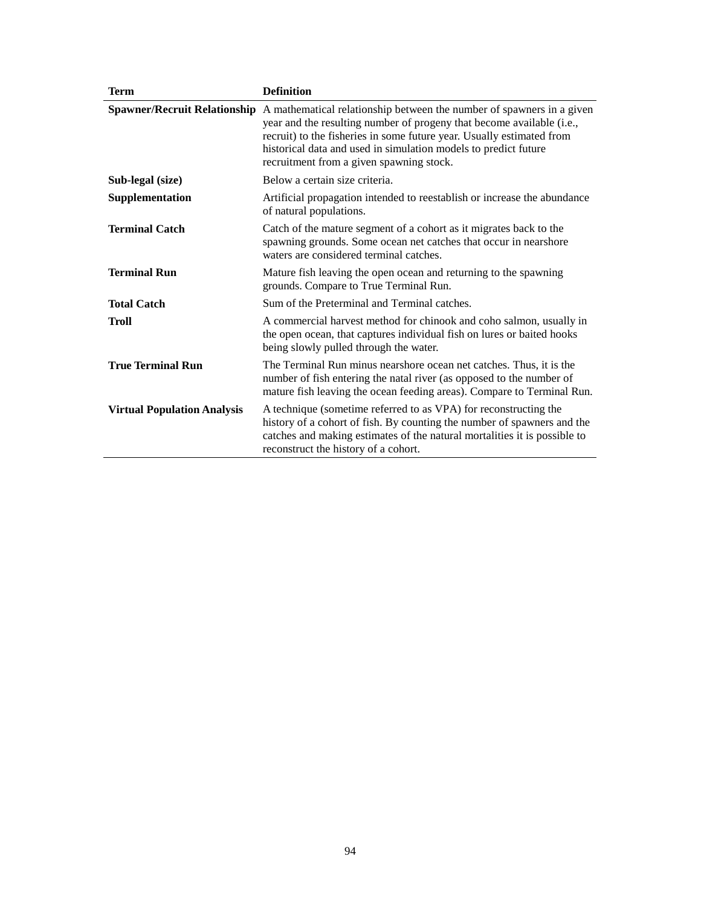| <b>Term</b>                        | <b>Definition</b>                                                                                                                                                                                                                                                                                                                                                   |
|------------------------------------|---------------------------------------------------------------------------------------------------------------------------------------------------------------------------------------------------------------------------------------------------------------------------------------------------------------------------------------------------------------------|
|                                    | Spawner/Recruit Relationship A mathematical relationship between the number of spawners in a given<br>year and the resulting number of progeny that become available (i.e.,<br>recruit) to the fisheries in some future year. Usually estimated from<br>historical data and used in simulation models to predict future<br>recruitment from a given spawning stock. |
| Sub-legal (size)                   | Below a certain size criteria.                                                                                                                                                                                                                                                                                                                                      |
| Supplementation                    | Artificial propagation intended to reestablish or increase the abundance<br>of natural populations.                                                                                                                                                                                                                                                                 |
| <b>Terminal Catch</b>              | Catch of the mature segment of a cohort as it migrates back to the<br>spawning grounds. Some ocean net catches that occur in nearshore<br>waters are considered terminal catches.                                                                                                                                                                                   |
| <b>Terminal Run</b>                | Mature fish leaving the open ocean and returning to the spawning<br>grounds. Compare to True Terminal Run.                                                                                                                                                                                                                                                          |
| <b>Total Catch</b>                 | Sum of the Preterminal and Terminal catches.                                                                                                                                                                                                                                                                                                                        |
| Troll                              | A commercial harvest method for chinook and coho salmon, usually in<br>the open ocean, that captures individual fish on lures or baited hooks<br>being slowly pulled through the water.                                                                                                                                                                             |
| <b>True Terminal Run</b>           | The Terminal Run minus nearshore ocean net catches. Thus, it is the<br>number of fish entering the natal river (as opposed to the number of<br>mature fish leaving the ocean feeding areas). Compare to Terminal Run.                                                                                                                                               |
| <b>Virtual Population Analysis</b> | A technique (sometime referred to as VPA) for reconstructing the<br>history of a cohort of fish. By counting the number of spawners and the<br>catches and making estimates of the natural mortalities it is possible to<br>reconstruct the history of a cohort.                                                                                                    |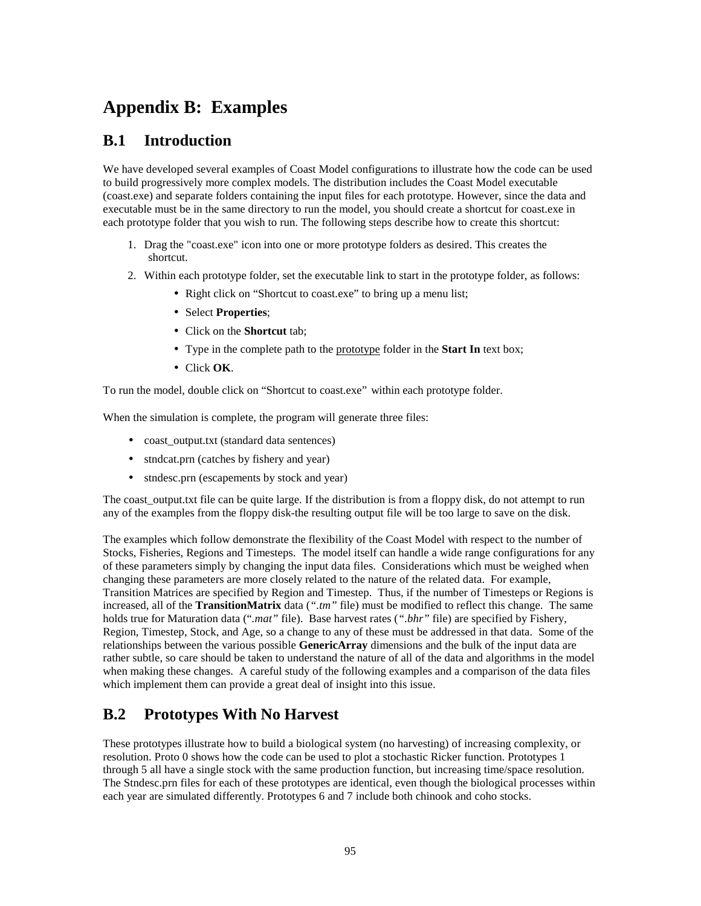# **Appendix B: Examples**

## **B.1 Introduction**

We have developed several examples of Coast Model configurations to illustrate how the code can be used to build progressively more complex models. The distribution includes the Coast Model executable (coast.exe) and separate folders containing the input files for each prototype. However, since the data and executable must be in the same directory to run the model, you should create a shortcut for coast.exe in each prototype folder that you wish to run. The following steps describe how to create this shortcut:

- 1. Drag the "coast.exe" icon into one or more prototype folders as desired. This creates the shortcut.
- 2. Within each prototype folder, set the executable link to start in the prototype folder, as follows:
	- Right click on "Shortcut to coast.exe" to bring up a menu list;
	- •Select **Properties**;
	- •Click on the **Shortcut** tab;
	- •Type in the complete path to the prototype folder in the **Start In** text box;
	- •Click **OK**.

To run the model, double click on "Shortcut to coast.exe" within each prototype folder.

When the simulation is complete, the program will generate three files:

- coast output.txt (standard data sentences)
- stndcat.prn (catches by fishery and year)
- stndesc.prn (escapements by stock and year)

The coast output.txt file can be quite large. If the distribution is from a floppy disk, do not attempt to run any of the examples from the floppy disk-the resulting output file will be too large to save on the disk.

The examples which follow demonstrate the flexibility of the Coast Model with respect to the number of Stocks, Fisheries, Regions and Timesteps. The model itself can handle a wide range configurations for any of these parameters simply by changing the input data files. Considerations which must be weighed when changing these parameters are more closely related to the nature of the related data. For example, Transition Matrices are specified by Region and Timestep. Thus, if the number of Timesteps or Regions is increased, all of the **TransitionMatrix** data (*".tm"* file) must be modified to reflect this change. The same holds true for Maturation data ("*.mat"* file). Base harvest rates (*".bhr"* file) are specified by Fishery, Region, Timestep, Stock, and Age, so a change to any of these must be addressed in that data. Some of the relationships between the various possible **GenericArray** dimensions and the bulk of the input data are rather subtle, so care should be taken to understand the nature of all of the data and algorithms in the model when making these changes. A careful study of the following examples and a comparison of the data files which implement them can provide a great deal of insight into this issue.

# **B.2 Prototypes With No Harvest**

These prototypes illustrate how to build a biological system (no harvesting) of increasing complexity, or resolution. Proto 0 shows how the code can be used to plot a stochastic Ricker function. Prototypes 1 through 5 all have a single stock with the same production function, but increasing time/space resolution. The Stndesc.prn files for each of these prototypes are identical, even though the biological processes within each year are simulated differently. Prototypes 6 and 7 include both chinook and coho stocks.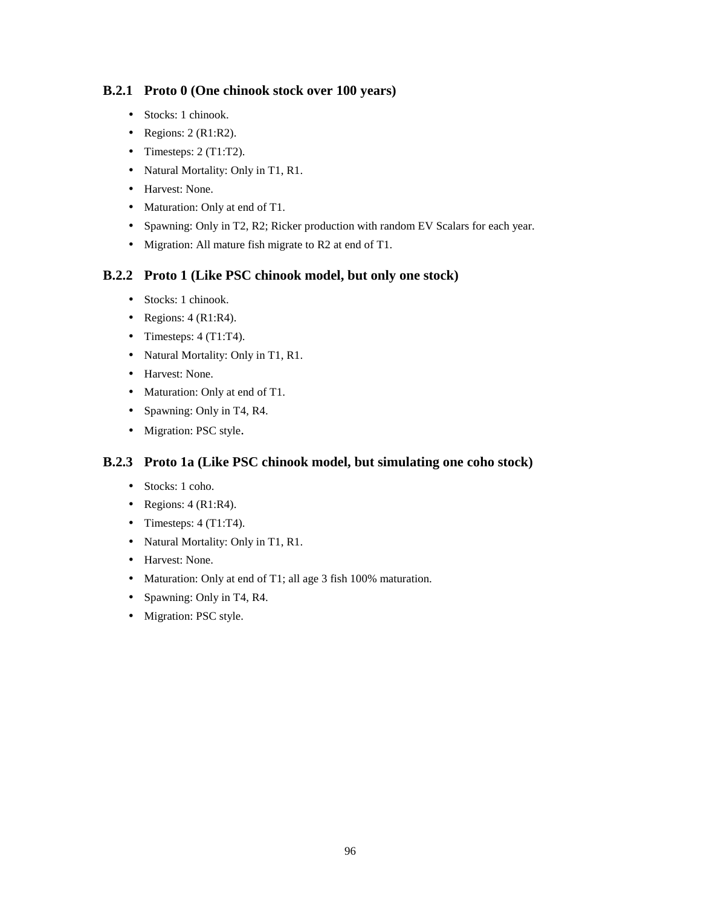## **B.2.1 Proto 0 (One chinook stock over 100 years)**

- Stocks: 1 chinook.
- Regions:  $2 (R1:R2)$ .
- Timesteps:  $2$  (T1:T2).
- Natural Mortality: Only in T1, R1.
- Harvest: None.
- Maturation: Only at end of T1.
- Spawning: Only in T2, R2; Ricker production with random EV Scalars for each year.
- Migration: All mature fish migrate to R2 at end of T1.

## **B.2.2 Proto 1 (Like PSC chinook model, but only one stock)**

- Stocks: 1 chinook.
- Regions:  $4$  (R1:R4).
- Timesteps:  $4$  (T1:T4).
- Natural Mortality: Only in T1, R1.
- Harvest: None.
- Maturation: Only at end of T1.
- Spawning: Only in T4, R4.
- Migration: PSC style.

## **B.2.3 Proto 1a (Like PSC chinook model, but simulating one coho stock)**

- Stocks: 1 coho.
- Regions:  $4$  (R1:R4).
- Timesteps:  $4$  (T1:T4).
- Natural Mortality: Only in T1, R1.
- Harvest: None.
- Maturation: Only at end of T1; all age 3 fish 100% maturation.
- Spawning: Only in T4, R4.
- Migration: PSC style.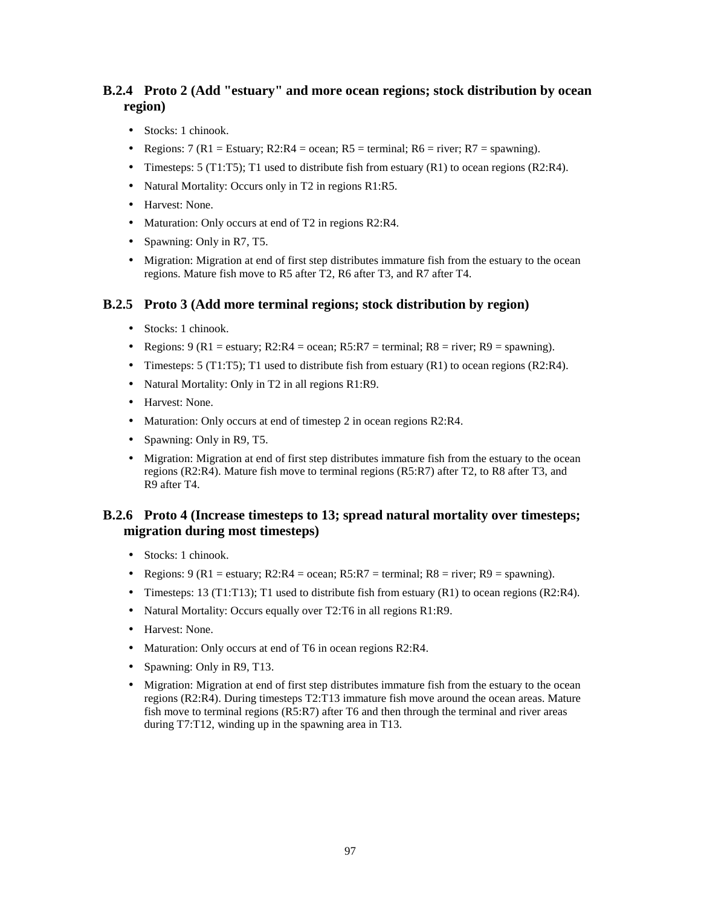## **B.2.4 Proto 2 (Add "estuary" and more ocean regions; stock distribution by ocean region)**

- Stocks: 1 chinook.
- Regions: 7 (R1 = Estuary; R2:R4 = ocean; R5 = terminal; R6 = river; R7 = spawning).
- Timesteps:  $5$  (T1:T5); T1 used to distribute fish from estuary (R1) to ocean regions (R2:R4).
- Natural Mortality: Occurs only in T2 in regions R1:R5.
- Harvest: None.
- Maturation: Only occurs at end of T2 in regions R2:R4.
- Spawning: Only in R7, T5.
- Migration: Migration at end of first step distributes immature fish from the estuary to the ocean regions. Mature fish move to R5 after T2, R6 after T3, and R7 after T4.

## **B.2.5 Proto 3 (Add more terminal regions; stock distribution by region)**

- Stocks: 1 chinook.
- Regions:  $9 (R1 = \text{estuary}; R2:R4 = \text{ocean}; R5:R7 = \text{terminal}; R8 = \text{river}; R9 = \text{spawning}).$
- Timesteps:  $5$  (T1:T5); T1 used to distribute fish from estuary (R1) to ocean regions (R2:R4).
- Natural Mortality: Only in T2 in all regions R1:R9.
- Harvest: None.
- Maturation: Only occurs at end of timestep 2 in ocean regions R2:R4.
- Spawning: Only in R9, T5.
- Migration: Migration at end of first step distributes immature fish from the estuary to the ocean regions (R2:R4). Mature fish move to terminal regions (R5:R7) after T2, to R8 after T3, and R9 after T4.

## **B.2.6 Proto 4 (Increase timesteps to 13; spread natural mortality over timesteps; migration during most timesteps)**

- Stocks: 1 chinook.
- Regions:  $9 (R1 = \text{estuary}; R2:R4 = \text{ocean}; R5:R7 = \text{terminal}; R8 = \text{river}; R9 = \text{spawning}).$
- Timesteps: 13 (T1:T13); T1 used to distribute fish from estuary  $(R1)$  to ocean regions  $(R2:R4)$ .
- Natural Mortality: Occurs equally over T2:T6 in all regions R1:R9.
- Harvest: None.
- Maturation: Only occurs at end of T6 in ocean regions R2:R4.
- Spawning: Only in R9, T13.
- Migration: Migration at end of first step distributes immature fish from the estuary to the ocean regions (R2:R4). During timesteps T2:T13 immature fish move around the ocean areas. Mature fish move to terminal regions (R5:R7) after T6 and then through the terminal and river areas during T7:T12, winding up in the spawning area in T13.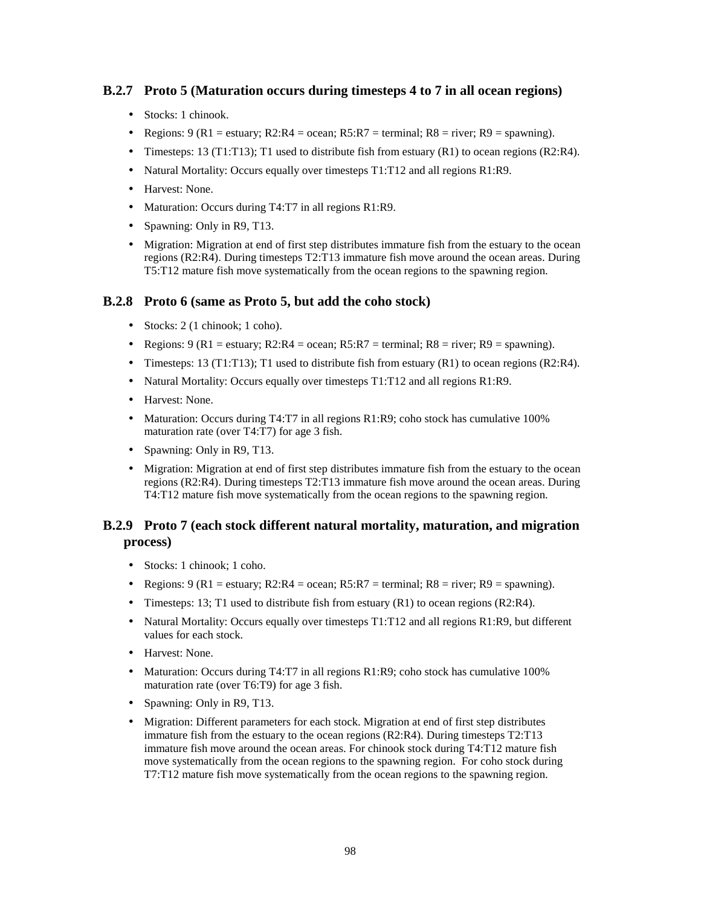## **B.2.7 Proto 5 (Maturation occurs during timesteps 4 to 7 in all ocean regions)**

- Stocks: 1 chinook.
- Regions:  $9 (R1 = \text{estuary}; R2:R4 = \text{ocean}; R5:R7 = \text{terminal}; R8 = \text{river}; R9 = \text{spawning}).$
- Timesteps: 13 (T1:T13); T1 used to distribute fish from estuary (R1) to ocean regions (R2:R4).
- Natural Mortality: Occurs equally over timesteps T1:T12 and all regions R1:R9.
- Harvest: None.
- Maturation: Occurs during T4:T7 in all regions R1:R9.
- Spawning: Only in R9, T13.
- Migration: Migration at end of first step distributes immature fish from the estuary to the ocean regions (R2:R4). During timesteps T2:T13 immature fish move around the ocean areas. During T5:T12 mature fish move systematically from the ocean regions to the spawning region.

## **B.2.8 Proto 6 (same as Proto 5, but add the coho stock)**

- Stocks: 2 (1 chinook; 1 coho).
- Regions:  $9 (R1 = \text{estuary}; R2:R4 = \text{ocean}; R5:R7 = \text{terminal}; R8 = \text{river}; R9 = \text{spawning}).$
- Timesteps: 13 (T1:T13); T1 used to distribute fish from estuary  $(R1)$  to ocean regions  $(R2:R4)$ .
- Natural Mortality: Occurs equally over timesteps T1:T12 and all regions R1:R9.
- Harvest: None.
- Maturation: Occurs during T4:T7 in all regions R1:R9; coho stock has cumulative 100% maturation rate (over T4:T7) for age 3 fish.
- Spawning: Only in R9, T13.
- Migration: Migration at end of first step distributes immature fish from the estuary to the ocean regions (R2:R4). During timesteps T2:T13 immature fish move around the ocean areas. During T4:T12 mature fish move systematically from the ocean regions to the spawning region.

## **B.2.9 Proto 7 (each stock different natural mortality, maturation, and migration process)**

- Stocks: 1 chinook; 1 coho.
- Regions:  $9 (R1 = \text{estuary}; R2:R4 = \text{ocean}; R5:R7 = \text{terminal}; R8 = \text{river}; R9 = \text{spawning}).$
- Timesteps: 13; T1 used to distribute fish from estuary (R1) to ocean regions (R2:R4).
- Natural Mortality: Occurs equally over timesteps T1:T12 and all regions R1:R9, but different values for each stock.
- Harvest: None.
- Maturation: Occurs during T4:T7 in all regions R1:R9; coho stock has cumulative 100% maturation rate (over T6:T9) for age 3 fish.
- Spawning: Only in R9, T13.
- Migration: Different parameters for each stock. Migration at end of first step distributes immature fish from the estuary to the ocean regions (R2:R4). During timesteps T2:T13 immature fish move around the ocean areas. For chinook stock during T4:T12 mature fish move systematically from the ocean regions to the spawning region. For coho stock during T7:T12 mature fish move systematically from the ocean regions to the spawning region.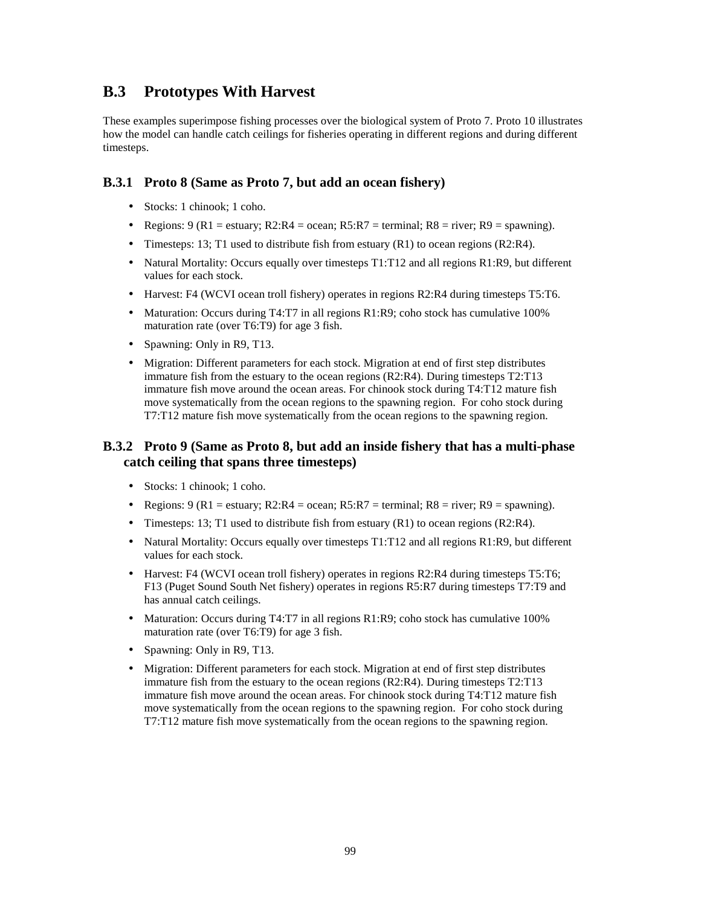## **B.3 Prototypes With Harvest**

These examples superimpose fishing processes over the biological system of Proto 7. Proto 10 illustrates how the model can handle catch ceilings for fisheries operating in different regions and during different timesteps.

## **B.3.1 Proto 8 (Same as Proto 7, but add an ocean fishery)**

- Stocks: 1 chinook; 1 coho.
- Regions:  $9 (R1 = \text{estuary}; R2:R4 = \text{ocean}; R5:R7 = \text{terminal}; R8 = \text{river}; R9 = \text{spawning}).$
- Timesteps: 13; T1 used to distribute fish from estuary  $(R1)$  to ocean regions  $(R2:R4)$ .
- Natural Mortality: Occurs equally over timesteps T1:T12 and all regions R1:R9, but different values for each stock.
- Harvest: F4 (WCVI ocean troll fishery) operates in regions R2:R4 during timesteps T5:T6.
- Maturation: Occurs during T4:T7 in all regions R1:R9; coho stock has cumulative 100% maturation rate (over T6:T9) for age 3 fish.
- Spawning: Only in R9, T13.
- Migration: Different parameters for each stock. Migration at end of first step distributes immature fish from the estuary to the ocean regions (R2:R4). During timesteps T2:T13 immature fish move around the ocean areas. For chinook stock during T4:T12 mature fish move systematically from the ocean regions to the spawning region. For coho stock during T7:T12 mature fish move systematically from the ocean regions to the spawning region.

## **B.3.2 Proto 9 (Same as Proto 8, but add an inside fishery that has a multi-phase catch ceiling that spans three timesteps)**

- Stocks: 1 chinook: 1 coho.
- Regions:  $9 (R1 = \text{estuary}; R2:R4 = \text{ocean}; R5:R7 = \text{terminal}; R8 = \text{river}; R9 = \text{spawning}).$
- Timesteps: 13; T1 used to distribute fish from estuary (R1) to ocean regions (R2:R4).
- Natural Mortality: Occurs equally over timesteps T1:T12 and all regions R1:R9, but different values for each stock.
- Harvest: F4 (WCVI ocean troll fishery) operates in regions R2:R4 during timesteps T5:T6; F13 (Puget Sound South Net fishery) operates in regions R5:R7 during timesteps T7:T9 and has annual catch ceilings.
- Maturation: Occurs during T4:T7 in all regions R1:R9; coho stock has cumulative 100% maturation rate (over T6:T9) for age 3 fish.
- Spawning: Only in R9, T13.
- Migration: Different parameters for each stock. Migration at end of first step distributes immature fish from the estuary to the ocean regions (R2:R4). During timesteps T2:T13 immature fish move around the ocean areas. For chinook stock during T4:T12 mature fish move systematically from the ocean regions to the spawning region. For coho stock during T7:T12 mature fish move systematically from the ocean regions to the spawning region.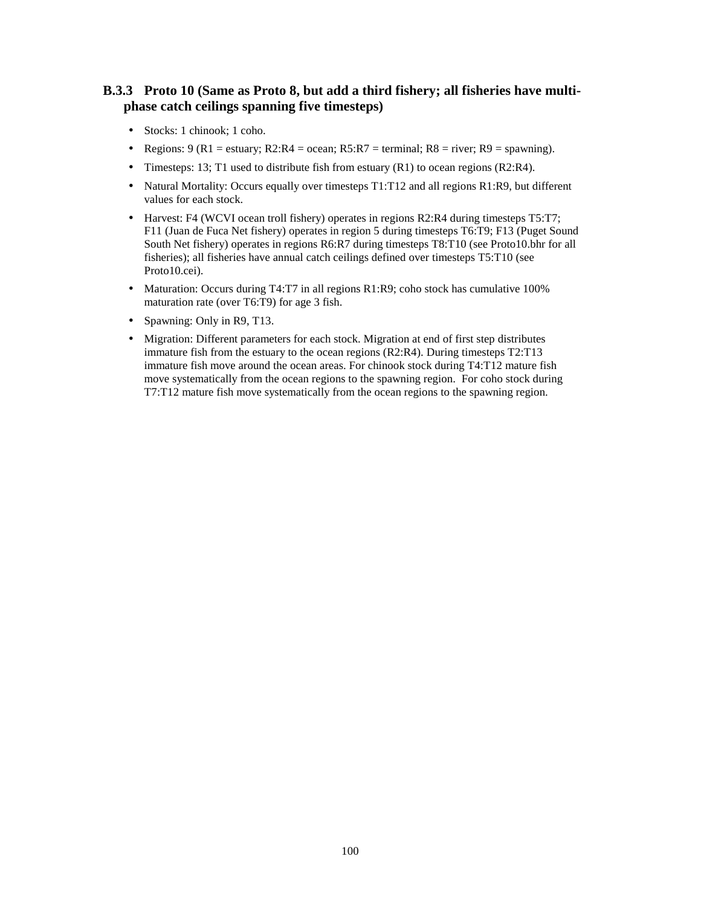## **B.3.3 Proto 10 (Same as Proto 8, but add a third fishery; all fisheries have multiphase catch ceilings spanning five timesteps)**

- Stocks: 1 chinook; 1 coho.
- Regions:  $9 (R1 = \text{estuary}; R2:R4 = \text{ocean}; R5:R7 = \text{terminal}; R8 = \text{river}; R9 = \text{spawning}).$
- Timesteps: 13; T1 used to distribute fish from estuary (R1) to ocean regions (R2:R4).
- Natural Mortality: Occurs equally over timesteps T1:T12 and all regions R1:R9, but different values for each stock.
- Harvest: F4 (WCVI ocean troll fishery) operates in regions R2:R4 during timesteps T5:T7; F11 (Juan de Fuca Net fishery) operates in region 5 during timesteps T6:T9; F13 (Puget Sound South Net fishery) operates in regions R6:R7 during timesteps T8:T10 (see Proto10.bhr for all fisheries); all fisheries have annual catch ceilings defined over timesteps T5:T10 (see Proto10.cei).
- Maturation: Occurs during T4:T7 in all regions R1:R9; coho stock has cumulative 100% maturation rate (over T6:T9) for age 3 fish.
- Spawning: Only in R9, T13.
- Migration: Different parameters for each stock. Migration at end of first step distributes immature fish from the estuary to the ocean regions (R2:R4). During timesteps T2:T13 immature fish move around the ocean areas. For chinook stock during T4:T12 mature fish move systematically from the ocean regions to the spawning region. For coho stock during T7:T12 mature fish move systematically from the ocean regions to the spawning region.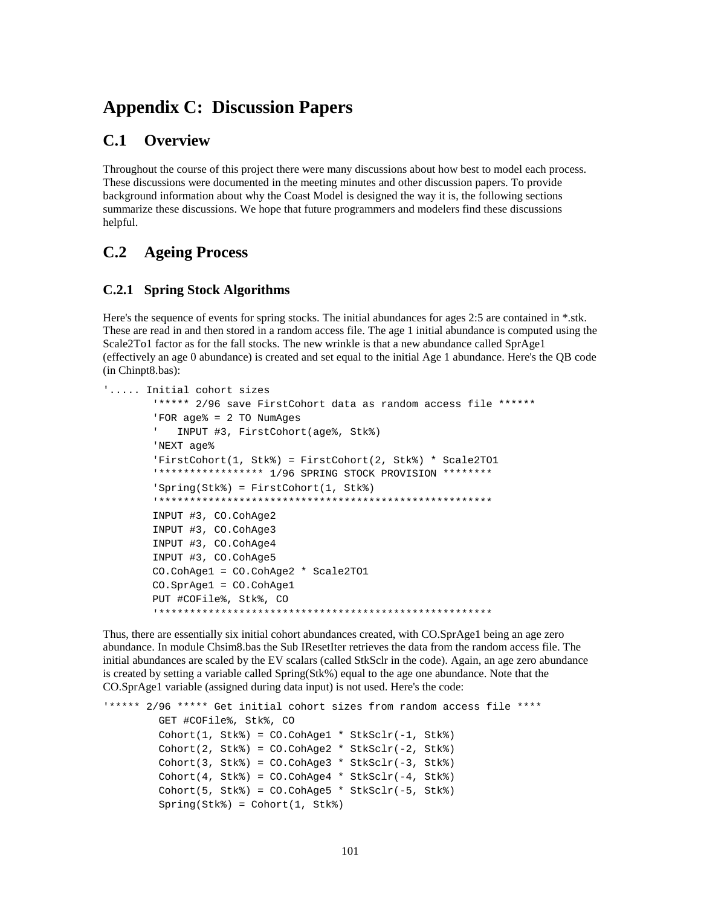# **Appendix C: Discussion Papers**

## **C.1 Overview**

Throughout the course of this project there were many discussions about how best to model each process. These discussions were documented in the meeting minutes and other discussion papers. To provide background information about why the Coast Model is designed the way it is, the following sections summarize these discussions. We hope that future programmers and modelers find these discussions helpful.

## **C.2 Ageing Process**

## **C.2.1 Spring Stock Algorithms**

Here's the sequence of events for spring stocks. The initial abundances for ages 2:5 are contained in \*.stk. These are read in and then stored in a random access file. The age 1 initial abundance is computed using the Scale2To1 factor as for the fall stocks. The new wrinkle is that a new abundance called SprAge1 (effectively an age 0 abundance) is created and set equal to the initial Age 1 abundance. Here's the QB code (in Chinpt8.bas):

```
'..... Initial cohort sizes
         '***** 2/96 save FirstCohort data as random access file ******
         'FOR age% = 2 TO NumAges
         ' INPUT #3, FirstCohort(age%, Stk%)
         'NEXT age%
         'FirstCohort(1, Stk%) = FirstCohort(2, Stk%) * Scale2TO1
         '***************** 1/96 SPRING STOCK PROVISION ********
         'Spring(Stk%) = FirstCohort(1, Stk%)
         '******************************************************
         INPUT #3, CO.CohAge2
         INPUT #3, CO.CohAge3
         INPUT #3, CO.CohAge4
         INPUT #3, CO.CohAge5
         CO.CohAge1 = CO.CohAge2 * Scale2TO1
         CO.SprAge1 = CO.CohAge1
         PUT #COFile%, Stk%, CO
         '******************************************************
```
Thus, there are essentially six initial cohort abundances created, with CO.SprAge1 being an age zero abundance. In module Chsim8.bas the Sub IResetIter retrieves the data from the random access file. The initial abundances are scaled by the EV scalars (called StkSclr in the code). Again, an age zero abundance is created by setting a variable called Spring(Stk%) equal to the age one abundance. Note that the CO.SprAge1 variable (assigned during data input) is not used. Here's the code:

```
'***** 2/96 ***** Get initial cohort sizes from random access file ****
         GET #COFile%, Stk%, CO
         Cohort(1, Stk%) = CO.CohAge1 * StkSclr(-1, Stk%)
         Cohort(2, Stk%) = CO.CohAge2 * StkSclr(-2, Stk%)
        Cohort(3, Stk*) = CO.CohAge3 * StkSchr(-3, Stk*)Cohort(4, Stk*) = CO.CohAqe4 * StkSchr(-4, Stk*)Cohort(5, Stk*) = CO.CohAge5 * StkSchr(-5, Stk*) Spring(Stk%) = Cohort(1, Stk%)
```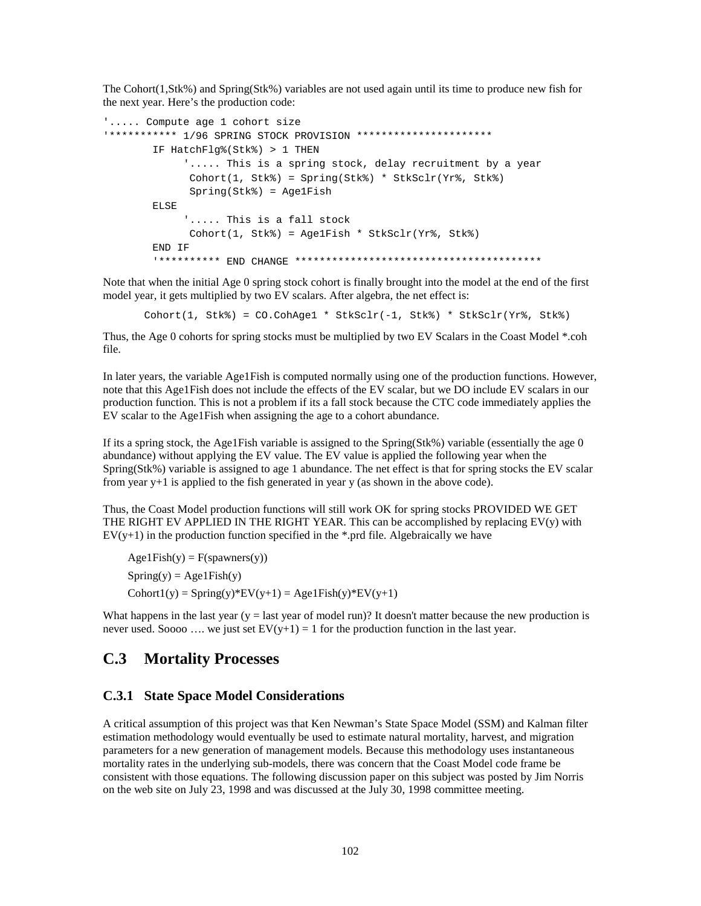The Cohort(1,Stk%) and Spring(Stk%) variables are not used again until its time to produce new fish for the next year. Here's the production code:

```
'..... Compute age 1 cohort size
'*********** 1/96 SPRING STOCK PROVISION **********************
        IF HatchFlg%(Stk%) > 1 THEN
              '..... This is a spring stock, delay recruitment by a year
             Cohort(1, Stk*) = Spring(Stk*) * StkSchr(Yr*, Stk*) Spring(Stk%) = Age1Fish
        ELSE
              '..... This is a fall stock
              Cohort(1, Stk%) = Age1Fish * StkSclr(Yr%, Stk%)
        END IF
         '********** END CHANGE ****************************************
```
Note that when the initial Age 0 spring stock cohort is finally brought into the model at the end of the first model year, it gets multiplied by two EV scalars. After algebra, the net effect is:

Cohort(1, Stk%) = CO.CohAge1 \* StkSclr(-1, Stk%) \* StkSclr(Yr%, Stk%)

Thus, the Age 0 cohorts for spring stocks must be multiplied by two EV Scalars in the Coast Model \*.coh file.

In later years, the variable Age1Fish is computed normally using one of the production functions. However, note that this Age1Fish does not include the effects of the EV scalar, but we DO include EV scalars in our production function. This is not a problem if its a fall stock because the CTC code immediately applies the EV scalar to the Age1Fish when assigning the age to a cohort abundance.

If its a spring stock, the Age1Fish variable is assigned to the Spring(Stk%) variable (essentially the age  $0$ abundance) without applying the EV value. The EV value is applied the following year when the Spring(Stk%) variable is assigned to age 1 abundance. The net effect is that for spring stocks the EV scalar from year y+1 is applied to the fish generated in year y (as shown in the above code).

Thus, the Coast Model production functions will still work OK for spring stocks PROVIDED WE GET THE RIGHT EV APPLIED IN THE RIGHT YEAR. This can be accomplished by replacing  $EV(y)$  with  $EV(y+1)$  in the production function specified in the \*.prd file. Algebraically we have

 $Age1Fish(y) = F(spawners(y))$  $Spring(y) = Age1Fish(y)$  $\text{Cohort1}(y) = \text{Spring}(y) * \text{EV}(y+1) = \text{Age1} \text{Fish}(y) * \text{EV}(y+1)$ 

What happens in the last year  $(y =$  last year of model run)? It doesn't matter because the new production is never used. Soooo .... we just set  $EV(y+1) = 1$  for the production function in the last year.

## **C.3 Mortality Processes**

#### **C.3.1 State Space Model Considerations**

A critical assumption of this project was that Ken Newman's State Space Model (SSM) and Kalman filter estimation methodology would eventually be used to estimate natural mortality, harvest, and migration parameters for a new generation of management models. Because this methodology uses instantaneous mortality rates in the underlying sub-models, there was concern that the Coast Model code frame be consistent with those equations. The following discussion paper on this subject was posted by Jim Norris on the web site on July 23, 1998 and was discussed at the July 30, 1998 committee meeting.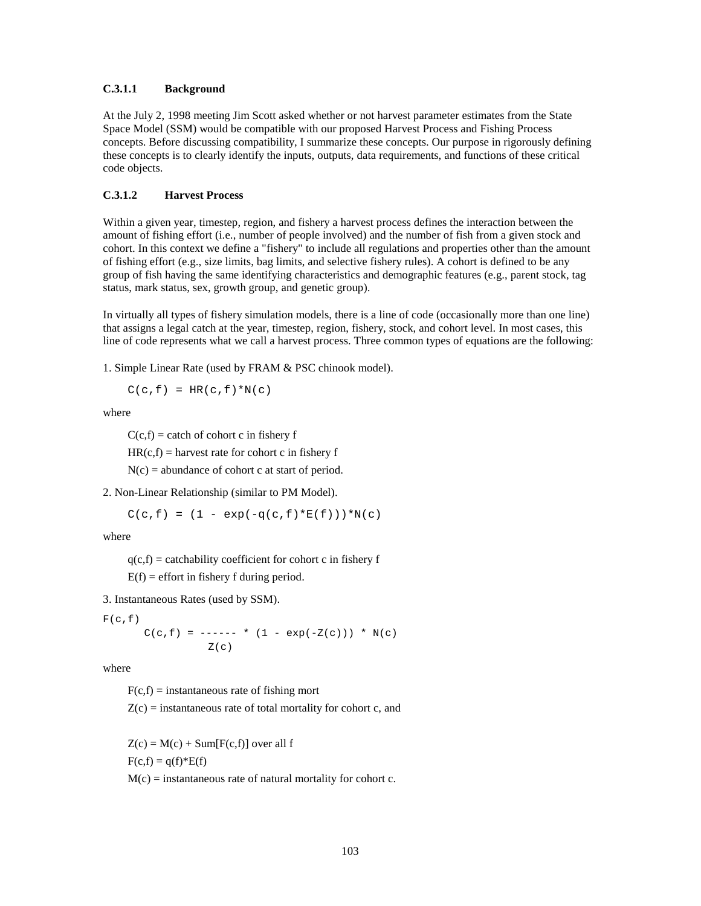#### **C.3.1.1 Background**

At the July 2, 1998 meeting Jim Scott asked whether or not harvest parameter estimates from the State Space Model (SSM) would be compatible with our proposed Harvest Process and Fishing Process concepts. Before discussing compatibility, I summarize these concepts. Our purpose in rigorously defining these concepts is to clearly identify the inputs, outputs, data requirements, and functions of these critical code objects.

#### **C.3.1.2 Harvest Process**

Within a given year, timestep, region, and fishery a harvest process defines the interaction between the amount of fishing effort (i.e., number of people involved) and the number of fish from a given stock and cohort. In this context we define a "fishery" to include all regulations and properties other than the amount of fishing effort (e.g., size limits, bag limits, and selective fishery rules). A cohort is defined to be any group of fish having the same identifying characteristics and demographic features (e.g., parent stock, tag status, mark status, sex, growth group, and genetic group).

In virtually all types of fishery simulation models, there is a line of code (occasionally more than one line) that assigns a legal catch at the year, timestep, region, fishery, stock, and cohort level. In most cases, this line of code represents what we call a harvest process. Three common types of equations are the following:

1. Simple Linear Rate (used by FRAM & PSC chinook model).

 $C(c, f) = HR(c, f) * N(c)$ 

where

 $C(c,f) =$  catch of cohort c in fishery f

 $HR(c,f) =$  harvest rate for cohort c in fishery f

 $N(c)$  = abundance of cohort c at start of period.

2. Non-Linear Relationship (similar to PM Model).

$$
C(c, f) = (1 - exp(-q(c, f) * E(f))) * N(c)
$$

where

 $q(c,f)$  = catchability coefficient for cohort c in fishery f

 $E(f) =$  effort in fishery f during period.

3. Instantaneous Rates (used by SSM).

 $F(c,f)$  $C(c, f) = --- - - -$  \* (1 - exp(-Z(c))) \* N(c)  $Z(c)$ 

where

 $F(c,f)$  = instantaneous rate of fishing mort

 $Z(c)$  = instantaneous rate of total mortality for cohort c, and

 $Z(c) = M(c) + Sum[F(c, f)]$  over all f  $F(c,f) = q(f) * E(f)$  $M(c)$  = instantaneous rate of natural mortality for cohort c.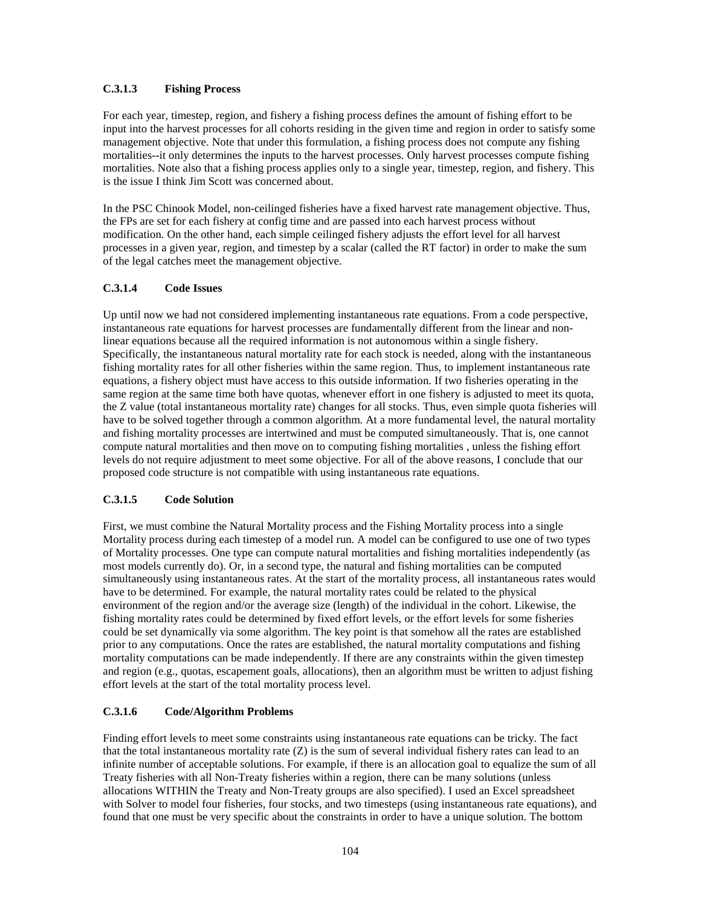## **C.3.1.3 Fishing Process**

For each year, timestep, region, and fishery a fishing process defines the amount of fishing effort to be input into the harvest processes for all cohorts residing in the given time and region in order to satisfy some management objective. Note that under this formulation, a fishing process does not compute any fishing mortalities--it only determines the inputs to the harvest processes. Only harvest processes compute fishing mortalities. Note also that a fishing process applies only to a single year, timestep, region, and fishery. This is the issue I think Jim Scott was concerned about.

In the PSC Chinook Model, non-ceilinged fisheries have a fixed harvest rate management objective. Thus, the FPs are set for each fishery at config time and are passed into each harvest process without modification. On the other hand, each simple ceilinged fishery adjusts the effort level for all harvest processes in a given year, region, and timestep by a scalar (called the RT factor) in order to make the sum of the legal catches meet the management objective.

## **C.3.1.4 Code Issues**

Up until now we had not considered implementing instantaneous rate equations. From a code perspective, instantaneous rate equations for harvest processes are fundamentally different from the linear and nonlinear equations because all the required information is not autonomous within a single fishery. Specifically, the instantaneous natural mortality rate for each stock is needed, along with the instantaneous fishing mortality rates for all other fisheries within the same region. Thus, to implement instantaneous rate equations, a fishery object must have access to this outside information. If two fisheries operating in the same region at the same time both have quotas, whenever effort in one fishery is adjusted to meet its quota, the Z value (total instantaneous mortality rate) changes for all stocks. Thus, even simple quota fisheries will have to be solved together through a common algorithm. At a more fundamental level, the natural mortality and fishing mortality processes are intertwined and must be computed simultaneously. That is, one cannot compute natural mortalities and then move on to computing fishing mortalities , unless the fishing effort levels do not require adjustment to meet some objective. For all of the above reasons, I conclude that our proposed code structure is not compatible with using instantaneous rate equations.

## **C.3.1.5 Code Solution**

First, we must combine the Natural Mortality process and the Fishing Mortality process into a single Mortality process during each timestep of a model run. A model can be configured to use one of two types of Mortality processes. One type can compute natural mortalities and fishing mortalities independently (as most models currently do). Or, in a second type, the natural and fishing mortalities can be computed simultaneously using instantaneous rates. At the start of the mortality process, all instantaneous rates would have to be determined. For example, the natural mortality rates could be related to the physical environment of the region and/or the average size (length) of the individual in the cohort. Likewise, the fishing mortality rates could be determined by fixed effort levels, or the effort levels for some fisheries could be set dynamically via some algorithm. The key point is that somehow all the rates are established prior to any computations. Once the rates are established, the natural mortality computations and fishing mortality computations can be made independently. If there are any constraints within the given timestep and region (e.g., quotas, escapement goals, allocations), then an algorithm must be written to adjust fishing effort levels at the start of the total mortality process level.

## **C.3.1.6 Code/Algorithm Problems**

Finding effort levels to meet some constraints using instantaneous rate equations can be tricky. The fact that the total instantaneous mortality rate  $(Z)$  is the sum of several individual fishery rates can lead to an infinite number of acceptable solutions. For example, if there is an allocation goal to equalize the sum of all Treaty fisheries with all Non-Treaty fisheries within a region, there can be many solutions (unless allocations WITHIN the Treaty and Non-Treaty groups are also specified). I used an Excel spreadsheet with Solver to model four fisheries, four stocks, and two timesteps (using instantaneous rate equations), and found that one must be very specific about the constraints in order to have a unique solution. The bottom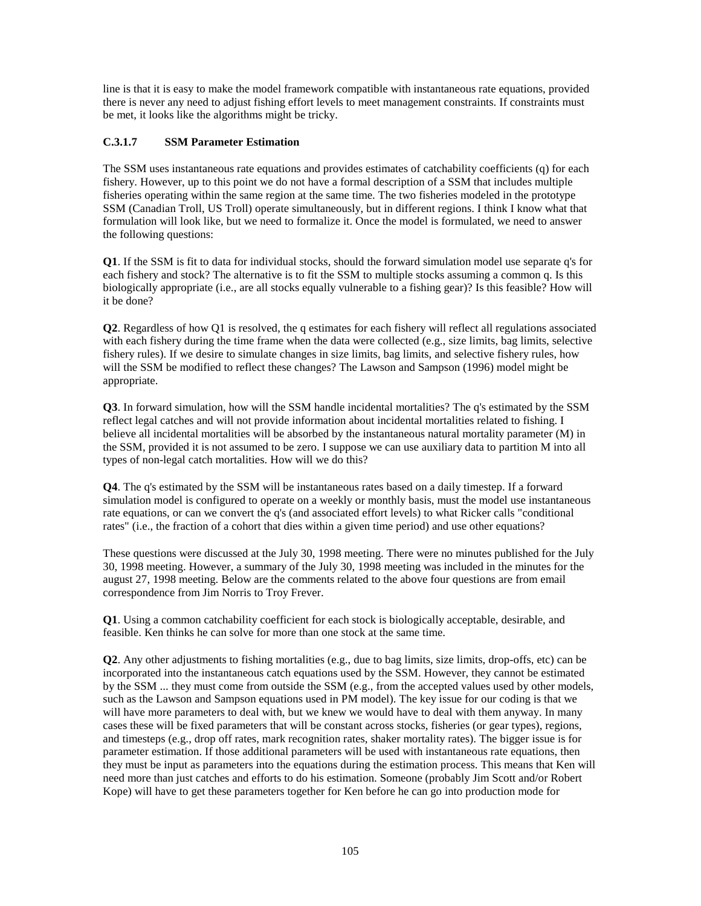line is that it is easy to make the model framework compatible with instantaneous rate equations, provided there is never any need to adjust fishing effort levels to meet management constraints. If constraints must be met, it looks like the algorithms might be tricky.

## **C.3.1.7 SSM Parameter Estimation**

The SSM uses instantaneous rate equations and provides estimates of catchability coefficients (q) for each fishery. However, up to this point we do not have a formal description of a SSM that includes multiple fisheries operating within the same region at the same time. The two fisheries modeled in the prototype SSM (Canadian Troll, US Troll) operate simultaneously, but in different regions. I think I know what that formulation will look like, but we need to formalize it. Once the model is formulated, we need to answer the following questions:

**Q1**. If the SSM is fit to data for individual stocks, should the forward simulation model use separate q's for each fishery and stock? The alternative is to fit the SSM to multiple stocks assuming a common q. Is this biologically appropriate (i.e., are all stocks equally vulnerable to a fishing gear)? Is this feasible? How will it be done?

**Q2**. Regardless of how Q1 is resolved, the q estimates for each fishery will reflect all regulations associated with each fishery during the time frame when the data were collected (e.g., size limits, bag limits, selective fishery rules). If we desire to simulate changes in size limits, bag limits, and selective fishery rules, how will the SSM be modified to reflect these changes? The Lawson and Sampson (1996) model might be appropriate.

**Q3**. In forward simulation, how will the SSM handle incidental mortalities? The q's estimated by the SSM reflect legal catches and will not provide information about incidental mortalities related to fishing. I believe all incidental mortalities will be absorbed by the instantaneous natural mortality parameter (M) in the SSM, provided it is not assumed to be zero. I suppose we can use auxiliary data to partition M into all types of non-legal catch mortalities. How will we do this?

**Q4**. The q's estimated by the SSM will be instantaneous rates based on a daily timestep. If a forward simulation model is configured to operate on a weekly or monthly basis, must the model use instantaneous rate equations, or can we convert the q's (and associated effort levels) to what Ricker calls "conditional rates" (i.e., the fraction of a cohort that dies within a given time period) and use other equations?

These questions were discussed at the July 30, 1998 meeting. There were no minutes published for the July 30, 1998 meeting. However, a summary of the July 30, 1998 meeting was included in the minutes for the august 27, 1998 meeting. Below are the comments related to the above four questions are from email correspondence from Jim Norris to Troy Frever.

**Q1**. Using a common catchability coefficient for each stock is biologically acceptable, desirable, and feasible. Ken thinks he can solve for more than one stock at the same time.

**Q2**. Any other adjustments to fishing mortalities (e.g., due to bag limits, size limits, drop-offs, etc) can be incorporated into the instantaneous catch equations used by the SSM. However, they cannot be estimated by the SSM ... they must come from outside the SSM (e.g., from the accepted values used by other models, such as the Lawson and Sampson equations used in PM model). The key issue for our coding is that we will have more parameters to deal with, but we knew we would have to deal with them anyway. In many cases these will be fixed parameters that will be constant across stocks, fisheries (or gear types), regions, and timesteps (e.g., drop off rates, mark recognition rates, shaker mortality rates). The bigger issue is for parameter estimation. If those additional parameters will be used with instantaneous rate equations, then they must be input as parameters into the equations during the estimation process. This means that Ken will need more than just catches and efforts to do his estimation. Someone (probably Jim Scott and/or Robert Kope) will have to get these parameters together for Ken before he can go into production mode for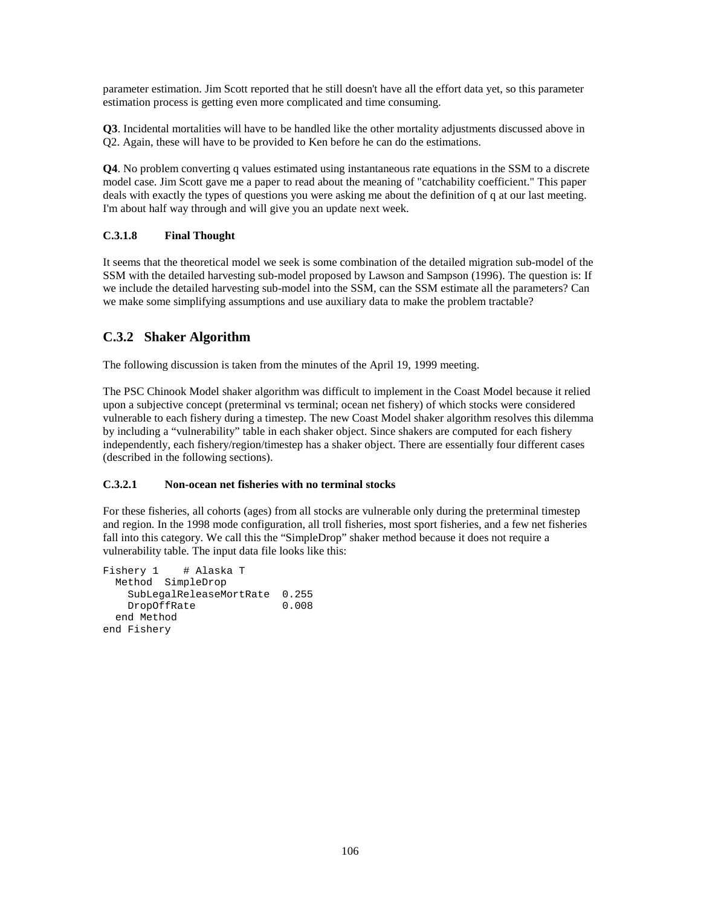parameter estimation. Jim Scott reported that he still doesn't have all the effort data yet, so this parameter estimation process is getting even more complicated and time consuming.

**Q3**. Incidental mortalities will have to be handled like the other mortality adjustments discussed above in Q2. Again, these will have to be provided to Ken before he can do the estimations.

**Q4**. No problem converting q values estimated using instantaneous rate equations in the SSM to a discrete model case. Jim Scott gave me a paper to read about the meaning of "catchability coefficient." This paper deals with exactly the types of questions you were asking me about the definition of q at our last meeting. I'm about half way through and will give you an update next week.

## **C.3.1.8 Final Thought**

It seems that the theoretical model we seek is some combination of the detailed migration sub-model of the SSM with the detailed harvesting sub-model proposed by Lawson and Sampson (1996). The question is: If we include the detailed harvesting sub-model into the SSM, can the SSM estimate all the parameters? Can we make some simplifying assumptions and use auxiliary data to make the problem tractable?

## **C.3.2 Shaker Algorithm**

The following discussion is taken from the minutes of the April 19, 1999 meeting.

The PSC Chinook Model shaker algorithm was difficult to implement in the Coast Model because it relied upon a subjective concept (preterminal vs terminal; ocean net fishery) of which stocks were considered vulnerable to each fishery during a timestep. The new Coast Model shaker algorithm resolves this dilemma by including a "vulnerability" table in each shaker object. Since shakers are computed for each fishery independently, each fishery/region/timestep has a shaker object. There are essentially four different cases (described in the following sections).

## **C.3.2.1 Non-ocean net fisheries with no terminal stocks**

For these fisheries, all cohorts (ages) from all stocks are vulnerable only during the preterminal timestep and region. In the 1998 mode configuration, all troll fisheries, most sport fisheries, and a few net fisheries fall into this category. We call this the "SimpleDrop" shaker method because it does not require a vulnerability table. The input data file looks like this:

```
Fishery 1 # Alaska T
  Method SimpleDrop
    SubLegalReleaseMortRate 0.255
    DropOffRate 0.008
  end Method
end Fishery
```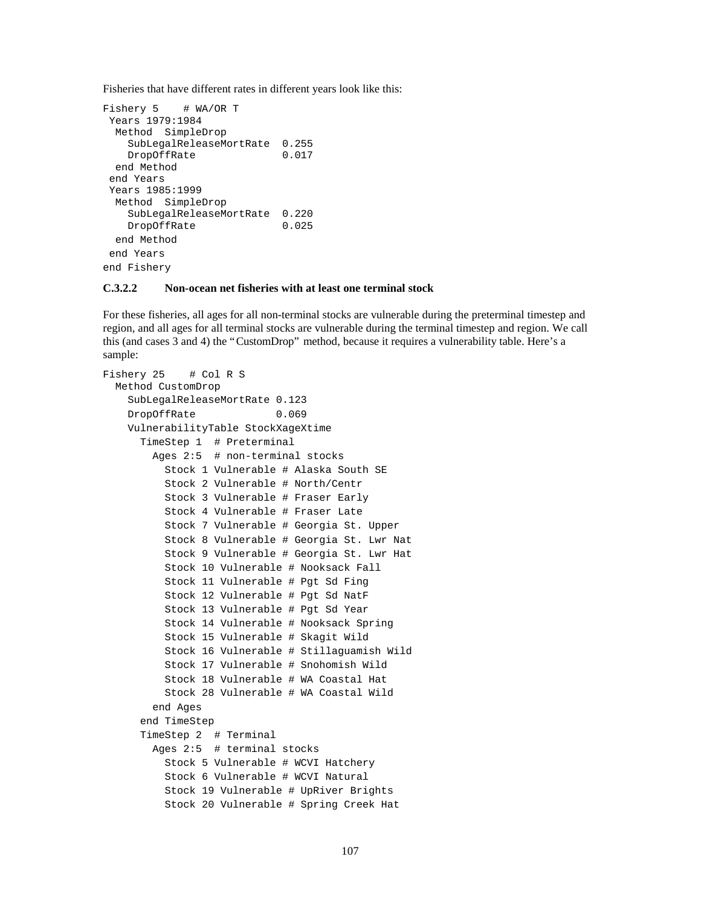Fisheries that have different rates in different years look like this:

```
Fishery 5 # WA/OR T
 Years 1979:1984
  Method SimpleDrop
    SubLegalReleaseMortRate 0.255
   DropOffRate 0.017
  end Method
 end Years
 Years 1985:1999
  Method SimpleDrop
    SubLegalReleaseMortRate 0.220
   DropOffRate 0.025
  end Method
 end Years
end Fishery
```
## **C.3.2.2 Non-ocean net fisheries with at least one terminal stock**

For these fisheries, all ages for all non-terminal stocks are vulnerable during the preterminal timestep and region, and all ages for all terminal stocks are vulnerable during the terminal timestep and region. We call this (and cases 3 and 4) the "CustomDrop" method, because it requires a vulnerability table. Here's a sample:

```
Fishery 25 # Col R S
  Method CustomDrop
     SubLegalReleaseMortRate 0.123
     DropOffRate 0.069
     VulnerabilityTable StockXageXtime
       TimeStep 1 # Preterminal
         Ages 2:5 # non-terminal stocks
           Stock 1 Vulnerable # Alaska South SE
           Stock 2 Vulnerable # North/Centr
           Stock 3 Vulnerable # Fraser Early
           Stock 4 Vulnerable # Fraser Late
           Stock 7 Vulnerable # Georgia St. Upper
           Stock 8 Vulnerable # Georgia St. Lwr Nat
           Stock 9 Vulnerable # Georgia St. Lwr Hat
           Stock 10 Vulnerable # Nooksack Fall
           Stock 11 Vulnerable # Pgt Sd Fing
           Stock 12 Vulnerable # Pgt Sd NatF
           Stock 13 Vulnerable # Pgt Sd Year
           Stock 14 Vulnerable # Nooksack Spring
           Stock 15 Vulnerable # Skagit Wild
           Stock 16 Vulnerable # Stillaguamish Wild
           Stock 17 Vulnerable # Snohomish Wild
           Stock 18 Vulnerable # WA Coastal Hat
           Stock 28 Vulnerable # WA Coastal Wild
         end Ages
       end TimeStep
       TimeStep 2 # Terminal
         Ages 2:5 # terminal stocks
           Stock 5 Vulnerable # WCVI Hatchery
           Stock 6 Vulnerable # WCVI Natural
           Stock 19 Vulnerable # UpRiver Brights
           Stock 20 Vulnerable # Spring Creek Hat
```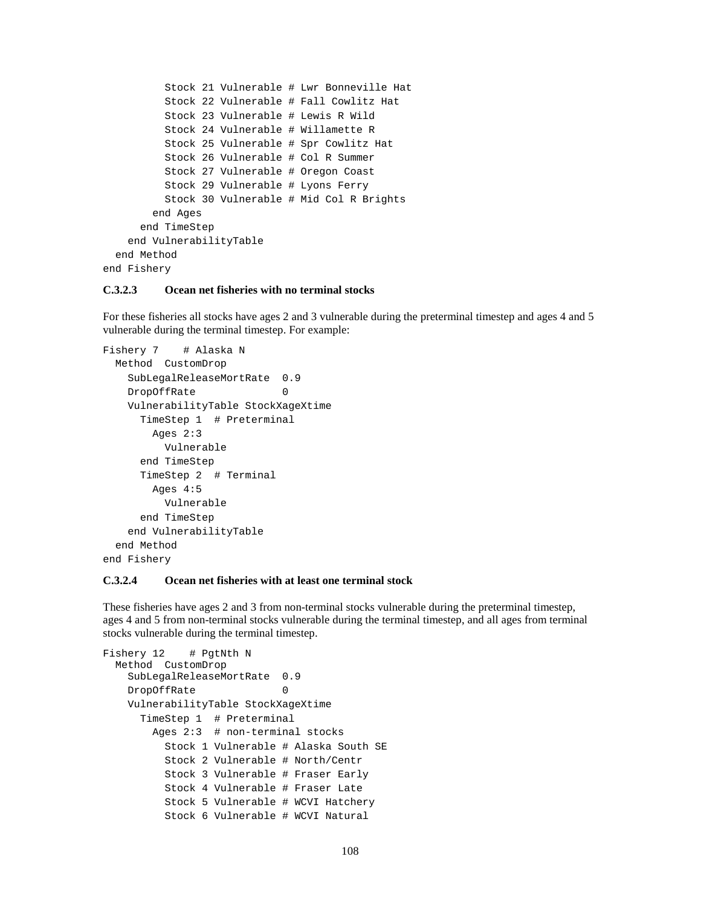```
 Stock 21 Vulnerable # Lwr Bonneville Hat
           Stock 22 Vulnerable # Fall Cowlitz Hat
           Stock 23 Vulnerable # Lewis R Wild
           Stock 24 Vulnerable # Willamette R
           Stock 25 Vulnerable # Spr Cowlitz Hat
           Stock 26 Vulnerable # Col R Summer
           Stock 27 Vulnerable # Oregon Coast
           Stock 29 Vulnerable # Lyons Ferry
           Stock 30 Vulnerable # Mid Col R Brights
         end Ages
       end TimeStep
     end VulnerabilityTable
  end Method
end Fishery
```
#### **C.3.2.3 Ocean net fisheries with no terminal stocks**

For these fisheries all stocks have ages 2 and 3 vulnerable during the preterminal timestep and ages 4 and 5 vulnerable during the terminal timestep. For example:

```
Fishery 7 # Alaska N
  Method CustomDrop
    SubLegalReleaseMortRate 0.9
   DropOffRate 0
    VulnerabilityTable StockXageXtime
      TimeStep 1 # Preterminal
        Ages 2:3
          Vulnerable
      end TimeStep
      TimeStep 2 # Terminal
        Ages 4:5
          Vulnerable
      end TimeStep
    end VulnerabilityTable
  end Method
end Fishery
```
#### **C.3.2.4 Ocean net fisheries with at least one terminal stock**

These fisheries have ages 2 and 3 from non-terminal stocks vulnerable during the preterminal timestep, ages 4 and 5 from non-terminal stocks vulnerable during the terminal timestep, and all ages from terminal stocks vulnerable during the terminal timestep.

```
Fishery 12 # PgtNth N
  Method CustomDrop
    SubLegalReleaseMortRate 0.9
   DropOffRate 0
    VulnerabilityTable StockXageXtime
      TimeStep 1 # Preterminal
        Ages 2:3 # non-terminal stocks
          Stock 1 Vulnerable # Alaska South SE
          Stock 2 Vulnerable # North/Centr
          Stock 3 Vulnerable # Fraser Early
          Stock 4 Vulnerable # Fraser Late
          Stock 5 Vulnerable # WCVI Hatchery
          Stock 6 Vulnerable # WCVI Natural
```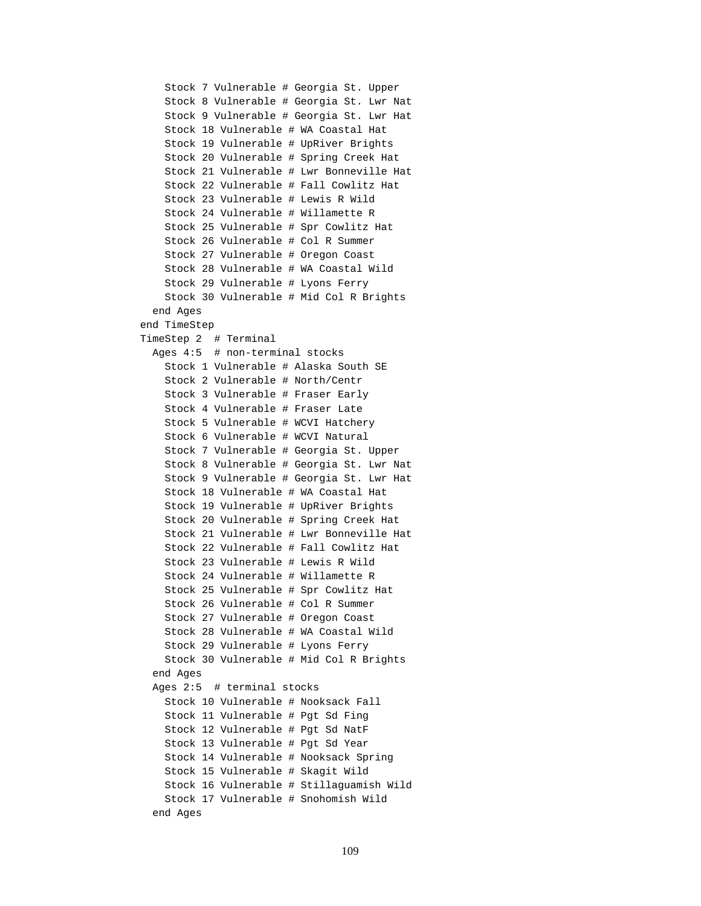```
 Stock 7 Vulnerable # Georgia St. Upper
     Stock 8 Vulnerable # Georgia St. Lwr Nat
     Stock 9 Vulnerable # Georgia St. Lwr Hat
     Stock 18 Vulnerable # WA Coastal Hat
     Stock 19 Vulnerable # UpRiver Brights
     Stock 20 Vulnerable # Spring Creek Hat
     Stock 21 Vulnerable # Lwr Bonneville Hat
     Stock 22 Vulnerable # Fall Cowlitz Hat
     Stock 23 Vulnerable # Lewis R Wild
     Stock 24 Vulnerable # Willamette R
     Stock 25 Vulnerable # Spr Cowlitz Hat
     Stock 26 Vulnerable # Col R Summer
     Stock 27 Vulnerable # Oregon Coast
     Stock 28 Vulnerable # WA Coastal Wild
     Stock 29 Vulnerable # Lyons Ferry
     Stock 30 Vulnerable # Mid Col R Brights
   end Ages
 end TimeStep
 TimeStep 2 # Terminal
   Ages 4:5 # non-terminal stocks
     Stock 1 Vulnerable # Alaska South SE
     Stock 2 Vulnerable # North/Centr
     Stock 3 Vulnerable # Fraser Early
     Stock 4 Vulnerable # Fraser Late
     Stock 5 Vulnerable # WCVI Hatchery
     Stock 6 Vulnerable # WCVI Natural
     Stock 7 Vulnerable # Georgia St. Upper
     Stock 8 Vulnerable # Georgia St. Lwr Nat
     Stock 9 Vulnerable # Georgia St. Lwr Hat
     Stock 18 Vulnerable # WA Coastal Hat
     Stock 19 Vulnerable # UpRiver Brights
     Stock 20 Vulnerable # Spring Creek Hat
     Stock 21 Vulnerable # Lwr Bonneville Hat
     Stock 22 Vulnerable # Fall Cowlitz Hat
     Stock 23 Vulnerable # Lewis R Wild
     Stock 24 Vulnerable # Willamette R
     Stock 25 Vulnerable # Spr Cowlitz Hat
     Stock 26 Vulnerable # Col R Summer
     Stock 27 Vulnerable # Oregon Coast
     Stock 28 Vulnerable # WA Coastal Wild
     Stock 29 Vulnerable # Lyons Ferry
     Stock 30 Vulnerable # Mid Col R Brights
   end Ages
   Ages 2:5 # terminal stocks
     Stock 10 Vulnerable # Nooksack Fall
     Stock 11 Vulnerable # Pgt Sd Fing
     Stock 12 Vulnerable # Pgt Sd NatF
     Stock 13 Vulnerable # Pgt Sd Year
     Stock 14 Vulnerable # Nooksack Spring
     Stock 15 Vulnerable # Skagit Wild
     Stock 16 Vulnerable # Stillaguamish Wild
     Stock 17 Vulnerable # Snohomish Wild
   end Ages
```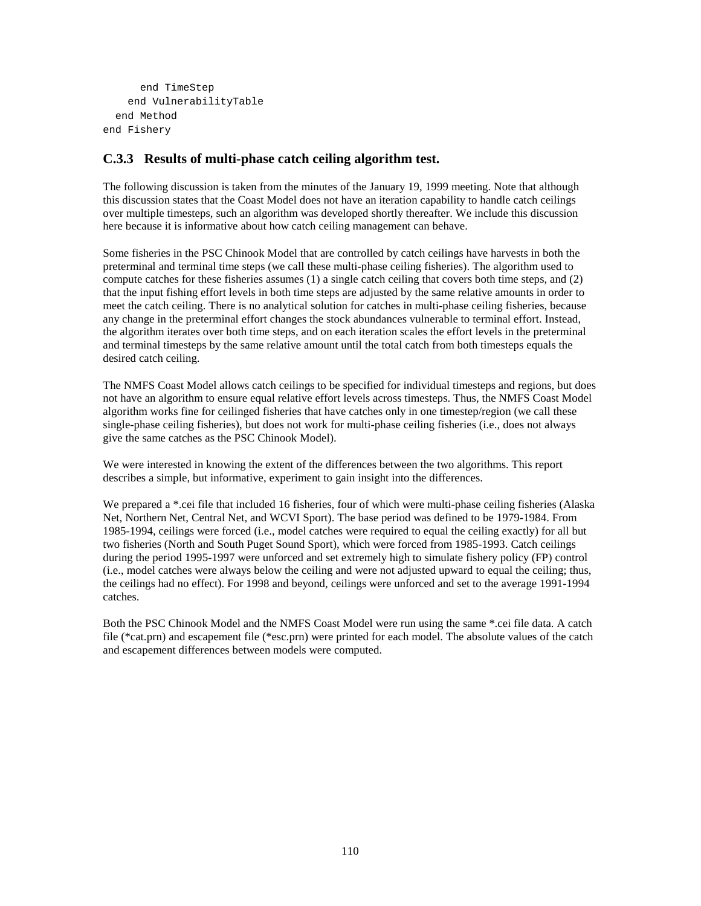```
 end TimeStep
     end VulnerabilityTable
   end Method
end Fishery
```
### **C.3.3 Results of multi-phase catch ceiling algorithm test.**

The following discussion is taken from the minutes of the January 19, 1999 meeting. Note that although this discussion states that the Coast Model does not have an iteration capability to handle catch ceilings over multiple timesteps, such an algorithm was developed shortly thereafter. We include this discussion here because it is informative about how catch ceiling management can behave.

Some fisheries in the PSC Chinook Model that are controlled by catch ceilings have harvests in both the preterminal and terminal time steps (we call these multi-phase ceiling fisheries). The algorithm used to compute catches for these fisheries assumes (1) a single catch ceiling that covers both time steps, and (2) that the input fishing effort levels in both time steps are adjusted by the same relative amounts in order to meet the catch ceiling. There is no analytical solution for catches in multi-phase ceiling fisheries, because any change in the preterminal effort changes the stock abundances vulnerable to terminal effort. Instead, the algorithm iterates over both time steps, and on each iteration scales the effort levels in the preterminal and terminal timesteps by the same relative amount until the total catch from both timesteps equals the desired catch ceiling.

The NMFS Coast Model allows catch ceilings to be specified for individual timesteps and regions, but does not have an algorithm to ensure equal relative effort levels across timesteps. Thus, the NMFS Coast Model algorithm works fine for ceilinged fisheries that have catches only in one timestep/region (we call these single-phase ceiling fisheries), but does not work for multi-phase ceiling fisheries (i.e., does not always give the same catches as the PSC Chinook Model).

We were interested in knowing the extent of the differences between the two algorithms. This report describes a simple, but informative, experiment to gain insight into the differences.

We prepared a \*.cei file that included 16 fisheries, four of which were multi-phase ceiling fisheries (Alaska Net, Northern Net, Central Net, and WCVI Sport). The base period was defined to be 1979-1984. From 1985-1994, ceilings were forced (i.e., model catches were required to equal the ceiling exactly) for all but two fisheries (North and South Puget Sound Sport), which were forced from 1985-1993. Catch ceilings during the period 1995-1997 were unforced and set extremely high to simulate fishery policy (FP) control (i.e., model catches were always below the ceiling and were not adjusted upward to equal the ceiling; thus, the ceilings had no effect). For 1998 and beyond, ceilings were unforced and set to the average 1991-1994 catches.

Both the PSC Chinook Model and the NMFS Coast Model were run using the same \*.cei file data. A catch file (\*cat.prn) and escapement file (\*esc.prn) were printed for each model. The absolute values of the catch and escapement differences between models were computed.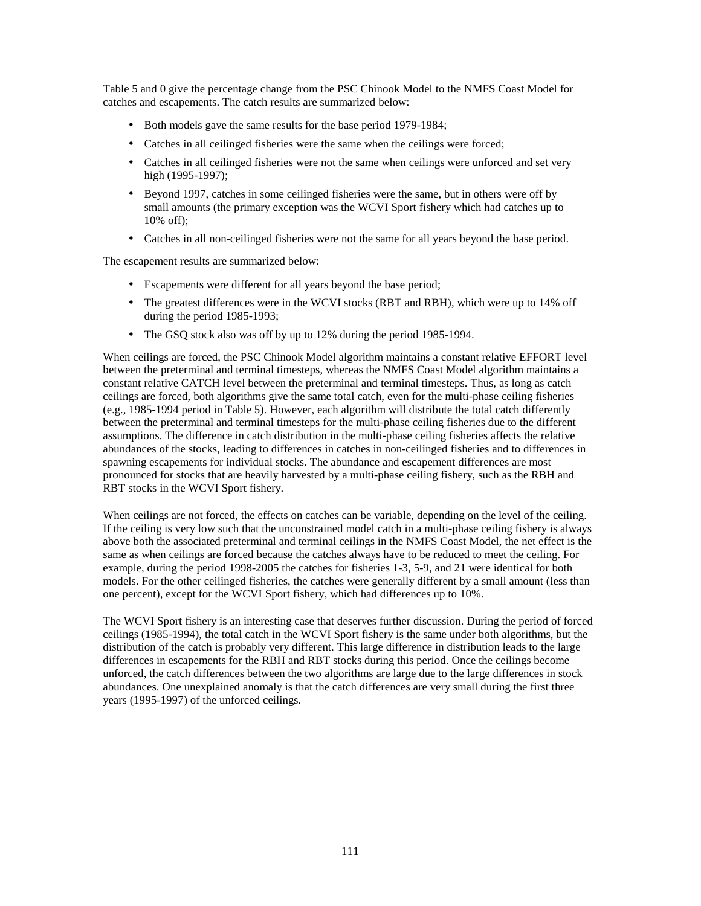Table 5 and 0 give the percentage change from the PSC Chinook Model to the NMFS Coast Model for catches and escapements. The catch results are summarized below:

- Both models gave the same results for the base period 1979-1984;
- Catches in all ceilinged fisheries were the same when the ceilings were forced;
- Catches in all ceilinged fisheries were not the same when ceilings were unforced and set very high (1995-1997);
- Beyond 1997, catches in some ceilinged fisheries were the same, but in others were off by small amounts (the primary exception was the WCVI Sport fishery which had catches up to 10% off);
- Catches in all non-ceilinged fisheries were not the same for all years beyond the base period.

The escapement results are summarized below:

- Escapements were different for all years beyond the base period;
- The greatest differences were in the WCVI stocks (RBT and RBH), which were up to 14% off during the period 1985-1993;
- The GSQ stock also was off by up to 12% during the period 1985-1994.

When ceilings are forced, the PSC Chinook Model algorithm maintains a constant relative EFFORT level between the preterminal and terminal timesteps, whereas the NMFS Coast Model algorithm maintains a constant relative CATCH level between the preterminal and terminal timesteps. Thus, as long as catch ceilings are forced, both algorithms give the same total catch, even for the multi-phase ceiling fisheries (e.g., 1985-1994 period in Table 5). However, each algorithm will distribute the total catch differently between the preterminal and terminal timesteps for the multi-phase ceiling fisheries due to the different assumptions. The difference in catch distribution in the multi-phase ceiling fisheries affects the relative abundances of the stocks, leading to differences in catches in non-ceilinged fisheries and to differences in spawning escapements for individual stocks. The abundance and escapement differences are most pronounced for stocks that are heavily harvested by a multi-phase ceiling fishery, such as the RBH and RBT stocks in the WCVI Sport fishery.

When ceilings are not forced, the effects on catches can be variable, depending on the level of the ceiling. If the ceiling is very low such that the unconstrained model catch in a multi-phase ceiling fishery is always above both the associated preterminal and terminal ceilings in the NMFS Coast Model, the net effect is the same as when ceilings are forced because the catches always have to be reduced to meet the ceiling. For example, during the period 1998-2005 the catches for fisheries 1-3, 5-9, and 21 were identical for both models. For the other ceilinged fisheries, the catches were generally different by a small amount (less than one percent), except for the WCVI Sport fishery, which had differences up to 10%.

The WCVI Sport fishery is an interesting case that deserves further discussion. During the period of forced ceilings (1985-1994), the total catch in the WCVI Sport fishery is the same under both algorithms, but the distribution of the catch is probably very different. This large difference in distribution leads to the large differences in escapements for the RBH and RBT stocks during this period. Once the ceilings become unforced, the catch differences between the two algorithms are large due to the large differences in stock abundances. One unexplained anomaly is that the catch differences are very small during the first three years (1995-1997) of the unforced ceilings.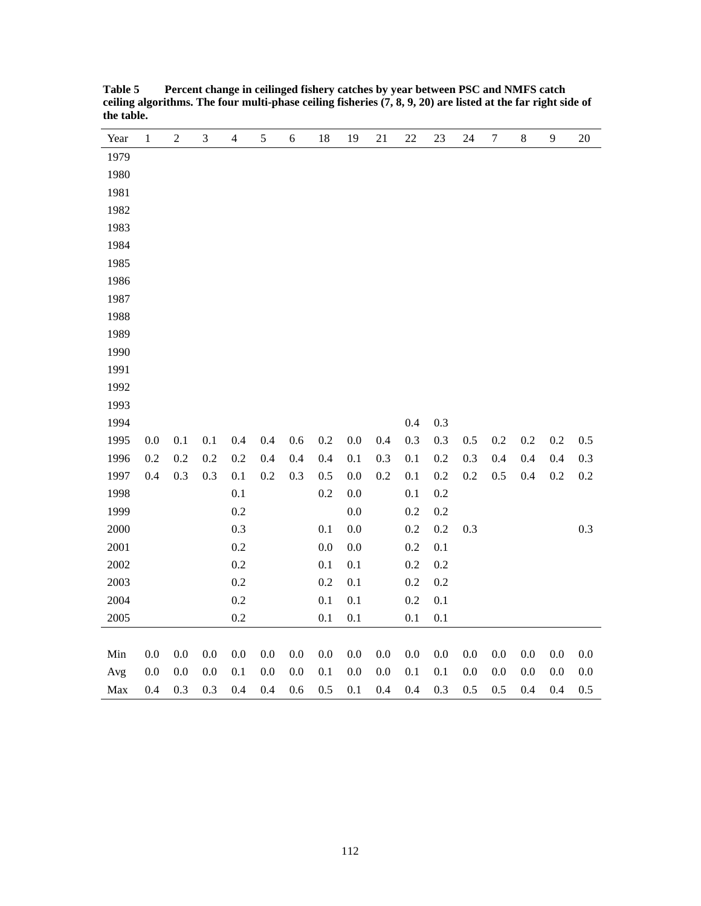| Year | $\,1$   | $\sqrt{2}$ | $\mathfrak{Z}$ | $\overline{4}$ | 5       | 6       | 18      | 19      | 21      | 22      | 23      | 24      | $\boldsymbol{7}$ | $8\,$   | 9       | 20      |
|------|---------|------------|----------------|----------------|---------|---------|---------|---------|---------|---------|---------|---------|------------------|---------|---------|---------|
| 1979 |         |            |                |                |         |         |         |         |         |         |         |         |                  |         |         |         |
| 1980 |         |            |                |                |         |         |         |         |         |         |         |         |                  |         |         |         |
| 1981 |         |            |                |                |         |         |         |         |         |         |         |         |                  |         |         |         |
| 1982 |         |            |                |                |         |         |         |         |         |         |         |         |                  |         |         |         |
| 1983 |         |            |                |                |         |         |         |         |         |         |         |         |                  |         |         |         |
| 1984 |         |            |                |                |         |         |         |         |         |         |         |         |                  |         |         |         |
| 1985 |         |            |                |                |         |         |         |         |         |         |         |         |                  |         |         |         |
| 1986 |         |            |                |                |         |         |         |         |         |         |         |         |                  |         |         |         |
| 1987 |         |            |                |                |         |         |         |         |         |         |         |         |                  |         |         |         |
| 1988 |         |            |                |                |         |         |         |         |         |         |         |         |                  |         |         |         |
| 1989 |         |            |                |                |         |         |         |         |         |         |         |         |                  |         |         |         |
| 1990 |         |            |                |                |         |         |         |         |         |         |         |         |                  |         |         |         |
| 1991 |         |            |                |                |         |         |         |         |         |         |         |         |                  |         |         |         |
| 1992 |         |            |                |                |         |         |         |         |         |         |         |         |                  |         |         |         |
| 1993 |         |            |                |                |         |         |         |         |         |         |         |         |                  |         |         |         |
| 1994 |         |            |                |                |         |         |         |         |         | 0.4     | 0.3     |         |                  |         |         |         |
| 1995 | 0.0     | 0.1        | 0.1            | 0.4            | 0.4     | $0.6\,$ | $0.2\,$ | 0.0     | 0.4     | 0.3     | 0.3     | 0.5     | $0.2\,$          | $0.2\,$ | 0.2     | 0.5     |
| 1996 | $0.2\,$ | 0.2        | 0.2            | $0.2\,$        | 0.4     | 0.4     | 0.4     | 0.1     | 0.3     | 0.1     | 0.2     | 0.3     | 0.4              | 0.4     | 0.4     | 0.3     |
| 1997 | 0.4     | 0.3        | 0.3            | 0.1            | $0.2\,$ | 0.3     | 0.5     | 0.0     | 0.2     | 0.1     | $0.2\,$ | 0.2     | 0.5              | 0.4     | $0.2\,$ | $0.2\,$ |
| 1998 |         |            |                | 0.1            |         |         | 0.2     | $0.0\,$ |         | $0.1\,$ | $0.2\,$ |         |                  |         |         |         |
| 1999 |         |            |                | $0.2\,$        |         |         |         | $0.0\,$ |         | 0.2     | 0.2     |         |                  |         |         |         |
| 2000 |         |            |                | 0.3            |         |         | 0.1     | 0.0     |         | $0.2\,$ | 0.2     | 0.3     |                  |         |         | 0.3     |
| 2001 |         |            |                | 0.2            |         |         | $0.0\,$ | 0.0     |         | $0.2\,$ | 0.1     |         |                  |         |         |         |
| 2002 |         |            |                | 0.2            |         |         | 0.1     | 0.1     |         | 0.2     | $0.2\,$ |         |                  |         |         |         |
| 2003 |         |            |                | 0.2            |         |         | 0.2     | 0.1     |         | 0.2     | 0.2     |         |                  |         |         |         |
| 2004 |         |            |                | $0.2\,$        |         |         | $0.1\,$ | 0.1     |         | $0.2\,$ | $0.1\,$ |         |                  |         |         |         |
| 2005 |         |            |                | 0.2            |         |         | 0.1     | 0.1     |         | $0.1\,$ | 0.1     |         |                  |         |         |         |
|      |         |            |                |                |         |         |         |         |         |         |         |         |                  |         |         |         |
| Min  | $0.0\,$ | $0.0\,$    | $0.0\,$        | 0.0            | $0.0\,$ | 0.0     | $0.0\,$ | $0.0\,$ | 0.0     | $0.0\,$ | 0.0     | $0.0\,$ | 0.0              | $0.0\,$ | $0.0\,$ | 0.0     |
| Avg  | 0.0     | 0.0        | $0.0\,$        | 0.1            | $0.0\,$ | 0.0     | 0.1     | 0.0     | $0.0\,$ | 0.1     | 0.1     | $0.0\,$ | 0.0              | 0.0     | 0.0     | 0.0     |
| Max  | 0.4     | 0.3        | 0.3            | 0.4            | 0.4     | 0.6     | 0.5     | 0.1     | 0.4     | 0.4     | 0.3     | 0.5     | 0.5              | 0.4     | 0.4     | 0.5     |

**Table 5 Percent change in ceilinged fishery catches by year between PSC and NMFS catch ceiling algorithms. The four multi-phase ceiling fisheries (7, 8, 9, 20) are listed at the far right side of the table.**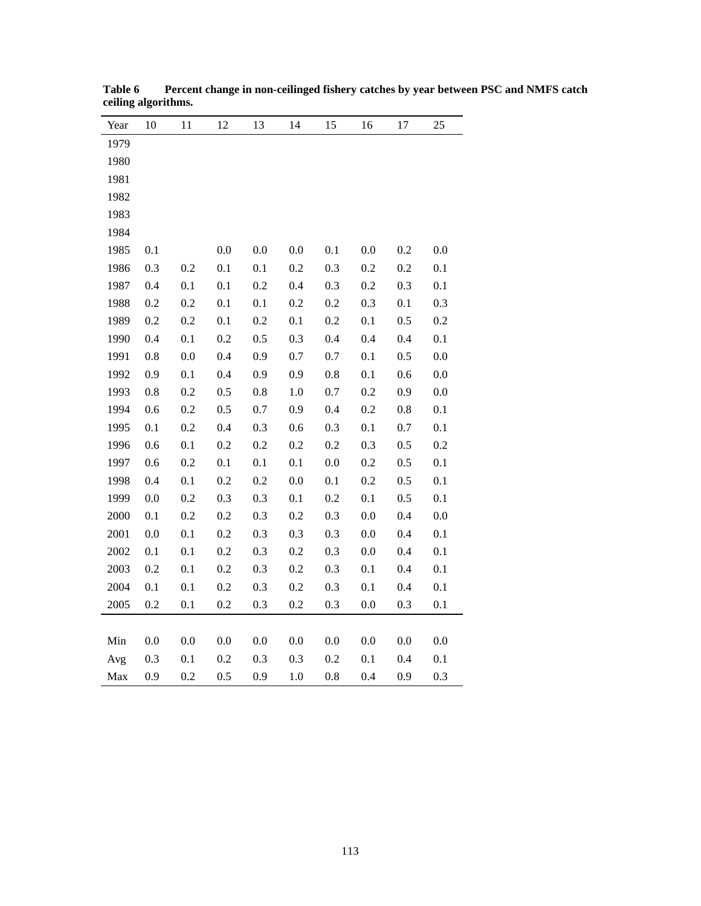| Year | 10      | 11      | 12      | 13      | 14      | 15      | 16      | 17      | 25  |
|------|---------|---------|---------|---------|---------|---------|---------|---------|-----|
| 1979 |         |         |         |         |         |         |         |         |     |
| 1980 |         |         |         |         |         |         |         |         |     |
| 1981 |         |         |         |         |         |         |         |         |     |
| 1982 |         |         |         |         |         |         |         |         |     |
| 1983 |         |         |         |         |         |         |         |         |     |
| 1984 |         |         |         |         |         |         |         |         |     |
| 1985 | 0.1     |         | 0.0     | 0.0     | 0.0     | 0.1     | 0.0     | 0.2     | 0.0 |
| 1986 | 0.3     | 0.2     | 0.1     | 0.1     | 0.2     | 0.3     | 0.2     | 0.2     | 0.1 |
| 1987 | 0.4     | 0.1     | 0.1     | 0.2     | 0.4     | 0.3     | 0.2     | 0.3     | 0.1 |
| 1988 | 0.2     | 0.2     | 0.1     | 0.1     | 0.2     | 0.2     | 0.3     | 0.1     | 0.3 |
| 1989 | 0.2     | 0.2     | 0.1     | 0.2     | 0.1     | 0.2     | 0.1     | 0.5     | 0.2 |
| 1990 | 0.4     | 0.1     | $0.2\,$ | 0.5     | 0.3     | 0.4     | 0.4     | 0.4     | 0.1 |
| 1991 | $0.8\,$ | 0.0     | 0.4     | 0.9     | 0.7     | 0.7     | 0.1     | 0.5     | 0.0 |
| 1992 | 0.9     | 0.1     | 0.4     | 0.9     | 0.9     | 0.8     | 0.1     | 0.6     | 0.0 |
| 1993 | 0.8     | 0.2     | 0.5     | 0.8     | $1.0\,$ | 0.7     | 0.2     | 0.9     | 0.0 |
| 1994 | $0.6\,$ | 0.2     | $0.5\,$ | $0.7\,$ | 0.9     | 0.4     | 0.2     | $0.8\,$ | 0.1 |
| 1995 | 0.1     | 0.2     | 0.4     | 0.3     | 0.6     | 0.3     | 0.1     | 0.7     | 0.1 |
| 1996 | 0.6     | 0.1     | 0.2     | $0.2\,$ | 0.2     | 0.2     | 0.3     | 0.5     | 0.2 |
| 1997 | 0.6     | $0.2\,$ | $0.1\,$ | 0.1     | 0.1     | $0.0\,$ | $0.2\,$ | 0.5     | 0.1 |
| 1998 | 0.4     | 0.1     | 0.2     | $0.2\,$ | 0.0     | 0.1     | 0.2     | 0.5     | 0.1 |
| 1999 | 0.0     | 0.2     | 0.3     | 0.3     | 0.1     | 0.2     | 0.1     | 0.5     | 0.1 |
| 2000 | $0.1\,$ | 0.2     | $0.2\,$ | 0.3     | 0.2     | 0.3     | 0.0     | 0.4     | 0.0 |
| 2001 | 0.0     | 0.1     | 0.2     | 0.3     | 0.3     | 0.3     | 0.0     | 0.4     | 0.1 |
| 2002 | 0.1     | 0.1     | $0.2\,$ | 0.3     | 0.2     | 0.3     | 0.0     | 0.4     | 0.1 |
| 2003 | 0.2     | 0.1     | 0.2     | 0.3     | 0.2     | 0.3     | 0.1     | 0.4     | 0.1 |
| 2004 | 0.1     | 0.1     | 0.2     | 0.3     | $0.2\,$ | 0.3     | 0.1     | 0.4     | 0.1 |
| 2005 | 0.2     | 0.1     | 0.2     | 0.3     | 0.2     | 0.3     | 0.0     | 0.3     | 0.1 |
|      |         |         |         |         |         |         |         |         |     |
| Min  | $0.0\,$ | 0.0     | $0.0\,$ | 0.0     | 0.0     | 0.0     | 0.0     | 0.0     | 0.0 |
| Avg  | 0.3     | 0.1     | $0.2\,$ | 0.3     | 0.3     | $0.2\,$ | 0.1     | 0.4     | 0.1 |
| Max  | 0.9     | 0.2     | 0.5     | 0.9     | 1.0     | 0.8     | 0.4     | 0.9     | 0.3 |

**Table 6 Percent change in non-ceilinged fishery catches by year between PSC and NMFS catch ceiling algorithms.**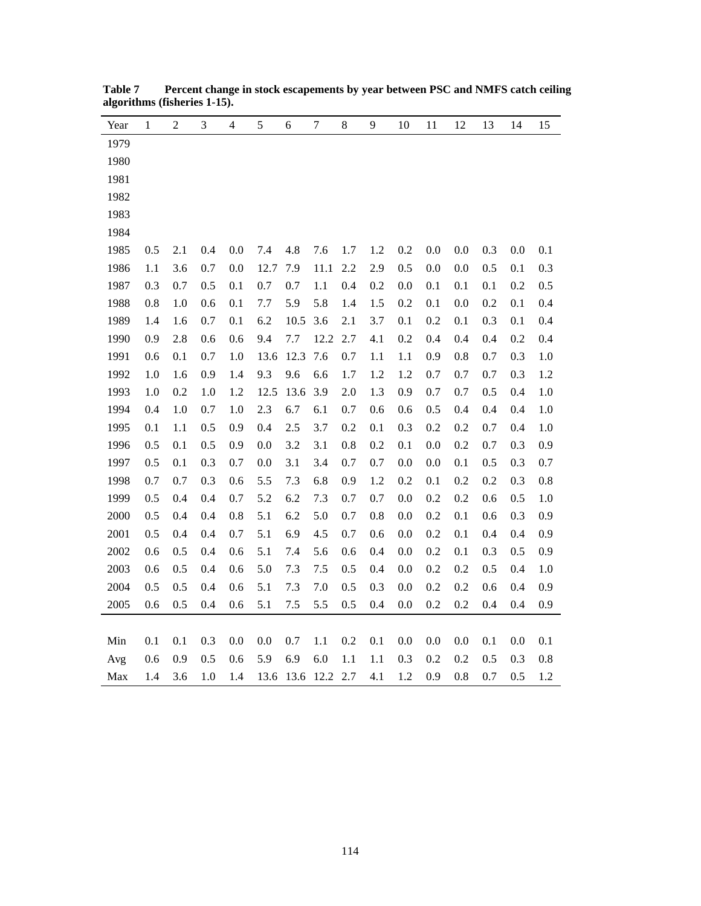| Year | $\mathbf 1$ | $\overline{c}$ | 3   | 4   | 5       | 6    | $\tau$ | $\,$ 8 $\,$ | 9       | 10  | 11  | 12  | 13  | 14  | 15  |
|------|-------------|----------------|-----|-----|---------|------|--------|-------------|---------|-----|-----|-----|-----|-----|-----|
| 1979 |             |                |     |     |         |      |        |             |         |     |     |     |     |     |     |
| 1980 |             |                |     |     |         |      |        |             |         |     |     |     |     |     |     |
| 1981 |             |                |     |     |         |      |        |             |         |     |     |     |     |     |     |
| 1982 |             |                |     |     |         |      |        |             |         |     |     |     |     |     |     |
| 1983 |             |                |     |     |         |      |        |             |         |     |     |     |     |     |     |
| 1984 |             |                |     |     |         |      |        |             |         |     |     |     |     |     |     |
| 1985 | 0.5         | 2.1            | 0.4 | 0.0 | 7.4     | 4.8  | 7.6    | 1.7         | 1.2     | 0.2 | 0.0 | 0.0 | 0.3 | 0.0 | 0.1 |
| 1986 | 1.1         | 3.6            | 0.7 | 0.0 | 12.7    | 7.9  | 11.1   | 2.2         | 2.9     | 0.5 | 0.0 | 0.0 | 0.5 | 0.1 | 0.3 |
| 1987 | 0.3         | 0.7            | 0.5 | 0.1 | 0.7     | 0.7  | 1.1    | 0.4         | 0.2     | 0.0 | 0.1 | 0.1 | 0.1 | 0.2 | 0.5 |
| 1988 | 0.8         | 1.0            | 0.6 | 0.1 | 7.7     | 5.9  | 5.8    | 1.4         | 1.5     | 0.2 | 0.1 | 0.0 | 0.2 | 0.1 | 0.4 |
| 1989 | 1.4         | 1.6            | 0.7 | 0.1 | 6.2     | 10.5 | 3.6    | 2.1         | 3.7     | 0.1 | 0.2 | 0.1 | 0.3 | 0.1 | 0.4 |
| 1990 | 0.9         | 2.8            | 0.6 | 0.6 | 9.4     | 7.7  | 12.2   | 2.7         | 4.1     | 0.2 | 0.4 | 0.4 | 0.4 | 0.2 | 0.4 |
| 1991 | 0.6         | 0.1            | 0.7 | 1.0 | 13.6    | 12.3 | 7.6    | 0.7         | 1.1     | 1.1 | 0.9 | 0.8 | 0.7 | 0.3 | 1.0 |
| 1992 | 1.0         | 1.6            | 0.9 | 1.4 | 9.3     | 9.6  | 6.6    | 1.7         | 1.2     | 1.2 | 0.7 | 0.7 | 0.7 | 0.3 | 1.2 |
| 1993 | 1.0         | 0.2            | 1.0 | 1.2 | 12.5    | 13.6 | 3.9    | 2.0         | 1.3     | 0.9 | 0.7 | 0.7 | 0.5 | 0.4 | 1.0 |
| 1994 | 0.4         | $1.0\,$        | 0.7 | 1.0 | 2.3     | 6.7  | 6.1    | 0.7         | 0.6     | 0.6 | 0.5 | 0.4 | 0.4 | 0.4 | 1.0 |
| 1995 | 0.1         | 1.1            | 0.5 | 0.9 | 0.4     | 2.5  | 3.7    | 0.2         | 0.1     | 0.3 | 0.2 | 0.2 | 0.7 | 0.4 | 1.0 |
| 1996 | 0.5         | 0.1            | 0.5 | 0.9 | 0.0     | 3.2  | 3.1    | 0.8         | 0.2     | 0.1 | 0.0 | 0.2 | 0.7 | 0.3 | 0.9 |
| 1997 | 0.5         | 0.1            | 0.3 | 0.7 | 0.0     | 3.1  | 3.4    | 0.7         | $0.7\,$ | 0.0 | 0.0 | 0.1 | 0.5 | 0.3 | 0.7 |
| 1998 | 0.7         | 0.7            | 0.3 | 0.6 | 5.5     | 7.3  | 6.8    | 0.9         | 1.2     | 0.2 | 0.1 | 0.2 | 0.2 | 0.3 | 0.8 |
| 1999 | 0.5         | 0.4            | 0.4 | 0.7 | 5.2     | 6.2  | 7.3    | 0.7         | 0.7     | 0.0 | 0.2 | 0.2 | 0.6 | 0.5 | 1.0 |
| 2000 | 0.5         | 0.4            | 0.4 | 0.8 | 5.1     | 6.2  | 5.0    | 0.7         | 0.8     | 0.0 | 0.2 | 0.1 | 0.6 | 0.3 | 0.9 |
| 2001 | 0.5         | 0.4            | 0.4 | 0.7 | 5.1     | 6.9  | 4.5    | 0.7         | 0.6     | 0.0 | 0.2 | 0.1 | 0.4 | 0.4 | 0.9 |
| 2002 | 0.6         | 0.5            | 0.4 | 0.6 | 5.1     | 7.4  | 5.6    | 0.6         | 0.4     | 0.0 | 0.2 | 0.1 | 0.3 | 0.5 | 0.9 |
| 2003 | 0.6         | 0.5            | 0.4 | 0.6 | 5.0     | 7.3  | 7.5    | 0.5         | 0.4     | 0.0 | 0.2 | 0.2 | 0.5 | 0.4 | 1.0 |
| 2004 | 0.5         | 0.5            | 0.4 | 0.6 | 5.1     | 7.3  | 7.0    | 0.5         | 0.3     | 0.0 | 0.2 | 0.2 | 0.6 | 0.4 | 0.9 |
| 2005 | 0.6         | 0.5            | 0.4 | 0.6 | 5.1     | 7.5  | 5.5    | 0.5         | 0.4     | 0.0 | 0.2 | 0.2 | 0.4 | 0.4 | 0.9 |
|      |             |                |     |     |         |      |        |             |         |     |     |     |     |     |     |
| Min  | 0.1         | 0.1            | 0.3 | 0.0 | $0.0\,$ | 0.7  | 1.1    | 0.2         | 0.1     | 0.0 | 0.0 | 0.0 | 0.1 | 0.0 | 0.1 |
| Avg  | 0.6         | 0.9            | 0.5 | 0.6 | 5.9     | 6.9  | 6.0    | 1.1         | 1.1     | 0.3 | 0.2 | 0.2 | 0.5 | 0.3 | 0.8 |
| Max  | 1.4         | 3.6            | 1.0 | 1.4 | 13.6    | 13.6 | 12.2   | 2.7         | 4.1     | 1.2 | 0.9 | 0.8 | 0.7 | 0.5 | 1.2 |

**Table 7 Percent change in stock escapements by year between PSC and NMFS catch ceiling algorithms (fisheries 1-15).**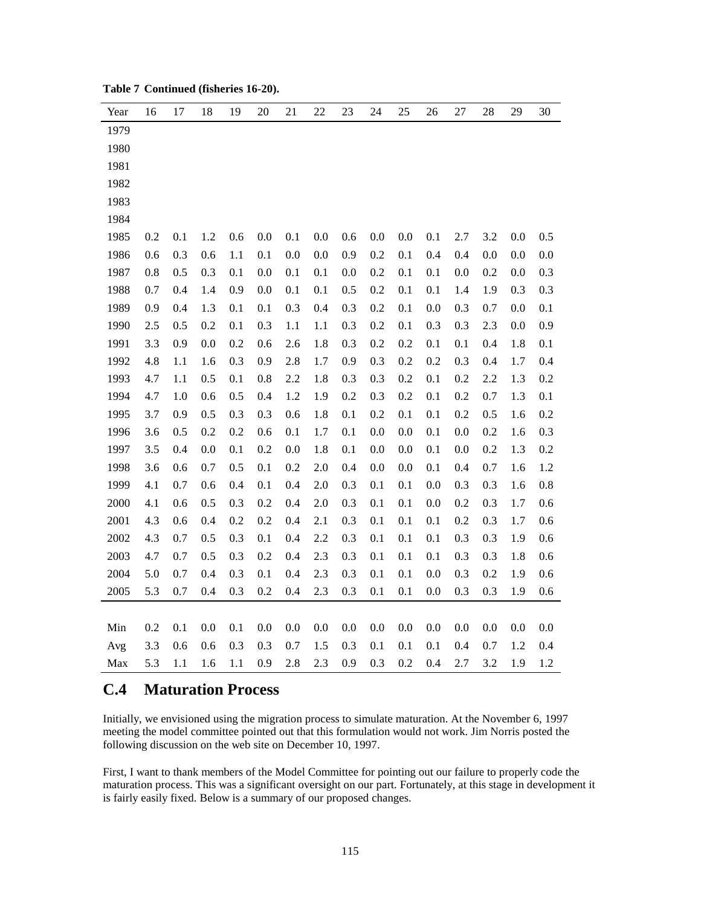| Year | 16  | 17  | 18  | 19  | 20  | 21      | 22  | 23  | 24  | 25  | 26  | 27  | 28  | 29  | 30  |
|------|-----|-----|-----|-----|-----|---------|-----|-----|-----|-----|-----|-----|-----|-----|-----|
| 1979 |     |     |     |     |     |         |     |     |     |     |     |     |     |     |     |
| 1980 |     |     |     |     |     |         |     |     |     |     |     |     |     |     |     |
| 1981 |     |     |     |     |     |         |     |     |     |     |     |     |     |     |     |
| 1982 |     |     |     |     |     |         |     |     |     |     |     |     |     |     |     |
| 1983 |     |     |     |     |     |         |     |     |     |     |     |     |     |     |     |
| 1984 |     |     |     |     |     |         |     |     |     |     |     |     |     |     |     |
| 1985 | 0.2 | 0.1 | 1.2 | 0.6 | 0.0 | 0.1     | 0.0 | 0.6 | 0.0 | 0.0 | 0.1 | 2.7 | 3.2 | 0.0 | 0.5 |
| 1986 | 0.6 | 0.3 | 0.6 | 1.1 | 0.1 | 0.0     | 0.0 | 0.9 | 0.2 | 0.1 | 0.4 | 0.4 | 0.0 | 0.0 | 0.0 |
| 1987 | 0.8 | 0.5 | 0.3 | 0.1 | 0.0 | 0.1     | 0.1 | 0.0 | 0.2 | 0.1 | 0.1 | 0.0 | 0.2 | 0.0 | 0.3 |
| 1988 | 0.7 | 0.4 | 1.4 | 0.9 | 0.0 | 0.1     | 0.1 | 0.5 | 0.2 | 0.1 | 0.1 | 1.4 | 1.9 | 0.3 | 0.3 |
| 1989 | 0.9 | 0.4 | 1.3 | 0.1 | 0.1 | 0.3     | 0.4 | 0.3 | 0.2 | 0.1 | 0.0 | 0.3 | 0.7 | 0.0 | 0.1 |
| 1990 | 2.5 | 0.5 | 0.2 | 0.1 | 0.3 | 1.1     | 1.1 | 0.3 | 0.2 | 0.1 | 0.3 | 0.3 | 2.3 | 0.0 | 0.9 |
| 1991 | 3.3 | 0.9 | 0.0 | 0.2 | 0.6 | 2.6     | 1.8 | 0.3 | 0.2 | 0.2 | 0.1 | 0.1 | 0.4 | 1.8 | 0.1 |
| 1992 | 4.8 | 1.1 | 1.6 | 0.3 | 0.9 | 2.8     | 1.7 | 0.9 | 0.3 | 0.2 | 0.2 | 0.3 | 0.4 | 1.7 | 0.4 |
| 1993 | 4.7 | 1.1 | 0.5 | 0.1 | 0.8 | 2.2     | 1.8 | 0.3 | 0.3 | 0.2 | 0.1 | 0.2 | 2.2 | 1.3 | 0.2 |
| 1994 | 4.7 | 1.0 | 0.6 | 0.5 | 0.4 | 1.2     | 1.9 | 0.2 | 0.3 | 0.2 | 0.1 | 0.2 | 0.7 | 1.3 | 0.1 |
| 1995 | 3.7 | 0.9 | 0.5 | 0.3 | 0.3 | 0.6     | 1.8 | 0.1 | 0.2 | 0.1 | 0.1 | 0.2 | 0.5 | 1.6 | 0.2 |
| 1996 | 3.6 | 0.5 | 0.2 | 0.2 | 0.6 | 0.1     | 1.7 | 0.1 | 0.0 | 0.0 | 0.1 | 0.0 | 0.2 | 1.6 | 0.3 |
| 1997 | 3.5 | 0.4 | 0.0 | 0.1 | 0.2 | 0.0     | 1.8 | 0.1 | 0.0 | 0.0 | 0.1 | 0.0 | 0.2 | 1.3 | 0.2 |
| 1998 | 3.6 | 0.6 | 0.7 | 0.5 | 0.1 | 0.2     | 2.0 | 0.4 | 0.0 | 0.0 | 0.1 | 0.4 | 0.7 | 1.6 | 1.2 |
| 1999 | 4.1 | 0.7 | 0.6 | 0.4 | 0.1 | $0.4\,$ | 2.0 | 0.3 | 0.1 | 0.1 | 0.0 | 0.3 | 0.3 | 1.6 | 0.8 |
| 2000 | 4.1 | 0.6 | 0.5 | 0.3 | 0.2 | 0.4     | 2.0 | 0.3 | 0.1 | 0.1 | 0.0 | 0.2 | 0.3 | 1.7 | 0.6 |
| 2001 | 4.3 | 0.6 | 0.4 | 0.2 | 0.2 | 0.4     | 2.1 | 0.3 | 0.1 | 0.1 | 0.1 | 0.2 | 0.3 | 1.7 | 0.6 |
| 2002 | 4.3 | 0.7 | 0.5 | 0.3 | 0.1 | $0.4\,$ | 2.2 | 0.3 | 0.1 | 0.1 | 0.1 | 0.3 | 0.3 | 1.9 | 0.6 |
| 2003 | 4.7 | 0.7 | 0.5 | 0.3 | 0.2 | 0.4     | 2.3 | 0.3 | 0.1 | 0.1 | 0.1 | 0.3 | 0.3 | 1.8 | 0.6 |
| 2004 | 5.0 | 0.7 | 0.4 | 0.3 | 0.1 | 0.4     | 2.3 | 0.3 | 0.1 | 0.1 | 0.0 | 0.3 | 0.2 | 1.9 | 0.6 |
| 2005 | 5.3 | 0.7 | 0.4 | 0.3 | 0.2 | 0.4     | 2.3 | 0.3 | 0.1 | 0.1 | 0.0 | 0.3 | 0.3 | 1.9 | 0.6 |
|      |     |     |     |     |     |         |     |     |     |     |     |     |     |     |     |
| Min  | 0.2 | 0.1 | 0.0 | 0.1 | 0.0 | 0.0     | 0.0 | 0.0 | 0.0 | 0.0 | 0.0 | 0.0 | 0.0 | 0.0 | 0.0 |
| Avg  | 3.3 | 0.6 | 0.6 | 0.3 | 0.3 | 0.7     | 1.5 | 0.3 | 0.1 | 0.1 | 0.1 | 0.4 | 0.7 | 1.2 | 0.4 |
| Max  | 5.3 | 1.1 | 1.6 | 1.1 | 0.9 | 2.8     | 2.3 | 0.9 | 0.3 | 0.2 | 0.4 | 2.7 | 3.2 | 1.9 | 1.2 |

# **C.4 Maturation Process**

Initially, we envisioned using the migration process to simulate maturation. At the November 6, 1997 meeting the model committee pointed out that this formulation would not work. Jim Norris posted the following discussion on the web site on December 10, 1997.

First, I want to thank members of the Model Committee for pointing out our failure to properly code the maturation process. This was a significant oversight on our part. Fortunately, at this stage in development it is fairly easily fixed. Below is a summary of our proposed changes.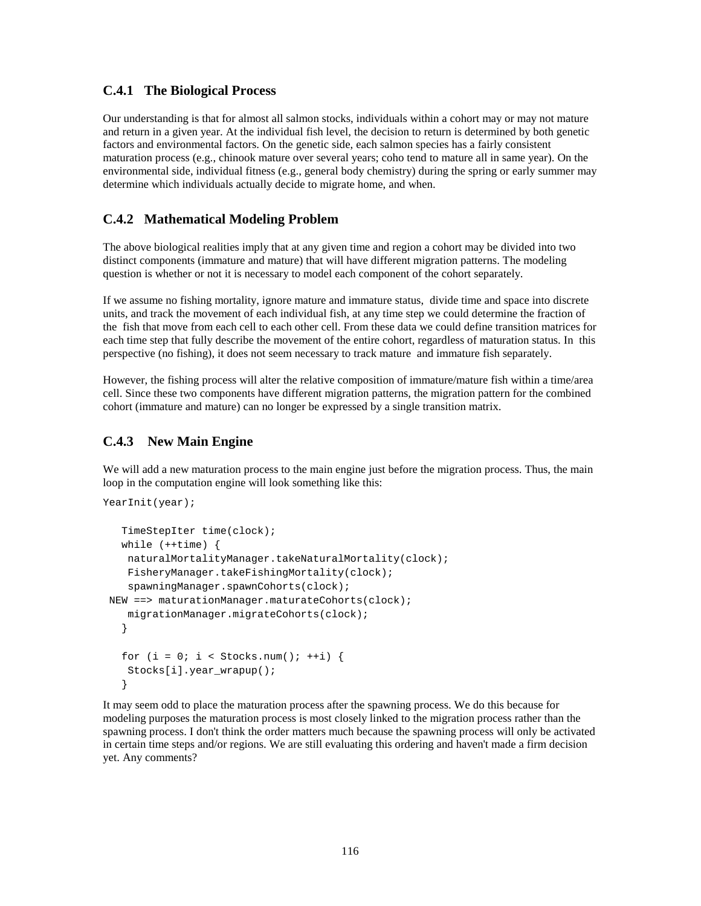### **C.4.1 The Biological Process**

Our understanding is that for almost all salmon stocks, individuals within a cohort may or may not mature and return in a given year. At the individual fish level, the decision to return is determined by both genetic factors and environmental factors. On the genetic side, each salmon species has a fairly consistent maturation process (e.g., chinook mature over several years; coho tend to mature all in same year). On the environmental side, individual fitness (e.g., general body chemistry) during the spring or early summer may determine which individuals actually decide to migrate home, and when.

# **C.4.2 Mathematical Modeling Problem**

The above biological realities imply that at any given time and region a cohort may be divided into two distinct components (immature and mature) that will have different migration patterns. The modeling question is whether or not it is necessary to model each component of the cohort separately.

If we assume no fishing mortality, ignore mature and immature status, divide time and space into discrete units, and track the movement of each individual fish, at any time step we could determine the fraction of the fish that move from each cell to each other cell. From these data we could define transition matrices for each time step that fully describe the movement of the entire cohort, regardless of maturation status. In this perspective (no fishing), it does not seem necessary to track mature and immature fish separately.

However, the fishing process will alter the relative composition of immature/mature fish within a time/area cell. Since these two components have different migration patterns, the migration pattern for the combined cohort (immature and mature) can no longer be expressed by a single transition matrix.

# **C.4.3 New Main Engine**

We will add a new maturation process to the main engine just before the migration process. Thus, the main loop in the computation engine will look something like this:

```
YearInit(year);
    TimeStepIter time(clock);
   while (++time) {
     naturalMortalityManager.takeNaturalMortality(clock);
     FisheryManager.takeFishingMortality(clock);
     spawningManager.spawnCohorts(clock);
  NEW ==> maturationManager.maturateCohorts(clock);
     migrationManager.migrateCohorts(clock);
    }
   for (i = 0; i < Stocks.num(); ++i) {
     Stocks[i].year_wrapup();
    }
```
It may seem odd to place the maturation process after the spawning process. We do this because for modeling purposes the maturation process is most closely linked to the migration process rather than the spawning process. I don't think the order matters much because the spawning process will only be activated in certain time steps and/or regions. We are still evaluating this ordering and haven't made a firm decision yet. Any comments?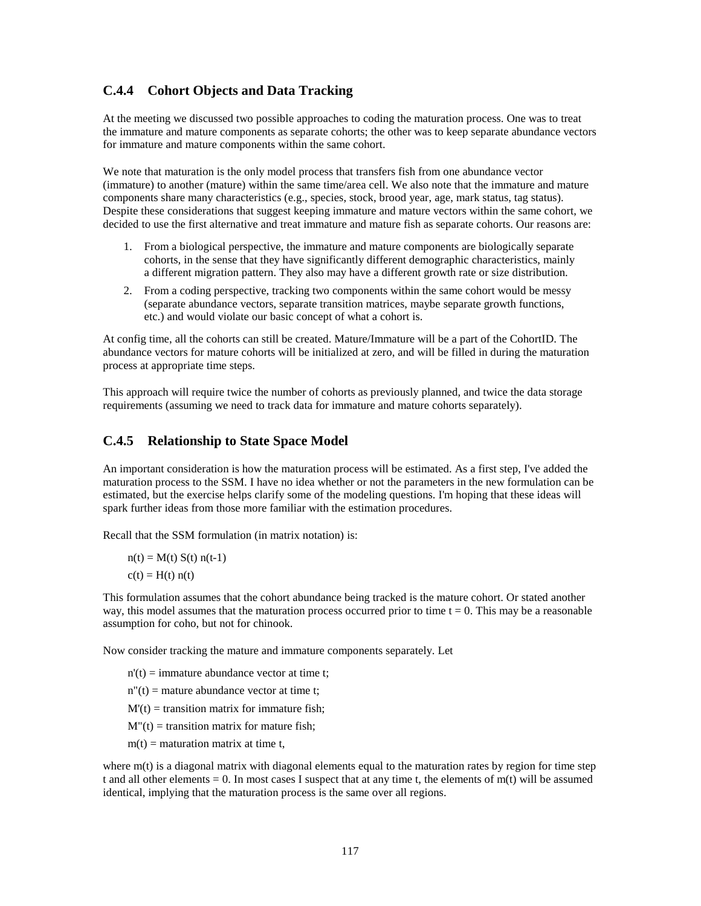### **C.4.4 Cohort Objects and Data Tracking**

At the meeting we discussed two possible approaches to coding the maturation process. One was to treat the immature and mature components as separate cohorts; the other was to keep separate abundance vectors for immature and mature components within the same cohort.

We note that maturation is the only model process that transfers fish from one abundance vector (immature) to another (mature) within the same time/area cell. We also note that the immature and mature components share many characteristics (e.g., species, stock, brood year, age, mark status, tag status). Despite these considerations that suggest keeping immature and mature vectors within the same cohort, we decided to use the first alternative and treat immature and mature fish as separate cohorts. Our reasons are:

- 1. From a biological perspective, the immature and mature components are biologically separate cohorts, in the sense that they have significantly different demographic characteristics, mainly a different migration pattern. They also may have a different growth rate or size distribution.
- 2. From a coding perspective, tracking two components within the same cohort would be messy (separate abundance vectors, separate transition matrices, maybe separate growth functions, etc.) and would violate our basic concept of what a cohort is.

At config time, all the cohorts can still be created. Mature/Immature will be a part of the CohortID. The abundance vectors for mature cohorts will be initialized at zero, and will be filled in during the maturation process at appropriate time steps.

This approach will require twice the number of cohorts as previously planned, and twice the data storage requirements (assuming we need to track data for immature and mature cohorts separately).

#### **C.4.5 Relationship to State Space Model**

An important consideration is how the maturation process will be estimated. As a first step, I've added the maturation process to the SSM. I have no idea whether or not the parameters in the new formulation can be estimated, but the exercise helps clarify some of the modeling questions. I'm hoping that these ideas will spark further ideas from those more familiar with the estimation procedures.

Recall that the SSM formulation (in matrix notation) is:

 $n(t) = M(t) S(t) n(t-1)$  $c(t) = H(t) n(t)$ 

This formulation assumes that the cohort abundance being tracked is the mature cohort. Or stated another way, this model assumes that the maturation process occurred prior to time  $t = 0$ . This may be a reasonable assumption for coho, but not for chinook.

Now consider tracking the mature and immature components separately. Let

- $n'(t) = \text{immature abundance vector at time } t;$
- $n''(t)$  = mature abundance vector at time t;
- $M'(t)$  = transition matrix for immature fish;
- $M''(t)$  = transition matrix for mature fish;
- $m(t)$  = maturation matrix at time t,

where  $m(t)$  is a diagonal matrix with diagonal elements equal to the maturation rates by region for time step t and all other elements = 0. In most cases I suspect that at any time t, the elements of m(t) will be assumed identical, implying that the maturation process is the same over all regions.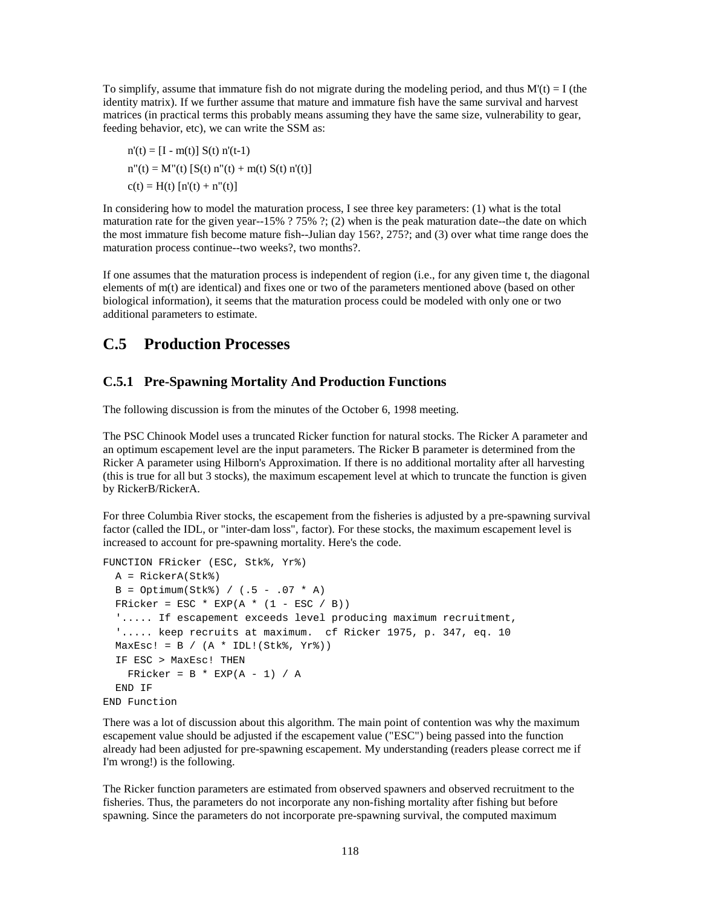To simplify, assume that immature fish do not migrate during the modeling period, and thus  $M'(t) = I$  (the identity matrix). If we further assume that mature and immature fish have the same survival and harvest matrices (in practical terms this probably means assuming they have the same size, vulnerability to gear, feeding behavior, etc), we can write the SSM as:

 $n'(t) = [I - m(t)] S(t) n'(t-1)$  $n''(t) = M''(t) [S(t) n''(t) + m(t) S(t) n'(t)]$  $c(t) = H(t) [n'(t) + n''(t)]$ 

In considering how to model the maturation process, I see three key parameters: (1) what is the total maturation rate for the given year--15% ? 75% ?; (2) when is the peak maturation date--the date on which the most immature fish become mature fish--Julian day 156?, 275?; and (3) over what time range does the maturation process continue--two weeks?, two months?.

If one assumes that the maturation process is independent of region (i.e., for any given time t, the diagonal elements of m(t) are identical) and fixes one or two of the parameters mentioned above (based on other biological information), it seems that the maturation process could be modeled with only one or two additional parameters to estimate.

# **C.5 Production Processes**

# **C.5.1 Pre-Spawning Mortality And Production Functions**

The following discussion is from the minutes of the October 6, 1998 meeting.

The PSC Chinook Model uses a truncated Ricker function for natural stocks. The Ricker A parameter and an optimum escapement level are the input parameters. The Ricker B parameter is determined from the Ricker A parameter using Hilborn's Approximation. If there is no additional mortality after all harvesting (this is true for all but 3 stocks), the maximum escapement level at which to truncate the function is given by RickerB/RickerA.

For three Columbia River stocks, the escapement from the fisheries is adjusted by a pre-spawning survival factor (called the IDL, or "inter-dam loss", factor). For these stocks, the maximum escapement level is increased to account for pre-spawning mortality. Here's the code.

```
FUNCTION FRicker (ESC, Stk%, Yr%)
  A = RickerA(Stk%)
 B = Optimum(Stk*) / (.5 - .07 * A)FRicker = ESC * EXP(A * (1 - ESC / B))
  '..... If escapement exceeds level producing maximum recruitment,
   '..... keep recruits at maximum. cf Ricker 1975, p. 347, eq. 10
 MaxEsc! = B / (A * IDL!(Stk*, Yr*)) IF ESC > MaxEsc! THEN
   FRicker = B * EXP(A - 1) / A END IF
END Function
```
There was a lot of discussion about this algorithm. The main point of contention was why the maximum escapement value should be adjusted if the escapement value ("ESC") being passed into the function already had been adjusted for pre-spawning escapement. My understanding (readers please correct me if I'm wrong!) is the following.

The Ricker function parameters are estimated from observed spawners and observed recruitment to the fisheries. Thus, the parameters do not incorporate any non-fishing mortality after fishing but before spawning. Since the parameters do not incorporate pre-spawning survival, the computed maximum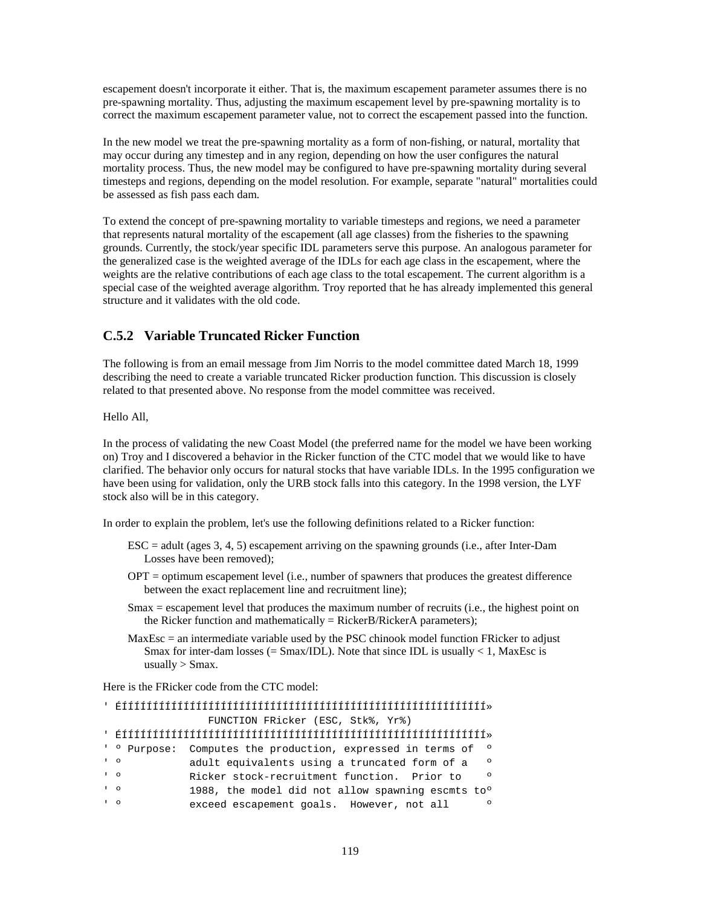escapement doesn't incorporate it either. That is, the maximum escapement parameter assumes there is no pre-spawning mortality. Thus, adjusting the maximum escapement level by pre-spawning mortality is to correct the maximum escapement parameter value, not to correct the escapement passed into the function.

In the new model we treat the pre-spawning mortality as a form of non-fishing, or natural, mortality that may occur during any timestep and in any region, depending on how the user configures the natural mortality process. Thus, the new model may be configured to have pre-spawning mortality during several timesteps and regions, depending on the model resolution. For example, separate "natural" mortalities could be assessed as fish pass each dam.

To extend the concept of pre-spawning mortality to variable timesteps and regions, we need a parameter that represents natural mortality of the escapement (all age classes) from the fisheries to the spawning grounds. Currently, the stock/year specific IDL parameters serve this purpose. An analogous parameter for the generalized case is the weighted average of the IDLs for each age class in the escapement, where the weights are the relative contributions of each age class to the total escapement. The current algorithm is a special case of the weighted average algorithm. Troy reported that he has already implemented this general structure and it validates with the old code.

# **C.5.2 Variable Truncated Ricker Function**

The following is from an email message from Jim Norris to the model committee dated March 18, 1999 describing the need to create a variable truncated Ricker production function. This discussion is closely related to that presented above. No response from the model committee was received.

Hello All,

In the process of validating the new Coast Model (the preferred name for the model we have been working on) Troy and I discovered a behavior in the Ricker function of the CTC model that we would like to have clarified. The behavior only occurs for natural stocks that have variable IDLs. In the 1995 configuration we have been using for validation, only the URB stock falls into this category. In the 1998 version, the LYF stock also will be in this category.

In order to explain the problem, let's use the following definitions related to a Ricker function:

- ESC = adult (ages 3, 4, 5) escapement arriving on the spawning grounds (i.e., after Inter-Dam Losses have been removed);
- OPT = optimum escapement level (i.e., number of spawners that produces the greatest difference between the exact replacement line and recruitment line);
- Smax = escapement level that produces the maximum number of recruits (i.e., the highest point on the Ricker function and mathematically = RickerB/RickerA parameters);
- MaxEsc = an intermediate variable used by the PSC chinook model function FRicker to adjust Smax for inter-dam losses (=  $S$ max/IDL). Note that since IDL is usually  $< 1$ , MaxEsc is usually  $>$  Smax.

Here is the FRicker code from the CTC model:

|                  | FUNCTION FRicker (ESC, Stk%, Yr%) |                                                               |  |  |  |  |  |  |  |  |
|------------------|-----------------------------------|---------------------------------------------------------------|--|--|--|--|--|--|--|--|
|                  |                                   |                                                               |  |  |  |  |  |  |  |  |
|                  | ' ° Purpose:                      | Computes the production, expressed in terms of<br>$\circ$     |  |  |  |  |  |  |  |  |
| $1 \quad Q$      |                                   | adult equivalents using a truncated form of a<br>$\Omega$     |  |  |  |  |  |  |  |  |
| $\overline{1}$ 0 |                                   | Ricker stock-recruitment function. Prior to<br>$\Omega$       |  |  |  |  |  |  |  |  |
| $\overline{1}$ 0 |                                   | 1988, the model did not allow spawning escmts to <sup>o</sup> |  |  |  |  |  |  |  |  |
| $\overline{1}$ 0 |                                   | exceed escapement goals. However, not all<br>$\Omega$         |  |  |  |  |  |  |  |  |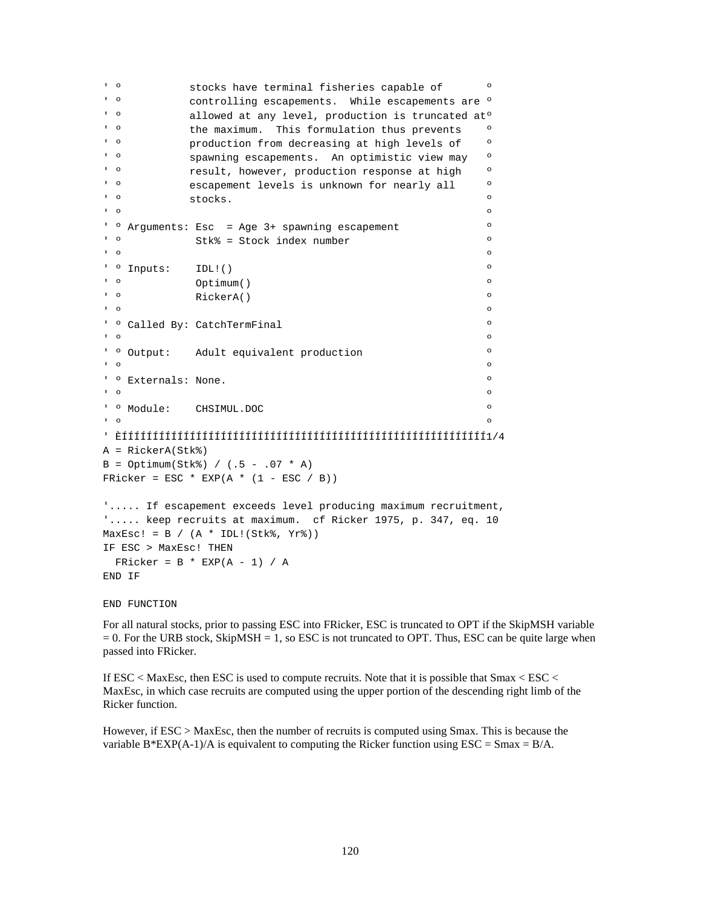```
' <sup>o</sup> stocks have terminal fisheries capable of \overline{ } <sup>o</sup>
' º controlling escapements. While escapements are º
' º allowed at any level, production is truncated atº
' <sup>o</sup> the maximum. This formulation thus prevents <sup>o</sup>
' ° Production from decreasing at high levels of '
' º spawning escapements. An optimistic view may º
' \degree result, however, production response at high \degree' º escapement levels is unknown for nearly all º
\blacksquare \blacksquare \blacksquare \blacksquare \blacksquare \blacksquare \blacksquare \blacksquare \blacksquare \blacksquare \blacksquare \blacksquare \blacksquare \blacksquare \blacksquare \blacksquare \blacksquare \blacksquare \blacksquare \blacksquare \blacksquare \blacksquare \blacksquare \blacksquare \blacksquare \blacksquare \blacksquare \blacksquare \blacksquare \blacksquare \blacksquare \blacksquare\begin{array}{ccc} \circ & \circ & \circ \end{array}' º Arguments: Esc = Age 3+ spawning escapement º
' º Stk% = Stock index number º
' º º
' º Inputs: IDL!() º
' º Optimum() º
' º RickerA() º
\begin{array}{ccc} \circ & \circ & \circ \end{array}' º Called By: CatchTermFinal º
\begin{array}{ccc} \circ & \circ & \circ \end{array}' º Output: Adult equivalent production º
\begin{array}{ccc} \circ & \circ & \circ \end{array}' º Externals: None. º
\begin{array}{ccc} \circ & \circ & \circ \end{array}' º Module: CHSIMUL.DOC º
' º º
' ÈÍÍÍÍÍÍÍÍÍÍÍÍÍÍÍÍÍÍÍÍÍÍÍÍÍÍÍÍÍÍÍÍÍÍÍÍÍÍÍÍÍÍÍÍÍÍÍÍÍÍÍÍÍÍÍÍÍÍÍ1/4
A = RickerA(Stk%)
B = Optimum(Stk*) / (.5 - .07 * A)FRicker = ESC * EXP(A * (1 - ESC / B))
'..... If escapement exceeds level producing maximum recruitment,
'..... keep recruits at maximum. cf Ricker 1975, p. 347, eq. 10
MaxEsc! = B / (A * IDL!(Stk*, Yr*))IF ESC > MaxEsc! THEN
 FRicker = B * EXP(A - 1) / AEND IF
```
END FUNCTION

For all natural stocks, prior to passing ESC into FRicker, ESC is truncated to OPT if the SkipMSH variable  $= 0$ . For the URB stock, SkipMSH  $= 1$ , so ESC is not truncated to OPT. Thus, ESC can be quite large when passed into FRicker.

If ESC < MaxEsc, then ESC is used to compute recruits. Note that it is possible that Smax < ESC < MaxEsc, in which case recruits are computed using the upper portion of the descending right limb of the Ricker function.

However, if ESC > MaxEsc, then the number of recruits is computed using Smax. This is because the variable B\*EXP(A-1)/A is equivalent to computing the Ricker function using  $\text{ESC} = \text{Smax} = \text{B/A}$ .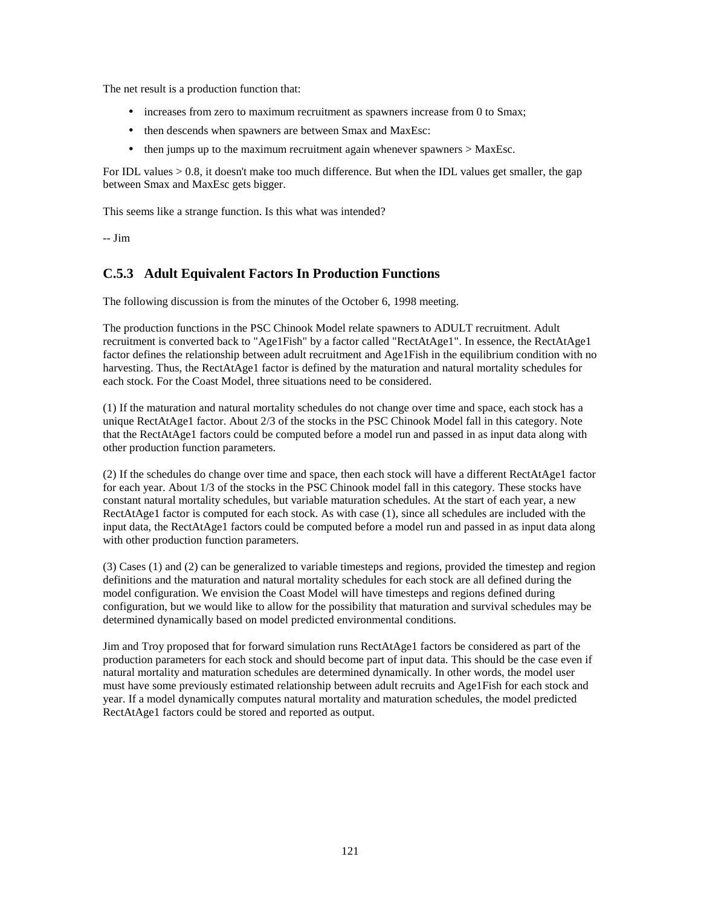The net result is a production function that:

- increases from zero to maximum recruitment as spawners increase from 0 to Smax;
- then descends when spawners are between Smax and MaxEsc:
- then jumps up to the maximum recruitment again whenever spawners > MaxEsc.

For IDL values > 0.8, it doesn't make too much difference. But when the IDL values get smaller, the gap between Smax and MaxEsc gets bigger.

This seems like a strange function. Is this what was intended?

-- Jim

# **C.5.3 Adult Equivalent Factors In Production Functions**

The following discussion is from the minutes of the October 6, 1998 meeting.

The production functions in the PSC Chinook Model relate spawners to ADULT recruitment. Adult recruitment is converted back to "Age1Fish" by a factor called "RectAtAge1". In essence, the RectAtAge1 factor defines the relationship between adult recruitment and Age1Fish in the equilibrium condition with no harvesting. Thus, the RectAtAge1 factor is defined by the maturation and natural mortality schedules for each stock. For the Coast Model, three situations need to be considered.

(1) If the maturation and natural mortality schedules do not change over time and space, each stock has a unique RectAtAge1 factor. About 2/3 of the stocks in the PSC Chinook Model fall in this category. Note that the RectAtAge1 factors could be computed before a model run and passed in as input data along with other production function parameters.

(2) If the schedules do change over time and space, then each stock will have a different RectAtAge1 factor for each year. About 1/3 of the stocks in the PSC Chinook model fall in this category. These stocks have constant natural mortality schedules, but variable maturation schedules. At the start of each year, a new RectAtAge1 factor is computed for each stock. As with case (1), since all schedules are included with the input data, the RectAtAge1 factors could be computed before a model run and passed in as input data along with other production function parameters.

(3) Cases (1) and (2) can be generalized to variable timesteps and regions, provided the timestep and region definitions and the maturation and natural mortality schedules for each stock are all defined during the model configuration. We envision the Coast Model will have timesteps and regions defined during configuration, but we would like to allow for the possibility that maturation and survival schedules may be determined dynamically based on model predicted environmental conditions.

Jim and Troy proposed that for forward simulation runs RectAtAge1 factors be considered as part of the production parameters for each stock and should become part of input data. This should be the case even if natural mortality and maturation schedules are determined dynamically. In other words, the model user must have some previously estimated relationship between adult recruits and Age1Fish for each stock and year. If a model dynamically computes natural mortality and maturation schedules, the model predicted RectAtAge1 factors could be stored and reported as output.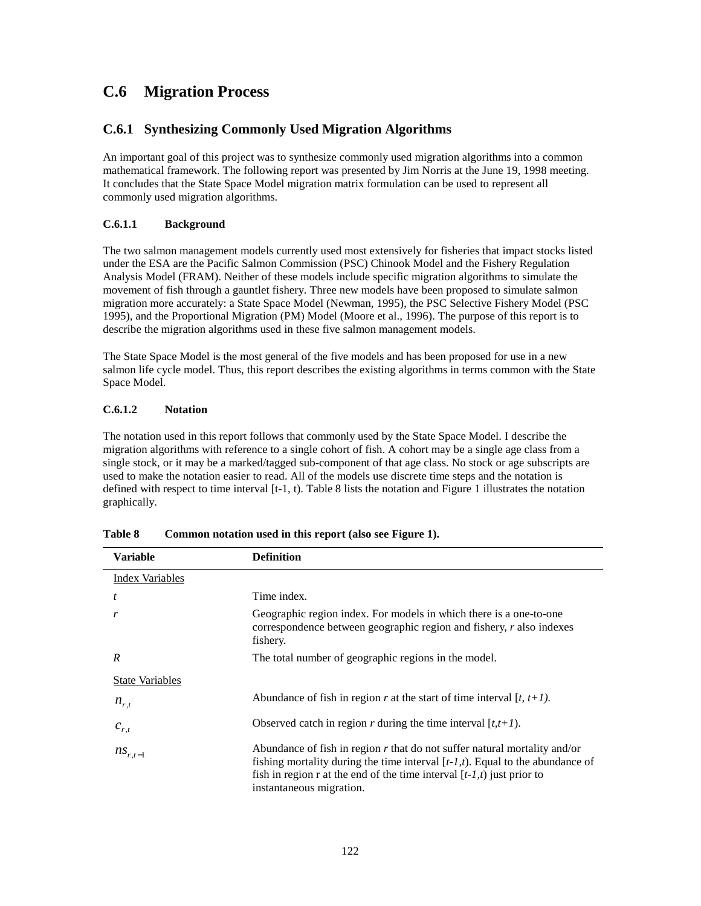# **C.6 Migration Process**

# **C.6.1 Synthesizing Commonly Used Migration Algorithms**

An important goal of this project was to synthesize commonly used migration algorithms into a common mathematical framework. The following report was presented by Jim Norris at the June 19, 1998 meeting. It concludes that the State Space Model migration matrix formulation can be used to represent all commonly used migration algorithms.

#### **C.6.1.1 Background**

The two salmon management models currently used most extensively for fisheries that impact stocks listed under the ESA are the Pacific Salmon Commission (PSC) Chinook Model and the Fishery Regulation Analysis Model (FRAM). Neither of these models include specific migration algorithms to simulate the movement of fish through a gauntlet fishery. Three new models have been proposed to simulate salmon migration more accurately: a State Space Model (Newman, 1995), the PSC Selective Fishery Model (PSC 1995), and the Proportional Migration (PM) Model (Moore et al., 1996). The purpose of this report is to describe the migration algorithms used in these five salmon management models.

The State Space Model is the most general of the five models and has been proposed for use in a new salmon life cycle model. Thus, this report describes the existing algorithms in terms common with the State Space Model.

#### **C.6.1.2 Notation**

The notation used in this report follows that commonly used by the State Space Model. I describe the migration algorithms with reference to a single cohort of fish. A cohort may be a single age class from a single stock, or it may be a marked/tagged sub-component of that age class. No stock or age subscripts are used to make the notation easier to read. All of the models use discrete time steps and the notation is defined with respect to time interval  $[t-1, t)$ . Table 8 lists the notation and Figure 1 illustrates the notation graphically.

| <b>Variable</b>        | <b>Definition</b>                                                                                                                                                                                                                                                       |
|------------------------|-------------------------------------------------------------------------------------------------------------------------------------------------------------------------------------------------------------------------------------------------------------------------|
| <b>Index Variables</b> |                                                                                                                                                                                                                                                                         |
| t                      | Time index.                                                                                                                                                                                                                                                             |
| r                      | Geographic region index. For models in which there is a one-to-one<br>correspondence between geographic region and fishery, r also indexes<br>fishery.                                                                                                                  |
| R                      | The total number of geographic regions in the model.                                                                                                                                                                                                                    |
| <b>State Variables</b> |                                                                                                                                                                                                                                                                         |
| $n_{r,t}$              | Abundance of fish in region r at the start of time interval $[t, t+1)$ .                                                                                                                                                                                                |
| $c_{r,t}$              | Observed catch in region r during the time interval $[t, t+1)$ .                                                                                                                                                                                                        |
| $ns_{r,t-1}$           | Abundance of fish in region $r$ that do not suffer natural mortality and/or<br>fishing mortality during the time interval $[t-1,t)$ . Equal to the abundance of<br>fish in region r at the end of the time interval $[t-1,t)$ just prior to<br>instantaneous migration. |

**Table 8 Common notation used in this report (also see Figure 1).**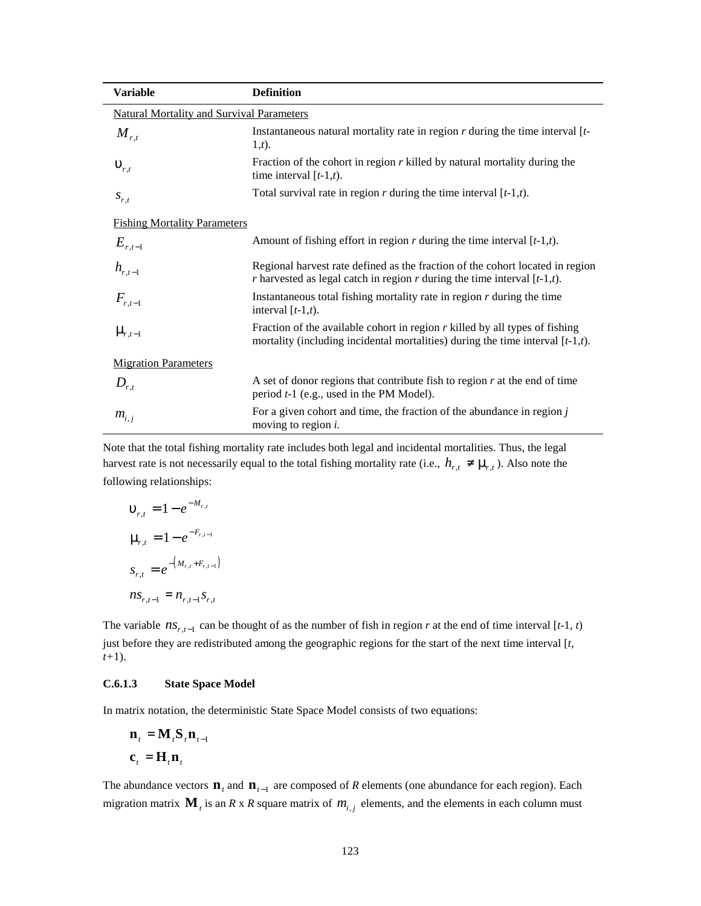| <b>Variable</b>                                  | <b>Definition</b>                                                                                                                                                  |
|--------------------------------------------------|--------------------------------------------------------------------------------------------------------------------------------------------------------------------|
| <b>Natural Mortality and Survival Parameters</b> |                                                                                                                                                                    |
| $M_{r,t}$                                        | Instantaneous natural mortality rate in region $r$ during the time interval $[t-$<br>(1,t).                                                                        |
| $\boldsymbol{u}_{r,t}$                           | Fraction of the cohort in region $r$ killed by natural mortality during the<br>time interval $[t-1,t)$ .                                                           |
| $S_{r,t}$                                        | Total survival rate in region $r$ during the time interval $[t-1,t)$ .                                                                                             |
| <b>Fishing Mortality Parameters</b>              |                                                                                                                                                                    |
| $E_{r,t-1}$                                      | Amount of fishing effort in region $r$ during the time interval $[t-1,t)$ .                                                                                        |
| $h_{r,t-1}$                                      | Regional harvest rate defined as the fraction of the cohort located in region<br>r harvested as legal catch in region r during the time interval $[t-1,t)$ .       |
| $F_{r,t-1}$                                      | Instantaneous total fishing mortality rate in region $r$ during the time<br>interval $[t-1,t)$ .                                                                   |
| $\mathbf{m}_{r,t-1}$                             | Fraction of the available cohort in region $r$ killed by all types of fishing<br>mortality (including incidental mortalities) during the time interval $[t-1,t)$ . |
| <b>Migration Parameters</b>                      |                                                                                                                                                                    |
| $D_{r,t}$                                        | A set of donor regions that contribute fish to region $r$ at the end of time<br>period $t-1$ (e.g., used in the PM Model).                                         |
| $m_{i,j}$                                        | For a given cohort and time, the fraction of the abundance in region $j$<br>moving to region $i$ .                                                                 |

Note that the total fishing mortality rate includes both legal and incidental mortalities. Thus, the legal harvest rate is not necessarily equal to the total fishing mortality rate (i.e.,  $h_{r,t} \neq m_{r,t}$ ). Also note the following relationships:

$$
\mathbf{u}_{r,t} = 1 - e^{-M_{r,t}}
$$
  
\n
$$
\mathbf{m}_{r,t} = 1 - e^{-F_{r,t-1}}
$$
  
\n
$$
s_{r,t} = e^{-\left(M_{r,t} + F_{r,t-1}\right)}
$$
  
\n
$$
n s_{r,t-1} = n_{r,t-1} s_{r,t}
$$

 $\overline{\phantom{0}}$ 

The variable  $ns_{r,t-1}$  can be thought of as the number of fish in region *r* at the end of time interval [*t*-1, *t*) just before they are redistributed among the geographic regions for the start of the next time interval [*t*, *t+*1).

#### **C.6.1.3 State Space Model**

In matrix notation, the deterministic State Space Model consists of two equations:

$$
\mathbf{n}_{t} = \mathbf{M}_{t} \mathbf{S}_{t} \mathbf{n}_{t-1}
$$

$$
\mathbf{c}_{t} = \mathbf{H}_{t} \mathbf{n}_{t}
$$

The abundance vectors  $\mathbf{n}_t$  and  $\mathbf{n}_{t-1}$  are composed of *R* elements (one abundance for each region). Each migration matrix  $\mathbf{M}_t$  is an *R* x *R* square matrix of  $m_{i,j}$  elements, and the elements in each column must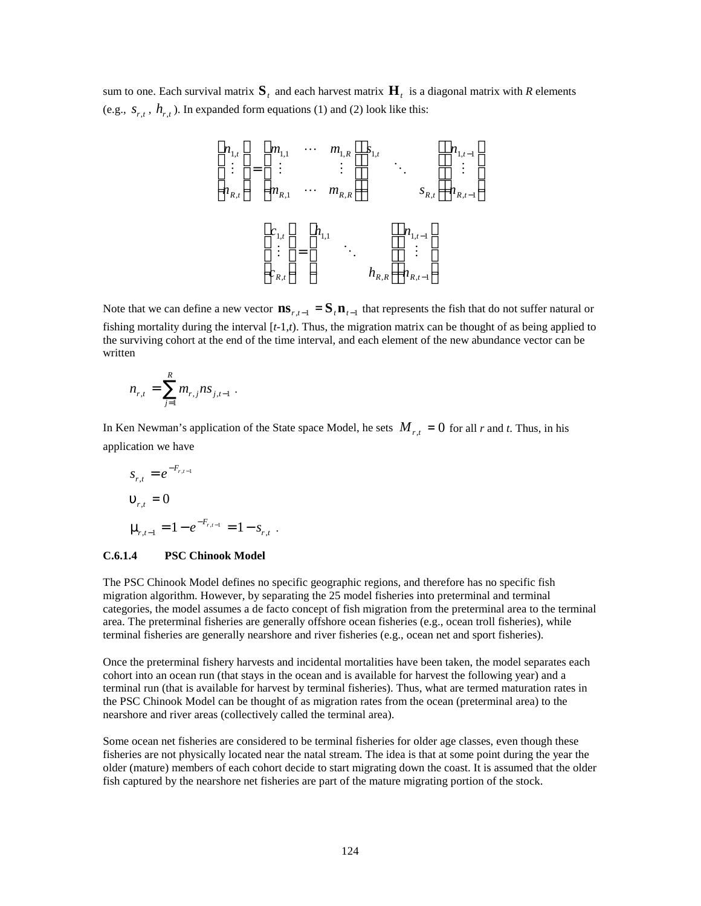sum to one. Each survival matrix  $\mathbf{S}_t$  and each harvest matrix  $\mathbf{H}_t$  is a diagonal matrix with *R* elements (e.g.,  $S_{r,t}$ ,  $h_{r,t}$ ). In expanded form equations (1) and (2) look like this:

$$
\begin{bmatrix}\nn_{1,t} \\
\vdots \\
n_{R,t}\n\end{bmatrix} =\n\begin{bmatrix}\nm_{1,1} & \cdots & m_{1,R} \\
\vdots & & \vdots \\
m_{R,1} & \cdots & m_{R,R}\n\end{bmatrix}\n\begin{bmatrix}\ns_{1,t} \\
\vdots \\
\vdots \\
\vdots \\
\vdots \\
c_{R,t}\n\end{bmatrix}\n\begin{bmatrix}\nn_{1,t-1} \\
\vdots \\
\vdots \\
n_{R,t}\n\end{bmatrix}\n\begin{bmatrix}\nn_{1,t-1} \\
\vdots \\
n_{R,t}\n\end{bmatrix}
$$

Note that we can define a new vector  $\mathbf{ns}_{r,t-1} = \mathbf{S}_t \mathbf{n}_{t-1}$  that represents the fish that do not suffer natural or fishing mortality during the interval [*t*-1,*t*). Thus, the migration matrix can be thought of as being applied to the surviving cohort at the end of the time interval, and each element of the new abundance vector can be written

$$
n_{r,t} = \sum_{j=1}^R m_{r,j} n s_{j,t-1} .
$$

In Ken Newman's application of the State space Model, he sets  $M_{r,t} = 0$  for all *r* and *t*. Thus, in his application we have

.

$$
s_{r,t} = e^{-F_{r,t-1}}
$$
  

$$
\mathbf{u}_{r,t} = 0
$$
  

$$
\mathbf{m}_{r,t-1} = 1 - e^{-F_{r,t-1}} = 1 - s_{r,t}
$$

#### **C.6.1.4 PSC Chinook Model**

The PSC Chinook Model defines no specific geographic regions, and therefore has no specific fish migration algorithm. However, by separating the 25 model fisheries into preterminal and terminal categories, the model assumes a de facto concept of fish migration from the preterminal area to the terminal area. The preterminal fisheries are generally offshore ocean fisheries (e.g., ocean troll fisheries), while terminal fisheries are generally nearshore and river fisheries (e.g., ocean net and sport fisheries).

Once the preterminal fishery harvests and incidental mortalities have been taken, the model separates each cohort into an ocean run (that stays in the ocean and is available for harvest the following year) and a terminal run (that is available for harvest by terminal fisheries). Thus, what are termed maturation rates in the PSC Chinook Model can be thought of as migration rates from the ocean (preterminal area) to the nearshore and river areas (collectively called the terminal area).

Some ocean net fisheries are considered to be terminal fisheries for older age classes, even though these fisheries are not physically located near the natal stream. The idea is that at some point during the year the older (mature) members of each cohort decide to start migrating down the coast. It is assumed that the older fish captured by the nearshore net fisheries are part of the mature migrating portion of the stock.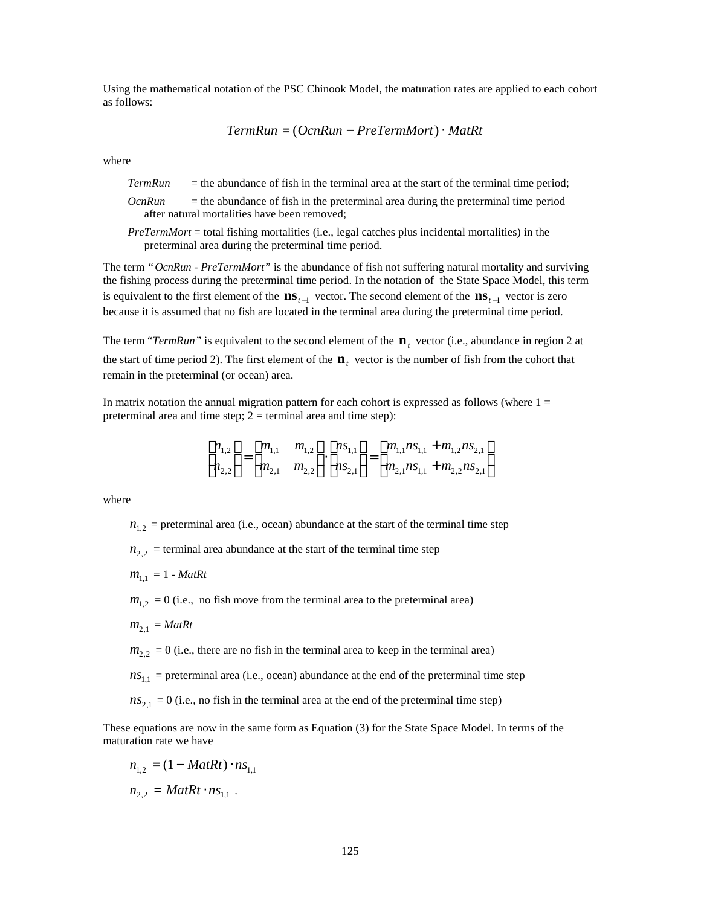Using the mathematical notation of the PSC Chinook Model, the maturation rates are applied to each cohort as follows:

$$
TermRun = (OcnRun - PreTermMort) \cdot MatRt
$$

where

*TermRun* = the abundance of fish in the terminal area at the start of the terminal time period;

- *OcnRun* = the abundance of fish in the preterminal area during the preterminal time period after natural mortalities have been removed;
- *PreTermMort* = total fishing mortalities (i.e., legal catches plus incidental mortalities) in the preterminal area during the preterminal time period.

The term *"OcnRun* - *PreTermMort"* is the abundance of fish not suffering natural mortality and surviving the fishing process during the preterminal time period. In the notation of the State Space Model, this term is equivalent to the first element of the  $\mathbf{ns}_{t-1}$  vector. The second element of the  $\mathbf{ns}_{t-1}$  vector is zero because it is assumed that no fish are located in the terminal area during the preterminal time period.

The term "*TermRun*" is equivalent to the second element of the  $\mathbf{n}_t$  vector (i.e., abundance in region 2 at the start of time period 2). The first element of the  $\mathbf{n}_t$  vector is the number of fish from the cohort that remain in the preterminal (or ocean) area.

In matrix notation the annual migration pattern for each cohort is expressed as follows (where  $1 =$ preterminal area and time step;  $2 =$  terminal area and time step):

$$
\begin{bmatrix} n_{1,2} \\ n_{2,2} \end{bmatrix} = \begin{bmatrix} m_{1,1} & m_{1,2} \\ m_{2,1} & m_{2,2} \end{bmatrix} \cdot \begin{bmatrix} n_{1,1} \\ n_{2,1} \end{bmatrix} = \begin{bmatrix} m_{1,1} n_{1,1} + m_{1,2} n_{2,1} \\ m_{2,1} n_{1,1} + m_{2,2} n_{2,1} \end{bmatrix}
$$

where

 $n_{1,2}$  = preterminal area (i.e., ocean) abundance at the start of the terminal time step

 $n_{2,2}$  = terminal area abundance at the start of the terminal time step

 $m_{1,1} = 1 - \text{MatR}$ t

 $m_{1,2} = 0$  (i.e., no fish move from the terminal area to the preterminal area)

$$
m_{2,1} = \text{MatR}t
$$

 $m_{2,2} = 0$  (i.e., there are no fish in the terminal area to keep in the terminal area)

 $ns_{1,1}$  = preterminal area (i.e., ocean) abundance at the end of the preterminal time step

 $ns_{2,1} = 0$  (i.e., no fish in the terminal area at the end of the preterminal time step)

These equations are now in the same form as Equation (3) for the State Space Model. In terms of the maturation rate we have

$$
n_{1,2} = (1 - \text{MatRt}) \cdot n_{1,1}
$$
  

$$
n_{2,2} = \text{MatRt} \cdot n_{1,1} \ .
$$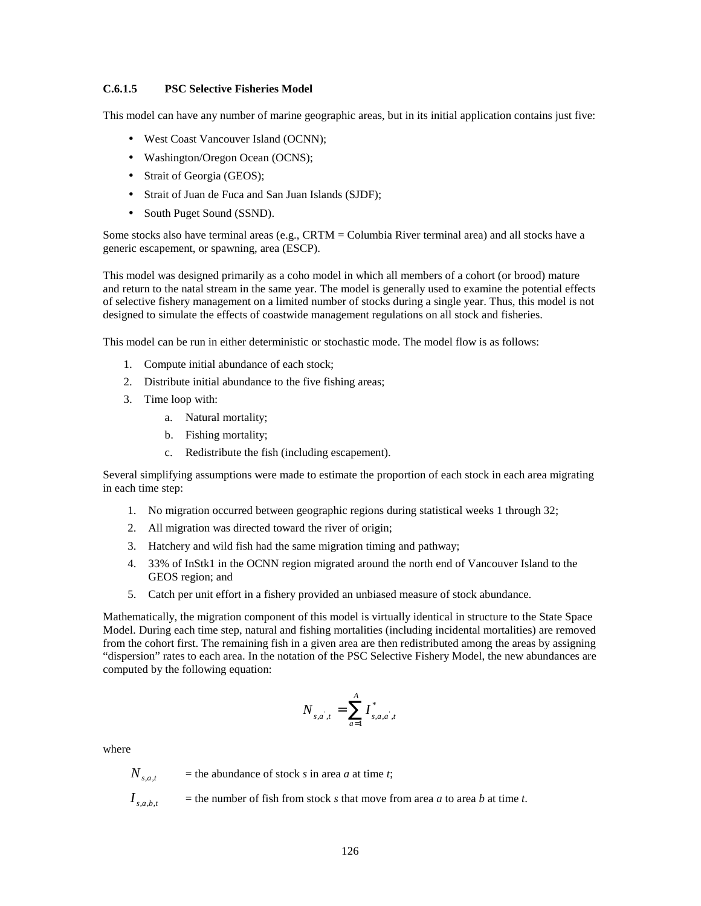#### **C.6.1.5 PSC Selective Fisheries Model**

This model can have any number of marine geographic areas, but in its initial application contains just five:

- West Coast Vancouver Island (OCNN);
- Washington/Oregon Ocean (OCNS);
- Strait of Georgia (GEOS);
- Strait of Juan de Fuca and San Juan Islands (SJDF);
- South Puget Sound (SSND).

Some stocks also have terminal areas (e.g., CRTM = Columbia River terminal area) and all stocks have a generic escapement, or spawning, area (ESCP).

This model was designed primarily as a coho model in which all members of a cohort (or brood) mature and return to the natal stream in the same year. The model is generally used to examine the potential effects of selective fishery management on a limited number of stocks during a single year. Thus, this model is not designed to simulate the effects of coastwide management regulations on all stock and fisheries.

This model can be run in either deterministic or stochastic mode. The model flow is as follows:

- 1. Compute initial abundance of each stock;
- 2. Distribute initial abundance to the five fishing areas;
- 3. Time loop with:
	- a. Natural mortality;
	- b. Fishing mortality;
	- c. Redistribute the fish (including escapement).

Several simplifying assumptions were made to estimate the proportion of each stock in each area migrating in each time step:

- 1. No migration occurred between geographic regions during statistical weeks 1 through 32;
- 2. All migration was directed toward the river of origin;
- 3. Hatchery and wild fish had the same migration timing and pathway;
- 4. 33% of InStk1 in the OCNN region migrated around the north end of Vancouver Island to the GEOS region; and
- 5. Catch per unit effort in a fishery provided an unbiased measure of stock abundance.

Mathematically, the migration component of this model is virtually identical in structure to the State Space Model. During each time step, natural and fishing mortalities (including incidental mortalities) are removed from the cohort first. The remaining fish in a given area are then redistributed among the areas by assigning "dispersion" rates to each area. In the notation of the PSC Selective Fishery Model, the new abundances are computed by the following equation:

$$
N_{s,a^{'},t} = \sum_{a=1}^{A} I_{s,a,a^{'},t}^{*}
$$

where

*Ns*,*a*,*<sup>t</sup>*  $=$  the abundance of stock *s* in area *a* at time *t*;

 $I_{\text{sat}}$  $=$  the number of fish from stock *s* that move from area *a* to area *b* at time *t*.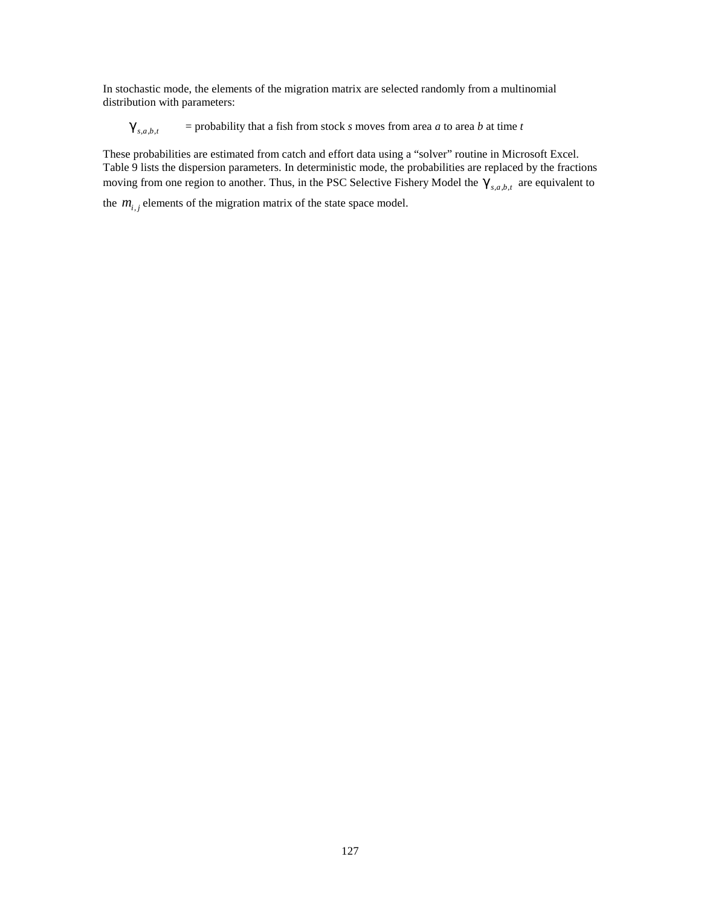In stochastic mode, the elements of the migration matrix are selected randomly from a multinomial distribution with parameters:

 $E$ <sub>*s*,*a*,*b*,*t*</sub>  $=$  probability that a fish from stock *s* moves from area *a* to area *b* at time *t* 

These probabilities are estimated from catch and effort data using a "solver" routine in Microsoft Excel. Table 9 lists the dispersion parameters. In deterministic mode, the probabilities are replaced by the fractions moving from one region to another. Thus, in the PSC Selective Fishery Model the  $\mathbf{g}_{s,a,b,t}$  are equivalent to

the  $m_{i,j}$  elements of the migration matrix of the state space model.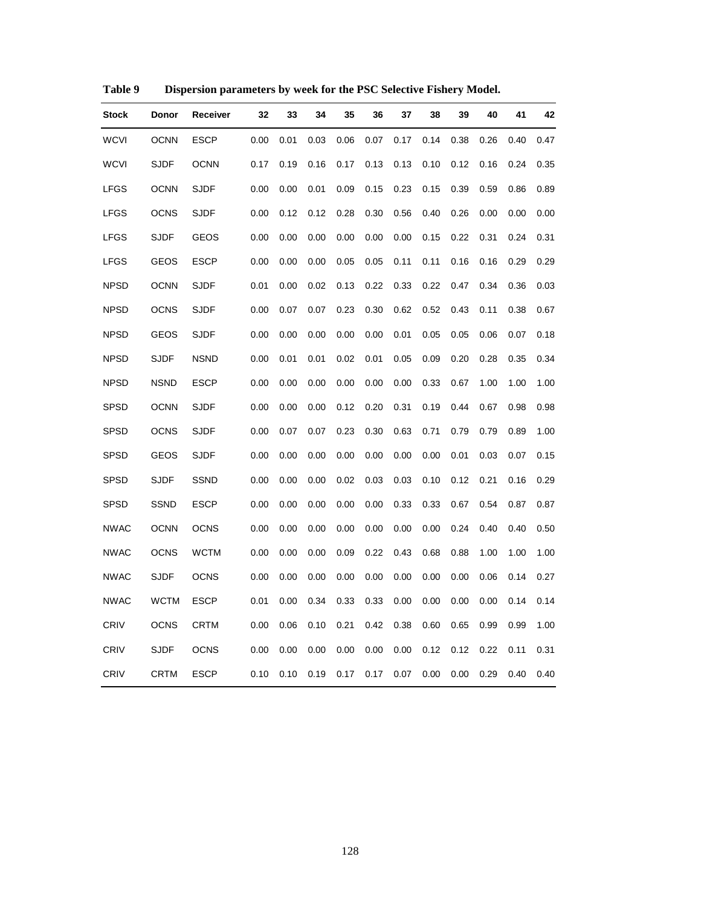| <b>Stock</b> | Donor       | Receiver    | 32   | 33   | 34   | 35   | 36   | 37   | 38   | 39   | 40   | 41   | 42   |
|--------------|-------------|-------------|------|------|------|------|------|------|------|------|------|------|------|
| <b>WCVI</b>  | <b>OCNN</b> | <b>ESCP</b> | 0.00 | 0.01 | 0.03 | 0.06 | 0.07 | 0.17 | 0.14 | 0.38 | 0.26 | 0.40 | 0.47 |
| <b>WCVI</b>  | <b>SJDF</b> | <b>OCNN</b> | 0.17 | 0.19 | 0.16 | 0.17 | 0.13 | 0.13 | 0.10 | 0.12 | 0.16 | 0.24 | 0.35 |
| <b>LFGS</b>  | <b>OCNN</b> | <b>SJDF</b> | 0.00 | 0.00 | 0.01 | 0.09 | 0.15 | 0.23 | 0.15 | 0.39 | 0.59 | 0.86 | 0.89 |
| <b>LFGS</b>  | <b>OCNS</b> | <b>SJDF</b> | 0.00 | 0.12 | 0.12 | 0.28 | 0.30 | 0.56 | 0.40 | 0.26 | 0.00 | 0.00 | 0.00 |
| LFGS         | <b>SJDF</b> | <b>GEOS</b> | 0.00 | 0.00 | 0.00 | 0.00 | 0.00 | 0.00 | 0.15 | 0.22 | 0.31 | 0.24 | 0.31 |
| <b>LFGS</b>  | <b>GEOS</b> | <b>ESCP</b> | 0.00 | 0.00 | 0.00 | 0.05 | 0.05 | 0.11 | 0.11 | 0.16 | 0.16 | 0.29 | 0.29 |
| <b>NPSD</b>  | <b>OCNN</b> | <b>SJDF</b> | 0.01 | 0.00 | 0.02 | 0.13 | 0.22 | 0.33 | 0.22 | 0.47 | 0.34 | 0.36 | 0.03 |
| <b>NPSD</b>  | <b>OCNS</b> | <b>SJDF</b> | 0.00 | 0.07 | 0.07 | 0.23 | 0.30 | 0.62 | 0.52 | 0.43 | 0.11 | 0.38 | 0.67 |
| <b>NPSD</b>  | GEOS        | <b>SJDF</b> | 0.00 | 0.00 | 0.00 | 0.00 | 0.00 | 0.01 | 0.05 | 0.05 | 0.06 | 0.07 | 0.18 |
| <b>NPSD</b>  | <b>SJDF</b> | <b>NSND</b> | 0.00 | 0.01 | 0.01 | 0.02 | 0.01 | 0.05 | 0.09 | 0.20 | 0.28 | 0.35 | 0.34 |
| <b>NPSD</b>  | <b>NSND</b> | <b>ESCP</b> | 0.00 | 0.00 | 0.00 | 0.00 | 0.00 | 0.00 | 0.33 | 0.67 | 1.00 | 1.00 | 1.00 |
| <b>SPSD</b>  | <b>OCNN</b> | <b>SJDF</b> | 0.00 | 0.00 | 0.00 | 0.12 | 0.20 | 0.31 | 0.19 | 0.44 | 0.67 | 0.98 | 0.98 |
| <b>SPSD</b>  | <b>OCNS</b> | <b>SJDF</b> | 0.00 | 0.07 | 0.07 | 0.23 | 0.30 | 0.63 | 0.71 | 0.79 | 0.79 | 0.89 | 1.00 |
| SPSD         | <b>GEOS</b> | <b>SJDF</b> | 0.00 | 0.00 | 0.00 | 0.00 | 0.00 | 0.00 | 0.00 | 0.01 | 0.03 | 0.07 | 0.15 |
| <b>SPSD</b>  | <b>SJDF</b> | <b>SSND</b> | 0.00 | 0.00 | 0.00 | 0.02 | 0.03 | 0.03 | 0.10 | 0.12 | 0.21 | 0.16 | 0.29 |
| <b>SPSD</b>  | <b>SSND</b> | <b>ESCP</b> | 0.00 | 0.00 | 0.00 | 0.00 | 0.00 | 0.33 | 0.33 | 0.67 | 0.54 | 0.87 | 0.87 |
| <b>NWAC</b>  | <b>OCNN</b> | <b>OCNS</b> | 0.00 | 0.00 | 0.00 | 0.00 | 0.00 | 0.00 | 0.00 | 0.24 | 0.40 | 0.40 | 0.50 |
| <b>NWAC</b>  | <b>OCNS</b> | <b>WCTM</b> | 0.00 | 0.00 | 0.00 | 0.09 | 0.22 | 0.43 | 0.68 | 0.88 | 1.00 | 1.00 | 1.00 |
| <b>NWAC</b>  | <b>SJDF</b> | <b>OCNS</b> | 0.00 | 0.00 | 0.00 | 0.00 | 0.00 | 0.00 | 0.00 | 0.00 | 0.06 | 0.14 | 0.27 |
| <b>NWAC</b>  | <b>WCTM</b> | <b>ESCP</b> | 0.01 | 0.00 | 0.34 | 0.33 | 0.33 | 0.00 | 0.00 | 0.00 | 0.00 | 0.14 | 0.14 |
| CRIV         | <b>OCNS</b> | <b>CRTM</b> | 0.00 | 0.06 | 0.10 | 0.21 | 0.42 | 0.38 | 0.60 | 0.65 | 0.99 | 0.99 | 1.00 |
| <b>CRIV</b>  | <b>SJDF</b> | <b>OCNS</b> | 0.00 | 0.00 | 0.00 | 0.00 | 0.00 | 0.00 | 0.12 | 0.12 | 0.22 | 0.11 | 0.31 |
| CRIV         | <b>CRTM</b> | <b>ESCP</b> | 0.10 | 0.10 | 0.19 | 0.17 | 0.17 | 0.07 | 0.00 | 0.00 | 0.29 | 0.40 | 0.40 |

**Table 9 Dispersion parameters by week for the PSC Selective Fishery Model.**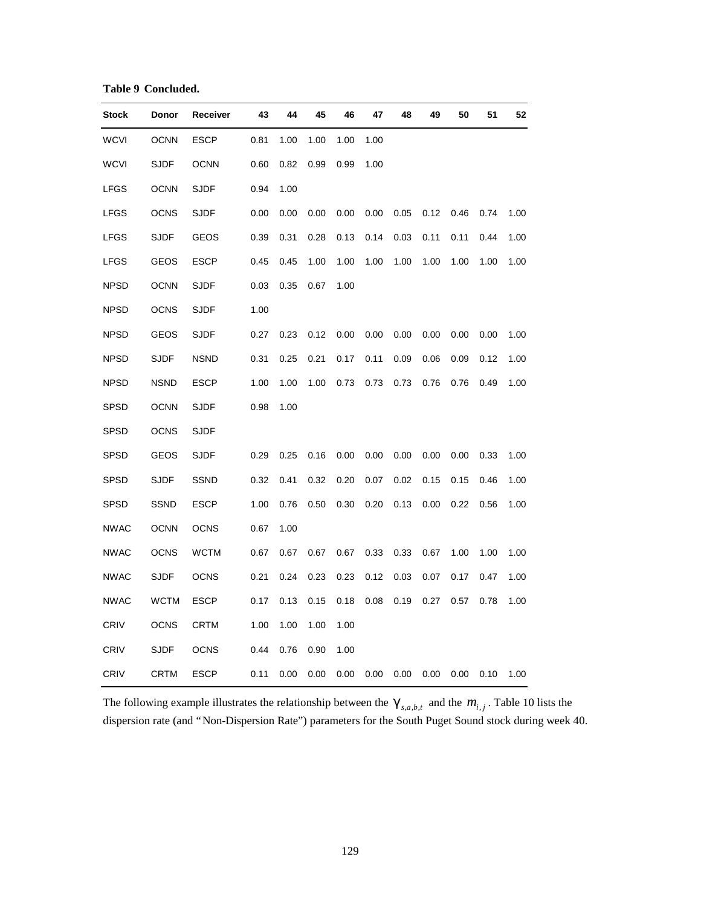**Table 9 Concluded.**

| <b>Stock</b> | Donor       | Receiver    | 43   | 44   | 45   | 46   | 47   | 48   | 49   | 50   | 51   | 52   |
|--------------|-------------|-------------|------|------|------|------|------|------|------|------|------|------|
| <b>WCVI</b>  | <b>OCNN</b> | <b>ESCP</b> | 0.81 | 1.00 | 1.00 | 1.00 | 1.00 |      |      |      |      |      |
| <b>WCVI</b>  | <b>SJDF</b> | <b>OCNN</b> | 0.60 | 0.82 | 0.99 | 0.99 | 1.00 |      |      |      |      |      |
| <b>LFGS</b>  | <b>OCNN</b> | <b>SJDF</b> | 0.94 | 1.00 |      |      |      |      |      |      |      |      |
| <b>LFGS</b>  | <b>OCNS</b> | <b>SJDF</b> | 0.00 | 0.00 | 0.00 | 0.00 | 0.00 | 0.05 | 0.12 | 0.46 | 0.74 | 1.00 |
| <b>LFGS</b>  | <b>SJDF</b> | <b>GEOS</b> | 0.39 | 0.31 | 0.28 | 0.13 | 0.14 | 0.03 | 0.11 | 0.11 | 0.44 | 1.00 |
| <b>LFGS</b>  | GEOS        | <b>ESCP</b> | 0.45 | 0.45 | 1.00 | 1.00 | 1.00 | 1.00 | 1.00 | 1.00 | 1.00 | 1.00 |
| <b>NPSD</b>  | <b>OCNN</b> | <b>SJDF</b> | 0.03 | 0.35 | 0.67 | 1.00 |      |      |      |      |      |      |
| <b>NPSD</b>  | <b>OCNS</b> | <b>SJDF</b> | 1.00 |      |      |      |      |      |      |      |      |      |
| <b>NPSD</b>  | GEOS        | <b>SJDF</b> | 0.27 | 0.23 | 0.12 | 0.00 | 0.00 | 0.00 | 0.00 | 0.00 | 0.00 | 1.00 |
| <b>NPSD</b>  | <b>SJDF</b> | <b>NSND</b> | 0.31 | 0.25 | 0.21 | 0.17 | 0.11 | 0.09 | 0.06 | 0.09 | 0.12 | 1.00 |
| <b>NPSD</b>  | <b>NSND</b> | <b>ESCP</b> | 1.00 | 1.00 | 1.00 | 0.73 | 0.73 | 0.73 | 0.76 | 0.76 | 0.49 | 1.00 |
| <b>SPSD</b>  | <b>OCNN</b> | <b>SJDF</b> | 0.98 | 1.00 |      |      |      |      |      |      |      |      |
| <b>SPSD</b>  | <b>OCNS</b> | <b>SJDF</b> |      |      |      |      |      |      |      |      |      |      |
| <b>SPSD</b>  | GEOS        | <b>SJDF</b> | 0.29 | 0.25 | 0.16 | 0.00 | 0.00 | 0.00 | 0.00 | 0.00 | 0.33 | 1.00 |
| <b>SPSD</b>  | <b>SJDF</b> | SSND        | 0.32 | 0.41 | 0.32 | 0.20 | 0.07 | 0.02 | 0.15 | 0.15 | 0.46 | 1.00 |
| <b>SPSD</b>  | SSND        | <b>ESCP</b> | 1.00 | 0.76 | 0.50 | 0.30 | 0.20 | 0.13 | 0.00 | 0.22 | 0.56 | 1.00 |
| <b>NWAC</b>  | <b>OCNN</b> | <b>OCNS</b> | 0.67 | 1.00 |      |      |      |      |      |      |      |      |
| <b>NWAC</b>  | OCNS        | <b>WCTM</b> | 0.67 | 0.67 | 0.67 | 0.67 | 0.33 | 0.33 | 0.67 | 1.00 | 1.00 | 1.00 |
| <b>NWAC</b>  | <b>SJDF</b> | <b>OCNS</b> | 0.21 | 0.24 | 0.23 | 0.23 | 0.12 | 0.03 | 0.07 | 0.17 | 0.47 | 1.00 |
| <b>NWAC</b>  | <b>WCTM</b> | <b>ESCP</b> | 0.17 | 0.13 | 0.15 | 0.18 | 0.08 | 0.19 | 0.27 | 0.57 | 0.78 | 1.00 |
| <b>CRIV</b>  | <b>OCNS</b> | <b>CRTM</b> | 1.00 | 1.00 | 1.00 | 1.00 |      |      |      |      |      |      |
| <b>CRIV</b>  | <b>SJDF</b> | <b>OCNS</b> | 0.44 | 0.76 | 0.90 | 1.00 |      |      |      |      |      |      |
| CRIV         | <b>CRTM</b> | <b>ESCP</b> | 0.11 | 0.00 | 0.00 | 0.00 | 0.00 | 0.00 | 0.00 | 0.00 | 0.10 | 1.00 |

The following example illustrates the relationship between the  $\mathbf{g}_{s,a,b,t}$  and the  $m_{i,j}$ . Table 10 lists the dispersion rate (and "Non-Dispersion Rate") parameters for the South Puget Sound stock during week 40.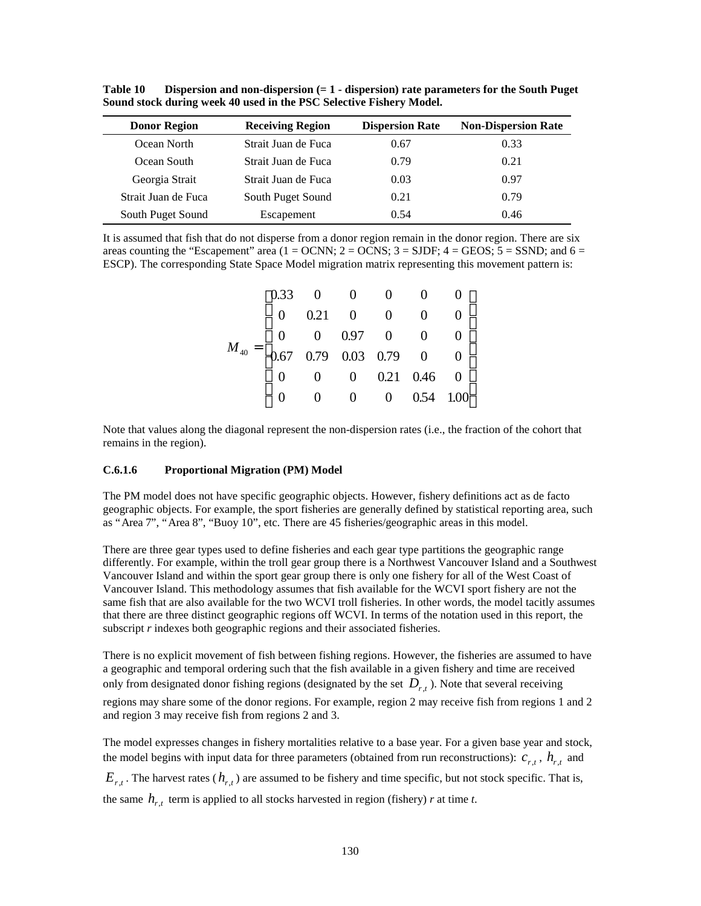| <b>Donor Region</b> | <b>Receiving Region</b> | <b>Dispersion Rate</b> | <b>Non-Dispersion Rate</b> |
|---------------------|-------------------------|------------------------|----------------------------|
| Ocean North         | Strait Juan de Fuca     | 0.67                   | 0.33                       |
| Ocean South         | Strait Juan de Fuca     | 0.79                   | 0.21                       |
| Georgia Strait      | Strait Juan de Fuca     | 0.03                   | 0.97                       |
| Strait Juan de Fuca | South Puget Sound       | 0.21                   | 0.79                       |
| South Puget Sound   | Escapement              | 0.54                   | 0.46                       |

**Table 10 Dispersion and non-dispersion (= 1 - dispersion) rate parameters for the South Puget Sound stock during week 40 used in the PSC Selective Fishery Model.**

It is assumed that fish that do not disperse from a donor region remain in the donor region. There are six areas counting the "Escapement" area ( $1 = OCNN$ ;  $2 = OONS$ ;  $3 = SIDF$ ;  $4 = GEOS$ ;  $5 = SSDD$ ; and  $6 =$ ESCP). The corresponding State Space Model migration matrix representing this movement pattern is:

| $M_{_{40}}= \begin{bmatrix} 0.33 & 0 & 0 & 0 & 0 & 0 \\ 0 & 0.21 & 0 & 0 & 0 & 0 \\ 0 & 0 & 0.97 & 0 & 0 & 0 \\ 0.67 & 0.79 & 0.03 & 0.79 & 0 & 0 \\ 0 & 0 & 0 & 0.21 & 0.46 & 0 \\ 0 & 0 & 0 & 0 & 0.54 & 1.00 \end{bmatrix}$ |  |  |  |
|--------------------------------------------------------------------------------------------------------------------------------------------------------------------------------------------------------------------------------|--|--|--|
|                                                                                                                                                                                                                                |  |  |  |
|                                                                                                                                                                                                                                |  |  |  |
|                                                                                                                                                                                                                                |  |  |  |

Note that values along the diagonal represent the non-dispersion rates (i.e., the fraction of the cohort that remains in the region).

#### **C.6.1.6 Proportional Migration (PM) Model**

The PM model does not have specific geographic objects. However, fishery definitions act as de facto geographic objects. For example, the sport fisheries are generally defined by statistical reporting area, such as "Area 7", "Area 8", "Buoy 10", etc. There are 45 fisheries/geographic areas in this model.

There are three gear types used to define fisheries and each gear type partitions the geographic range differently. For example, within the troll gear group there is a Northwest Vancouver Island and a Southwest Vancouver Island and within the sport gear group there is only one fishery for all of the West Coast of Vancouver Island. This methodology assumes that fish available for the WCVI sport fishery are not the same fish that are also available for the two WCVI troll fisheries. In other words, the model tacitly assumes that there are three distinct geographic regions off WCVI. In terms of the notation used in this report, the subscript *r* indexes both geographic regions and their associated fisheries.

There is no explicit movement of fish between fishing regions. However, the fisheries are assumed to have a geographic and temporal ordering such that the fish available in a given fishery and time are received only from designated donor fishing regions (designated by the set *Dr*,*<sup>t</sup>* ). Note that several receiving regions may share some of the donor regions. For example, region 2 may receive fish from regions 1 and 2 and region 3 may receive fish from regions 2 and 3.

The model expresses changes in fishery mortalities relative to a base year. For a given base year and stock, the model begins with input data for three parameters (obtained from run reconstructions):  $c_{r,t}$ ,  $h_{r,t}$  and

 $E_{r,t}$ . The harvest rates ( $h_{r,t}$ ) are assumed to be fishery and time specific, but not stock specific. That is, the same  $h_{r,t}$  term is applied to all stocks harvested in region (fishery) *r* at time *t*.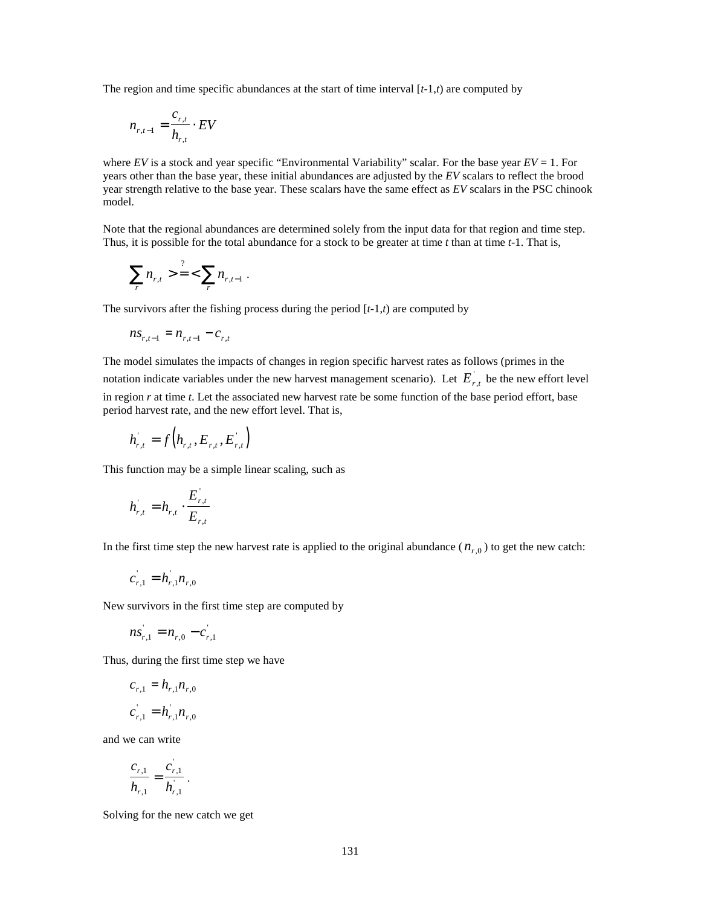The region and time specific abundances at the start of time interval  $[t-1,t)$  are computed by

$$
n_{r,t-1} = \frac{c_{r,t}}{h_{r,t}} \cdot EV
$$

where *EV* is a stock and year specific "Environmental Variability" scalar. For the base year *EV* = 1. For years other than the base year, these initial abundances are adjusted by the *EV* scalars to reflect the brood year strength relative to the base year. These scalars have the same effect as *EV* scalars in the PSC chinook model.

Note that the regional abundances are determined solely from the input data for that region and time step. Thus, it is possible for the total abundance for a stock to be greater at time *t* than at time *t*-1. That is,

$$
\sum_{r} n_{r,t} > \frac{?}{1} < \sum_{r} n_{r,t-1} .
$$

The survivors after the fishing process during the period [*t*-1,*t*) are computed by

$$
ns_{r,t-1} = n_{r,t-1} - c_{r,t}
$$

The model simulates the impacts of changes in region specific harvest rates as follows (primes in the notation indicate variables under the new harvest management scenario). Let  $E^{'}_{r,t}$  be the new effort level in region *r* at time *t*. Let the associated new harvest rate be some function of the base period effort, base period harvest rate, and the new effort level. That is,

$$
h_{r,t}^{'} = f\left(h_{r,t}, E_{r,t}, E_{r,t}^{'}\right)
$$

This function may be a simple linear scaling, such as

$$
h_{r,t}^{'} = h_{r,t} \cdot \frac{E_{r,t}^{'} }{E_{r,t}}
$$

In the first time step the new harvest rate is applied to the original abundance  $(n_{r,0})$  to get the new catch:

$$
c_{r,1} = h_{r,1} h_{r,0}
$$

New survivors in the first time step are computed by

$$
ns_{r,1} = n_{r,0} - c_{r,1}
$$

Thus, during the first time step we have

$$
c_{r,1} = h_{r,1} n_{r,0}
$$

$$
c_{r,1} = h_{r,1} n_{r,0}
$$

and we can write

$$
\frac{c_{r,1}}{h_{r,1}} = \frac{c_{r,1}}{h_{r,1}}.
$$

Solving for the new catch we get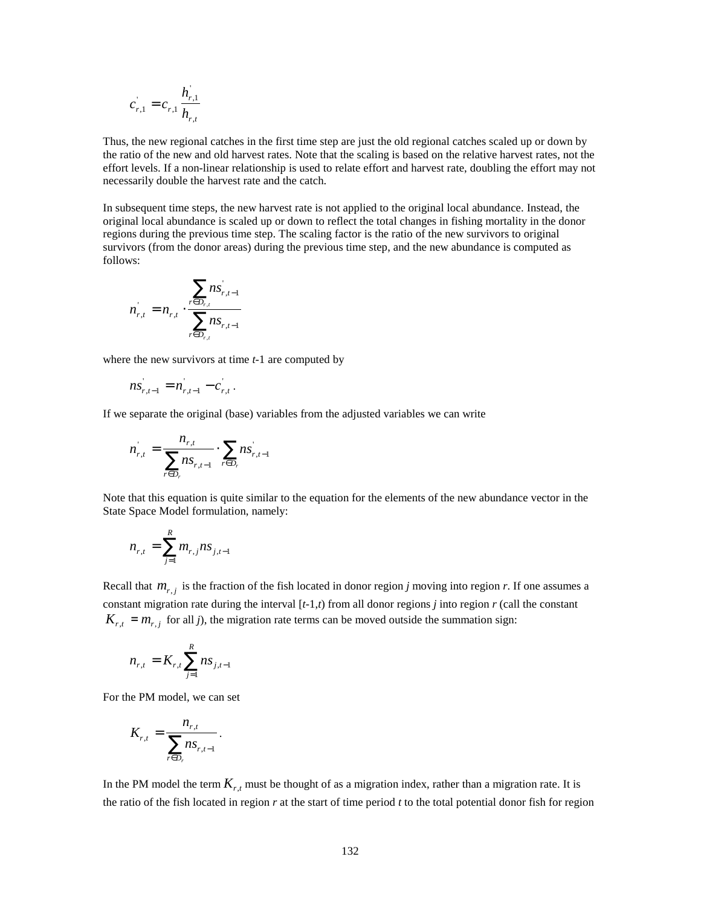$$
c_{r,1} = c_{r,1} \frac{h_{r,1}}{h_{r,t}}
$$

Thus, the new regional catches in the first time step are just the old regional catches scaled up or down by the ratio of the new and old harvest rates. Note that the scaling is based on the relative harvest rates, not the effort levels. If a non-linear relationship is used to relate effort and harvest rate, doubling the effort may not necessarily double the harvest rate and the catch.

In subsequent time steps, the new harvest rate is not applied to the original local abundance. Instead, the original local abundance is scaled up or down to reflect the total changes in fishing mortality in the donor regions during the previous time step. The scaling factor is the ratio of the new survivors to original survivors (from the donor areas) during the previous time step, and the new abundance is computed as follows:

$$
n_{r,t} = n_{r,t} \cdot \frac{\sum_{r \in D_{r,t}} n s_{r,t-1}}{\sum_{r \in D_{r,t}} n s_{r,t-1}}
$$

where the new survivors at time *t*-1 are computed by

$$
ns_{r,t-1} = n_{r,t-1} - c_{r,t}.
$$

If we separate the original (base) variables from the adjusted variables we can write

$$
n_{r,t} = \frac{n_{r,t}}{\sum_{r \in D_r} n s_{r,t-1}} \cdot \sum_{r \in D_r} n s_{r,t-1}
$$

Note that this equation is quite similar to the equation for the elements of the new abundance vector in the State Space Model formulation, namely:

$$
n_{r,t} = \sum_{j=1}^{R} m_{r,j} n s_{j,t-1}
$$

Recall that  $m_{r,j}$  is the fraction of the fish located in donor region *j* moving into region *r*. If one assumes a constant migration rate during the interval  $[t-1,t)$  from all donor regions *j* into region *r* (call the constant  $K_{r,t} = m_{r,j}$  for all *j*), the migration rate terms can be moved outside the summation sign:

$$
n_{r,t} = K_{r,t} \sum_{j=1}^{R} n s_{j,t-1}
$$

For the PM model, we can set

$$
K_{r,t} = \frac{n_{r,t}}{\sum_{r \in D_r} n_{s_{r,t-1}}}.
$$

In the PM model the term  $K_{r,t}$  must be thought of as a migration index, rather than a migration rate. It is the ratio of the fish located in region *r* at the start of time period *t* to the total potential donor fish for region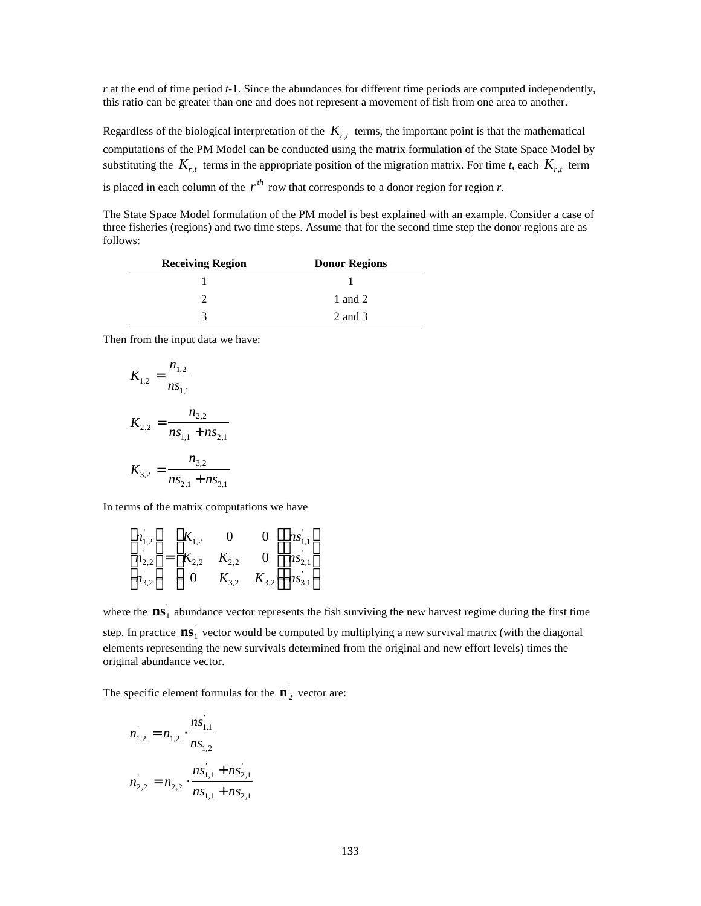*r* at the end of time period *t*-1. Since the abundances for different time periods are computed independently, this ratio can be greater than one and does not represent a movement of fish from one area to another.

Regardless of the biological interpretation of the  $K_{r,t}$  terms, the important point is that the mathematical computations of the PM Model can be conducted using the matrix formulation of the State Space Model by substituting the  $K_{r,t}$  terms in the appropriate position of the migration matrix. For time *t*, each  $K_{r,t}$  term is placed in each column of the  $r^{th}$  row that corresponds to a donor region for region *r*.

The State Space Model formulation of the PM model is best explained with an example. Consider a case of three fisheries (regions) and two time steps. Assume that for the second time step the donor regions are as follows:

| <b>Receiving Region</b> | <b>Donor Regions</b> |
|-------------------------|----------------------|
|                         |                      |
|                         | 1 and 2              |
|                         | 2 and 3              |

Then from the input data we have:

$$
K_{1,2} = \frac{n_{1,2}}{ns_{1,1}}
$$
  

$$
K_{2,2} = \frac{n_{2,2}}{ns_{1,1} + ns_{2,1}}
$$
  

$$
K_{3,2} = \frac{n_{3,2}}{ns_{2,1} + ns_{3,1}}
$$

In terms of the matrix computations we have

| $n_{1,2}$                | $K_{1,2}$                   |           | 0 | $ ns\rceil_{1,1} $     |
|--------------------------|-----------------------------|-----------|---|------------------------|
|                          | $ n_{2,2}^{'}  =  K_{2,2} $ | $K_{2,2}$ | 0 | $ ns_{2,1}^{\dagger} $ |
| $\left  n_{3,2} \right $ |                             | $K_{3,2}$ |   | $K_{3,2}$   $ns_{3,1}$ |

where the  $\textbf{ns}_1$  abundance vector represents the fish surviving the new harvest regime during the first time step. In practice  $\textbf{ns}_1^{\dagger}$  vector would be computed by multiplying a new survival matrix (with the diagonal elements representing the new survivals determined from the original and new effort levels) times the original abundance vector.

The specific element formulas for the  $\mathbf{n}_2$ <sup>'</sup> vector are:

$$
n_{1,2} = n_{1,2} \cdot \frac{ns_{1,1}}{ns_{1,2}}
$$
  

$$
n_{2,2} = n_{2,2} \cdot \frac{ns_{1,1} + ns_{2,1}}{ns_{1,1} + ns_{2,1}}
$$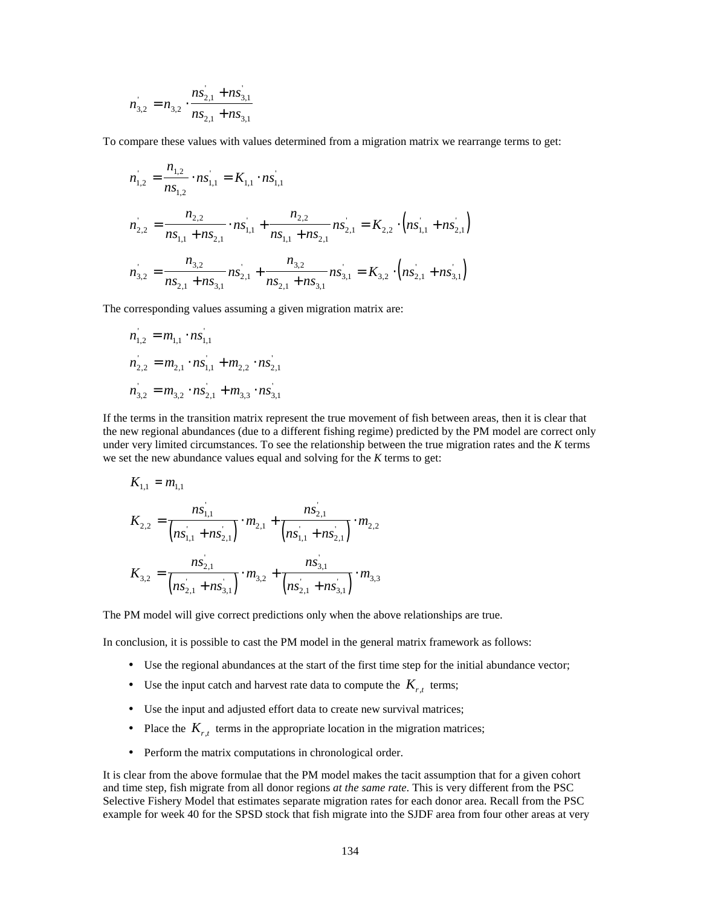$$
n_{3,2} = n_{3,2} \cdot \frac{ns_{2,1} + ns_{3,1}}{ns_{2,1} + ns_{3,1}}
$$

To compare these values with values determined from a migration matrix we rearrange terms to get:

$$
n_{1,2} = \frac{n_{1,2}}{ns_{1,2}} \cdot ns_{1,1} = K_{1,1} \cdot ns_{1,1}^{2}
$$
  
\n
$$
n_{2,2} = \frac{n_{2,2}}{ns_{1,1} + ns_{2,1}} \cdot ns_{1,1}^{2} + \frac{n_{2,2}}{ns_{1,1} + ns_{2,1}} ns_{2,1}^{2} = K_{2,2} \cdot (ns_{1,1}^{2} + ns_{2,1}^{2})
$$
  
\n
$$
n_{3,2} = \frac{n_{3,2}}{ns_{2,1} + ns_{3,1}} ns_{2,1}^{2} + \frac{n_{3,2}}{ns_{2,1} + ns_{3,1}} ns_{3,1}^{2} = K_{3,2} \cdot (ns_{2,1}^{2} + ns_{3,1}^{2})
$$

The corresponding values assuming a given migration matrix are:

$$
n_{1,2} = m_{1,1} \cdot ns_{1,1}
$$
  
\n
$$
n_{2,2} = m_{2,1} \cdot ns_{1,1} + m_{2,2} \cdot ns_{2,1}
$$
  
\n
$$
n_{3,2} = m_{3,2} \cdot ns_{2,1} + m_{3,3} \cdot ns_{3,1}
$$

If the terms in the transition matrix represent the true movement of fish between areas, then it is clear that the new regional abundances (due to a different fishing regime) predicted by the PM model are correct only under very limited circumstances. To see the relationship between the true migration rates and the *K* terms we set the new abundance values equal and solving for the *K* terms to get:

$$
K_{1,1} = m_{1,1}
$$
  
\n
$$
K_{2,2} = \frac{ns_{1,1}^{\prime}}{(ns_{1,1} + ns_{2,1})} \cdot m_{2,1} + \frac{ns_{2,1}^{\prime}}{(ns_{1,1}^{\prime} + ns_{2,1})} \cdot m_{2,2}
$$
  
\n
$$
K_{3,2} = \frac{ns_{2,1}}{(ns_{2,1}^{\prime} + ns_{3,1})} \cdot m_{3,2} + \frac{ns_{3,1}}{(ns_{2,1}^{\prime} + ns_{3,1})} \cdot m_{3,3}
$$

The PM model will give correct predictions only when the above relationships are true.

In conclusion, it is possible to cast the PM model in the general matrix framework as follows:

- Use the regional abundances at the start of the first time step for the initial abundance vector;
- Use the input catch and harvest rate data to compute the  $K_{r,t}$  terms;
- Use the input and adjusted effort data to create new survival matrices;
- Place the  $K_{r,t}$  terms in the appropriate location in the migration matrices;
- Perform the matrix computations in chronological order.

It is clear from the above formulae that the PM model makes the tacit assumption that for a given cohort and time step, fish migrate from all donor regions *at the same rate*. This is very different from the PSC Selective Fishery Model that estimates separate migration rates for each donor area. Recall from the PSC example for week 40 for the SPSD stock that fish migrate into the SJDF area from four other areas at very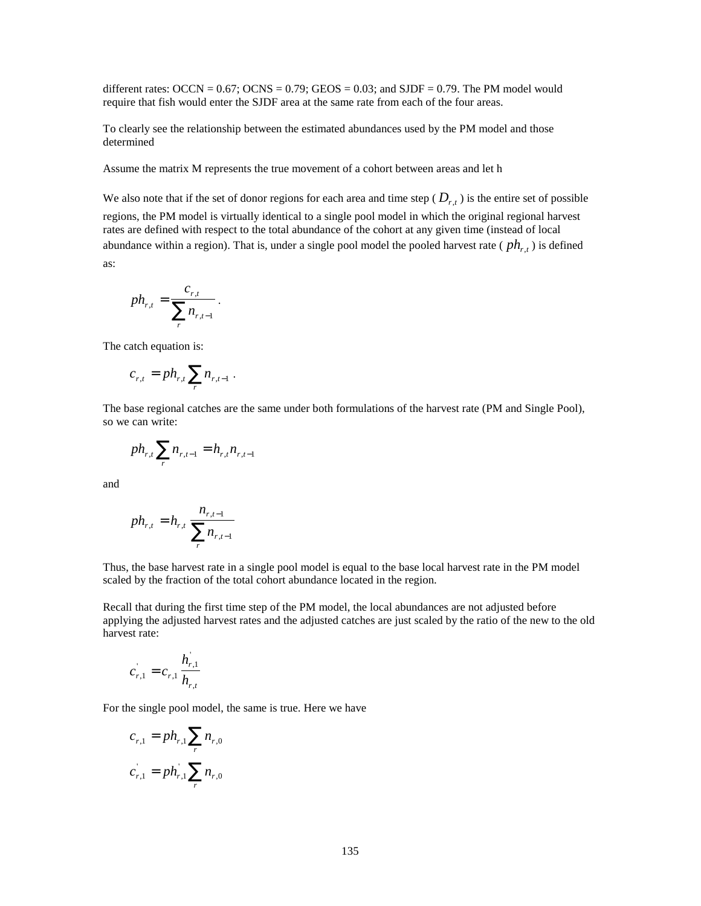different rates:  $OCCN = 0.67$ ;  $OCNS = 0.79$ ;  $GEOS = 0.03$ ; and  $SJDF = 0.79$ . The PM model would require that fish would enter the SJDF area at the same rate from each of the four areas.

To clearly see the relationship between the estimated abundances used by the PM model and those determined

Assume the matrix M represents the true movement of a cohort between areas and let h

We also note that if the set of donor regions for each area and time step  $(D_{r,t})$  is the entire set of possible

regions, the PM model is virtually identical to a single pool model in which the original regional harvest rates are defined with respect to the total abundance of the cohort at any given time (instead of local abundance within a region). That is, under a single pool model the pooled harvest rate ( *phr*,*<sup>t</sup>* ) is defined as:

$$
ph_{r,t} = \frac{c_{r,t}}{\sum_{r} n_{r,t-1}}.
$$

The catch equation is:

$$
c_{r,t} = p h_{r,t} \sum_r n_{r,t-1}.
$$

The base regional catches are the same under both formulations of the harvest rate (PM and Single Pool), so we can write:

$$
ph_{r,t} \sum_{r} n_{r,t-1} = h_{r,t} n_{r,t-1}
$$

and

$$
ph_{r,t} = h_{r,t} \frac{n_{r,t-1}}{\sum_{r} n_{r,t-1}}
$$

Thus, the base harvest rate in a single pool model is equal to the base local harvest rate in the PM model scaled by the fraction of the total cohort abundance located in the region.

Recall that during the first time step of the PM model, the local abundances are not adjusted before applying the adjusted harvest rates and the adjusted catches are just scaled by the ratio of the new to the old harvest rate:

$$
c_{r,1} = c_{r,1} \frac{h_{r,1}}{h_{r,t}}
$$

For the single pool model, the same is true. Here we have

$$
c_{r,1} = ph_{r,1} \sum_{r} n_{r,0}
$$

$$
c_{r,1} = ph_{r,1} \sum_{r} n_{r,0}
$$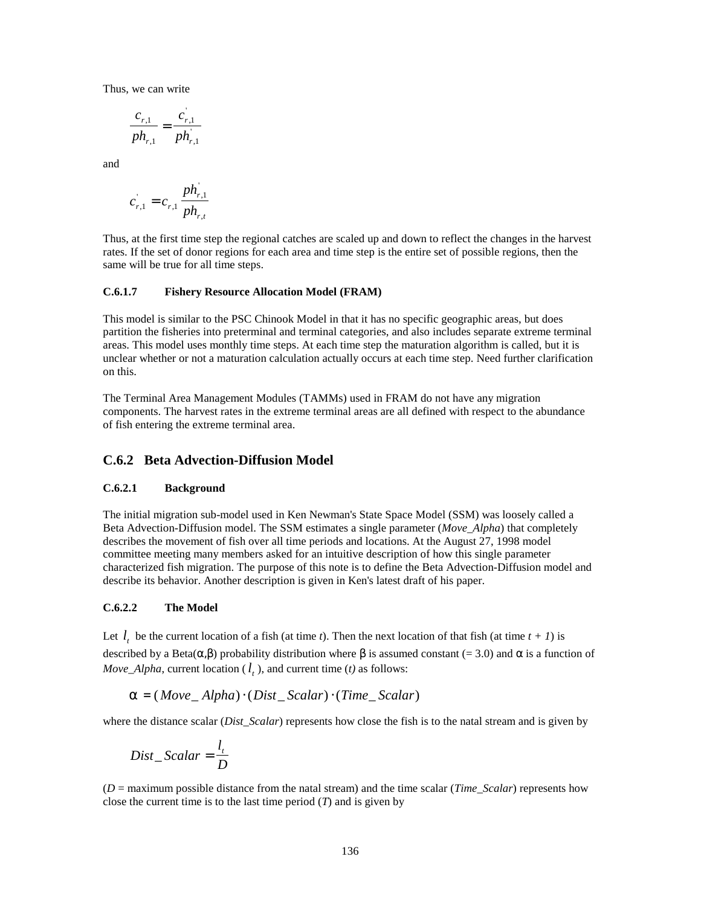Thus, we can write

$$
\frac{c_{r,1}}{ph_{r,1}} = \frac{c_{r,1}}{ph_{r,1}}
$$

and

$$
c_{r,1} = c_{r,1} \frac{ph_{r,1}}{ph_{r,t}}
$$

Thus, at the first time step the regional catches are scaled up and down to reflect the changes in the harvest rates. If the set of donor regions for each area and time step is the entire set of possible regions, then the same will be true for all time steps.

#### **C.6.1.7 Fishery Resource Allocation Model (FRAM)**

This model is similar to the PSC Chinook Model in that it has no specific geographic areas, but does partition the fisheries into preterminal and terminal categories, and also includes separate extreme terminal areas. This model uses monthly time steps. At each time step the maturation algorithm is called, but it is unclear whether or not a maturation calculation actually occurs at each time step. Need further clarification on this.

The Terminal Area Management Modules (TAMMs) used in FRAM do not have any migration components. The harvest rates in the extreme terminal areas are all defined with respect to the abundance of fish entering the extreme terminal area.

#### **C.6.2 Beta Advection-Diffusion Model**

#### **C.6.2.1 Background**

The initial migration sub-model used in Ken Newman's State Space Model (SSM) was loosely called a Beta Advection-Diffusion model. The SSM estimates a single parameter (*Move\_Alpha*) that completely describes the movement of fish over all time periods and locations. At the August 27, 1998 model committee meeting many members asked for an intuitive description of how this single parameter characterized fish migration. The purpose of this note is to define the Beta Advection-Diffusion model and describe its behavior. Another description is given in Ken's latest draft of his paper.

#### **C.6.2.2 The Model**

Let  $l_t$  be the current location of a fish (at time *t*). Then the next location of that fish (at time  $t + 1$ ) is described by a Beta( $a$ , $b$ ) probability distribution where  $b$  is assumed constant (= 3.0) and  $a$  is a function of *Move\_Alpha*, current location ( $l_t$ ), and current time (*t*) as follows:

$$
a = (Move\_Alpha) \cdot (Dist\_Scalar) \cdot (Time\_Scalar)
$$

where the distance scalar (*Dist Scalar*) represents how close the fish is to the natal stream and is given by

$$
Dist\_Scalar = \frac{l_t}{D}
$$

 $(D =$  maximum possible distance from the natal stream) and the time scalar (*Time Scalar*) represents how close the current time is to the last time period  $(T)$  and is given by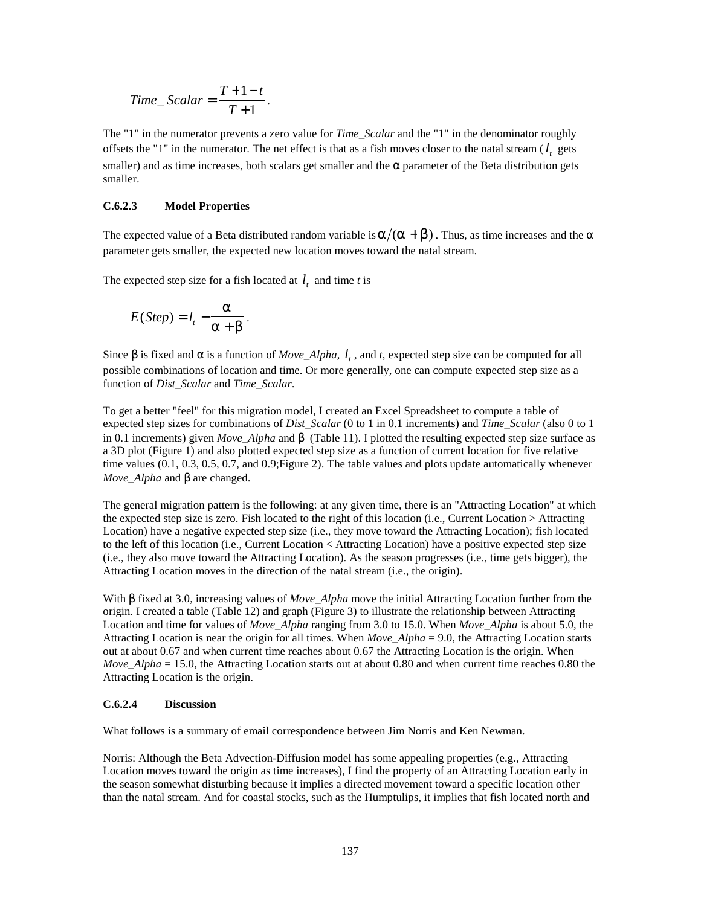$$
Time\_Scalar = \frac{T+1-t}{T+1}.
$$

The "1" in the numerator prevents a zero value for *Time\_Scalar* and the "1" in the denominator roughly offsets the "1" in the numerator. The net effect is that as a fish moves closer to the natal stream  $(l_t)$  gets smaller) and as time increases, both scalars get smaller and the *a* parameter of the Beta distribution gets smaller.

#### **C.6.2.3 Model Properties**

The expected value of a Beta distributed random variable is  $\mathbf{a}/(\mathbf{a} + \mathbf{b})$ . Thus, as time increases and the  $\mathbf{a}$ parameter gets smaller, the expected new location moves toward the natal stream.

The expected step size for a fish located at  $l_t$  and time *t* is

$$
E(Step) = l_{t} - \frac{a}{a+b}.
$$

Since **b** is fixed and **a** is a function of *Move\_Alpha*,  $l_t$ , and t, expected step size can be computed for all possible combinations of location and time. Or more generally, one can compute expected step size as a function of *Dist\_Scalar* and *Time\_Scalar*.

To get a better "feel" for this migration model, I created an Excel Spreadsheet to compute a table of expected step sizes for combinations of *Dist\_Scalar* (0 to 1 in 0.1 increments) and *Time\_Scalar* (also 0 to 1 in 0.1 increments) given *Move\_Alpha* and *b* (Table 11). I plotted the resulting expected step size surface as a 3D plot (Figure 1) and also plotted expected step size as a function of current location for five relative time values (0.1, 0.3, 0.5, 0.7, and 0.9;Figure 2). The table values and plots update automatically whenever *Move\_Alpha* and *b* are changed.

The general migration pattern is the following: at any given time, there is an "Attracting Location" at which the expected step size is zero. Fish located to the right of this location (i.e., Current Location > Attracting Location) have a negative expected step size (i.e., they move toward the Attracting Location); fish located to the left of this location (i.e., Current Location < Attracting Location) have a positive expected step size (i.e., they also move toward the Attracting Location). As the season progresses (i.e., time gets bigger), the Attracting Location moves in the direction of the natal stream (i.e., the origin).

With *b* fixed at 3.0, increasing values of *Move\_Alpha* move the initial Attracting Location further from the origin. I created a table (Table 12) and graph (Figure 3) to illustrate the relationship between Attracting Location and time for values of *Move\_Alpha* ranging from 3.0 to 15.0. When *Move\_Alpha* is about 5.0, the Attracting Location is near the origin for all times. When *Move\_Alpha* = 9.0, the Attracting Location starts out at about 0.67 and when current time reaches about 0.67 the Attracting Location is the origin. When *Move\_Alpha* = 15.0, the Attracting Location starts out at about 0.80 and when current time reaches 0.80 the Attracting Location is the origin.

#### **C.6.2.4 Discussion**

What follows is a summary of email correspondence between Jim Norris and Ken Newman.

Norris: Although the Beta Advection-Diffusion model has some appealing properties (e.g., Attracting Location moves toward the origin as time increases), I find the property of an Attracting Location early in the season somewhat disturbing because it implies a directed movement toward a specific location other than the natal stream. And for coastal stocks, such as the Humptulips, it implies that fish located north and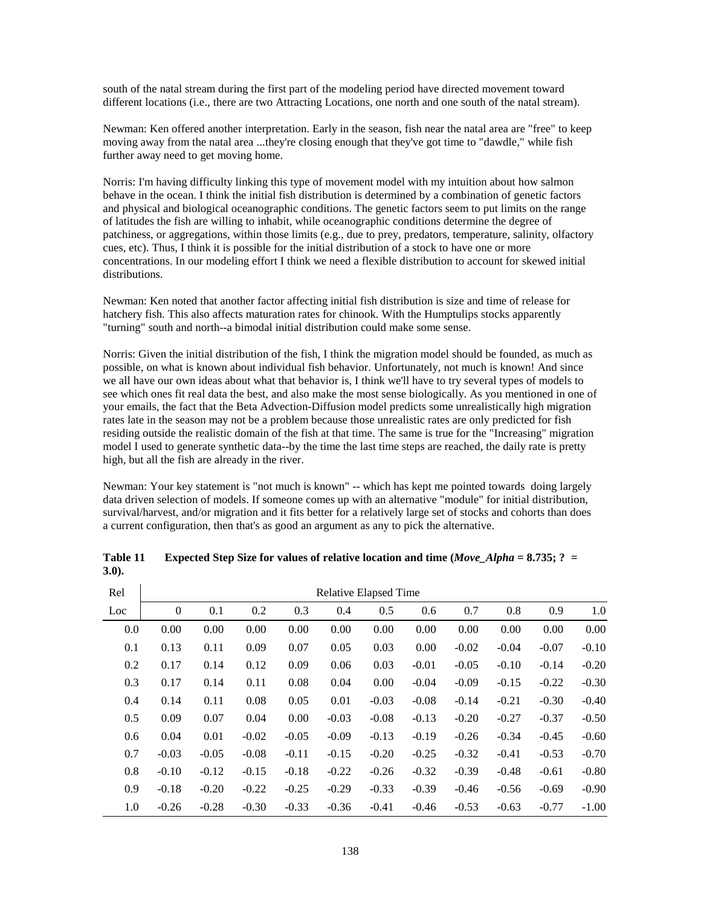south of the natal stream during the first part of the modeling period have directed movement toward different locations (i.e., there are two Attracting Locations, one north and one south of the natal stream).

Newman: Ken offered another interpretation. Early in the season, fish near the natal area are "free" to keep moving away from the natal area ...they're closing enough that they've got time to "dawdle," while fish further away need to get moving home.

Norris: I'm having difficulty linking this type of movement model with my intuition about how salmon behave in the ocean. I think the initial fish distribution is determined by a combination of genetic factors and physical and biological oceanographic conditions. The genetic factors seem to put limits on the range of latitudes the fish are willing to inhabit, while oceanographic conditions determine the degree of patchiness, or aggregations, within those limits (e.g., due to prey, predators, temperature, salinity, olfactory cues, etc). Thus, I think it is possible for the initial distribution of a stock to have one or more concentrations. In our modeling effort I think we need a flexible distribution to account for skewed initial distributions.

Newman: Ken noted that another factor affecting initial fish distribution is size and time of release for hatchery fish. This also affects maturation rates for chinook. With the Humptulips stocks apparently "turning" south and north--a bimodal initial distribution could make some sense.

Norris: Given the initial distribution of the fish, I think the migration model should be founded, as much as possible, on what is known about individual fish behavior. Unfortunately, not much is known! And since we all have our own ideas about what that behavior is, I think we'll have to try several types of models to see which ones fit real data the best, and also make the most sense biologically. As you mentioned in one of your emails, the fact that the Beta Advection-Diffusion model predicts some unrealistically high migration rates late in the season may not be a problem because those unrealistic rates are only predicted for fish residing outside the realistic domain of the fish at that time. The same is true for the "Increasing" migration model I used to generate synthetic data--by the time the last time steps are reached, the daily rate is pretty high, but all the fish are already in the river.

Newman: Your key statement is "not much is known" -- which has kept me pointed towards doing largely data driven selection of models. If someone comes up with an alternative "module" for initial distribution, survival/harvest, and/or migration and it fits better for a relatively large set of stocks and cohorts than does a current configuration, then that's as good an argument as any to pick the alternative.

| Rel | <b>Relative Elapsed Time</b> |         |         |         |         |         |         |         |         |         |         |
|-----|------------------------------|---------|---------|---------|---------|---------|---------|---------|---------|---------|---------|
| Loc | $\overline{0}$               | 0.1     | 0.2     | 0.3     | 0.4     | 0.5     | 0.6     | 0.7     | 0.8     | 0.9     | 1.0     |
| 0.0 | 0.00                         | 0.00    | 0.00    | 0.00    | 0.00    | 0.00    | 0.00    | 0.00    | 0.00    | 0.00    | 0.00    |
| 0.1 | 0.13                         | 0.11    | 0.09    | 0.07    | 0.05    | 0.03    | 0.00    | $-0.02$ | $-0.04$ | $-0.07$ | $-0.10$ |
| 0.2 | 0.17                         | 0.14    | 0.12    | 0.09    | 0.06    | 0.03    | $-0.01$ | $-0.05$ | $-0.10$ | $-0.14$ | $-0.20$ |
| 0.3 | 0.17                         | 0.14    | 0.11    | 0.08    | 0.04    | 0.00    | $-0.04$ | $-0.09$ | $-0.15$ | $-0.22$ | $-0.30$ |
| 0.4 | 0.14                         | 0.11    | 0.08    | 0.05    | 0.01    | $-0.03$ | $-0.08$ | $-0.14$ | $-0.21$ | $-0.30$ | $-0.40$ |
| 0.5 | 0.09                         | 0.07    | 0.04    | 0.00    | $-0.03$ | $-0.08$ | $-0.13$ | $-0.20$ | $-0.27$ | $-0.37$ | $-0.50$ |
| 0.6 | 0.04                         | 0.01    | $-0.02$ | $-0.05$ | $-0.09$ | $-0.13$ | $-0.19$ | $-0.26$ | $-0.34$ | $-0.45$ | $-0.60$ |
| 0.7 | $-0.03$                      | $-0.05$ | $-0.08$ | $-0.11$ | $-0.15$ | $-0.20$ | $-0.25$ | $-0.32$ | $-0.41$ | $-0.53$ | $-0.70$ |
| 0.8 | $-0.10$                      | $-0.12$ | $-0.15$ | $-0.18$ | $-0.22$ | $-0.26$ | $-0.32$ | $-0.39$ | $-0.48$ | $-0.61$ | $-0.80$ |
| 0.9 | $-0.18$                      | $-0.20$ | $-0.22$ | $-0.25$ | $-0.29$ | $-0.33$ | $-0.39$ | $-0.46$ | $-0.56$ | $-0.69$ | $-0.90$ |
| 1.0 | $-0.26$                      | $-0.28$ | $-0.30$ | $-0.33$ | $-0.36$ | $-0.41$ | $-0.46$ | $-0.53$ | $-0.63$ | $-0.77$ | $-1.00$ |

| Table 11 | Expected Step Size for values of relative location and time (Move_Alpha = 8.735; ? = |
|----------|--------------------------------------------------------------------------------------|
| 3.0).    |                                                                                      |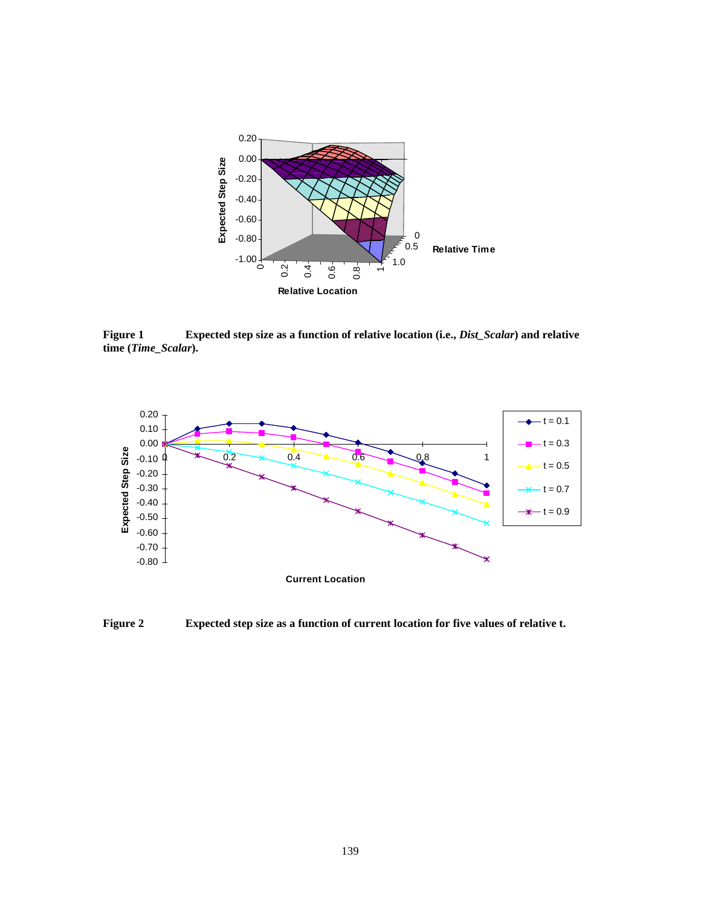

**Figure 1 Expected step size as a function of relative location (i.e.,** *Dist\_Scalar***) and relative time (***Time\_Scalar***).**



**Figure 2 Expected step size as a function of current location for five values of relative t.**